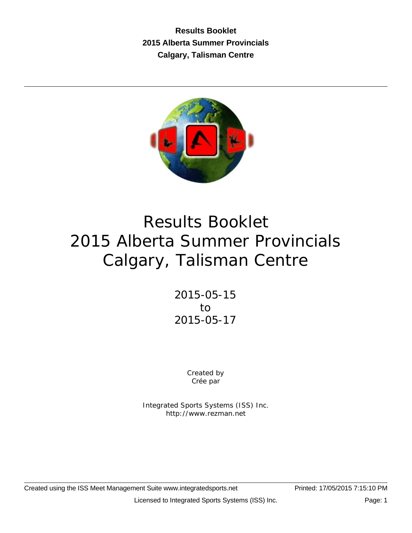**Results Booklet 2015 Alberta Summer Provincials Calgary, Talisman Centre**



# Results Booklet 2015 Alberta Summer Provincials Calgary, Talisman Centre

2015-05-15 to 2015-05-17

> Created by Crée par

Integrated Sports Systems (ISS) Inc. http://www.rezman.net

Created using the ISS Meet Management Suite www.integratedsports.net Printed: 17/05/2015 7:15:10 PM

Licensed to Integrated Sports Systems (ISS) Inc. Page: 1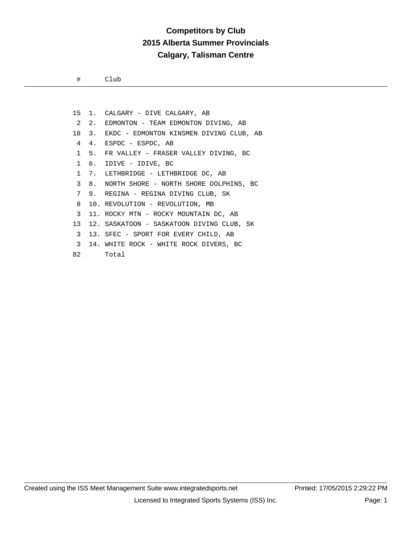## **Competitors by Club 2015 Alberta Summer Provincials Calgary, Talisman Centre**

# Club

|   |                          | 15 1. CALGARY - DIVE CALGARY, AB              |
|---|--------------------------|-----------------------------------------------|
|   |                          | 2 2. EDMONTON - TEAM EDMONTON DIVING, AB      |
|   |                          | 18 3. EKDC - EDMONTON KINSMEN DIVING CLUB, AB |
| 4 |                          | 4. ESPDC - ESPDC, AB                          |
|   |                          | 1 5. FR VALLEY - FRASER VALLEY DIVING, BC     |
|   |                          | 1 6. IDIVE - IDIVE, BC                        |
|   |                          | 1 7. LETHBRIDGE - LETHBRIDGE DC, AB           |
| 3 |                          | 8. NORTH SHORE - NORTH SHORE DOLPHINS, BC     |
| 7 |                          | 9. REGINA - REGINA DIVING CLUB, SK            |
| 8 |                          | 10. REVOLUTION - REVOLUTION, MB               |
| 3 |                          | 11. ROCKY MTN – ROCKY MOUNTAIN DC, AB         |
|   |                          | 13 12. SASKATOON - SASKATOON DIVING CLUB, SK  |
| 3 |                          | 13. SFEC - SPORT FOR EVERY CHILD, AB          |
|   |                          | 3 14. WHITE ROCK - WHITE ROCK DIVERS, BC      |
|   | 82 and the set of $\sim$ | Total                                         |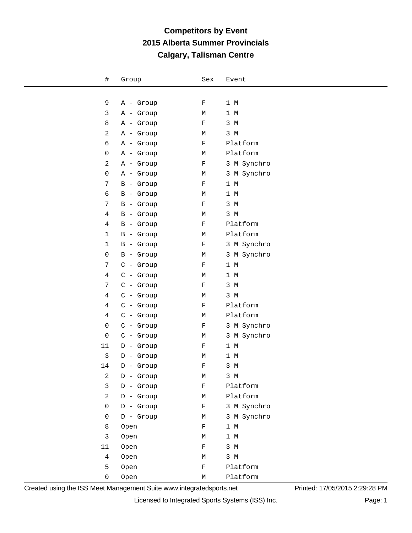| #              | Group       | Sex         | Event          |
|----------------|-------------|-------------|----------------|
|                |             |             |                |
| 9              | A - Group   | $\mathbf F$ | $1~\mathrm{M}$ |
| 3              | A - Group   | М           | 1 M            |
| 8              | A - Group   | $\mathbf F$ | 3 M            |
| 2              | A - Group   | М           | 3 M            |
| 6              | A - Group   | $\mathbf F$ | Platform       |
| 0              | A - Group   | М           | Platform       |
| 2              | A - Group   | $\mathbf F$ | 3 M Synchro    |
| 0              | A - Group   | М           | 3 M Synchro    |
| 7              | B - Group   | $\mathbf F$ | 1 M            |
| 6              | B - Group   | М           | 1 M            |
| $\overline{7}$ | B - Group   | $\mathbf F$ | 3 M            |
| $\overline{4}$ | B - Group   | М           | 3 M            |
| $\overline{4}$ | B - Group   | $\mathbf F$ | Platform       |
| 1              | B - Group   | М           | Platform       |
| 1              | B - Group   | $\mathbf F$ | 3 M Synchro    |
| 0              | B - Group   | М           | 3 M Synchro    |
| 7              | $C -$ Group | F           | 1 M            |
| $\overline{4}$ | $C -$ Group | М           | $1 \, M$       |
| 7              | $C -$ Group | $\mathbf F$ | 3 M            |
| $\overline{4}$ | $C -$ Group | М           | 3 M            |
| 4              | $C -$ Group | F           | Platform       |
| $\overline{4}$ | $C -$ Group | М           | Platform       |
| 0              | $C -$ Group | F           | 3 M Synchro    |
| 0              | $C -$ Group | М           | 3 M Synchro    |
| 11             | D - Group   | F           | 1 M            |
| 3              | D - Group   | М           | $1~\mathrm{M}$ |
| 14             | $D -$ Group | $\mathbf F$ | 3 M            |
| $\overline{a}$ | D - Group   | М           | 3 M            |
| $\mathbf{3}$   | D - Group   | $\rm F$     | Platform       |
| $\overline{a}$ | D - Group   | М           | Platform       |
| 0              | D - Group   | $\mathbf F$ | 3 M Synchro    |
| 0              | $D -$ Group | М           | 3 M Synchro    |
| 8              | Open        | $\mathbf F$ | 1 M            |
| $\mathbf{3}$   | Open        | М           | 1 M            |
| 11             | Open        | $\rm F$     | 3 M            |
| $\overline{4}$ | Open        | М           | $3 \, M$       |
| 5              | Open        | $\mathbf F$ | Platform       |
| 0              | Open        | М           | Platform       |

Created using the ISS Meet Management Suite www.integratedsports.net Printed: 17/05/2015 2:29:28 PM

Licensed to Integrated Sports Systems (ISS) Inc. Page: 1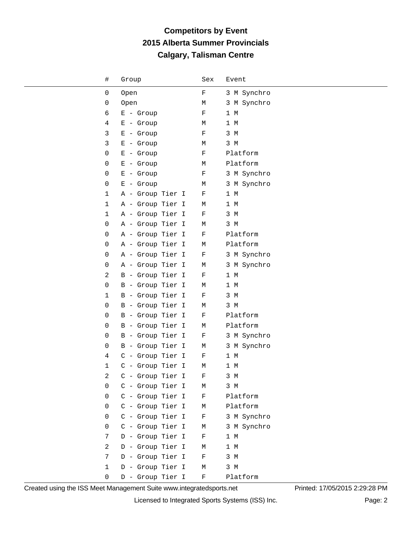| $\#$         | Group            | Sex          | Event       |
|--------------|------------------|--------------|-------------|
| 0            | Open             | $\mathbf F$  | 3 M Synchro |
| 0            | Open             | М            | 3 M Synchro |
| 6            | $E -$ Group      | F            | 1 M         |
| 4            | $E -$ Group      | М            | 1 M         |
| 3            | $E -$ Group      | $\rm F$      | 3 M         |
| 3            | $E -$ Group      | М            | 3 M         |
| 0            | $E -$ Group      | F            | Platform    |
| 0            | $E -$ Group      | М            | Platform    |
| 0            | $E -$ Group      | F            | 3 M Synchro |
| 0            | $E -$ Group      | М            | 3 M Synchro |
| 1            | A - Group Tier I | F            | 1 M         |
| $\mathbf{1}$ | A - Group Tier I | М            | 1 M         |
| 1            | A - Group Tier I | F            | 3 M         |
| 0            | A - Group Tier I | М            | 3 M         |
| 0            | A - Group Tier I | $\mathbf F$  | Platform    |
| 0            | A - Group Tier I | М            | Platform    |
| 0            | A - Group Tier I | $\mathbf F$  | 3 M Synchro |
| 0            | A - Group Tier I | М            | 3 M Synchro |
| 2            | B - Group Tier I | F            | 1 M         |
| 0            | B - Group Tier I | М            | 1 M         |
| 1            | B - Group Tier I | F            | 3 M         |
| 0            | B - Group Tier I | М            | 3 M         |
| 0            | B - Group Tier I | F            | Platform    |
| 0            | B - Group Tier I | М            | Platform    |
| 0            | B - Group Tier I | F            | 3 M Synchro |
| 0            | B - Group Tier I | М            | 3 M Synchro |
| 4            | C - Group Tier I | F            | 1 M         |
| 1            | C - Group Tier I | М            | 1 M         |
| 2            | C - Group Tier I | $\mathbf{F}$ | 3 M         |
| 0            | C - Group Tier I | М            | 3 M         |
| 0            | C - Group Tier I | F            | Platform    |
| 0            | C - Group Tier I | М            | Platform    |
| 0            | C - Group Tier I | F            | 3 M Synchro |
| 0            | C - Group Tier I | М            | 3 M Synchro |
| 7            | D - Group Tier I | F            | 1 M         |
| 2            | D - Group Tier I | М            | 1 M         |
| 7            | D - Group Tier I | F            | 3 M         |
| $\mathbf{1}$ | D - Group Tier I | М            | 3 M         |
| 0            | D - Group Tier I | $\rm F$      | Platform    |

Created using the ISS Meet Management Suite www.integratedsports.net Printed: 17/05/2015 2:29:28 PM

Licensed to Integrated Sports Systems (ISS) Inc. Page: 2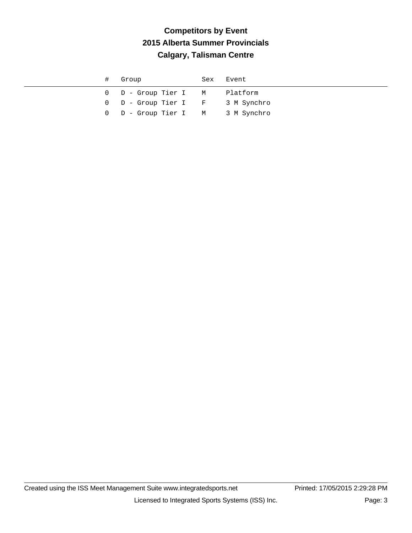|  | # Group                          | Sex Event |
|--|----------------------------------|-----------|
|  | 0 D - Group Tier I M Platform    |           |
|  | 0 D - Group Tier I F 3 M Synchro |           |
|  | 0 D - Group Tier I M 3 M Synchro |           |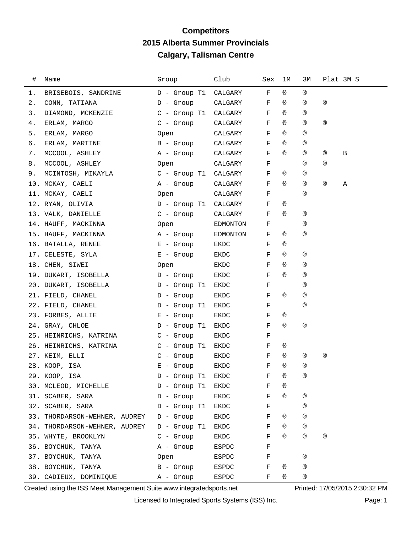#### **Competitors 2015 Alberta Summer Provincials Calgary, Talisman Centre**

| #  | Name                                | Group             | Club     | Sex          | 1M             | ЗМ             | Plat 3M S      |   |
|----|-------------------------------------|-------------------|----------|--------------|----------------|----------------|----------------|---|
| ı. | BRISEBOIS, SANDRINE                 | D - Group T1      | CALGARY  | F            | $^{\circledR}$ | $^{\circledR}$ |                |   |
| 2. | CONN, TATIANA                       | D - Group         | CALGARY  | F            | ®              | $^{\circledR}$ | $^{\circledR}$ |   |
| 3. | DIAMOND, MCKENZIE                   | C - Group T1      | CALGARY  | F            | $^{\circledR}$ | $^{\circledR}$ |                |   |
| 4. | ERLAM, MARGO                        | C - Group         | CALGARY  | F            | $^{\circledR}$ | $^{\circledR}$ | $^{\circledR}$ |   |
| 5. | ERLAM, MARGO                        | Open              | CALGARY  | F            | $^{\circledR}$ | $^{\circledR}$ |                |   |
| б. | ERLAM, MARTINE                      | B - Group         | CALGARY  | F            | ®              | $^{\circledR}$ |                |   |
| 7. | MCCOOL, ASHLEY                      | A - Group         | CALGARY  | F            | $^{\circledR}$ | $^{\circledR}$ | ®              | B |
| 8. | MCCOOL, ASHLEY                      | Open              | CALGARY  | F            |                | $^{\circledR}$ | $^{\circledR}$ |   |
| 9. | MCINTOSH, MIKAYLA C - Group T1      |                   | CALGARY  | F            | ®              | $^{\circledR}$ |                |   |
|    | 10. MCKAY, CAELI                    | A - Group         | CALGARY  | F            | $^{\circledR}$ | $^{\circledR}$ | $^{\circledR}$ | Α |
|    | 11. MCKAY, CAELI                    | Open              | CALGARY  | F            |                | $^{\circledR}$ |                |   |
|    | 12. RYAN, OLIVIA                    | D - Group T1      | CALGARY  | F            | ®              |                |                |   |
|    | 13. VALK, DANIELLE                  | $C -$ Group       | CALGARY  | F            | $^{\circledR}$ | $^{\circledR}$ |                |   |
|    | 14. HAUFF, MACKINNA                 | Open              | EDMONTON | F            |                | $^{\circledR}$ |                |   |
|    | 15. HAUFF, MACKINNA                 | A - Group         | EDMONTON | F            | ®              | $^{\circledR}$ |                |   |
|    | 16. BATALLA, RENEE                  | $E -$ Group       | EKDC     | F            | $^{\circledR}$ |                |                |   |
|    | 17. CELESTE, SYLA                   | E - Group         | EKDC     | F            | ®              | $^{\circledR}$ |                |   |
|    | 18. CHEN, SIWEI                     | Open              | EKDC     | F            | $^{\circledR}$ | $^{\circledR}$ |                |   |
|    | 19. DUKART, ISOBELLA                | $D -$ Group       | EKDC     | F            | $^{\circledR}$ | $^{\circledR}$ |                |   |
|    | 20. DUKART, ISOBELLA                | D - Group T1      | EKDC     | F            |                | $^{\circledR}$ |                |   |
|    | 21. FIELD, CHANEL                   | D - Group         | EKDC     | F            | ®              | $^{\circledR}$ |                |   |
|    | 22. FIELD, CHANEL                   | D - Group T1      | EKDC     | F            |                | $^{\circledR}$ |                |   |
|    | 23. FORBES, ALLIE                   | E - Group         | EKDC     | F            | ®              |                |                |   |
|    | 24. GRAY, CHLOE                     | D - Group T1      | EKDC     | F            | $^{\circledR}$ | $^{\circledR}$ |                |   |
|    | 25. HEINRICHS, KATRINA C - Group    |                   | EKDC     | F            |                |                |                |   |
|    | 26. HEINRICHS, KATRINA C - Group T1 |                   | EKDC     | F            | ®              |                |                |   |
|    | 27. KEIM, ELLI                      | C - Group         | EKDC     | F            | ®              | ®              | $^{\circledR}$ |   |
|    | 28. KOOP, ISA                       | $E -$ Group       | EKDC     | F            | $^{\circledR}$ | $^{\circledR}$ |                |   |
|    | 29. KOOP, ISA                       | D - Group T1 EKDC |          | $\mathbf{F}$ | $^{\circledR}$ | ®              |                |   |
|    | 30. MCLEOD, MICHELLE                | $D -$ Group T1    | EKDC     | F            | ®              |                |                |   |
|    | 31. SCABER, SARA                    | $D -$ Group       | EKDC     | F            | $^{\circledR}$ | $^{\circledR}$ |                |   |
|    | 32. SCABER, SARA                    | $D -$ Group T1    | EKDC     | $\rm F$      |                | $^{\circledR}$ |                |   |
|    | 33. THORDARSON-WEHNER, AUDREY       | D - Group         | EKDC     | F            | $^{\circledR}$ | $^{\circledR}$ |                |   |
|    | 34. THORDARSON-WEHNER, AUDREY       | D - Group T1      | EKDC     | F            | $^{\circledR}$ | $^{\circledR}$ |                |   |
|    | 35. WHYTE, BROOKLYN                 | $C -$ Group       | EKDC     | F            | $^{\circledR}$ | $^{\circledR}$ | $^{\circledR}$ |   |
|    | 36. BOYCHUK, TANYA                  | A - Group         | ESPDC    | F            |                |                |                |   |
|    | 37. BOYCHUK, TANYA                  | Open              | ESPDC    | F            |                | $^{\circledR}$ |                |   |
|    | 38. BOYCHUK, TANYA                  | B - Group         | ESPDC    | F            | ®              | $^{\circledR}$ |                |   |
|    | 39. CADIEUX, DOMINIQUE              | A - Group         | ESPDC    | F            | ®              | ®              |                |   |

Created using the ISS Meet Management Suite www.integratedsports.net Printed: 17/05/2015 2:30:32 PM

Licensed to Integrated Sports Systems (ISS) Inc. Page: 1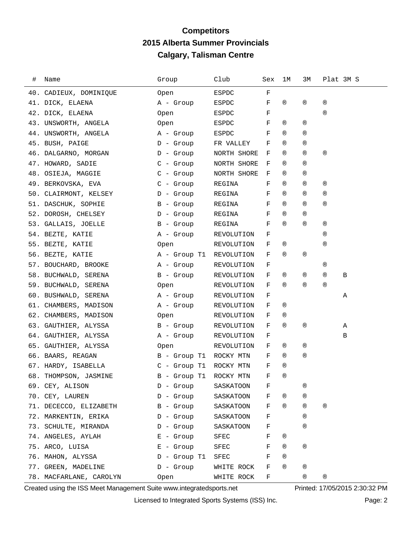#### **Competitors 2015 Alberta Summer Provincials Calgary, Talisman Centre**

| # | Name                            | Group                  | Club         | Sex         | ıм             | ЗМ             |                | Plat 3M S |
|---|---------------------------------|------------------------|--------------|-------------|----------------|----------------|----------------|-----------|
|   | 40. CADIEUX, DOMINIQUE          | Open                   | ESPDC        | F           |                |                |                |           |
|   | 41. DICK, ELAENA                | A - Group              | ESPDC        | F           | $^{\circledR}$ | $^{\circledR}$ | $^{\circledR}$ |           |
|   | 42. DICK, ELAENA                | Open                   | ESPDC        | F           |                |                | $^{\circledR}$ |           |
|   | 43. UNSWORTH, ANGELA            | Open                   | ESPDC        | F           | ®              | ®              |                |           |
|   | 44. UNSWORTH, ANGELA            | A - Group              | ESPDC        | F           | $^{\circledR}$ | $^{\circledR}$ |                |           |
|   | 45. BUSH, PAIGE                 | D - Group              | FR VALLEY    | F           | $^{\circledR}$ | ®              |                |           |
|   | 46. DALGARNO, MORGAN            | D - Group              | NORTH SHORE  | F           | $^{\circledR}$ | $^{\circledR}$ | $^{\circledR}$ |           |
|   | 47. HOWARD, SADIE               | $C -$ Group            | NORTH SHORE  | F           | $^{\circledR}$ | $^{\circledR}$ |                |           |
|   | 48. OSIEJA, MAGGIE              | C - Group              | NORTH SHORE  | F           | ®              | $^{\circledR}$ |                |           |
|   | 49. BERKOVSKA, EVA              | C - Group              | REGINA       | F           | $^{\circledR}$ | ®              | ®              |           |
|   | 50. CLAIRMONT, KELSEY D - Group |                        | REGINA       | F           | $^{\circledR}$ | $^{\circledR}$ | $^{\circledR}$ |           |
|   | 51. DASCHUK, SOPHIE             | B - Group              | REGINA       | F           | $^{\circledR}$ | $^{\circledR}$ | $^{\circledR}$ |           |
|   | 52. DOROSH, CHELSEY             | D - Group              | REGINA       | F           | $^{\circledR}$ | $^{\circledR}$ |                |           |
|   | 53. GALLAIS, JOELLE             | B - Group              | REGINA       | F           | $^{\circledR}$ | $^{\circledR}$ | ®              |           |
|   | 54. BEZTE, KATIE                | A - Group              | REVOLUTION   | F           |                |                | $^{\circledR}$ |           |
|   | 55. BEZTE, KATIE                | Open                   | REVOLUTION   | F           | ®              |                | $^{\circledR}$ |           |
|   | 56. BEZTE, KATIE                | A - Group T1           | REVOLUTION   | F           | ®              | $^{\circledR}$ |                |           |
|   | 57. BOUCHARD, BROOKE            | A - Group              | REVOLUTION   | F           |                |                | ®              |           |
|   | 58. BUCHWALD, SERENA            | B - Group              | REVOLUTION   | F           | ®              | ®              | $^{\circledR}$ | Β         |
|   | 59. BUCHWALD, SERENA            | Open                   | REVOLUTION   | F           | $^{\circledR}$ | $^{\circledR}$ | $^{\circledR}$ |           |
|   | 60. BUSHWALD, SERENA            | A - Group              | REVOLUTION   | F           |                |                |                | Α         |
|   | 61. CHAMBERS, MADISON           | A - Group              | REVOLUTION   | F           | ®              |                |                |           |
|   | 62. CHAMBERS, MADISON           | Open                   | REVOLUTION   | F           | ®              |                |                |           |
|   | 63. GAUTHIER, ALYSSA            | B - Group              | REVOLUTION   | F           | $^{\circledR}$ | ®              |                | Α         |
|   | 64. GAUTHIER, ALYSSA            | A - Group              | REVOLUTION   | F           |                |                |                | В         |
|   | 65. GAUTHIER, ALYSSA            | Open                   | REVOLUTION   | F           | ®              | ®              |                |           |
|   | 66. BAARS, REAGAN               | B - Group T1 ROCKY MTN |              | F           | $^{\circledR}$ | $^{\circledR}$ |                |           |
|   | 67. HARDY, ISABELLA             | $C -$ Group T1         | ROCKY MTN    | F           | $^{\circledR}$ |                |                |           |
|   | 68. THOMPSON, JASMINE           | B - Group T1 ROCKY MTN |              | $\mathbf F$ | ®              |                |                |           |
|   | 69. CEY, ALISON                 | $D -$ Group            | SASKATOON    | F           |                | ®              |                |           |
|   | 70. CEY, LAUREN                 | $D -$ Group            | SASKATOON    | F           | ®              | ®              |                |           |
|   | 71. DECECCO, ELIZABETH          | $B -$ Group            | SASKATOON    | F           | $^{\circledR}$ | ®              | $^{\circledR}$ |           |
|   | 72. MARKENTIN, ERIKA            | $D -$ Group            | SASKATOON    | F           |                | $^{\circledR}$ |                |           |
|   | 73. SCHULTE, MIRANDA            | $D -$ Group            | SASKATOON    | F           |                | ®              |                |           |
|   | 74. ANGELES, AYLAH              | $E -$ Group            | SFEC         | F           | ®              |                |                |           |
|   | 75. ARCO, LUISA                 | $E -$ Group            | SFEC         | F           | $^{\circledR}$ | ®              |                |           |
|   | 76. MAHON, ALYSSA               | D - Group T1           | ${\tt SFEC}$ | F           | $^{\circledR}$ |                |                |           |
|   | 77. GREEN, MADELINE             | $D -$ Group            | WHITE ROCK   | F           | $^{\circledR}$ | ®              |                |           |
|   | 78. MACFARLANE, CAROLYN         | Open                   | WHITE ROCK   | F           |                | ®              | $^\circledR$   |           |

Created using the ISS Meet Management Suite www.integratedsports.net Printed: 17/05/2015 2:30:32 PM

Licensed to Integrated Sports Systems (ISS) Inc. Page: 2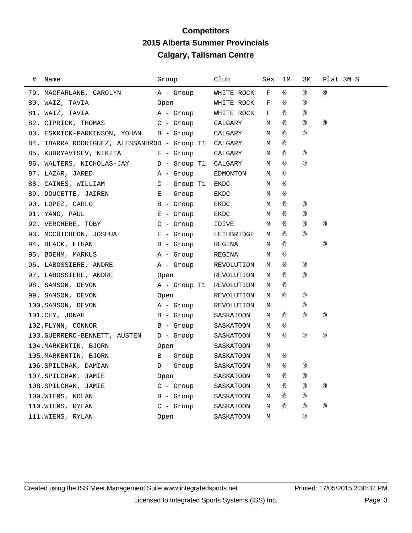## **Competitors 2015 Alberta Summer Provincials Calgary, Talisman Centre**

| # | Name                                         | Group          | Club       | Sex | 1М             | 3М             | Plat 3M S      |
|---|----------------------------------------------|----------------|------------|-----|----------------|----------------|----------------|
|   | 79. MACFARLANE, CAROLYN                      | A - Group      | WHITE ROCK | F   | $^{\circledR}$ | $^{\circledR}$ | $^{\circledR}$ |
|   | 80. WAIZ, TAVIA                              | Open           | WHITE ROCK | F   | $^{\circledR}$ | $^{\circledR}$ |                |
|   | 81. WAIZ, TAVIA                              | A - Group      | WHITE ROCK | F   | $^{\circledR}$ | $^{\circledR}$ |                |
|   | 82. CIPRICK, THOMAS                          | $C - Grow$     | CALGARY    | М   | $^{\circledR}$ | $^{\circledR}$ | $^{\circledR}$ |
|   | 83. ESKRICK-PARKINSON, YOHAN                 | B - Group      | CALGARY    | М   | (R)            | $^{\circledR}$ |                |
|   | 84. IBARRA RODRIGUEZ, ALESSANDROD - Group T1 |                | CALGARY    | М   | $^{\circledR}$ |                |                |
|   | 85. KUDRYAVTSEV, NIKITA                      | $E -$ Group    | CALGARY    | М   | $^{\circledR}$ | $^{\circledR}$ |                |
|   | 86. WALTERS, NICHOLAS-JAY                    | $D -$ Group T1 | CALGARY    | М   | $^{\circledR}$ | $^{\circledR}$ |                |
|   | 87. LAZAR, JARED                             | A - Group      | EDMONTON   | М   | (R)            |                |                |
|   | 88. CAINES, WILLIAM                          | $C -$ Group T1 | EKDC       | М   | (R)            |                |                |
|   | 89. DOUCETTE, JAIREN                         | $E -$ Group    | EKDC       | М   | $^{\circledR}$ |                |                |
|   | 90. LOPEZ, CARLO                             | B - Group      | EKDC       | М   | $^{\circledR}$ | $^{\circledR}$ |                |
|   | 91. YANG, PAUL                               | $E -$ Group    | EKDC       | М   | $^{\circledR}$ | $^{\circledR}$ |                |
|   | 92. VERCHERE, TOBY                           | $C -$ Group    | IDIVE      | М   | $^{\circledR}$ | $^{\circledR}$ | $^{\circledR}$ |
|   | 93. MCCUTCHEON, JOSHUA                       | $E -$ Group    | LETHBRIDGE | М   | $^{\circledR}$ | $^{\circledR}$ |                |
|   | 94. BLACK, ETHAN                             | $D -$ Group    | REGINA     | М   | $^{\circledR}$ |                | $^{\circledR}$ |
|   | 95. BOEHM, MARKUS                            | A - Group      | REGINA     | М   | $^{\circledR}$ |                |                |
|   | 96. LABOSSIERE, ANDRE                        | A - Group      | REVOLUTION | М   | $^{\circledR}$ | $^{\circledR}$ |                |
|   | 97. LABOSSIERE, ANDRE                        | Open           | REVOLUTION | М   | (R)            | $^{\circledR}$ |                |
|   | 98. SAMSON, DEVON                            | A - Group T1   | REVOLUTION | М   | $^{\circledR}$ |                |                |
|   | 99. SAMSON, DEVON                            | Open           | REVOLUTION | М   | (R)            | $^\circledR$   |                |
|   | 100. SAMSON, DEVON                           | A - Group      | REVOLUTION | М   |                | $^\circledR$   |                |
|   | 101.CEY, JONAH                               | B - Group      | SASKATOON  | М   | $^{\circledR}$ | $^{\circledR}$ | $^{\circledR}$ |
|   | 102. FLYNN, CONNOR                           | B - Group      | SASKATOON  | М   | $^{\circledR}$ |                |                |
|   | 103. GUERRERO-BENNETT, AUSTEN                | $D -$ Group    | SASKATOON  | М   | $^{\circledR}$ | $^{\circledR}$ | $^{\circledR}$ |
|   | 104. MARKENTIN, BJORN                        | Open           | SASKATOON  | М   |                |                |                |
|   | 105. MARKENTIN, BJORN                        | $B -$ Group    | SASKATOON  | М   | $^{\circledR}$ |                |                |
|   | 106.SPILCHAK, DAMIAN                         | $D -$ Group    | SASKATOON  | М   | $^{\circledR}$ | $^{\circledR}$ |                |
|   | 107.SPILCHAK, JAMIE                          | Open           | SASKATOON  | М   | $^{\circledR}$ | $^{\circledR}$ |                |
|   | 108.SPILCHAK, JAMIE                          | $C - Group$    | SASKATOON  | М   | $^{\circledR}$ | $^{\circledR}$ | $^{\circledR}$ |
|   | 109. WIENS, NOLAN                            | $B -$ Group    | SASKATOON  | М   | $^{\circledR}$ | $^{\circledR}$ |                |
|   | 110.WIENS, RYLAN                             | $C - Group$    | SASKATOON  | М   | (R)            | $^{\circledR}$ | $^\circledR$   |
|   | 111.WIENS, RYLAN                             | 0pen           | SASKATOON  | M   |                | (R)            |                |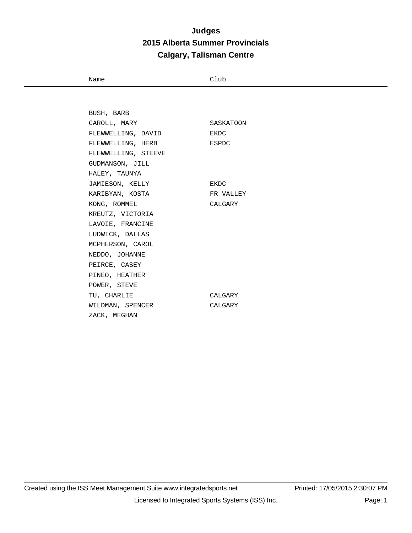Name Club

| BUSH, BARB          |           |
|---------------------|-----------|
| CAROLL, MARY        | SASKATOON |
| FLEWWELLING, DAVID  | EKDC      |
| FLEWWELLING, HERB   | ESPDC     |
| FLEWWELLING, STEEVE |           |
| GUDMANSON, JILL     |           |
| HALEY, TAUNYA       |           |
| JAMIESON, KELLY     | EKDC      |
| KARIBYAN, KOSTA     | FR VALLEY |
| KONG, ROMMEL        | CALGARY   |
| KREUTZ, VICTORIA    |           |
| LAVOIE, FRANCINE    |           |
| LUDWICK, DALLAS     |           |
| MCPHERSON, CAROL    |           |
| NEDDO, JOHANNE      |           |
| PEIRCE, CASEY       |           |
| PINEO, HEATHER      |           |
| POWER, STEVE        |           |
| TU, CHARLIE         | CALGARY   |
| WILDMAN, SPENCER    | CALGARY   |
| ZACK, MEGHAN        |           |
|                     |           |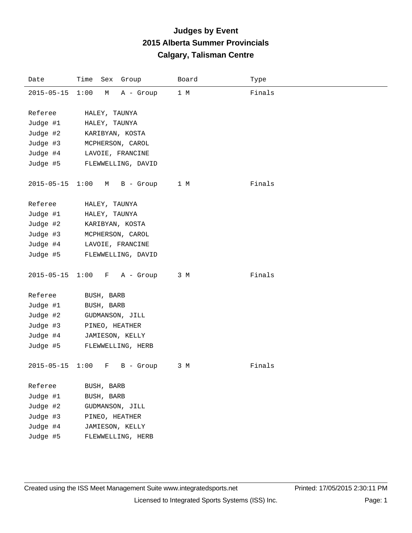| Date             | Time<br>Sex Group      | Board | Type   |
|------------------|------------------------|-------|--------|
| $2015 - 05 - 15$ | 1:00<br>М<br>A - Group | 1 M   | Finals |
|                  |                        |       |        |
| Referee          | HALEY, TAUNYA          |       |        |
| Judge #1         | HALEY, TAUNYA          |       |        |
| Judge #2         | KARIBYAN, KOSTA        |       |        |
| Judge #3         | MCPHERSON, CAROL       |       |        |
| Judge #4         | LAVOIE, FRANCINE       |       |        |
| Judge #5         | FLEWWELLING, DAVID     |       |        |
|                  |                        |       |        |
| 2015-05-15       | 1:00<br>B - Group<br>М | 1 M   | Finals |
|                  |                        |       |        |
| Referee          | HALEY, TAUNYA          |       |        |
| Judge #1         | HALEY, TAUNYA          |       |        |
| Judge #2         | KARIBYAN, KOSTA        |       |        |
| Judge #3         | MCPHERSON, CAROL       |       |        |
| Judge #4         | LAVOIE, FRANCINE       |       |        |
| Judge #5         | FLEWWELLING, DAVID     |       |        |
| $2015 - 05 - 15$ | 1:00<br>A - Group<br>F | 3 M   | Finals |
|                  |                        |       |        |
| Referee          | BUSH, BARB             |       |        |
| Judge #1         | BUSH, BARB             |       |        |
| Judge #2         | GUDMANSON, JILL        |       |        |
| Judge #3         | PINEO, HEATHER         |       |        |
| Judge #4         | JAMIESON, KELLY        |       |        |
| Judge #5         | FLEWWELLING, HERB      |       |        |
|                  |                        |       |        |
| $2015 - 05 - 15$ | 1:00<br>B - Group<br>F | 3 M   | Finals |
|                  |                        |       |        |
| Referee          | BUSH, BARB             |       |        |
| Judge #1         | BUSH, BARB             |       |        |
| Judge #2         | GUDMANSON, JILL        |       |        |
| Judge #3         | PINEO, HEATHER         |       |        |
| Judge #4         | JAMIESON, KELLY        |       |        |
| Judge #5         | FLEWWELLING, HERB      |       |        |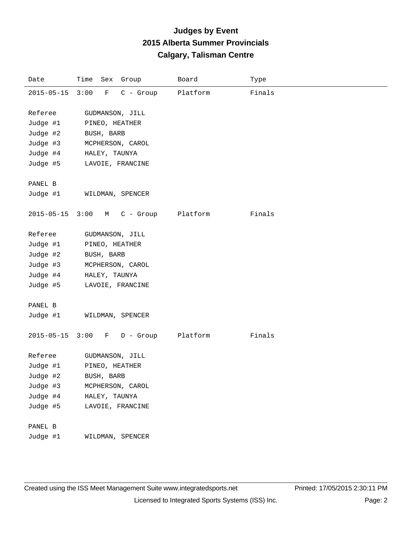| Date             | Time<br>Sex<br>Group               | Board    | Type   |
|------------------|------------------------------------|----------|--------|
| $2015 - 05 - 15$ | 3:00<br>$C -$ Group<br>$\mathbf F$ | Platform | Finals |
|                  |                                    |          |        |
| Referee          | GUDMANSON, JILL                    |          |        |
| Judge #1         | PINEO, HEATHER                     |          |        |
| Judge #2         | BUSH, BARB                         |          |        |
| Judge #3         | MCPHERSON, CAROL                   |          |        |
| Judge #4         | HALEY, TAUNYA                      |          |        |
| Judge #5         | LAVOIE, FRANCINE                   |          |        |
|                  |                                    |          |        |
| PANEL B          |                                    |          |        |
| Judge #1         | WILDMAN, SPENCER                   |          |        |
| $2015 - 05 - 15$ | 3:00<br>M                          | Platform | Finals |
|                  | C - Group                          |          |        |
| Referee          | GUDMANSON, JILL                    |          |        |
| Judge #1         | PINEO, HEATHER                     |          |        |
| Judge #2         | BUSH, BARB                         |          |        |
| Judge #3         | MCPHERSON, CAROL                   |          |        |
| Judge #4         | HALEY, TAUNYA                      |          |        |
| Judge #5         | LAVOIE, FRANCINE                   |          |        |
|                  |                                    |          |        |
| PANEL B          |                                    |          |        |
| Judge #1         | WILDMAN, SPENCER                   |          |        |
|                  |                                    |          |        |
|                  | 2015-05-15 3:00 F D - Group        | Platform | Finals |
|                  |                                    |          |        |
| Referee          | GUDMANSON, JILL                    |          |        |
| Judge #1         | PINEO, HEATHER                     |          |        |
| Judge #2         | BUSH, BARB                         |          |        |
| Judge #3         | MCPHERSON, CAROL                   |          |        |
| Judge #4         | HALEY, TAUNYA                      |          |        |
| Judge #5         | LAVOIE, FRANCINE                   |          |        |
|                  |                                    |          |        |
| PANEL B          |                                    |          |        |
| Judge #1         | WILDMAN, SPENCER                   |          |        |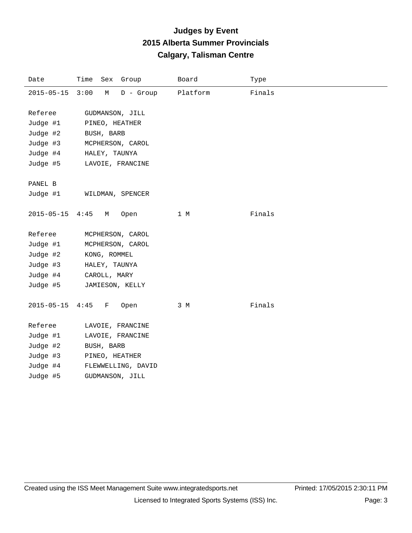| Date             | Time<br>Sex<br>Group     | Board    | Type   |
|------------------|--------------------------|----------|--------|
| $2015 - 05 - 15$ | 3:00<br>М<br>$D -$ Group | Platform | Finals |
|                  |                          |          |        |
| Referee          | GUDMANSON, JILL          |          |        |
| Judge #1         | PINEO, HEATHER           |          |        |
| Judge #2         | BUSH, BARB               |          |        |
| Judge #3         | MCPHERSON, CAROL         |          |        |
| Judge #4         | HALEY, TAUNYA            |          |        |
| Judge #5         | LAVOIE, FRANCINE         |          |        |
|                  |                          |          |        |
| PANEL B          |                          |          |        |
| Judge #1         | WILDMAN, SPENCER         |          |        |
|                  |                          |          |        |
| $2015 - 05 - 15$ | 4:45<br>М<br>Open        | 1 M      | Finals |
|                  |                          |          |        |
| Referee          | MCPHERSON, CAROL         |          |        |
| Judge #1         | MCPHERSON, CAROL         |          |        |
| Judge #2         | KONG, ROMMEL             |          |        |
| Judge #3         | HALEY, TAUNYA            |          |        |
| Judge #4         | CAROLL, MARY             |          |        |
| Judge #5         | JAMIESON, KELLY          |          |        |
|                  |                          |          |        |
| $2015 - 05 - 15$ | 4:45<br>F<br>Open        | 3 M      | Finals |
|                  |                          |          |        |
| Referee          | LAVOIE, FRANCINE         |          |        |
| Judge #1         | LAVOIE, FRANCINE         |          |        |
| Judge #2         | BUSH, BARB               |          |        |
| Judge #3         | PINEO, HEATHER           |          |        |
| Judge #4         | FLEWWELLING, DAVID       |          |        |
| Judge #5         | GUDMANSON, JILL          |          |        |
|                  |                          |          |        |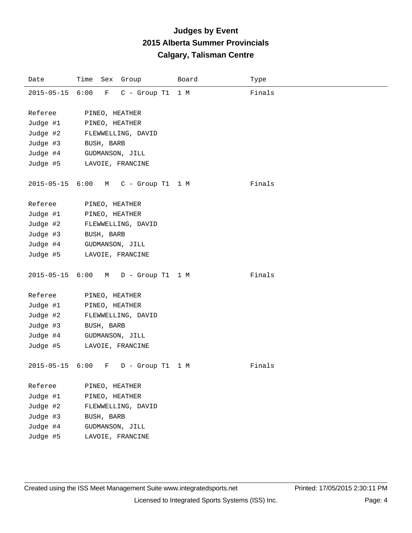| Date             | Time Sex Group                        | Board | Type   |
|------------------|---------------------------------------|-------|--------|
| $2015 - 05 - 15$ | 6:00<br>$\mathbf F$<br>$C -$ Group T1 | 1 M   | Finals |
|                  |                                       |       |        |
| Referee          | PINEO, HEATHER                        |       |        |
| Judge #1         | PINEO, HEATHER                        |       |        |
| Judge #2         | FLEWWELLING, DAVID                    |       |        |
| Judge #3         | BUSH, BARB                            |       |        |
| Judge #4         | GUDMANSON, JILL                       |       |        |
| Judge #5         | LAVOIE, FRANCINE                      |       |        |
|                  |                                       |       |        |
| $2015 - 05 - 15$ | 6:00<br>$C - Group T1 1 M$<br>M       |       | Finals |
|                  |                                       |       |        |
| Referee          | PINEO, HEATHER                        |       |        |
| Judge #1         | PINEO, HEATHER                        |       |        |
| Judge #2         | FLEWWELLING, DAVID                    |       |        |
| Judge #3         | BUSH, BARB                            |       |        |
| Judge #4         | GUDMANSON, JILL                       |       |        |
| Judge #5         | LAVOIE, FRANCINE                      |       |        |
|                  |                                       |       |        |
| $2015 - 05 - 15$ | 6:00<br>D - Group T1 1 M<br>M         |       | Finals |
| Referee          |                                       |       |        |
|                  | PINEO, HEATHER                        |       |        |
| Judge #1         | PINEO, HEATHER                        |       |        |
| Judge #2         | FLEWWELLING, DAVID                    |       |        |
| Judge #3         | BUSH, BARB                            |       |        |
| Judge #4         | GUDMANSON, JILL                       |       |        |
| Judge #5         | LAVOIE, FRANCINE                      |       |        |
| $2015 - 05 - 15$ | 6:00<br>F<br>D - Group T1             | 1 M   | Finals |
|                  |                                       |       |        |
| Referee          | PINEO, HEATHER                        |       |        |
| Judge #1         | PINEO, HEATHER                        |       |        |
| Judge #2         | FLEWWELLING, DAVID                    |       |        |
| Judge #3         | BUSH, BARB                            |       |        |
| Judge #4         | GUDMANSON, JILL                       |       |        |
| Judge #5         | LAVOIE, FRANCINE                      |       |        |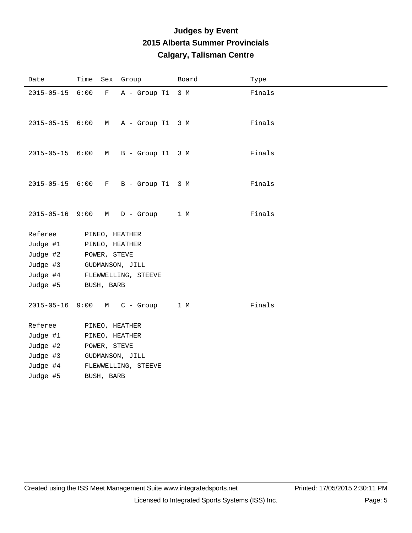| Date                  |      |              | Time Sex Group      | Board | Type   |
|-----------------------|------|--------------|---------------------|-------|--------|
| $2015 - 05 - 15$      | 6:00 | $\mathbf{F}$ | A - Group T1        | 3 M   | Finals |
| $2015 - 05 - 15$ 6:00 |      | M            | A - Group T1 3 M    |       | Finals |
| $2015 - 05 - 15$ 6:00 |      | M            | B - Group T1 3 M    |       | Finals |
| 2015-05-15 6:00       |      | F            | B - Group T1 3 M    |       | Finals |
| $2015 - 05 - 16$ 9:00 |      | M            | $D -$ Group         | 1 M   | Finals |
| Referee               |      |              | PINEO, HEATHER      |       |        |
| Judge #1              |      |              | PINEO, HEATHER      |       |        |
| Judge #2              |      | POWER, STEVE |                     |       |        |
| Judge #3              |      |              | GUDMANSON, JILL     |       |        |
| Judge #4              |      |              | FLEWWELLING, STEEVE |       |        |
| Judge #5              |      | BUSH, BARB   |                     |       |        |
| $2015 - 05 - 16$      | 9:00 | M            | $C -$ Group         | 1 M   | Finals |
| Referee               |      |              | PINEO, HEATHER      |       |        |
| Judge #1              |      |              | PINEO, HEATHER      |       |        |
| Judge #2              |      | POWER, STEVE |                     |       |        |
| Judge #3              |      |              | GUDMANSON, JILL     |       |        |
| Judge #4              |      |              | FLEWWELLING, STEEVE |       |        |
| Judge #5              |      | BUSH, BARB   |                     |       |        |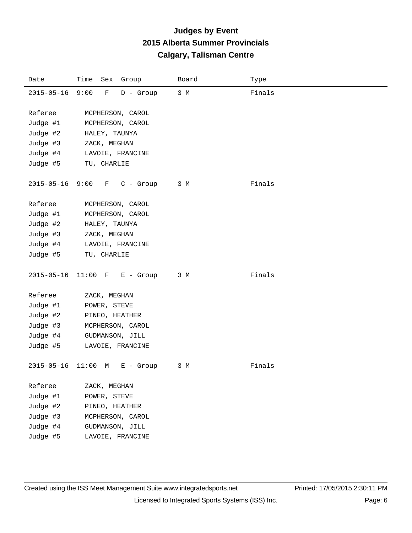| Date             | Time Sex Group                     | Board | Type   |
|------------------|------------------------------------|-------|--------|
| $2015 - 05 - 16$ | 9:00<br>$\mathbf F$<br>$D -$ Group | 3 M   | Finals |
|                  |                                    |       |        |
| Referee          | MCPHERSON, CAROL                   |       |        |
| Judge #1         | MCPHERSON, CAROL                   |       |        |
| Judge #2         | HALEY, TAUNYA                      |       |        |
| Judge #3         | ZACK, MEGHAN                       |       |        |
| Judge #4         | LAVOIE, FRANCINE                   |       |        |
| Judge #5         | TU, CHARLIE                        |       |        |
| $2015 - 05 - 16$ | 9:00<br>F<br>$C -$ Group           | 3 M   | Finals |
| Referee          | MCPHERSON, CAROL                   |       |        |
| Judge #1         | MCPHERSON, CAROL                   |       |        |
| Judge #2         | HALEY, TAUNYA                      |       |        |
| Judge #3         | ZACK, MEGHAN                       |       |        |
| Judge #4         | LAVOIE, FRANCINE                   |       |        |
| Judge #5         | TU, CHARLIE                        |       |        |
|                  |                                    |       |        |
| $2015 - 05 - 16$ | $11:00$ F<br>$E -$ Group           | 3 M   | Finals |
| Referee          | ZACK, MEGHAN                       |       |        |
| Judge #1         | POWER, STEVE                       |       |        |
| Judge #2         | PINEO, HEATHER                     |       |        |
| Judge #3         | MCPHERSON, CAROL                   |       |        |
|                  | GUDMANSON, JILL                    |       |        |
| Judge #4         |                                    |       |        |
| Judge #5         | LAVOIE, FRANCINE                   |       |        |
| $2015 - 05 - 16$ | 11:00 M<br>$E -$ Group             | 3 M   | Finals |
| Referee          | ZACK, MEGHAN                       |       |        |
| Judge #1         | POWER, STEVE                       |       |        |
| Judge #2         | PINEO, HEATHER                     |       |        |
| Judge #3         | MCPHERSON, CAROL                   |       |        |
| Judge #4         | GUDMANSON, JILL                    |       |        |
| Judge #5         | LAVOIE, FRANCINE                   |       |        |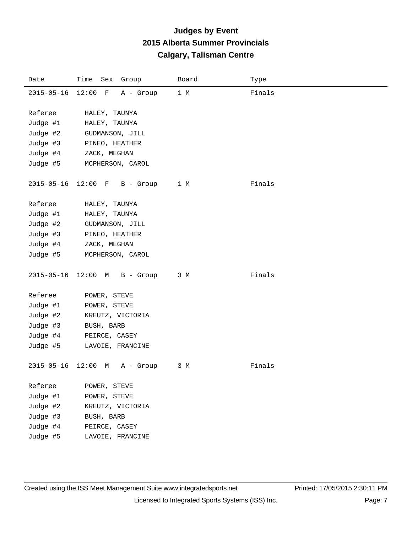| Date             | Time Sex Group              | Board | Type   |
|------------------|-----------------------------|-------|--------|
| $2015 - 05 - 16$ | $12:00$ F<br>A - Group      | 1 M   | Finals |
|                  |                             |       |        |
| Referee          | HALEY, TAUNYA               |       |        |
| Judge #1         | HALEY, TAUNYA               |       |        |
| Judge #2         | GUDMANSON, JILL             |       |        |
| Judge #3         | PINEO, HEATHER              |       |        |
| Judge #4         | ZACK, MEGHAN                |       |        |
| Judge #5         | MCPHERSON, CAROL            |       |        |
|                  |                             |       |        |
| $2015 - 05 - 16$ | $12:00$ F<br>B - Group      | 1 M   | Finals |
|                  |                             |       |        |
| Referee          | HALEY, TAUNYA               |       |        |
| Judge #1         | HALEY, TAUNYA               |       |        |
| Judge #2         | GUDMANSON, JILL             |       |        |
| Judge #3         | PINEO, HEATHER              |       |        |
| Judge #4         | ZACK, MEGHAN                |       |        |
| Judge #5         | MCPHERSON, CAROL            |       |        |
|                  |                             |       |        |
| $2015 - 05 - 16$ | $12:00$ M<br>B - Group      | 3 M   | Finals |
| Referee          | POWER, STEVE                |       |        |
| Judge #1         | POWER, STEVE                |       |        |
| Judge #2         |                             |       |        |
| Judge #3         | KREUTZ, VICTORIA            |       |        |
| Judge #4         | BUSH, BARB<br>PEIRCE, CASEY |       |        |
| Judge #5         |                             |       |        |
|                  | LAVOIE, FRANCINE            |       |        |
| $2015 - 05 - 16$ | 12:00<br>A - Group<br>M     | 3 M   | Finals |
|                  |                             |       |        |
| Referee          | POWER, STEVE                |       |        |
| Judge #1         | POWER, STEVE                |       |        |
| Judge #2         | KREUTZ, VICTORIA            |       |        |
| Judge #3         | BUSH, BARB                  |       |        |
| Judge #4         | PEIRCE, CASEY               |       |        |
| Judge #5         | LAVOIE, FRANCINE            |       |        |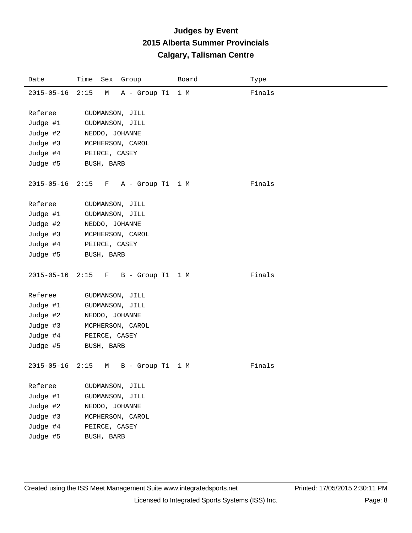| Date             | Time Sex Group                           | Board | Type   |
|------------------|------------------------------------------|-------|--------|
| $2015 - 05 - 16$ | 2:15<br>A - Group T1<br>М                | 1 M   | Finals |
|                  |                                          |       |        |
| Referee          | GUDMANSON, JILL                          |       |        |
| Judge #1         | GUDMANSON, JILL                          |       |        |
| Judge #2         | NEDDO, JOHANNE                           |       |        |
| Judge #3         | MCPHERSON, CAROL                         |       |        |
| Judge #4         | PEIRCE, CASEY                            |       |        |
| Judge #5         | BUSH, BARB                               |       |        |
|                  |                                          |       |        |
| $2015 - 05 - 16$ | 2:15<br>A - Group T1 1 M<br>$\mathbf{F}$ |       | Finals |
|                  |                                          |       |        |
| Referee          | GUDMANSON, JILL                          |       |        |
| Judge #1         | GUDMANSON, JILL                          |       |        |
| Judge #2         | NEDDO, JOHANNE                           |       |        |
| Judge #3         | MCPHERSON, CAROL                         |       |        |
| Judge #4         | PEIRCE, CASEY                            |       |        |
| Judge #5         | BUSH, BARB                               |       |        |
|                  |                                          |       |        |
| $2015 - 05 - 16$ | $2:15$ F<br>B - Group T1 1 M             |       | Finals |
|                  |                                          |       |        |
| Referee          | GUDMANSON, JILL                          |       |        |
| Judge #1         | GUDMANSON, JILL                          |       |        |
| Judge #2         | NEDDO, JOHANNE                           |       |        |
| Judge #3         | MCPHERSON, CAROL                         |       |        |
| Judge #4         | PEIRCE, CASEY                            |       |        |
| Judge #5         | BUSH, BARB                               |       |        |
|                  |                                          |       |        |
| $2015 - 05 - 16$ | 2:15<br>B - Group T1<br>М                | 1 M   | Finals |
|                  |                                          |       |        |
| Referee          | GUDMANSON, JILL                          |       |        |
| Judge #1         | GUDMANSON, JILL                          |       |        |
| Judge #2         | NEDDO, JOHANNE                           |       |        |
| Judge #3         | MCPHERSON, CAROL                         |       |        |
| Judge #4         | PEIRCE, CASEY                            |       |        |
| Judge #5         | BUSH, BARB                               |       |        |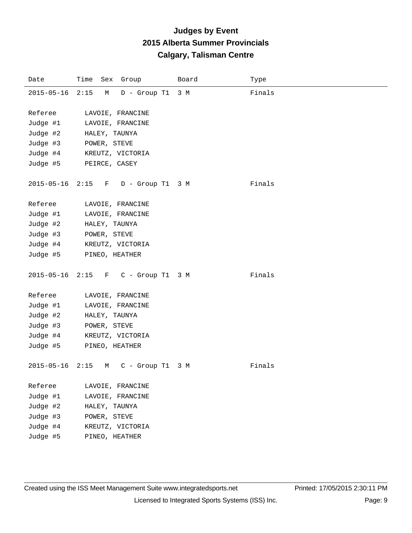| Date             | Time Sex Group                           | Board | Type   |
|------------------|------------------------------------------|-------|--------|
| $2015 - 05 - 16$ | 2:15<br>$D - Group T1$<br>М              | 3 M   | Finals |
|                  |                                          |       |        |
| Referee          | LAVOIE, FRANCINE                         |       |        |
| Judge #1         | LAVOIE, FRANCINE                         |       |        |
| Judge #2         | HALEY, TAUNYA                            |       |        |
| Judge #3         | POWER, STEVE                             |       |        |
| Judge #4         | KREUTZ, VICTORIA                         |       |        |
| Judge #5         | PEIRCE, CASEY                            |       |        |
|                  |                                          |       |        |
| $2015 - 05 - 16$ | 2:15<br>$\mathbf{F}$<br>D - Group T1     | 3 M   | Finals |
|                  |                                          |       |        |
| Referee          | LAVOIE, FRANCINE                         |       |        |
| Judge #1         | LAVOIE, FRANCINE                         |       |        |
| Judge #2         | HALEY, TAUNYA                            |       |        |
| Judge #3         | POWER, STEVE                             |       |        |
| Judge #4         | KREUTZ, VICTORIA                         |       |        |
| Judge #5         | PINEO, HEATHER                           |       |        |
|                  |                                          |       |        |
| $2015 - 05 - 16$ | 2:15<br>C - Group T1 3 M<br>$\mathbf{F}$ |       | Finals |
|                  |                                          |       |        |
| Referee          | LAVOIE, FRANCINE                         |       |        |
| Judge #1         | LAVOIE, FRANCINE                         |       |        |
| Judge #2         | HALEY, TAUNYA                            |       |        |
| Judge #3         | POWER, STEVE                             |       |        |
| Judge #4         | KREUTZ, VICTORIA                         |       |        |
| Judge #5         | PINEO, HEATHER                           |       |        |
|                  |                                          |       |        |
| $2015 - 05 - 16$ | 2:15<br>C - Group T1<br>М                | 3 M   | Finals |
| Referee          | LAVOIE, FRANCINE                         |       |        |
| Judge #1         | LAVOIE, FRANCINE                         |       |        |
| Judge #2         | HALEY, TAUNYA                            |       |        |
| Judge #3         | POWER, STEVE                             |       |        |
| Judge #4         | KREUTZ, VICTORIA                         |       |        |
| Judge #5         | PINEO, HEATHER                           |       |        |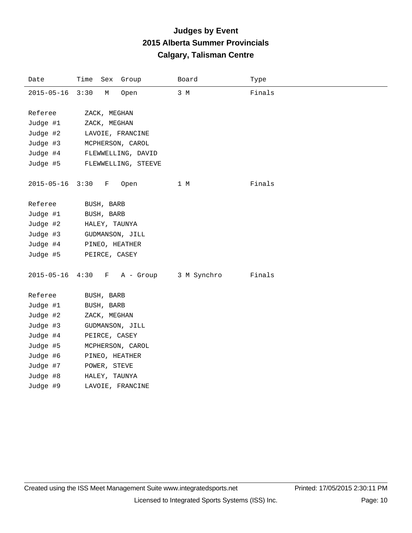| Date             | Time | Sex          | Group               | Board       | Type   |
|------------------|------|--------------|---------------------|-------------|--------|
| $2015 - 05 - 16$ | 3:30 | М            | Open                | 3 M         | Finals |
|                  |      |              |                     |             |        |
| Referee          |      | ZACK, MEGHAN |                     |             |        |
| Judge #1         |      | ZACK, MEGHAN |                     |             |        |
| Judge #2         |      |              | LAVOIE, FRANCINE    |             |        |
| Judge #3         |      |              | MCPHERSON, CAROL    |             |        |
| Judge #4         |      |              | FLEWWELLING, DAVID  |             |        |
| Judge #5         |      |              | FLEWWELLING, STEEVE |             |        |
| $2015 - 05 - 16$ | 3:30 | F            | Open                | 1 M         | Finals |
| Referee          |      | BUSH, BARB   |                     |             |        |
| Judge #1         |      | BUSH, BARB   |                     |             |        |
| Judge #2         |      |              | HALEY, TAUNYA       |             |        |
| Judge #3         |      |              | GUDMANSON, JILL     |             |        |
| Judge #4         |      |              | PINEO, HEATHER      |             |        |
| Judge #5         |      |              | PEIRCE, CASEY       |             |        |
|                  |      |              |                     |             |        |
| $2015 - 05 - 16$ | 4:30 | F            | A - Group           | 3 M Synchro | Finals |
| Referee          |      | BUSH, BARB   |                     |             |        |
| Judge #1         |      | BUSH, BARB   |                     |             |        |
| Judge #2         |      | ZACK, MEGHAN |                     |             |        |
| Judge #3         |      |              | GUDMANSON, JILL     |             |        |
| Judge #4         |      |              | PEIRCE, CASEY       |             |        |
| Judge #5         |      |              | MCPHERSON, CAROL    |             |        |
| Judge #6         |      |              | PINEO, HEATHER      |             |        |
| Judge #7         |      | POWER, STEVE |                     |             |        |
| Judge #8         |      |              | HALEY, TAUNYA       |             |        |
| Judge #9         |      |              | LAVOIE, FRANCINE    |             |        |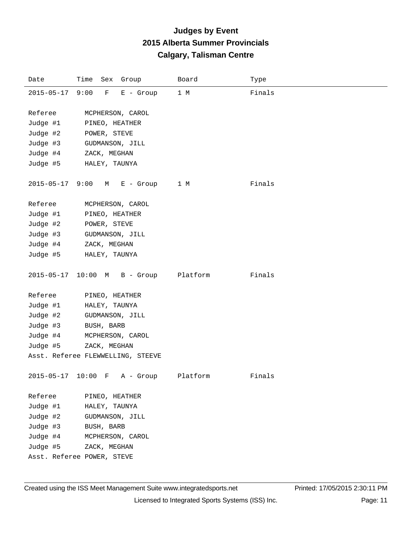| Date                  | Time Sex Group                    | Board    | Type   |
|-----------------------|-----------------------------------|----------|--------|
| 2015-05-17 9:00       | F<br>$E -$ Group                  | 1 M      | Finals |
|                       |                                   |          |        |
| Referee               | MCPHERSON, CAROL                  |          |        |
| Judge #1              | PINEO, HEATHER                    |          |        |
| Judge #2              | POWER, STEVE                      |          |        |
| Judge #3              | GUDMANSON, JILL                   |          |        |
| Judge #4              | ZACK, MEGHAN                      |          |        |
| Judge #5              | HALEY, TAUNYA                     |          |        |
| $2015 - 05 - 17$ 9:00 | M E - Group                       | 1 M      | Finals |
| Referee               | MCPHERSON, CAROL                  |          |        |
| Judge #1              | PINEO, HEATHER                    |          |        |
| Judge #2              | POWER, STEVE                      |          |        |
| Judge #3              | GUDMANSON, JILL                   |          |        |
| Judge #4              | ZACK, MEGHAN                      |          |        |
| Judge #5              | HALEY, TAUNYA                     |          |        |
| $2015 - 05 - 17$      | 10:00 M B - Group                 | Platform | Finals |
| Referee               | PINEO, HEATHER                    |          |        |
| Judge #1              | HALEY, TAUNYA                     |          |        |
| Judge #2              | GUDMANSON, JILL                   |          |        |
| Judge #3              | BUSH, BARB                        |          |        |
| Judge #4              | MCPHERSON, CAROL                  |          |        |
| Judge #5              | ZACK, MEGHAN                      |          |        |
|                       | Asst. Referee FLEWWELLING, STEEVE |          |        |
|                       | 2015-05-17 10:00 F A - Group      | Platform | Finals |
| Referee               | PINEO, HEATHER                    |          |        |
| Judge #1              | HALEY, TAUNYA                     |          |        |
| Judge #2              | GUDMANSON, JILL                   |          |        |
| Judge #3              | BUSH, BARB                        |          |        |
| Judge #4              | MCPHERSON, CAROL                  |          |        |
| Judge #5              | ZACK, MEGHAN                      |          |        |
|                       | Asst. Referee POWER, STEVE        |          |        |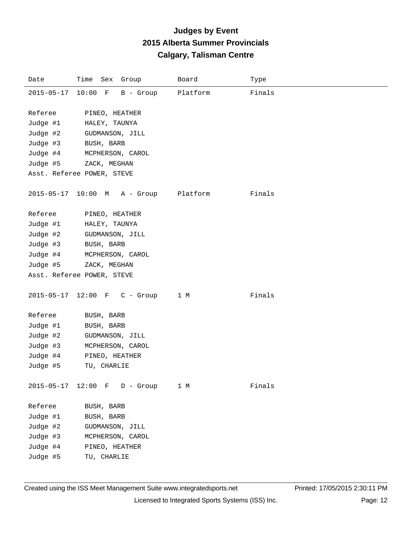| Date                                                    | Time Sex Group                                                                    | Board    | Type   |
|---------------------------------------------------------|-----------------------------------------------------------------------------------|----------|--------|
| 2015-05-17 10:00 F                                      | B - Group                                                                         | Platform | Finals |
| Referee<br>Judge #1                                     | PINEO, HEATHER<br>HALEY, TAUNYA                                                   |          |        |
| Judge #2                                                | GUDMANSON, JILL                                                                   |          |        |
| Judge #3                                                | BUSH, BARB                                                                        |          |        |
| Judge #4                                                | MCPHERSON, CAROL                                                                  |          |        |
| Judge #5                                                | ZACK, MEGHAN                                                                      |          |        |
|                                                         | Asst. Referee POWER, STEVE                                                        |          |        |
|                                                         | 2015-05-17 10:00 M A - Group                                                      | Platform | Finals |
| Referee                                                 | PINEO, HEATHER                                                                    |          |        |
| Judge #1                                                | HALEY, TAUNYA                                                                     |          |        |
| Judge #2                                                | GUDMANSON, JILL                                                                   |          |        |
| Judge #3                                                | BUSH, BARB                                                                        |          |        |
| Judge #4                                                | MCPHERSON, CAROL                                                                  |          |        |
| Judge #5                                                | ZACK, MEGHAN                                                                      |          |        |
|                                                         | Asst. Referee POWER, STEVE                                                        |          |        |
| 2015-05-17 12:00 F                                      | $C -$ Group                                                                       | 1 M      | Finals |
| Referee                                                 | BUSH, BARB                                                                        |          |        |
| Judge #1                                                | BUSH, BARB                                                                        |          |        |
| Judge #2                                                | GUDMANSON, JILL                                                                   |          |        |
| Judge #3                                                | MCPHERSON, CAROL                                                                  |          |        |
| Judge #4                                                | PINEO, HEATHER                                                                    |          |        |
| Judge #5                                                | TU, CHARLIE                                                                       |          |        |
| $2015 - 05 - 17$                                        | $12:00$ F D - Group                                                               | 1 M      | Finals |
| Referee<br>Judge #1<br>Judge #2<br>Judge #3<br>Judge #4 | BUSH, BARB<br>BUSH, BARB<br>GUDMANSON, JILL<br>MCPHERSON, CAROL<br>PINEO, HEATHER |          |        |
| Judge #5                                                | TU, CHARLIE                                                                       |          |        |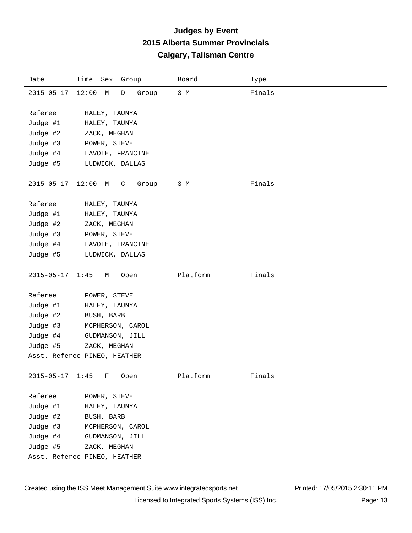| Date              | Time Sex Group               | Board    | Type   |
|-------------------|------------------------------|----------|--------|
| $2015 - 05 - 17$  | $12:00$ M<br>$D -$ Group     | 3 M      | Finals |
|                   |                              |          |        |
| Referee           | HALEY, TAUNYA                |          |        |
| Judge #1          | HALEY, TAUNYA                |          |        |
| Judge #2          | ZACK, MEGHAN                 |          |        |
| Judge #3          | POWER, STEVE                 |          |        |
| Judge #4          | LAVOIE, FRANCINE             |          |        |
| Judge #5          | LUDWICK, DALLAS              |          |        |
| $2015 - 05 - 17$  | $12:00$ M<br>$C -$ Group     | 3 M      | Finals |
| Referee           | HALEY, TAUNYA                |          |        |
| Judge #1          | HALEY, TAUNYA                |          |        |
| Judge #2          | ZACK, MEGHAN                 |          |        |
| Judge #3          | POWER, STEVE                 |          |        |
| Judge #4          | LAVOIE, FRANCINE             |          |        |
| Judge #5          | LUDWICK, DALLAS              |          |        |
| $2015 - 05 - 17$  | 1:45<br>Open<br>M            | Platform | Finals |
| Referee           | POWER, STEVE                 |          |        |
| Judge #1          | HALEY, TAUNYA                |          |        |
| Judge #2          | BUSH, BARB                   |          |        |
| Judge #3          | MCPHERSON, CAROL             |          |        |
| Judge #4          | GUDMANSON, JILL              |          |        |
| Judge #5          | ZACK, MEGHAN                 |          |        |
|                   | Asst. Referee PINEO, HEATHER |          |        |
| 2015-05-17 1:45 F | Open                         | Platform | Finals |
| Referee           | POWER, STEVE                 |          |        |
| Judge #1          | HALEY, TAUNYA                |          |        |
| Judge #2          | BUSH, BARB                   |          |        |
| Judge #3          | MCPHERSON, CAROL             |          |        |
| Judge #4          | GUDMANSON, JILL              |          |        |
| Judge #5          | ZACK, MEGHAN                 |          |        |
|                   | Asst. Referee PINEO, HEATHER |          |        |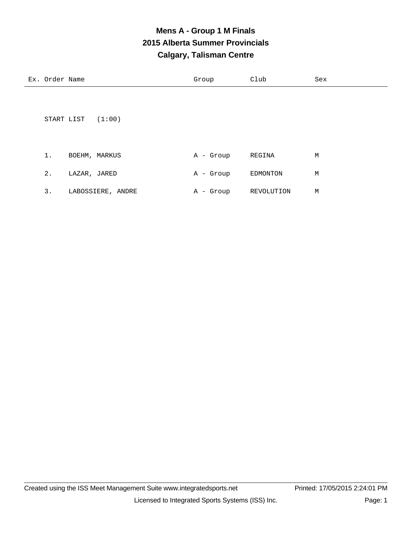## **Mens A - Group 1 M Finals 2015 Alberta Summer Provincials Calgary, Talisman Centre**

|       | START LIST $(1:00)$ |           |          |   |
|-------|---------------------|-----------|----------|---|
| 1.    | BOEHM, MARKUS       | A - Group | REGINA   | М |
| $2$ . | LAZAR, JARED        | A - Group | EDMONTON | М |

|                   |                |            | м |
|-------------------|----------------|------------|---|
| LABOSSIERE, ANDRE | . – Group<br>Α | REVOLUTION |   |

Ex. Order Name Sex Croup Club Sex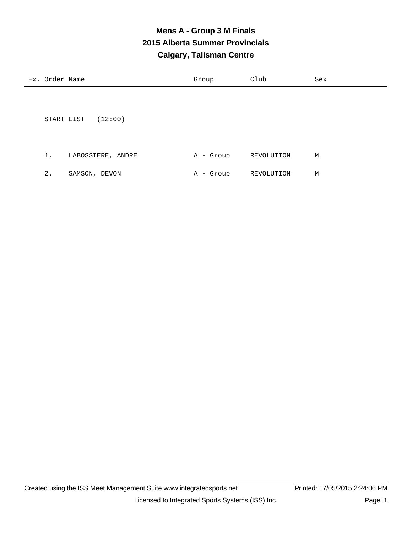## **Mens A - Group 3 M Finals 2015 Alberta Summer Provincials Calgary, Talisman Centre**

| Ex. Order Name |                       | Group     | Club       | Sex |
|----------------|-----------------------|-----------|------------|-----|
|                |                       |           |            |     |
|                | (12:00)<br>START LIST |           |            |     |
| 1.             | LABOSSIERE, ANDRE     | A - Group | REVOLUTION | М   |

|  | SAMSON, DEVON |  | A - Group | REVOLUTION | м |
|--|---------------|--|-----------|------------|---|
|  |               |  |           |            |   |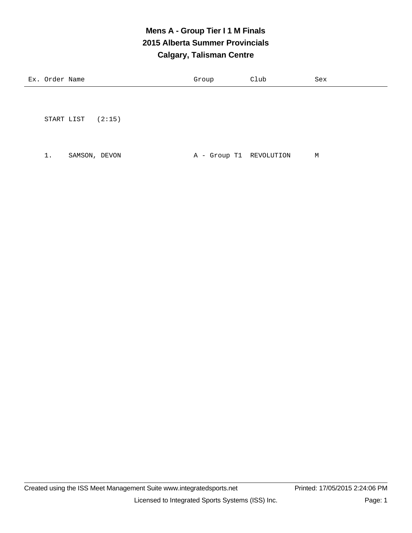## **Mens A - Group Tier I 1 M Finals 2015 Alberta Summer Provincials Calgary, Talisman Centre**

| Еx<br>and the contract of the contract of | าrd≏r<br>Name<br>∽∽ | J⊥∪uխ | ∠⊥ub<br>____ | Sex |
|-------------------------------------------|---------------------|-------|--------------|-----|
|                                           |                     |       |              |     |

START LIST (2:15)

1. SAMSON, DEVON A - Group T1 REVOLUTION M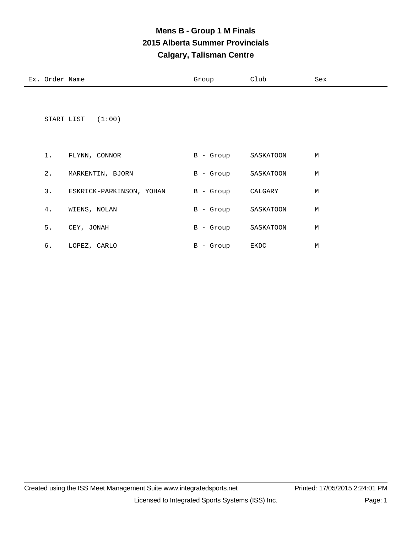## **Mens B - Group 1 M Finals 2015 Alberta Summer Provincials Calgary, Talisman Centre**

| Ex. Order Name |                  | Group       | Club      | Sex |
|----------------|------------------|-------------|-----------|-----|
|                |                  |             |           |     |
|                |                  |             |           |     |
| START LIST     | (1:00)           |             |           |     |
|                |                  |             |           |     |
|                |                  |             |           |     |
| 1.             | FLYNN, CONNOR    | B - Group   | SASKATOON | М   |
| $2$ .          | MARKENTIN, BJORN | $B -$ Group | SASKATOON | М   |

| 3. | ESKRICK-PARKINSON, YOHAN | $B -$ Group  | CALGARY   | М |
|----|--------------------------|--------------|-----------|---|
| 4. | WIENS, NOLAN             | B - Group    | SASKATOON | М |
| 5. | CEY, JONAH               | $B -$ Group  | SASKATOON | М |
| б. | LOPEZ, CARLO             | - Group<br>B | EKDC      | М |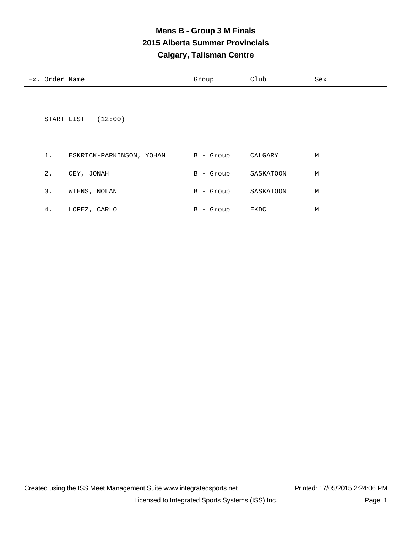## **Mens B - Group 3 M Finals 2015 Alberta Summer Provincials Calgary, Talisman Centre**

| Ex. Order Name |                          | Group       | Club      | Sex |
|----------------|--------------------------|-------------|-----------|-----|
| START LIST     | (12:00)                  |             |           |     |
| 1.             | ESKRICK-PARKINSON, YOHAN | B - Group   | CALGARY   | M   |
| $2$ .          | CEY, JONAH               | B - Group   | SASKATOON | M   |
| 3.             | WIENS, NOLAN             | B - Group   | SASKATOON | М   |
| 4.             | LOPEZ, CARLO             | $B -$ Group | EKDC      | М   |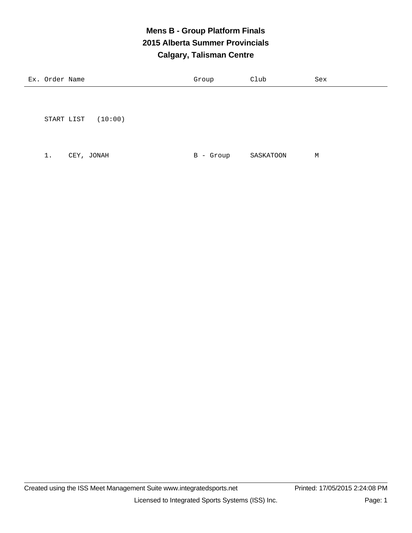## **Mens B - Group Platform Finals 2015 Alberta Summer Provincials Calgary, Talisman Centre**

| Ex. Order Name |                       | Group        | Club      | Sex |
|----------------|-----------------------|--------------|-----------|-----|
|                |                       |              |           |     |
|                | (10:00)<br>START LIST |              |           |     |
| $1$ .          | CEY, JONAH            | - Group<br>B | SASKATOON | M   |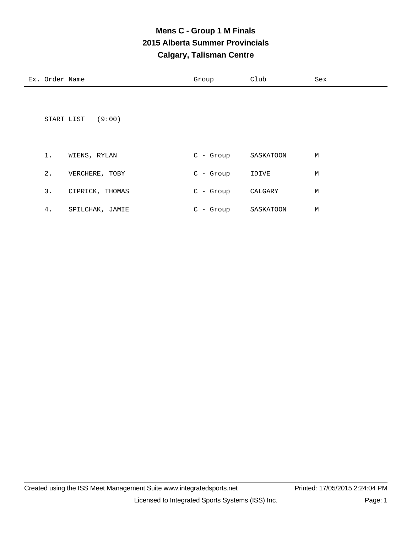## **Mens C - Group 1 M Finals 2015 Alberta Summer Provincials Calgary, Talisman Centre**

Ex. Order Name Sex Croup Club Sex

4. SPILCHAK, JAMIE C - Group SASKATOON M

|       | START LIST (9:00) |             |           |   |
|-------|-------------------|-------------|-----------|---|
| $1$ . | WIENS, RYLAN      | $C - Group$ | SASKATOON | М |
| $2$ . | VERCHERE, TOBY    | $C -$ Group | IDIVE     | М |
| 3.    | CIPRICK, THOMAS   | $C -$ Group | CALGARY   | М |
|       |                   |             |           |   |

Created using the ISS Meet Management Suite www.integratedsports.net Printed: 17/05/2015 2:24:04 PM Licensed to Integrated Sports Systems (ISS) Inc. Page: 1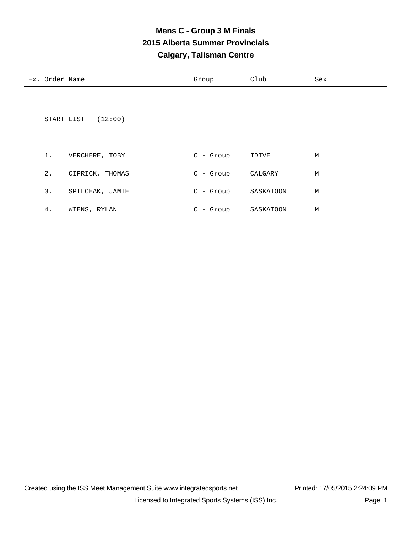## **Mens C - Group 3 M Finals 2015 Alberta Summer Provincials Calgary, Talisman Centre**

| Ex. Order Name |                       | Group       | Club      | Sex |
|----------------|-----------------------|-------------|-----------|-----|
|                | (12:00)<br>START LIST |             |           |     |
| $1$ .          | VERCHERE, TOBY        | $C -$ Group | IDIVE     | M   |
| $2$ .          | CIPRICK, THOMAS       | $C -$ Group | CALGARY   | М   |
| 3.             | SPILCHAK, JAMIE       | C - Group   | SASKATOON | М   |
| 4.             | WIENS, RYLAN          | $C - Group$ | SASKATOON | М   |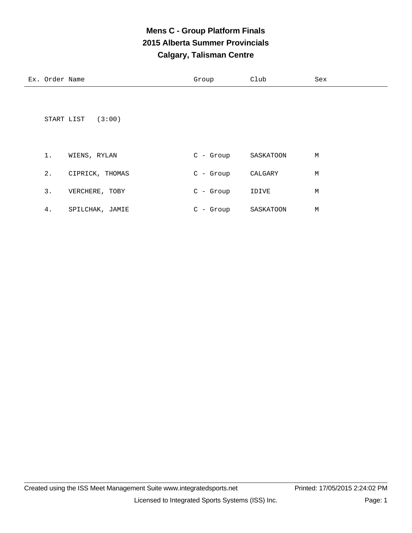## **Mens C - Group Platform Finals 2015 Alberta Summer Provincials Calgary, Talisman Centre**

| Ex. Order Name |                 | Group       | Club      | Sex |
|----------------|-----------------|-------------|-----------|-----|
| START LIST     | (3:00)          |             |           |     |
| $1$ .          | WIENS, RYLAN    | $C - Group$ | SASKATOON | М   |
| 2.             | CIPRICK, THOMAS | $C - Group$ | CALGARY   | М   |
| 3.             | VERCHERE, TOBY  | $C -$ Group | IDIVE     | М   |
| 4.             | SPILCHAK, JAMIE | $C - Group$ | SASKATOON | М   |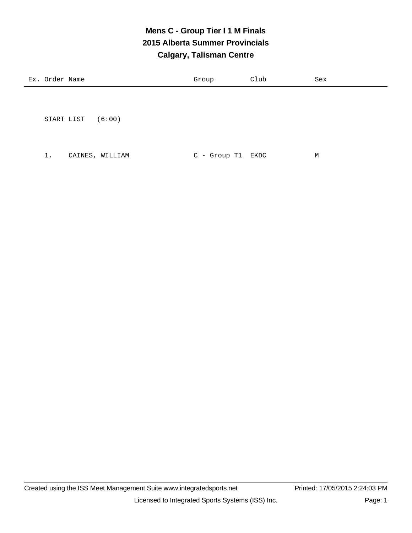## **Mens C - Group Tier I 1 M Finals 2015 Alberta Summer Provincials Calgary, Talisman Centre**

| Ex. Order Name |                 | Group             | Club | Sex |
|----------------|-----------------|-------------------|------|-----|
|                |                 |                   |      |     |
|                |                 |                   |      |     |
| START LIST     | (6:00)          |                   |      |     |
|                |                 |                   |      |     |
|                |                 |                   |      |     |
| 1.             | CAINES, WILLIAM | C - Group T1 EKDC |      | M   |
|                |                 |                   |      |     |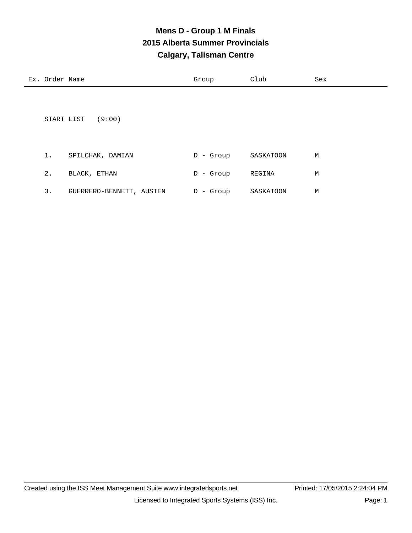## **Mens D - Group 1 M Finals 2015 Alberta Summer Provincials Calgary, Talisman Centre**

| Ex. Order Name |                  | Group        | Club      | Sex |
|----------------|------------------|--------------|-----------|-----|
| START LIST     | (9:00)           |              |           |     |
| $1$ .          | SPILCHAK, DAMIAN | $D -$ Group  | SASKATOON | M   |
| $2$ .          | BLACK, ETHAN     | - Group<br>D | REGINA    | M   |

| GUERRERO-BENNETT, AUSTEN | D - Group | SASKATOON | м |
|--------------------------|-----------|-----------|---|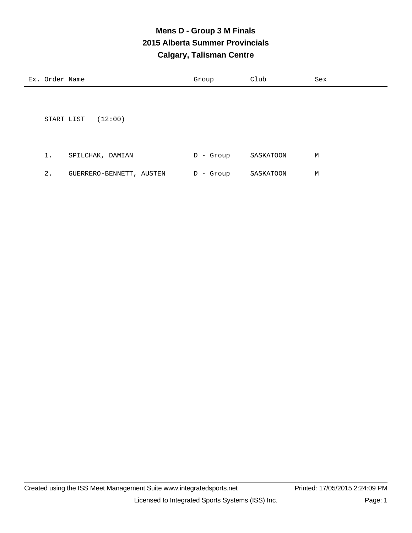## **Mens D - Group 3 M Finals 2015 Alberta Summer Provincials Calgary, Talisman Centre**

| Ex. Order Name |                          | Group        | Club      | Sex |
|----------------|--------------------------|--------------|-----------|-----|
|                |                          |              |           |     |
|                |                          |              |           |     |
|                | (12:00)<br>START LIST    |              |           |     |
|                |                          |              |           |     |
|                |                          |              |           |     |
| 1.             | SPILCHAK, DAMIAN         | - Group<br>D | SASKATOON | М   |
| 2.             | GUERRERO-BENNETT, AUSTEN | - Group<br>D | SASKATOON | М   |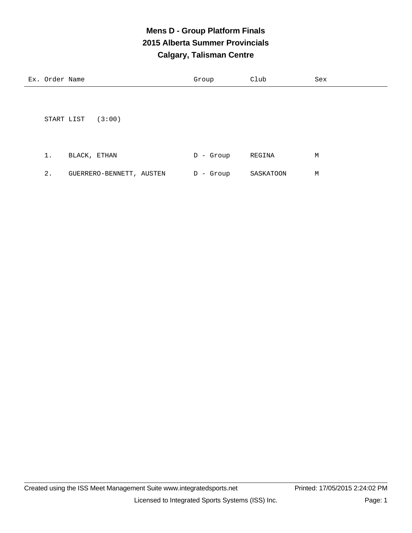## **Mens D - Group Platform Finals 2015 Alberta Summer Provincials Calgary, Talisman Centre**

| Ex. Order Name |              |                          | Group        | Club      | Sex |
|----------------|--------------|--------------------------|--------------|-----------|-----|
|                |              |                          |              |           |     |
|                |              |                          |              |           |     |
| START LIST     |              | (3:00)                   |              |           |     |
|                |              |                          |              |           |     |
|                |              |                          |              |           |     |
| 1.             | BLACK, ETHAN |                          | - Group<br>D | REGINA    | М   |
| $2$ .          |              | GUERRERO-BENNETT, AUSTEN | - Group<br>D | SASKATOON | М   |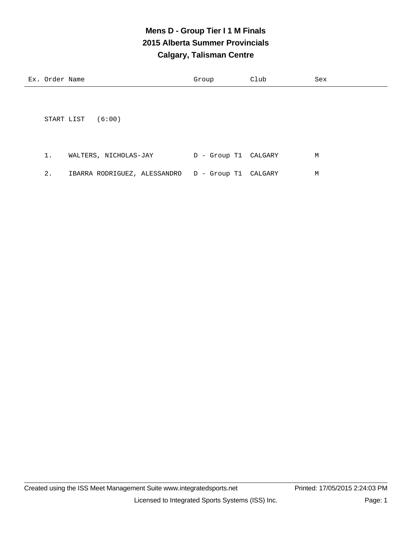## **Mens D - Group Tier I 1 M Finals 2015 Alberta Summer Provincials Calgary, Talisman Centre**

| Ex. Order Name | Group | Club | Sex |
|----------------|-------|------|-----|
|                |       |      |     |

START LIST (6:00)

| WALTERS, NICHOLAS-JAY                                | D - Group T1 CALGARY | М |
|------------------------------------------------------|----------------------|---|
| IBARRA RODRIGUEZ, ALESSANDRO   D - Group T1  CALGARY |                      | М |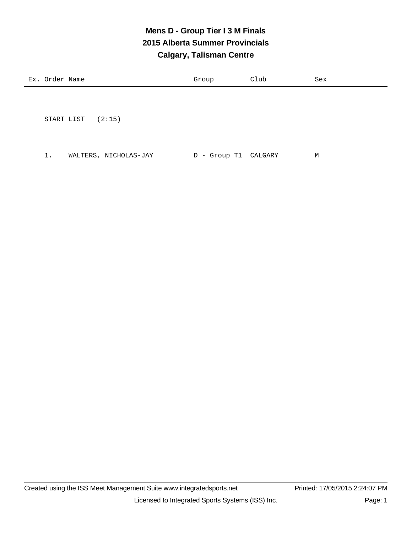## **Mens D - Group Tier I 3 M Finals 2015 Alberta Summer Provincials Calgary, Talisman Centre**

| $\sim$ $\sim$ $\sim$<br>_____<br>$\sim$ | ਸ਼ਾਕਰ<br>ำ-⊶<br>uer<br>∸∸ | Name | our<br>$-1$ | ~-<br>∪⊥uu | ' $\sim$<br>っヒム |
|-----------------------------------------|---------------------------|------|-------------|------------|-----------------|
|-----------------------------------------|---------------------------|------|-------------|------------|-----------------|

START LIST (2:15)

1. WALTERS, NICHOLAS-JAY D - Group T1 CALGARY M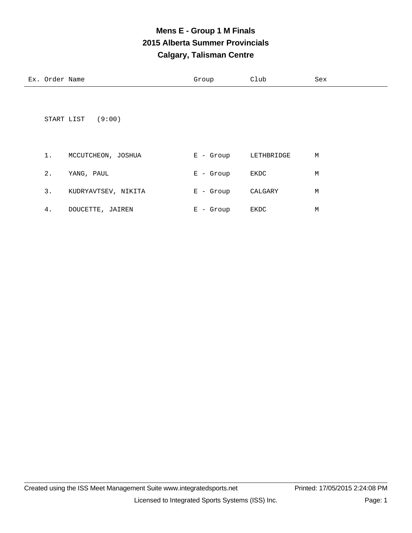# **Mens E - Group 1 M Finals 2015 Alberta Summer Provincials Calgary, Talisman Centre**

| Ex. Order Name |                    | Group       | Club       | Sex |
|----------------|--------------------|-------------|------------|-----|
|                |                    |             |            |     |
|                |                    |             |            |     |
| START LIST     | (9:00)             |             |            |     |
|                |                    |             |            |     |
|                |                    |             |            |     |
| 1.             | MCCUTCHEON, JOSHUA | $E -$ Group | LETHBRIDGE | М   |

| 2. | YANG, PAUL          | $E -$ Group | EKDC    | М |
|----|---------------------|-------------|---------|---|
| 3. | KUDRYAVTSEV, NIKITA | E - Group   | CALGARY | М |
| 4. | DOUCETTE, JAIREN    | $E -$ Group | EKDC    | М |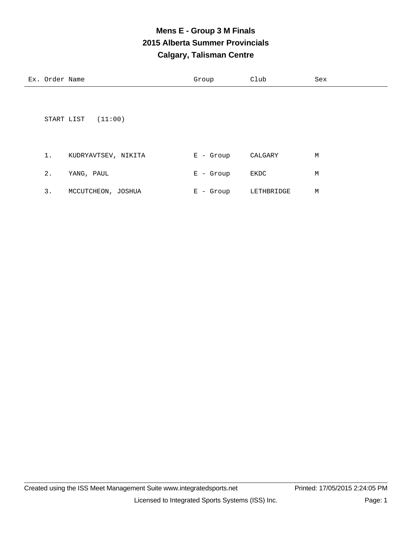# **Mens E - Group 3 M Finals 2015 Alberta Summer Provincials Calgary, Talisman Centre**

| Ex. Order Name |                       | Group       | Club    | Sex |
|----------------|-----------------------|-------------|---------|-----|
|                |                       |             |         |     |
|                |                       |             |         |     |
|                | (11:00)<br>START LIST |             |         |     |
|                |                       |             |         |     |
| 1.             | KUDRYAVTSEV, NIKITA   | $E -$ Group | CALGARY | М   |
|                |                       |             |         |     |

| MCCUTCHEON, JOSHUA | E - Group | LETHBRIDGE | м |
|--------------------|-----------|------------|---|

2. YANG, PAUL B C Group EKDC M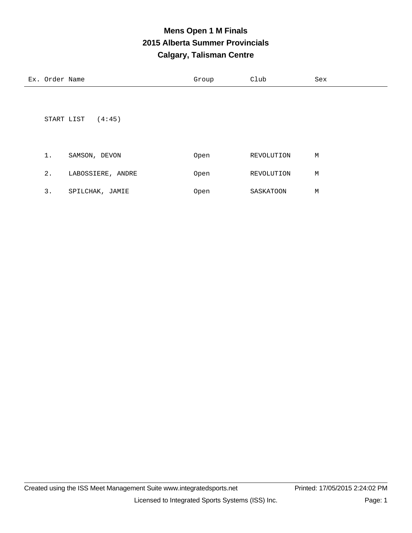#### **Mens Open 1 M Finals 2015 Alberta Summer Provincials Calgary, Talisman Centre**

| Ex. Order Name |                   | Group | Club       | Sex |
|----------------|-------------------|-------|------------|-----|
|                |                   |       |            |     |
|                |                   |       |            |     |
| START LIST     | (4:45)            |       |            |     |
|                |                   |       |            |     |
|                |                   |       |            |     |
| $1$ .          | SAMSON, DEVON     | Open  | REVOLUTION | М   |
| $2$ .          | LABOSSIERE, ANDRE | Open  | REVOLUTION | М   |

| <u>.</u> | SPILCHAK, JAMIE | Open | SASKATOON | M |
|----------|-----------------|------|-----------|---|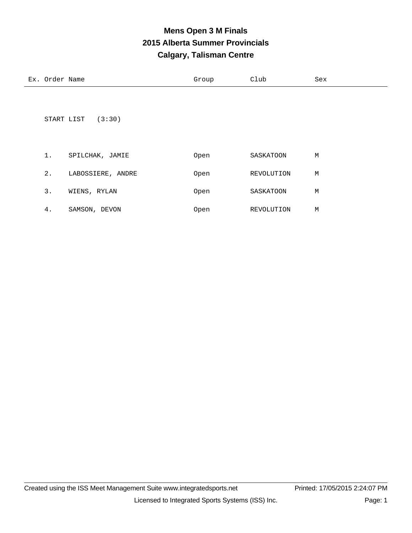#### **Mens Open 3 M Finals 2015 Alberta Summer Provincials Calgary, Talisman Centre**

| Ex. Order Name |                   | Group | Club       | Sex |
|----------------|-------------------|-------|------------|-----|
| START LIST     | (3:30)            |       |            |     |
| $1$ .          | SPILCHAK, JAMIE   | Open  | SASKATOON  | М   |
| $2$ .          | LABOSSIERE, ANDRE | Open  | REVOLUTION | М   |
| 3.             | WIENS, RYLAN      | Open  | SASKATOON  | М   |
| 4.             | SAMSON, DEVON     | Open  | REVOLUTION | М   |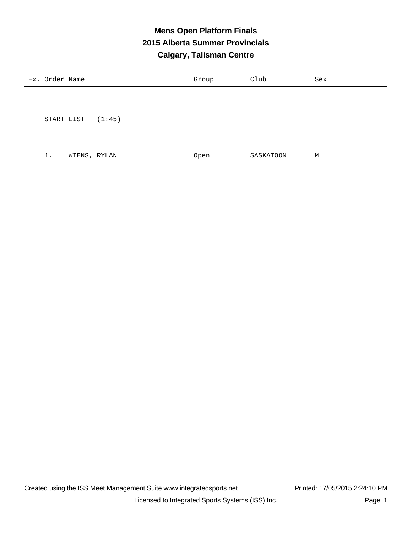# **Mens Open Platform Finals 2015 Alberta Summer Provincials Calgary, Talisman Centre**

| Ex. Order Name |              |        | Group | Club      | Sex |
|----------------|--------------|--------|-------|-----------|-----|
|                |              |        |       |           |     |
|                |              |        |       |           |     |
|                | START LIST   | (1:45) |       |           |     |
|                |              |        |       |           |     |
| $1$ .          | WIENS, RYLAN |        | Open  | SASKATOON | М   |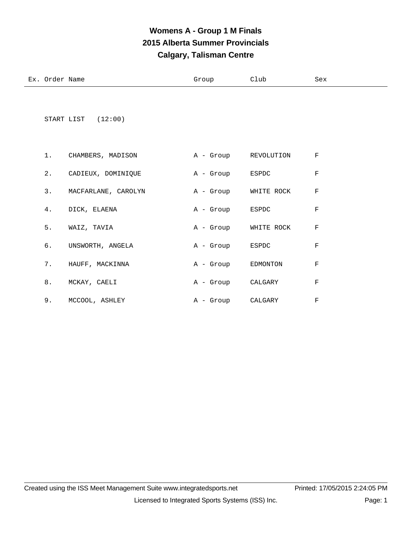# **Womens A - Group 1 M Finals 2015 Alberta Summer Provincials Calgary, Talisman Centre**

| Ex. Order Name |                      | Group                | Club       | Sex         |
|----------------|----------------------|----------------------|------------|-------------|
|                | START LIST $(12:00)$ |                      |            |             |
| 1.             | CHAMBERS, MADISON    | A - Group REVOLUTION |            | F           |
| $2$ .          | CADIEUX, DOMINIQUE   | A - Group            | ESPDC      | $\rm F$     |
| 3.             | MACFARLANE, CAROLYN  | A - Group            | WHITE ROCK | $\mathbf F$ |
| 4.             | DICK, ELAENA         | A - Group            | ESPDC      | F           |
| 5.             | WAIZ, TAVIA          | A - Group WHITE ROCK |            | F           |
| б.             | UNSWORTH, ANGELA     | A - Group            | ESPDC      | $\mathbf F$ |
| 7.             | HAUFF, MACKINNA      | A - Group            | EDMONTON   | $\mathbf F$ |
| 8.             | MCKAY, CAELI         | A - Group            | CALGARY    | $\mathbf F$ |
| 9.             | MCCOOL, ASHLEY       | A - Group            | CALGARY    | F           |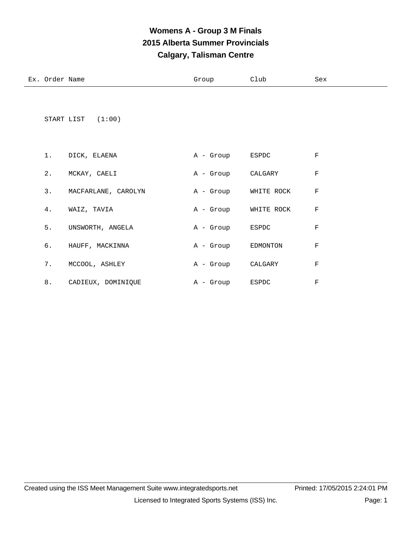# **Womens A - Group 3 M Finals 2015 Alberta Summer Provincials Calgary, Talisman Centre**

Ex. Order Name Sex Croup Club Sex

|    | START LIST $(1:00)$    |                    |                      |             |
|----|------------------------|--------------------|----------------------|-------------|
|    | 1. DICK, ELAENA        | A - Group ESPDC    |                      | $_{\rm F}$  |
|    | 2. MCKAY, CAELI        | A - Group CALGARY  |                      | $\rm F$     |
|    | 3. MACFARLANE, CAROLYN |                    | A - Group WHITE ROCK | $\mathbf F$ |
| 4. | WAIZ, TAVIA            |                    | A - Group WHITE ROCK | $\mathbf F$ |
|    | 5. UNSWORTH, ANGELA    | A - Group ESPDC    |                      | $_{\rm F}$  |
| 6. | HAUFF, MACKINNA        | A - Group EDMONTON |                      | $\mathbf F$ |
| 7. | MCCOOL, ASHLEY         | A - Group CALGARY  |                      | $\rm F$     |

8. CADIEUX, DOMINIQUE  $A - Group$  ESPDC F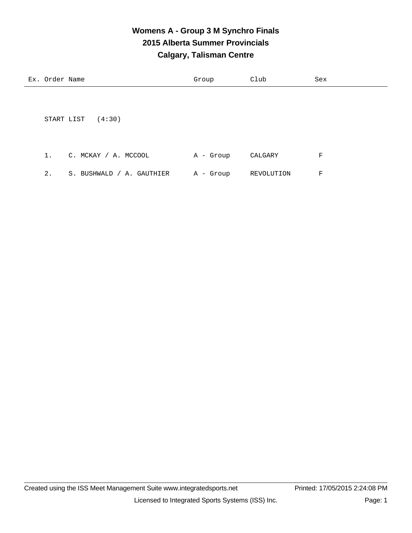#### **Womens A - Group 3 M Synchro Finals 2015 Alberta Summer Provincials Calgary, Talisman Centre**

| Ex. Order Name |                           | Group     | Club       | Sex |
|----------------|---------------------------|-----------|------------|-----|
|                |                           |           |            |     |
|                |                           |           |            |     |
| START LIST     | (4:30)                    |           |            |     |
|                |                           |           |            |     |
|                |                           |           |            |     |
| $1$ .          | C. MCKAY / A. MCCOOL      | A - Group | CALGARY    | F   |
| $2$ .          | S. BUSHWALD / A. GAUTHIER | A - Group | REVOLUTION | F   |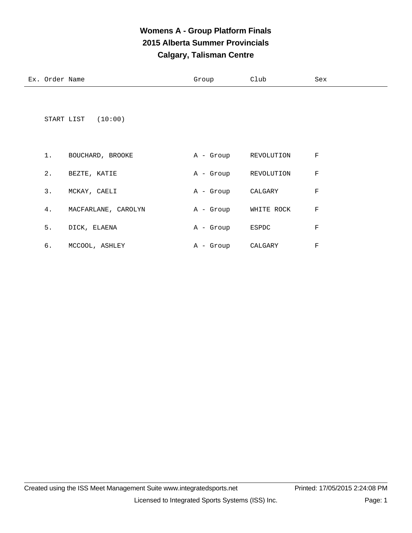# **Womens A - Group Platform Finals 2015 Alberta Summer Provincials Calgary, Talisman Centre**

| Ex. Order Name |                     | Group     | Club       | Sex     |
|----------------|---------------------|-----------|------------|---------|
|                | START LIST (10:00)  |           |            |         |
| 1.             | BOUCHARD, BROOKE    | A - Group | REVOLUTION | F       |
| 2.             | BEZTE, KATIE        | A - Group | REVOLUTION | F       |
| 3.             | MCKAY, CAELI        | A - Group | CALGARY    | $\rm F$ |
| 4.             | MACFARLANE, CAROLYN | A - Group | WHITE ROCK | F       |
| 5.             | DICK, ELAENA        | A - Group | ESPDC      | F       |
| б.             | MCCOOL, ASHLEY      | A - Group | CALGARY    | F       |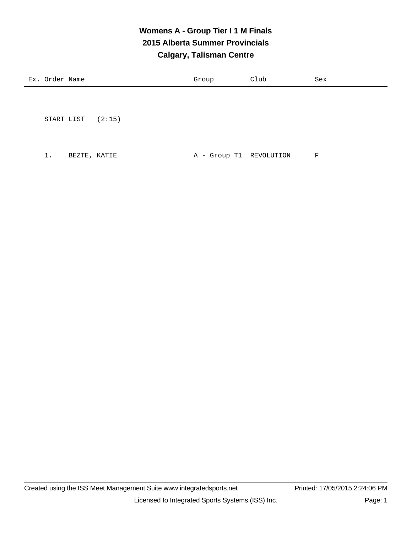# **Womens A - Group Tier I 1 M Finals 2015 Alberta Summer Provincials Calgary, Talisman Centre**

| Ex. Order Name | Group | Club | Sex |
|----------------|-------|------|-----|
|                |       |      |     |

START LIST (2:15)

1. BEZTE, KATIE  $A - Group T1$  REVOLUTION F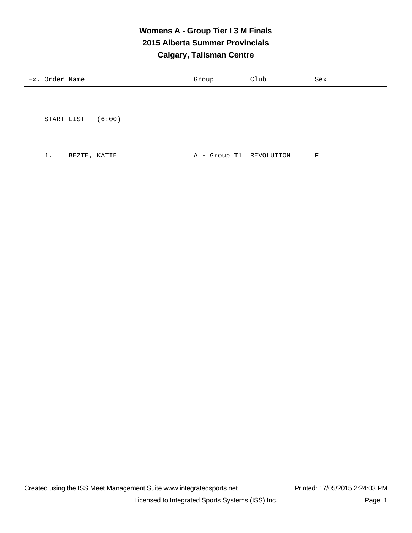#### **Womens A - Group Tier I 3 M Finals 2015 Alberta Summer Provincials Calgary, Talisman Centre**

| Ex. Order Name | Group | Club | Sex |
|----------------|-------|------|-----|
|                |       |      |     |

START LIST (6:00)

1. BEZTE, KATIE  $A - Group T1$  REVOLUTION F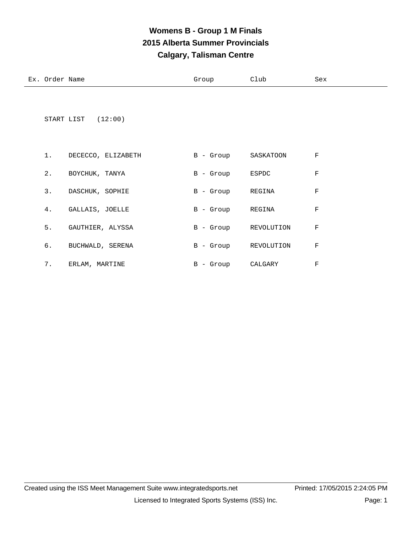# **Womens B - Group 1 M Finals 2015 Alberta Summer Provincials Calgary, Talisman Centre**

| Ex. Order Name | Group | Club | Sex |
|----------------|-------|------|-----|
|                |       |      |     |

START LIST (12:00)

| 1.    | DECECCO, ELIZABETH | $B -$ Group  | SASKATOON  | F |
|-------|--------------------|--------------|------------|---|
| $2$ . | BOYCHUK, TANYA     | $B -$ Group  | ESPDC      | F |
| 3.    | DASCHUK, SOPHIE    | $B -$ Group  | REGINA     | F |
| 4.    | GALLAIS, JOELLE    | $B -$ Group  | REGINA     | F |
| 5.    | GAUTHIER, ALYSSA   | $B -$ Group  | REVOLUTION | F |
| б.    | BUCHWALD, SERENA   | - Group<br>B | REVOLUTION | F |
| 7.    | ERLAM, MARTINE     | B<br>- Group | CALGARY    | F |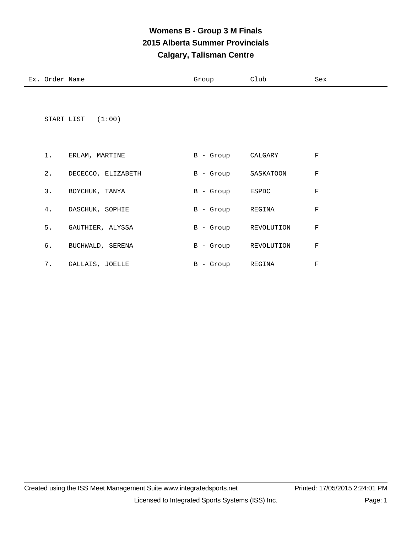# **Womens B - Group 3 M Finals 2015 Alberta Summer Provincials Calgary, Talisman Centre**

| Ex. | ∩rder<br>Name<br>◡ | ∾∸∪นเ | Club | Sex |
|-----|--------------------|-------|------|-----|
|     |                    |       |      |     |

START LIST (1:00)

| 1.    | ERLAM, MARTINE     | $B -$ Group  | CALGARY    | F |
|-------|--------------------|--------------|------------|---|
| $2$ . | DECECCO, ELIZABETH | $B -$ Group  | SASKATOON  | F |
| 3.    | BOYCHUK, TANYA     | $B -$ Group  | ESPDC      | F |
| 4.    | DASCHUK, SOPHIE    | $B -$ Group  | REGINA     | F |
| 5.    | GAUTHIER, ALYSSA   | $B -$ Group  | REVOLUTION | F |
| б.    | BUCHWALD, SERENA   | - Group<br>B | REVOLUTION | F |
| 7.    | GALLAIS, JOELLE    | B<br>- Group | REGINA     | F |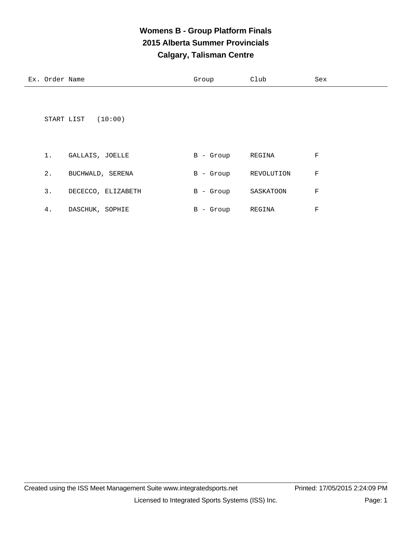# **Womens B - Group Platform Finals 2015 Alberta Summer Provincials Calgary, Talisman Centre**

| Ex. Order Name |                       | Group       | Club       | Sex         |
|----------------|-----------------------|-------------|------------|-------------|
|                |                       |             |            |             |
|                |                       |             |            |             |
|                | (10:00)<br>START LIST |             |            |             |
|                |                       |             |            |             |
| 1.             | GALLAIS, JOELLE       | $B -$ Group | REGINA     | F           |
| 2.             | BUCHWALD, SERENA      | $B -$ Group | REVOLUTION | F           |
| 3.             | DECECCO, ELIZABETH    | B - Group   | SASKATOON  | $\mathbf F$ |
| 4.             | DASCHUK, SOPHIE       | B - Group   | REGINA     | F           |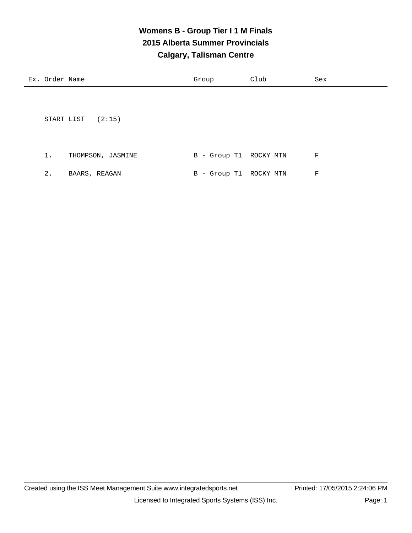# **Womens B - Group Tier I 1 M Finals 2015 Alberta Summer Provincials Calgary, Talisman Centre**

| Ex. Order Name |                     | Group                  | Club | Sex |
|----------------|---------------------|------------------------|------|-----|
|                |                     |                        |      |     |
|                |                     |                        |      |     |
|                | START LIST $(2:15)$ |                        |      |     |
|                |                     |                        |      |     |
|                |                     |                        |      |     |
| 1.             | THOMPSON, JASMINE   | B - Group T1 ROCKY MTN |      | F   |

|  | BAARS, REAGAN |  | B - Group T1 ROCKY MTN |  |
|--|---------------|--|------------------------|--|
|  |               |  |                        |  |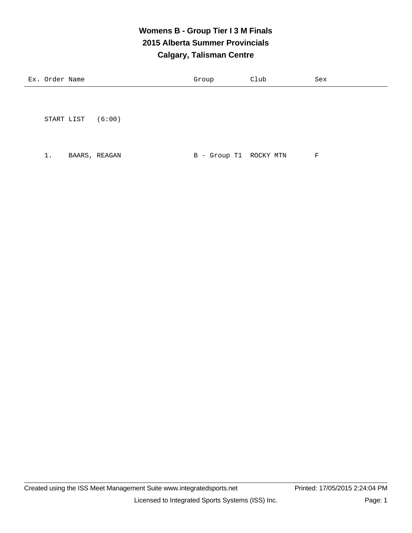#### **Womens B - Group Tier I 3 M Finals 2015 Alberta Summer Provincials Calgary, Talisman Centre**

| Ex. Order Name | Group | Club | Sex |
|----------------|-------|------|-----|
|                |       |      |     |
|                |       |      |     |

START LIST (6:00)

1. BAARS, REAGAN B - Group T1 ROCKY MTN F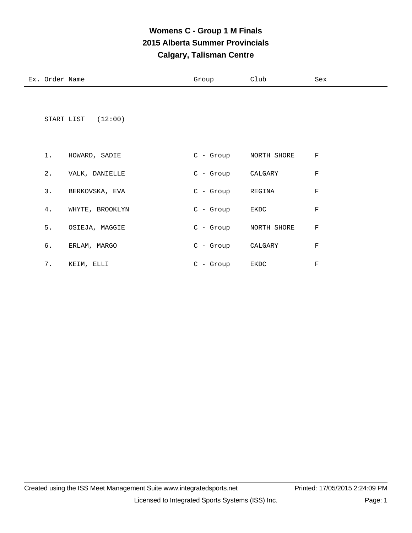# **Womens C - Group 1 M Finals 2015 Alberta Summer Provincials Calgary, Talisman Centre**

| Ex. Order Name |                    | Group                 | Club        | Sex         |
|----------------|--------------------|-----------------------|-------------|-------------|
|                | START LIST (12:00) |                       |             |             |
| $1$ .          | HOWARD, SADIE      | C - Group NORTH SHORE |             | $\rm F$     |
| $2$ .          | VALK, DANIELLE     | C - Group CALGARY     |             | $\mathbf F$ |
| 3.             | BERKOVSKA, EVA     | C - Group REGINA      |             | $\mathbf F$ |
| 4.             | WHYTE, BROOKLYN    | C - Group             | EKDC        | $\mathbf F$ |
| 5.             | OSIEJA, MAGGIE     | C - Group             | NORTH SHORE | $\mathbf F$ |
| б.             | ERLAM, MARGO       | C - Group CALGARY     |             | $\mathbf F$ |
| 7.             | KEIM, ELLI         | $C -$ Group           | EKDC        | $\rm F$     |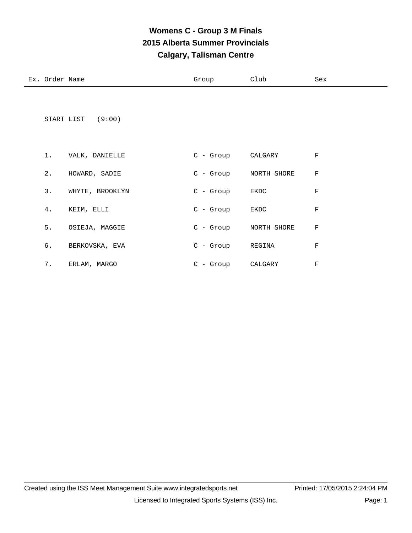# **Womens C - Group 3 M Finals 2015 Alberta Summer Provincials Calgary, Talisman Centre**

| Ex. Order Name |                   | Group                 | Club    | Sex         |
|----------------|-------------------|-----------------------|---------|-------------|
|                | START LIST (9:00) |                       |         |             |
| $1$ .          | VALK, DANIELLE    | C - Group CALGARY     |         | $\mathbf F$ |
| 2.             | HOWARD, SADIE     | C - Group NORTH SHORE |         | $\rm F$     |
| 3.             | WHYTE, BROOKLYN   | C - Group EKDC        |         | $\mathbf F$ |
| 4.             | KEIM, ELLI        | C - Group             | EKDC    | $\mathbf F$ |
| 5.             | OSIEJA, MAGGIE    | C - Group NORTH SHORE |         | F           |
| б.             | BERKOVSKA, EVA    | C - Group REGINA      |         | F           |
| 7.             | ERLAM, MARGO      | C - Group             | CALGARY | $\mathbf F$ |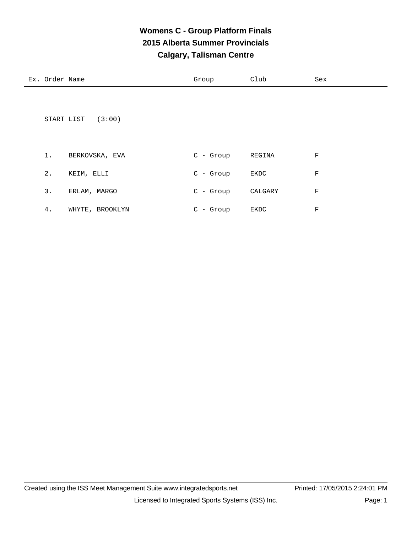# **Womens C - Group Platform Finals 2015 Alberta Summer Provincials Calgary, Talisman Centre**

| Ex. Order Name |                      | Group       | Club    | Sex         |
|----------------|----------------------|-------------|---------|-------------|
|                | START LIST<br>(3:00) |             |         |             |
| 1.             | BERKOVSKA, EVA       | $C - Group$ | REGINA  | F           |
| 2.             | KEIM, ELLI           | $C - Group$ | EKDC    | $\mathbf F$ |
| 3.             | ERLAM, MARGO         | $C - Group$ | CALGARY | $\mathbf F$ |
| 4.             | WHYTE, BROOKLYN      | $C -$ Group | EKDC    | F           |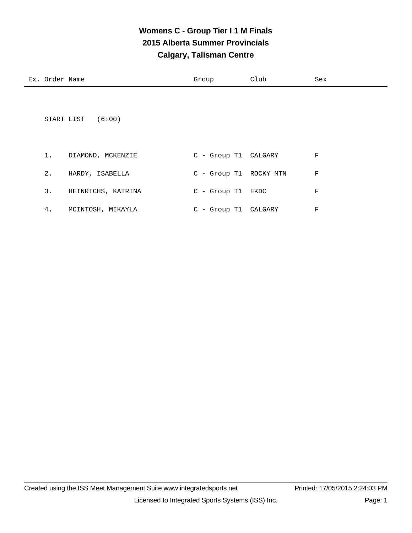## **Womens C - Group Tier I 1 M Finals 2015 Alberta Summer Provincials Calgary, Talisman Centre**

|       | START LIST (6:00) |                        |   |
|-------|-------------------|------------------------|---|
| 1.    | DIAMOND, MCKENZIE | C - Group T1 CALGARY   | F |
| $2$ . | HARDY, ISABELLA   | C - Group T1 ROCKY MTN | F |

|    | HEINRICHS, KATRINA | C - Group T1 EKDC    |  |
|----|--------------------|----------------------|--|
| 4. | MCINTOSH, MIKAYLA  | C - Group T1 CALGARY |  |

Ex. Order Name Group Club Sex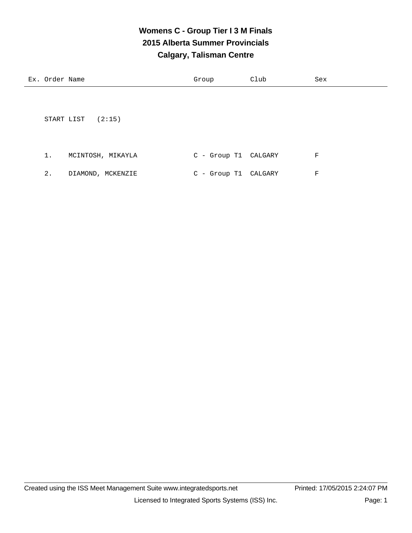# **Womens C - Group Tier I 3 M Finals 2015 Alberta Summer Provincials Calgary, Talisman Centre**

| Ex. Order Name          | Group          | Club    | Sex |
|-------------------------|----------------|---------|-----|
|                         |                |         |     |
|                         |                |         |     |
| START LIST<br>(2:15)    |                |         |     |
|                         |                |         |     |
|                         |                |         |     |
| 1.<br>MCINTOSH, MIKAYLA | $C$ - Group T1 | CALGARY | F   |

2. DIAMOND, MCKENZIE C - Group T1 CALGARY F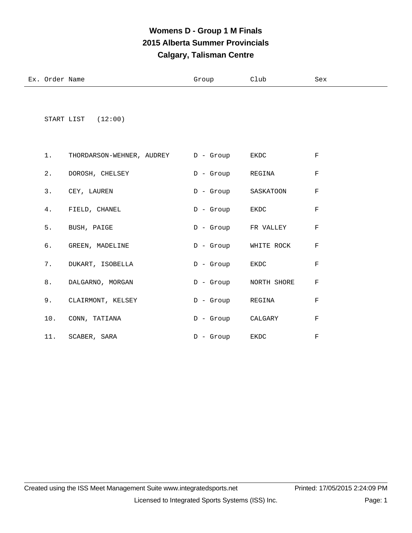# **Womens D - Group 1 M Finals 2015 Alberta Summer Provincials Calgary, Talisman Centre**

| Ex.<br>Order<br>Name | Group | Club | Sex<br>$- - -$ |
|----------------------|-------|------|----------------|
|                      |       |      |                |

START LIST (12:00)

|  | 1. THORDARSON-WEHNER, AUDREY D - Group EKDC |                   |                        | $_{\rm F}$   |
|--|---------------------------------------------|-------------------|------------------------|--------------|
|  | 2. DOROSH, CHELSEY                          | D - Group REGINA  |                        | $_{\rm F}$   |
|  | 3. CEY, LAUREN                              |                   | D - Group SASKATOON F  |              |
|  | 4. FIELD, CHANEL                            | D - Group EKDC    |                        | $\mathbf{F}$ |
|  | 5. BUSH, PAIGE                              |                   | D - Group FR VALLEY    | $\mathbf{F}$ |
|  | 6. GREEN, MADELINE                          |                   | D - Group WHITE ROCK F |              |
|  | 7. DUKART, ISOBELLA                         | D - Group EKDC    |                        | $_{\rm F}$   |
|  | 8. DALGARNO, MORGAN                         |                   | D - Group NORTH SHORE  | $_{\rm F}$   |
|  | 9. CLAIRMONT, KELSEY                        | D - Group REGINA  |                        | $_{\rm F}$   |
|  | 10. CONN, TATIANA                           | D - Group CALGARY |                        | $\mathbf F$  |
|  | 11. SCABER, SARA                            | D - Group EKDC    |                        | $_{\rm F}$   |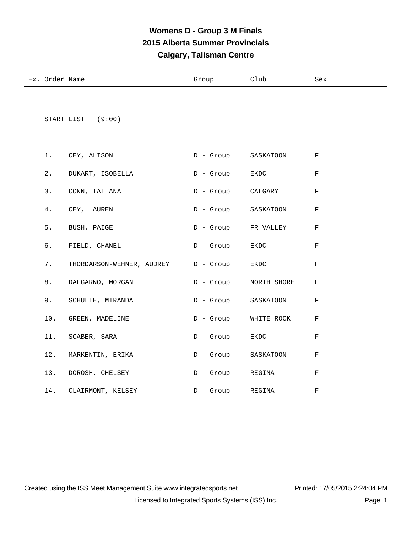# **Womens D - Group 3 M Finals 2015 Alberta Summer Provincials Calgary, Talisman Centre**

| Ex | Order<br>Name | Club | Sex |
|----|---------------|------|-----|
|    |               |      |     |

START LIST (9:00)

|  | 1. CEY, ALISON                              |                   | D - Group SASKATOON    | $\mathbf{F}$ |
|--|---------------------------------------------|-------------------|------------------------|--------------|
|  | 2. DUKART, ISOBELLA                         | D - Group EKDC    |                        | $\mathbf{F}$ |
|  | 3. CONN, TATIANA                            | D - Group CALGARY |                        | $\mathbf{F}$ |
|  | 4. CEY, LAUREN                              |                   | D - Group SASKATOON    | $\mathbf{F}$ |
|  | 5. BUSH, PAIGE                              |                   | D - Group FR VALLEY F  |              |
|  | 6. FIELD, CHANEL                            | D - Group EKDC    |                        | $\mathbf{F}$ |
|  | 7. THORDARSON-WEHNER, AUDREY D - Group EKDC |                   |                        | $\mathbf{F}$ |
|  | 8. DALGARNO, MORGAN                         |                   | D - Group NORTH SHORE  | $\mathbf{F}$ |
|  | 9. SCHULTE, MIRANDA                         |                   | D - Group SASKATOON    | $\mathbf{F}$ |
|  | 10. GREEN, MADELINE                         |                   | D - Group WHITE ROCK F |              |
|  | 11. SCABER, SARA                            | D - Group EKDC    |                        | F            |
|  | 12. MARKENTIN, ERIKA                        |                   | D - Group SASKATOON    | $\mathbf{F}$ |
|  | 13. DOROSH, CHELSEY                         | D - Group REGINA  |                        | $\mathbf F$  |
|  | 14. CLAIRMONT, KELSEY                       |                   | D - Group REGINA       | F            |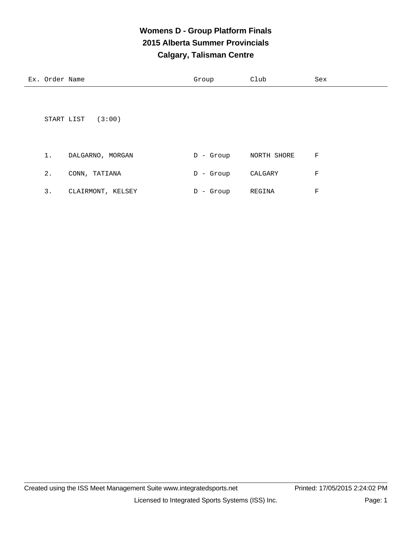# **Womens D - Group Platform Finals 2015 Alberta Summer Provincials Calgary, Talisman Centre**

| Ex. Order Name       | Group        | Club        | Sex |
|----------------------|--------------|-------------|-----|
|                      |              |             |     |
|                      |              |             |     |
| (3:00)<br>START LIST |              |             |     |
|                      |              |             |     |
|                      |              |             |     |
| DALGARNO, MORGAN     | - Group<br>D | NORTH SHORE | F   |

| 2. | CONN, TATIANA     | D - Group | CALGARY | F. |
|----|-------------------|-----------|---------|----|
| 3. | CLAIRMONT, KELSEY | D - Group | REGINA  | F. |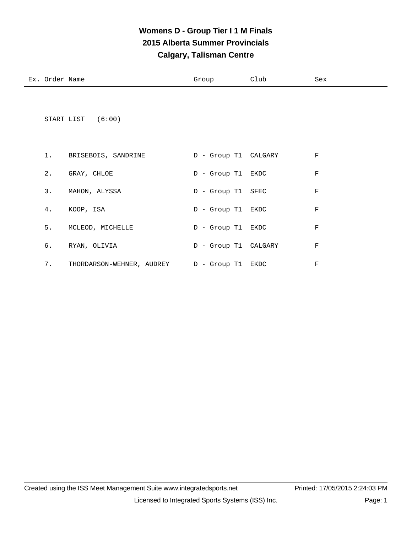## **Womens D - Group Tier I 1 M Finals 2015 Alberta Summer Provincials Calgary, Talisman Centre**

| Еx | Order<br>Name<br>. uu | $-1$ | Club | Sex |
|----|-----------------------|------|------|-----|
|    |                       |      |      |     |

START LIST (6:00)

| 1. | BRISEBOIS, SANDRINE       | D - Group T1 CALGARY |      | F |
|----|---------------------------|----------------------|------|---|
| 2. | GRAY, CHLOE               | D - Group T1 EKDC    |      | F |
| 3. | MAHON, ALYSSA             | D - Group T1 SFEC    |      | F |
| 4. | KOOP, ISA                 | D - Group T1 EKDC    |      | F |
| 5. | MCLEOD, MICHELLE          | D - Group T1 EKDC    |      | F |
| б. | RYAN, OLIVIA              | D - Group T1 CALGARY |      | F |
| 7. | THORDARSON-WEHNER, AUDREY | D - Group T1         | EKDC | F |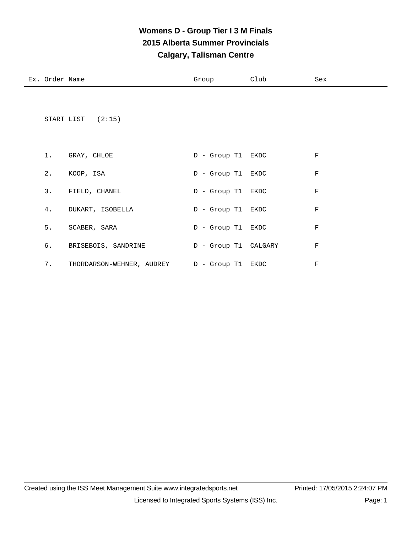## **Womens D - Group Tier I 3 M Finals 2015 Alberta Summer Provincials Calgary, Talisman Centre**

| Ex. Order Name |                                             | Group                | Club | Sex         |
|----------------|---------------------------------------------|----------------------|------|-------------|
|                | START LIST $(2:15)$                         |                      |      |             |
|                | 1. GRAY, CHLOE                              | D - Group T1 EKDC    |      | $_{\rm F}$  |
| 2.             | KOOP, ISA                                   | D - Group T1 EKDC    |      | $_{\rm F}$  |
|                | 3. FIELD, CHANEL                            | D - Group T1 EKDC    |      | $_{\rm F}$  |
| 4.             | DUKART, ISOBELLA                            | D - Group T1 EKDC    |      | F           |
| 5.             | SCABER, SARA                                | D - Group T1 EKDC    |      | $\mathbf F$ |
| б.             | BRISEBOIS, SANDRINE                         | D - Group T1 CALGARY |      | F           |
| 7.             | THORDARSON-WEHNER, AUDREY D - Group T1 EKDC |                      |      | $_{\rm F}$  |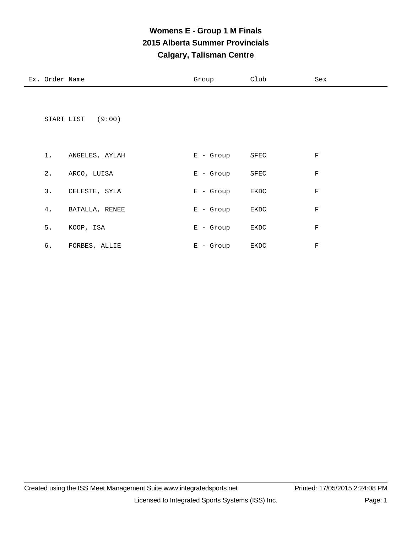# **Womens E - Group 1 M Finals 2015 Alberta Summer Provincials Calgary, Talisman Centre**

| Ex. Order Name |                   | Group       | Club         | Sex         |
|----------------|-------------------|-------------|--------------|-------------|
|                | START LIST (9:00) |             |              |             |
| 1.             | ANGELES, AYLAH    | $E -$ Group | ${\tt SFEC}$ | $\mathbf F$ |
| $2$ .          | ARCO, LUISA       | $E -$ Group | SFEC         | $\rm F$     |
| 3.             | CELESTE, SYLA     | $E -$ Group | EKDC         | $\rm F$     |
| 4.             | BATALLA, RENEE    | $E -$ Group | EKDC         | $\rm F$     |
| 5.             | KOOP, ISA         | $E -$ Group | EKDC         | $\rm F$     |
| б.             | FORBES, ALLIE     | $E -$ Group | EKDC         | $\mathbf F$ |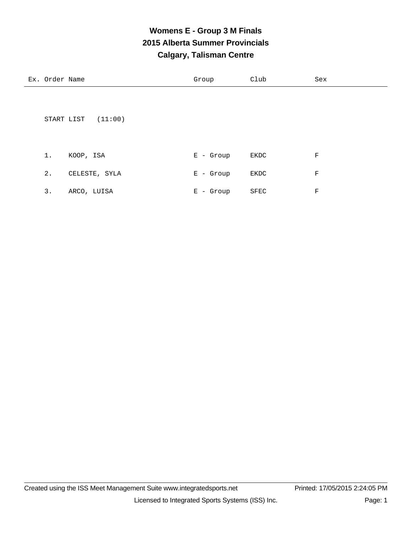# **Womens E - Group 3 M Finals 2015 Alberta Summer Provincials Calgary, Talisman Centre**

Ex. Order Name Sex Croup Club Sex

|       | (11:00)<br>START LIST |             |      |         |
|-------|-----------------------|-------------|------|---------|
| $1$ . | KOOP, ISA             | $E -$ Group | EKDC | $\rm F$ |
| $2$ . | CELESTE, SYLA         | $E -$ Group | EKDC | F       |
| 3.    | ARCO, LUISA           | $E -$ Group | SFEC | F       |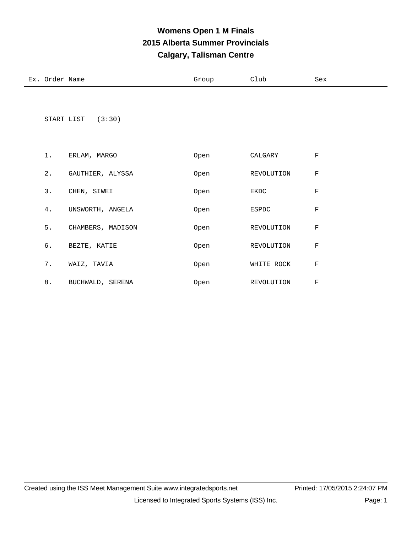# **Womens Open 1 M Finals 2015 Alberta Summer Provincials Calgary, Talisman Centre**

| Ex. Order<br>Name | Group | Club | Sex |
|-------------------|-------|------|-----|
|                   |       |      |     |

START LIST (3:30)

| 1.    | ERLAM, MARGO      | Open | CALGARY      | F          |
|-------|-------------------|------|--------------|------------|
| $2$ . | GAUTHIER, ALYSSA  | Open | REVOLUTION   | F          |
| 3.    | CHEN, SIWEI       | Open | EKDC         | F          |
| 4.    | UNSWORTH, ANGELA  | Open | <b>ESPDC</b> | $_{\rm F}$ |
| 5.    | CHAMBERS, MADISON | Open | REVOLUTION   | F          |
| б.    | BEZTE, KATIE      | Open | REVOLUTION   | F          |
| 7.    | WAIZ, TAVIA       | Open | WHITE ROCK   | F          |
| 8.    | BUCHWALD, SERENA  | Open | REVOLUTION   | F          |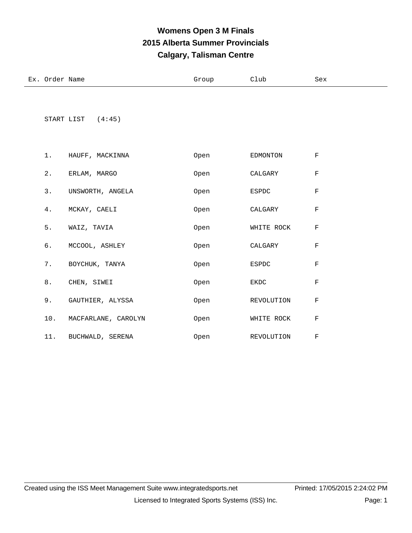# **Womens Open 3 M Finals 2015 Alberta Summer Provincials Calgary, Talisman Centre**

| Ex. | $ -$<br>าทd≏ท<br>Name | ∪⊥∪uբ | Club<br>_____ | зех<br>$- - - -$ |
|-----|-----------------------|-------|---------------|------------------|
|     |                       |       |               |                  |

START LIST (4:45)

|  | 1. HAUFF, MACKINNA      | Open | EDMONTON   | F           |
|--|-------------------------|------|------------|-------------|
|  | 2. ERLAM, MARGO         | Open | CALGARY    | F           |
|  | 3. UNSWORTH, ANGELA     | Open | ESPDC      | F           |
|  | 4. MCKAY, CAELI         | Open | CALGARY    | F           |
|  | 5. WAIZ, TAVIA          | Open | WHITE ROCK | F           |
|  | 6. MCCOOL, ASHLEY       | Open | CALGARY    | F           |
|  | 7. BOYCHUK, TANYA       | Open | ESPDC      | F           |
|  | 8. CHEN, SIWEI          | Open | EKDC       | $\mathbf F$ |
|  | 9. GAUTHIER, ALYSSA     | Open | REVOLUTION | F           |
|  | 10. MACFARLANE, CAROLYN | Open | WHITE ROCK | F           |
|  | 11. BUCHWALD, SERENA    | Open | REVOLUTION | F           |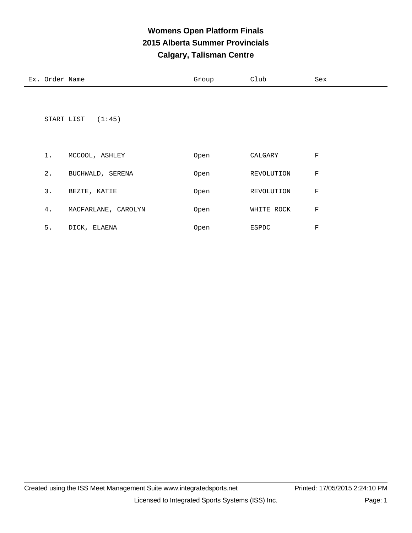# **Womens Open Platform Finals 2015 Alberta Summer Provincials Calgary, Talisman Centre**

Ex. Order Name Sex Croup Club Sex

|       | START LIST $(1:45)$ |      |            |   |
|-------|---------------------|------|------------|---|
| $1$ . | MCCOOL, ASHLEY      | Open | CALGARY    | F |
| 2.    | BUCHWALD, SERENA    | Open | REVOLUTION | F |
| 3.    | BEZTE, KATIE        | Open | REVOLUTION | F |
| 4.    | MACFARLANE, CAROLYN | Open | WHITE ROCK | F |
| 5.    | DICK, ELAENA        | Open | ESPDC      | F |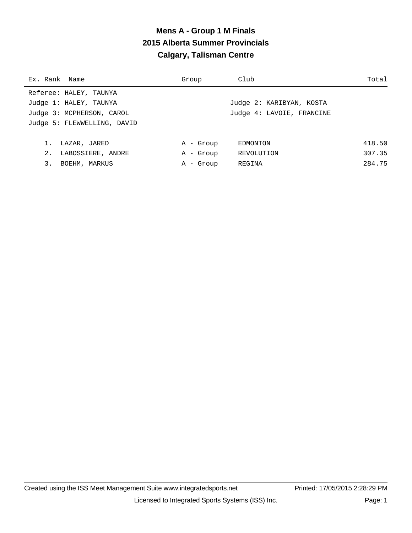# **Mens A - Group 1 M Finals 2015 Alberta Summer Provincials Calgary, Talisman Centre**

| Ex. Rank Name               | Group     | Club                      | Total  |
|-----------------------------|-----------|---------------------------|--------|
| Referee: HALEY, TAUNYA      |           |                           |        |
| Judge 1: HALEY, TAUNYA      |           | Judge 2: KARIBYAN, KOSTA  |        |
| Judge 3: MCPHERSON, CAROL   |           | Judge 4: LAVOIE, FRANCINE |        |
| Judge 5: FLEWWELLING, DAVID |           |                           |        |
|                             |           |                           |        |
| 1.<br>LAZAR, JARED          | A - Group | EDMONTON                  | 418.50 |
| 2.<br>LABOSSIERE, ANDRE     | A - Group | REVOLUTION                | 307.35 |
| 3.<br>BOEHM, MARKUS         | A - Group | REGINA                    | 284.75 |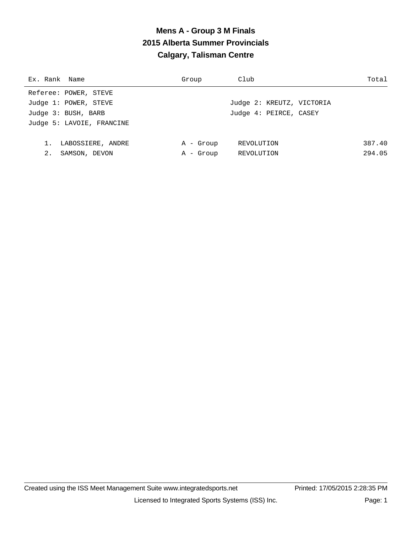# **Mens A - Group 3 M Finals 2015 Alberta Summer Provincials Calgary, Talisman Centre**

| Ex. Rank Name             | Group     | Club                      | Total  |
|---------------------------|-----------|---------------------------|--------|
| Referee: POWER, STEVE     |           |                           |        |
| Judge 1: POWER, STEVE     |           | Judge 2: KREUTZ, VICTORIA |        |
| Judge 3: BUSH, BARB       |           | Judge 4: PEIRCE, CASEY    |        |
| Judge 5: LAVOIE, FRANCINE |           |                           |        |
|                           |           |                           |        |
| LABOSSIERE, ANDRE         | A - Group | REVOLUTION                | 387.40 |
| 2.<br>SAMSON, DEVON       | A - Group | REVOLUTION                | 294.05 |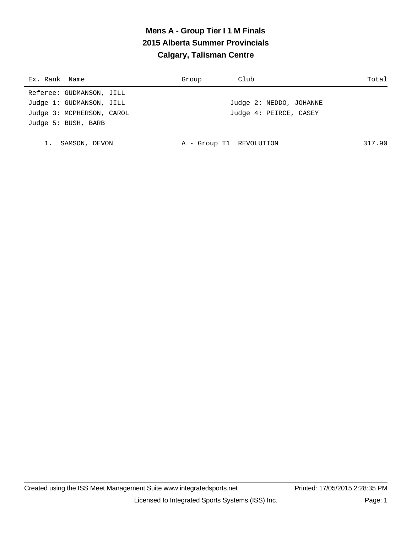# **Mens A - Group Tier I 1 M Finals 2015 Alberta Summer Provincials Calgary, Talisman Centre**

| Ex. Rank Name             | Group                   | Club                    | Total  |
|---------------------------|-------------------------|-------------------------|--------|
| Referee: GUDMANSON, JILL  |                         |                         |        |
| Judge 1: GUDMANSON, JILL  |                         | Judge 2: NEDDO, JOHANNE |        |
| Judge 3: MCPHERSON, CAROL |                         | Judge 4: PEIRCE, CASEY  |        |
| Judge 5: BUSH, BARB       |                         |                         |        |
|                           |                         |                         |        |
| SAMSON, DEVON             | A - Group T1 REVOLUTION |                         | 317.90 |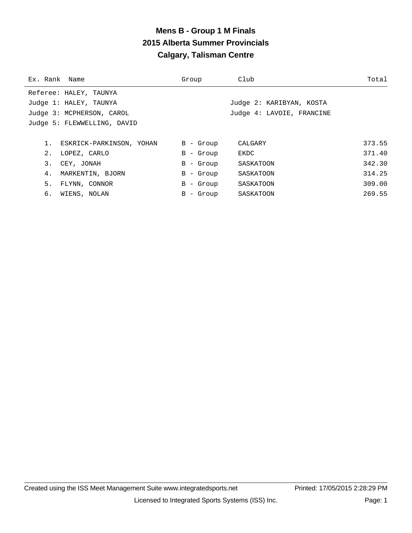#### **Mens B - Group 1 M Finals 2015 Alberta Summer Provincials Calgary, Talisman Centre**

| Ex. Rank Name               |                           | Group        | Club                      | Total  |
|-----------------------------|---------------------------|--------------|---------------------------|--------|
|                             | Referee: HALEY, TAUNYA    |              |                           |        |
|                             | Judge 1: HALEY, TAUNYA    |              | Judge 2: KARIBYAN, KOSTA  |        |
|                             | Judge 3: MCPHERSON, CAROL |              | Judge 4: LAVOIE, FRANCINE |        |
| Judge 5: FLEWWELLING, DAVID |                           |              |                           |        |
|                             |                           |              |                           |        |
|                             | ESKRICK-PARKINSON, YOHAN  | B - Group    | CALGARY                   | 373.55 |
| 2.                          | LOPEZ, CARLO              | - Group<br>B | EKDC                      | 371.40 |
| 3.                          | CEY, JONAH                | B<br>- Group | SASKATOON                 | 342.30 |
| 4.                          | MARKENTIN, BJORN          | - Group<br>B | SASKATOON                 | 314.25 |
| 5.                          | FLYNN, CONNOR             | - Group<br>B | SASKATOON                 | 309.00 |
| б.                          | WIENS, NOLAN              | - Group<br>В | SASKATOON                 | 269.55 |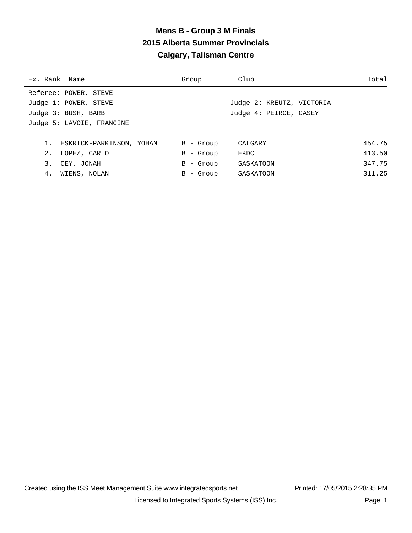#### **Mens B - Group 3 M Finals 2015 Alberta Summer Provincials Calgary, Talisman Centre**

| Ex. Rank Name |                             | Group       | Club                      | Total  |
|---------------|-----------------------------|-------------|---------------------------|--------|
|               | Referee: POWER, STEVE       |             |                           |        |
|               | Judge 1: POWER, STEVE       |             | Judge 2: KREUTZ, VICTORIA |        |
|               | Judge 3: BUSH, BARB         |             | Judge 4: PEIRCE, CASEY    |        |
|               | Judge 5: LAVOIE, FRANCINE   |             |                           |        |
|               |                             |             |                           |        |
|               | 1. ESKRICK-PARKINSON, YOHAN | $B -$ Group | CALGARY                   | 454.75 |
|               | 2. LOPEZ, CARLO             | $B -$ Group | EKDC                      | 413.50 |
| 3.            | CEY, JONAH                  | $B -$ Group | SASKATOON                 | 347.75 |
| 4.            | WIENS, NOLAN                | $B -$ Group | SASKATOON                 | 311.25 |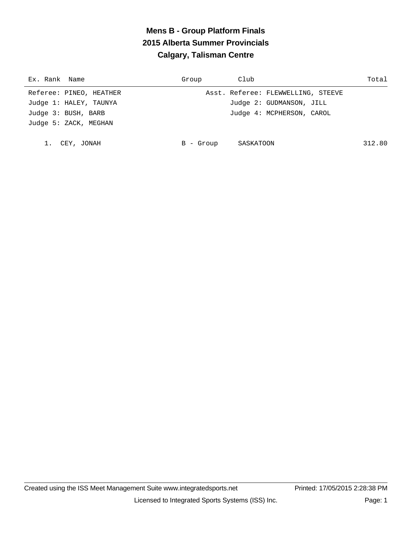# **Mens B - Group Platform Finals 2015 Alberta Summer Provincials Calgary, Talisman Centre**

| Ex. Rank Name           | Group     | Club                               | Total  |
|-------------------------|-----------|------------------------------------|--------|
| Referee: PINEO, HEATHER |           | Asst. Referee: FLEWWELLING, STEEVE |        |
| Judge 1: HALEY, TAUNYA  |           | Judge 2: GUDMANSON, JILL           |        |
| Judge 3: BUSH, BARB     |           | Judge 4: MCPHERSON, CAROL          |        |
| Judge 5: ZACK, MEGHAN   |           |                                    |        |
|                         |           |                                    |        |
| CEY, JONAH              | B - Group | SASKATOON                          | 312.80 |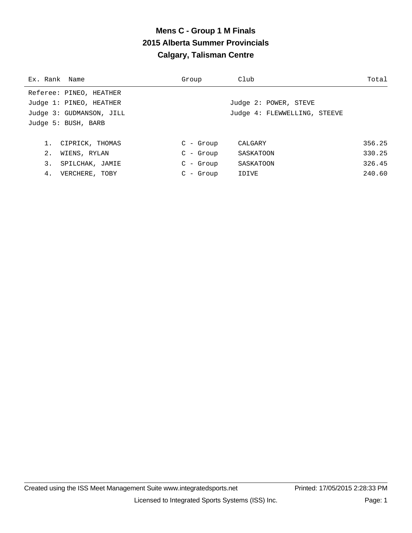# **Mens C - Group 1 M Finals 2015 Alberta Summer Provincials Calgary, Talisman Centre**

| Ex. Rank Name            | Group       | Club                         | Total  |
|--------------------------|-------------|------------------------------|--------|
| Referee: PINEO, HEATHER  |             |                              |        |
| Judge 1: PINEO, HEATHER  |             | Judge 2: POWER, STEVE        |        |
| Judge 3: GUDMANSON, JILL |             | Judge 4: FLEWWELLING, STEEVE |        |
| Judge 5: BUSH, BARB      |             |                              |        |
|                          |             |                              |        |
| CIPRICK, THOMAS          | $C - Grow$  | CALGARY                      | 356.25 |
| 2.<br>WIENS, RYLAN       | $C - Grow$  | SASKATOON                    | 330.25 |
| 3.<br>SPILCHAK, JAMIE    | $C$ - Group | SASKATOON                    | 326.45 |
| 4.<br>VERCHERE, TOBY     | $C - Grow$  | IDIVE                        | 240.60 |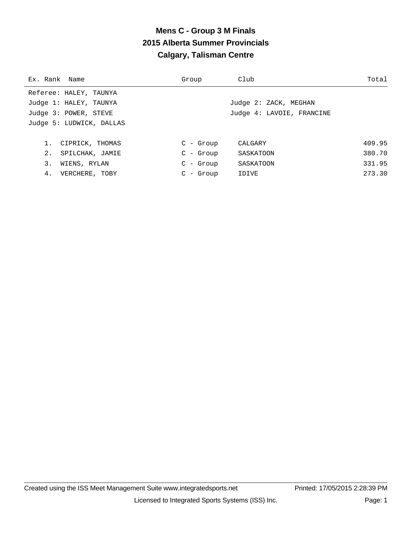# **Mens C - Group 3 M Finals 2015 Alberta Summer Provincials Calgary, Talisman Centre**

| Ex. Rank Name            | Group      | Club                      | Total  |
|--------------------------|------------|---------------------------|--------|
| Referee: HALEY, TAUNYA   |            |                           |        |
| Judge 1: HALEY, TAUNYA   |            | Judge 2: ZACK, MEGHAN     |        |
| Judge 3: POWER, STEVE    |            | Judge 4: LAVOIE, FRANCINE |        |
| Judge 5: LUDWICK, DALLAS |            |                           |        |
|                          |            |                           |        |
| 1. CIPRICK, THOMAS       | $C - Grow$ | CALGARY                   | 409.95 |
| 2. SPILCHAK, JAMIE       | $C - Grow$ | SASKATOON                 | 380.70 |
| 3.<br>WIENS, RYLAN       | $C - Grow$ | SASKATOON                 | 331.95 |
| 4. VERCHERE, TOBY        | $C - Grow$ | IDIVE                     | 273.30 |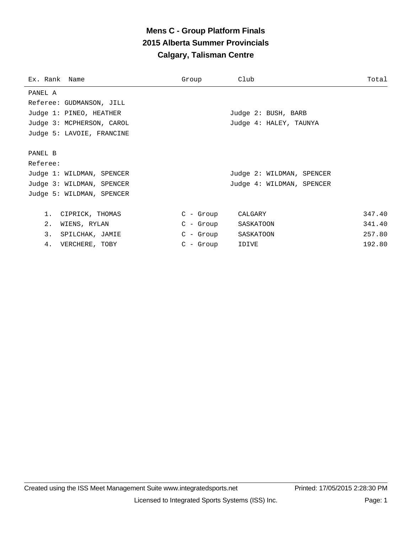# **Mens C - Group Platform Finals 2015 Alberta Summer Provincials Calgary, Talisman Centre**

| Ex. Rank Name             | Group       | Club                      | Total  |
|---------------------------|-------------|---------------------------|--------|
| PANEL A                   |             |                           |        |
| Referee: GUDMANSON, JILL  |             |                           |        |
| Judge 1: PINEO, HEATHER   |             | Judge 2: BUSH, BARB       |        |
| Judge 3: MCPHERSON, CAROL |             | Judge 4: HALEY, TAUNYA    |        |
| Judge 5: LAVOIE, FRANCINE |             |                           |        |
|                           |             |                           |        |
| PANEL B                   |             |                           |        |
| Referee:                  |             |                           |        |
| Judge 1: WILDMAN, SPENCER |             | Judge 2: WILDMAN, SPENCER |        |
| Judge 3: WILDMAN, SPENCER |             | Judge 4: WILDMAN, SPENCER |        |
| Judge 5: WILDMAN, SPENCER |             |                           |        |
|                           |             |                           |        |
| $1$ .<br>CIPRICK, THOMAS  | $C - Group$ | CALGARY                   | 347.40 |
| 2.<br>WIENS, RYLAN        | C - Group   | SASKATOON                 | 341.40 |
| 3.<br>SPILCHAK, JAMIE     | C - Group   | SASKATOON                 | 257.80 |
| 4.<br>VERCHERE, TOBY      | $C - Group$ | IDIVE                     | 192.80 |
|                           |             |                           |        |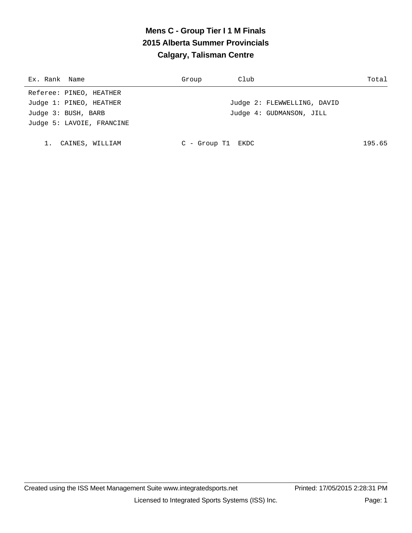# **Mens C - Group Tier I 1 M Finals 2015 Alberta Summer Provincials Calgary, Talisman Centre**

| Ex. Rank Name             | Group               | Club                        | Total  |
|---------------------------|---------------------|-----------------------------|--------|
| Referee: PINEO, HEATHER   |                     |                             |        |
| Judge 1: PINEO, HEATHER   |                     | Judge 2: FLEWWELLING, DAVID |        |
| Judge 3: BUSH, BARB       |                     | Judge 4: GUDMANSON, JILL    |        |
| Judge 5: LAVOIE, FRANCINE |                     |                             |        |
|                           |                     |                             |        |
| CAINES, WILLIAM           | $C -$ Group T1 EKDC |                             | 195.65 |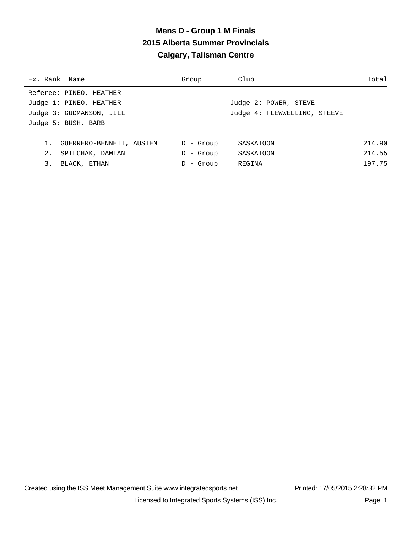## **Mens D - Group 1 M Finals 2015 Alberta Summer Provincials Calgary, Talisman Centre**

| Ex. Rank Name |                          | Group        | Club                         | Total  |
|---------------|--------------------------|--------------|------------------------------|--------|
|               | Referee: PINEO, HEATHER  |              |                              |        |
|               | Judge 1: PINEO, HEATHER  |              | Judge 2: POWER, STEVE        |        |
|               | Judge 3: GUDMANSON, JILL |              | Judge 4: FLEWWELLING, STEEVE |        |
|               | Judge 5: BUSH, BARB      |              |                              |        |
|               |                          |              |                              |        |
| 1.            | GUERRERO-BENNETT, AUSTEN | - Group<br>D | SASKATOON                    | 214.90 |
| 2.            | SPILCHAK, DAMIAN         | - Group<br>D | SASKATOON                    | 214.55 |
| 3.            | BLACK, ETHAN             | - Group      | REGINA                       | 197.75 |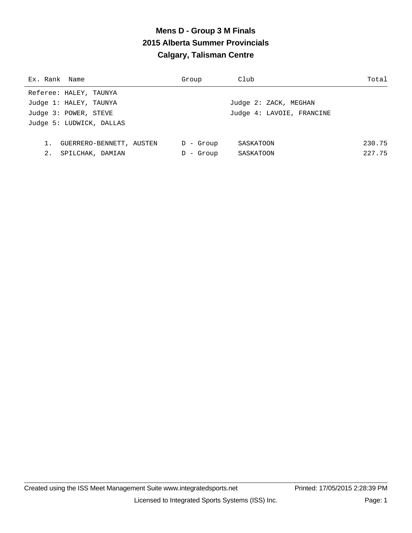# **Mens D - Group 3 M Finals 2015 Alberta Summer Provincials Calgary, Talisman Centre**

| Group        | Club                      | Total  |
|--------------|---------------------------|--------|
|              |                           |        |
|              | Judge 2: ZACK, MEGHAN     |        |
|              | Judge 4: LAVOIE, FRANCINE |        |
|              |                           |        |
|              |                           |        |
| $D -$ Group  | SASKATOON                 | 230.75 |
| - Group<br>D | SASKATOON                 | 227.75 |
|              |                           |        |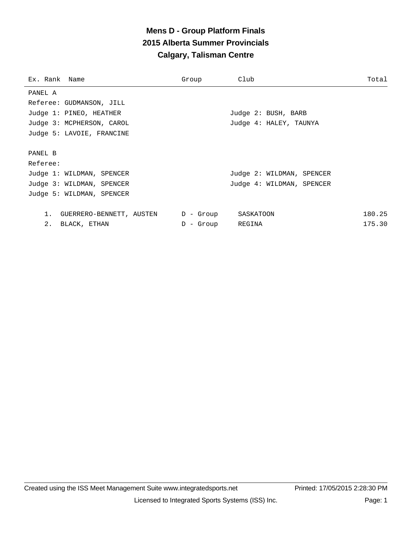# **Mens D - Group Platform Finals 2015 Alberta Summer Provincials Calgary, Talisman Centre**

| Ex. Rank Name                  | Group               | Club                      | Total  |
|--------------------------------|---------------------|---------------------------|--------|
| PANEL A                        |                     |                           |        |
| Referee: GUDMANSON, JILL       |                     |                           |        |
| Judge 1: PINEO, HEATHER        |                     | Judge 2: BUSH, BARB       |        |
| Judge 3: MCPHERSON, CAROL      |                     | Judge 4: HALEY, TAUNYA    |        |
| Judge 5: LAVOIE, FRANCINE      |                     |                           |        |
|                                |                     |                           |        |
| PANEL B                        |                     |                           |        |
| Referee:                       |                     |                           |        |
| Judge 1: WILDMAN, SPENCER      |                     | Judge 2: WILDMAN, SPENCER |        |
| Judge 3: WILDMAN, SPENCER      |                     | Judge 4: WILDMAN, SPENCER |        |
| Judge 5: WILDMAN, SPENCER      |                     |                           |        |
|                                |                     |                           |        |
| 1.<br>GUERRERO-BENNETT, AUSTEN | D - Group SASKATOON |                           | 180.25 |
| 2.<br>BLACK, ETHAN             | D - Group REGINA    |                           | 175.30 |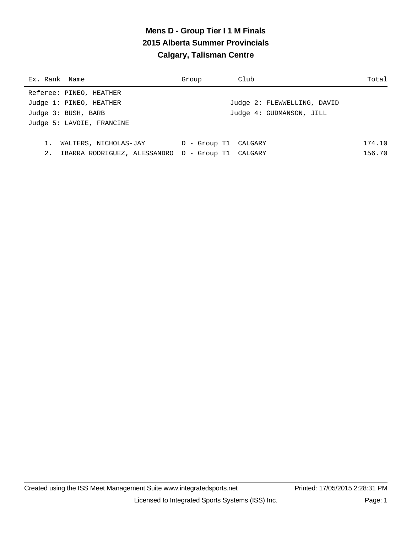# **Mens D - Group Tier I 1 M Finals 2015 Alberta Summer Provincials Calgary, Talisman Centre**

| Ex. Rank Name             |                                                   | Group                | Club |                             | Total  |
|---------------------------|---------------------------------------------------|----------------------|------|-----------------------------|--------|
| Referee: PINEO, HEATHER   |                                                   |                      |      |                             |        |
| Judge 1: PINEO, HEATHER   |                                                   |                      |      | Judge 2: FLEWWELLING, DAVID |        |
| Judge 3: BUSH, BARB       |                                                   |                      |      | Judge 4: GUDMANSON, JILL    |        |
| Judge 5: LAVOIE, FRANCINE |                                                   |                      |      |                             |        |
|                           |                                                   |                      |      |                             |        |
| $1$ .                     | WALTERS, NICHOLAS-JAY                             | D - Group T1 CALGARY |      |                             | 174.10 |
| 2.                        | IBARRA RODRIGUEZ, ALESSANDRO D - Group T1 CALGARY |                      |      |                             | 156.70 |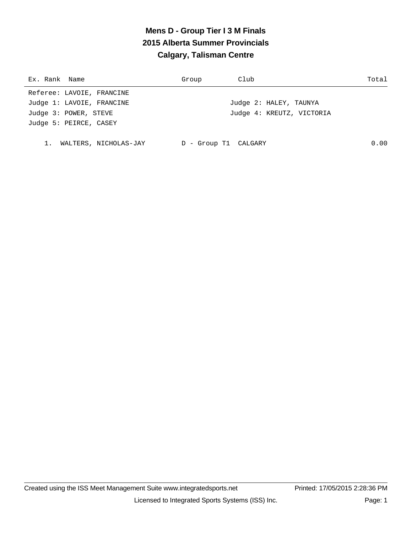# **Mens D - Group Tier I 3 M Finals 2015 Alberta Summer Provincials Calgary, Talisman Centre**

| Ex. Rank Name             | Group                | Club                      | Total |
|---------------------------|----------------------|---------------------------|-------|
| Referee: LAVOIE, FRANCINE |                      |                           |       |
| Judge 1: LAVOIE, FRANCINE |                      | Judge 2: HALEY, TAUNYA    |       |
| Judge 3: POWER, STEVE     |                      | Judge 4: KREUTZ, VICTORIA |       |
| Judge 5: PEIRCE, CASEY    |                      |                           |       |
|                           |                      |                           |       |
| WALTERS, NICHOLAS-JAY     | D - Group T1 CALGARY |                           | 0.00  |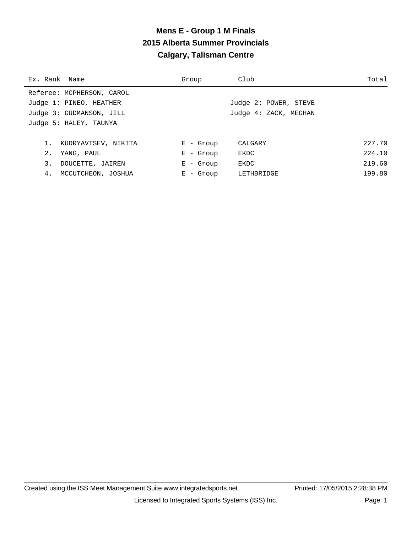# **Mens E - Group 1 M Finals 2015 Alberta Summer Provincials Calgary, Talisman Centre**

| Ex. Rank Name |                           | Group       | Club                  | Total  |
|---------------|---------------------------|-------------|-----------------------|--------|
|               | Referee: MCPHERSON, CAROL |             |                       |        |
|               | Judge 1: PINEO, HEATHER   |             | Judge 2: POWER, STEVE |        |
|               | Judge 3: GUDMANSON, JILL  |             | Judge 4: ZACK, MEGHAN |        |
|               | Judge 5: HALEY, TAUNYA    |             |                       |        |
|               |                           |             |                       |        |
| 1.            | KUDRYAVTSEV, NIKITA       | $E -$ Group | CALGARY               | 227.70 |
| 2.            | YANG, PAUL                | $E -$ Group | EKDC                  | 224.10 |
| 3.            | DOUCETTE, JAIREN          | $E -$ Group | EKDC                  | 219.60 |
| 4.            | MCCUTCHEON, JOSHUA        | $E -$ Group | LETHBRIDGE            | 199.80 |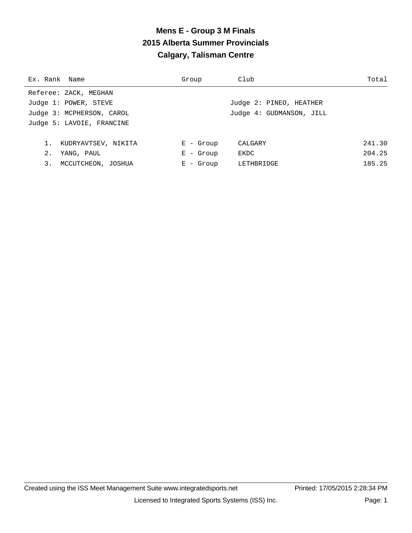# **Mens E - Group 3 M Finals 2015 Alberta Summer Provincials Calgary, Talisman Centre**

| Ex. Rank Name                | Group       | Club                     | Total  |
|------------------------------|-------------|--------------------------|--------|
| Referee: ZACK, MEGHAN        |             |                          |        |
| Judge 1: POWER, STEVE        |             | Judge 2: PINEO, HEATHER  |        |
| Judge 3: MCPHERSON, CAROL    |             | Judge 4: GUDMANSON, JILL |        |
| Judge 5: LAVOIE, FRANCINE    |             |                          |        |
|                              |             |                          |        |
| $1$ .<br>KUDRYAVTSEV, NIKITA | $E -$ Group | CALGARY                  | 241.30 |
| 2.<br>YANG, PAUL             | $E -$ Group | EKDC                     | 204.25 |
| 3.<br>MCCUTCHEON, JOSHUA     | $E -$ Group | LETHBRIDGE               | 185.25 |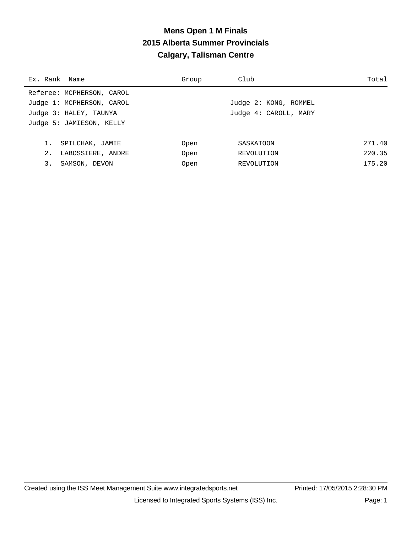# **Mens Open 1 M Finals 2015 Alberta Summer Provincials Calgary, Talisman Centre**

| Ex. Rank Name             | Group | Club                  | Total  |
|---------------------------|-------|-----------------------|--------|
| Referee: MCPHERSON, CAROL |       |                       |        |
| Judge 1: MCPHERSON, CAROL |       | Judge 2: KONG, ROMMEL |        |
| Judge 3: HALEY, TAUNYA    |       | Judge 4: CAROLL, MARY |        |
| Judge 5: JAMIESON, KELLY  |       |                       |        |
|                           |       |                       |        |
| 1.<br>SPILCHAK, JAMIE     | Open  | SASKATOON             | 271.40 |
| 2.<br>LABOSSIERE, ANDRE   | Open  | REVOLUTION            | 220.35 |
| 3.<br>SAMSON, DEVON       | Open  | REVOLUTION            | 175.20 |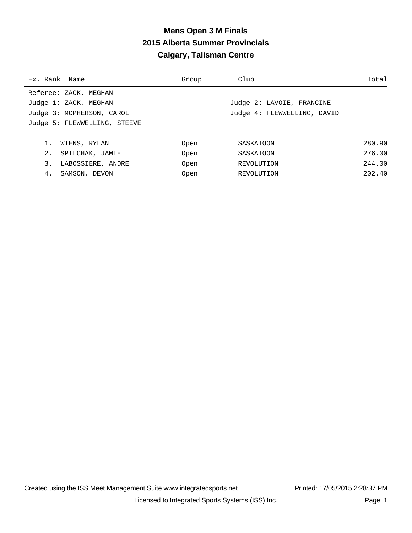#### **Mens Open 3 M Finals 2015 Alberta Summer Provincials Calgary, Talisman Centre**

| Ex. Rank Name |                              | Group | Club                        | Total  |
|---------------|------------------------------|-------|-----------------------------|--------|
|               | Referee: ZACK, MEGHAN        |       |                             |        |
|               | Judge 1: ZACK, MEGHAN        |       | Judge 2: LAVOIE, FRANCINE   |        |
|               | Judge 3: MCPHERSON, CAROL    |       | Judge 4: FLEWWELLING, DAVID |        |
|               | Judge 5: FLEWWELLING, STEEVE |       |                             |        |
|               |                              |       |                             |        |
|               | WIENS, RYLAN                 | Open  | SASKATOON                   | 280.90 |
| 2.            | SPILCHAK, JAMIE              | Open  | SASKATOON                   | 276.00 |
| 3.            | LABOSSIERE, ANDRE            | Open  | REVOLUTION                  | 244.00 |
| 4.            | SAMSON, DEVON                | Open  | REVOLUTION                  | 202.40 |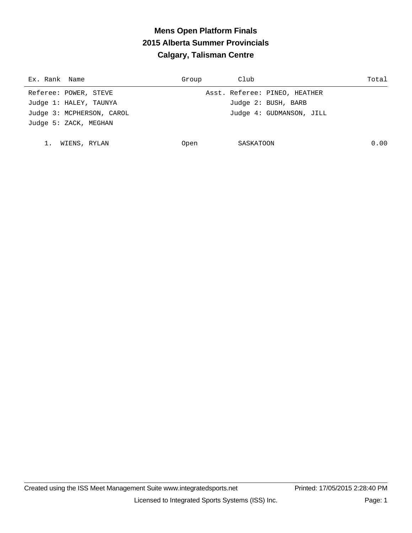# **Mens Open Platform Finals 2015 Alberta Summer Provincials Calgary, Talisman Centre**

| Ex. Rank Name             | Group | Club                          | Total |
|---------------------------|-------|-------------------------------|-------|
| Referee: POWER, STEVE     |       | Asst. Referee: PINEO, HEATHER |       |
| Judge 1: HALEY, TAUNYA    |       | Judge 2: BUSH, BARB           |       |
| Judge 3: MCPHERSON, CAROL |       | Judge 4: GUDMANSON, JILL      |       |
| Judge 5: ZACK, MEGHAN     |       |                               |       |
|                           |       |                               |       |
| WIENS, RYLAN              | Open  | SASKATOON                     | 0.00  |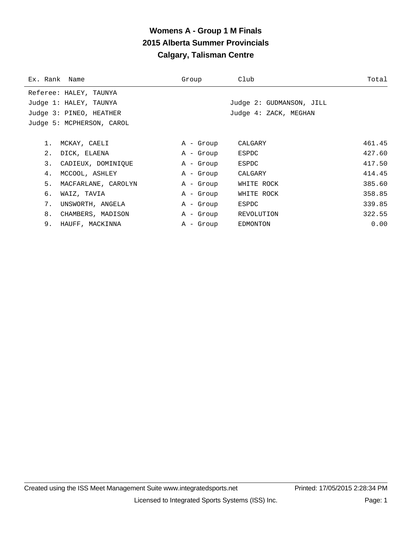# **Womens A - Group 1 M Finals 2015 Alberta Summer Provincials Calgary, Talisman Centre**

| Ex. Rank Name |                           | Group     | Club                     | Total  |
|---------------|---------------------------|-----------|--------------------------|--------|
|               | Referee: HALEY, TAUNYA    |           |                          |        |
|               | Judge 1: HALEY, TAUNYA    |           | Judge 2: GUDMANSON, JILL |        |
|               | Judge 3: PINEO, HEATHER   |           | Judge 4: ZACK, MEGHAN    |        |
|               | Judge 5: MCPHERSON, CAROL |           |                          |        |
|               |                           |           |                          |        |
|               | 1. MCKAY, CAELI           | A - Group | CALGARY                  | 461.45 |
| $2$ .         | DICK, ELAENA              | A - Group | ESPDC                    | 427.60 |
| 3.            | CADIEUX, DOMINIOUE        | A - Group | ESPDC                    | 417.50 |
| 4.            | MCCOOL, ASHLEY            | A - Group | CALGARY                  | 414.45 |
| 5.            | MACFARLANE, CAROLYN       | A - Group | WHITE ROCK               | 385.60 |
| б.            | WAIZ, TAVIA               | A - Group | WHITE ROCK               | 358.85 |
| 7.            | UNSWORTH, ANGELA          | A - Group | ESPDC                    | 339.85 |
| 8.            | CHAMBERS, MADISON         | A - Group | REVOLUTION               | 322.55 |
| 9.            | HAUFF, MACKINNA           | A - Group | EDMONTON                 | 0.00   |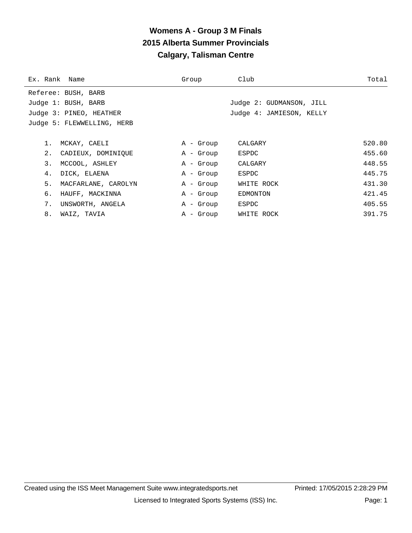# **Womens A - Group 3 M Finals 2015 Alberta Summer Provincials Calgary, Talisman Centre**

| Ex. Rank Name              | Group     | Club                     | Total  |
|----------------------------|-----------|--------------------------|--------|
| Referee: BUSH, BARB        |           |                          |        |
| Judge 1: BUSH, BARB        |           | Judge 2: GUDMANSON, JILL |        |
| Judge 3: PINEO, HEATHER    |           | Judge 4: JAMIESON, KELLY |        |
| Judge 5: FLEWWELLING, HERB |           |                          |        |
|                            |           |                          |        |
| 1.<br>MCKAY, CAELI         | A - Group | CALGARY                  | 520.80 |
| 2.<br>CADIEUX, DOMINIOUE   | A - Group | ESPDC                    | 455.60 |
| 3.<br>MCCOOL, ASHLEY       | A - Group | CALGARY                  | 448.55 |
| 4.<br>DICK, ELAENA         | A - Group | ESPDC                    | 445.75 |
| 5.<br>MACFARLANE, CAROLYN  | A - Group | WHITE ROCK               | 431.30 |
| б.<br>HAUFF, MACKINNA      | A - Group | EDMONTON                 | 421.45 |
| 7.<br>UNSWORTH, ANGELA     | A - Group | ESPDC                    | 405.55 |
| 8.<br>WAIZ, TAVIA          | A - Group | WHITE ROCK               | 391.75 |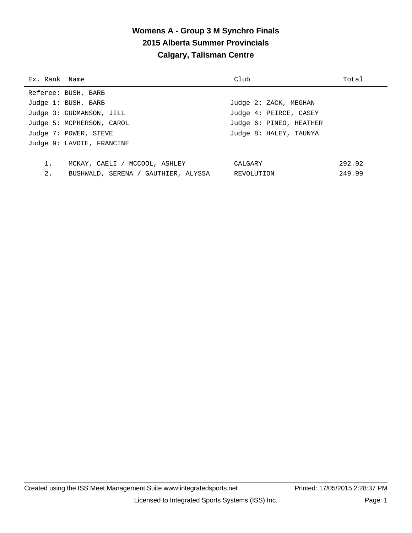# **Womens A - Group 3 M Synchro Finals 2015 Alberta Summer Provincials Calgary, Talisman Centre**

| Ex. Rank Name |                                     | Club                    | Total  |
|---------------|-------------------------------------|-------------------------|--------|
|               | Referee: BUSH, BARB                 |                         |        |
|               | Judge 1: BUSH, BARB                 | Judge 2: ZACK, MEGHAN   |        |
|               | Judge 3: GUDMANSON, JILL            | Judge 4: PEIRCE, CASEY  |        |
|               | Judge 5: MCPHERSON, CAROL           | Judge 6: PINEO, HEATHER |        |
|               | Judge 7: POWER, STEVE               | Judge 8: HALEY, TAUNYA  |        |
|               | Judge 9: LAVOIE, FRANCINE           |                         |        |
|               |                                     |                         |        |
| $1$ .         | MCKAY, CAELI / MCCOOL, ASHLEY       | CALGARY                 | 292.92 |
| 2.            | BUSHWALD, SERENA / GAUTHIER, ALYSSA | REVOLUTION              | 249.99 |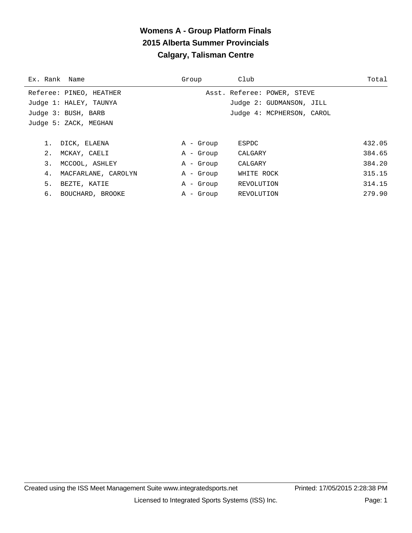# **Womens A - Group Platform Finals 2015 Alberta Summer Provincials Calgary, Talisman Centre**

| Ex. Rank Name |                         | Group     | Club                        | Total  |
|---------------|-------------------------|-----------|-----------------------------|--------|
|               | Referee: PINEO, HEATHER |           | Asst. Referee: POWER, STEVE |        |
|               | Judge 1: HALEY, TAUNYA  |           | Judge 2: GUDMANSON, JILL    |        |
|               | Judge 3: BUSH, BARB     |           | Judge 4: MCPHERSON, CAROL   |        |
|               | Judge 5: ZACK, MEGHAN   |           |                             |        |
|               |                         |           |                             |        |
|               | 1. DICK, ELAENA         | A - Group | ESPDC                       | 432.05 |
| 2.            | MCKAY, CAELI            | A - Group | CALGARY                     | 384.65 |
| 3.            | MCCOOL, ASHLEY          | A - Group | CALGARY                     | 384.20 |
| 4.            | MACFARLANE, CAROLYN     | A - Group | WHITE ROCK                  | 315.15 |
| 5.            | BEZTE, KATIE            | A - Group | REVOLUTION                  | 314.15 |
|               | 6. BOUCHARD, BROOKE     | A - Group | REVOLUTION                  | 279.90 |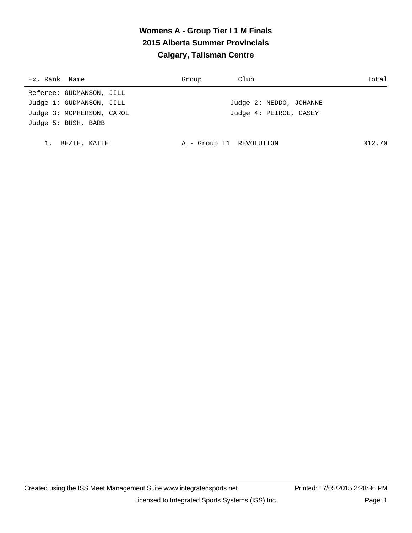# **Womens A - Group Tier I 1 M Finals 2015 Alberta Summer Provincials Calgary, Talisman Centre**

| Ex. Rank Name             | Group                   | Club                    | Total  |
|---------------------------|-------------------------|-------------------------|--------|
| Referee: GUDMANSON, JILL  |                         |                         |        |
| Judge 1: GUDMANSON, JILL  |                         | Judge 2: NEDDO, JOHANNE |        |
| Judge 3: MCPHERSON, CAROL |                         | Judge 4: PEIRCE, CASEY  |        |
| Judge 5: BUSH, BARB       |                         |                         |        |
|                           |                         |                         |        |
| BEZTE, KATIE              | A - Group T1 REVOLUTION |                         | 312.70 |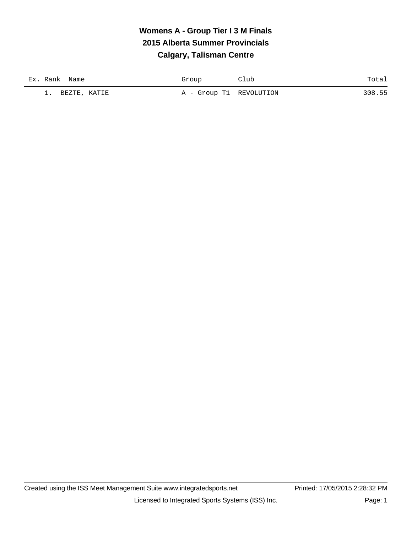# **Womens A - Group Tier I 3 M Finals 2015 Alberta Summer Provincials Calgary, Talisman Centre**

| Ex. Rank Name            | Group                   | Club | Total  |
|--------------------------|-------------------------|------|--------|
| BEZTE, KATIE<br><b>.</b> | A - Group T1 REVOLUTION |      | 308.55 |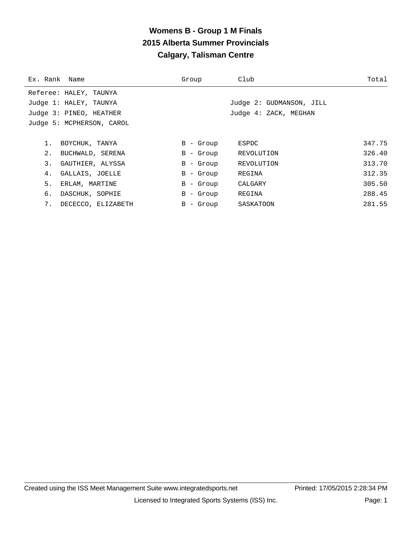# **Womens B - Group 1 M Finals 2015 Alberta Summer Provincials Calgary, Talisman Centre**

| Ex. Rank Name             | Group                   | Club                     | Total  |
|---------------------------|-------------------------|--------------------------|--------|
| Referee: HALEY, TAUNYA    |                         |                          |        |
| Judge 1: HALEY, TAUNYA    |                         | Judge 2: GUDMANSON, JILL |        |
| Judge 3: PINEO, HEATHER   |                         | Judge 4: ZACK, MEGHAN    |        |
| Judge 5: MCPHERSON, CAROL |                         |                          |        |
|                           |                         |                          |        |
| BOYCHUK, TANYA            | B - Group               | ESPDC                    | 347.75 |
| 2.<br>BUCHWALD, SERENA    | $B -$ Group             | REVOLUTION               | 326.40 |
| 3.<br>GAUTHIER, ALYSSA    | B<br>- Group            | REVOLUTION               | 313.70 |
| GALLAIS, JOELLE<br>4.     | - Group<br>$\mathbf{B}$ | REGINA                   | 312.35 |
| 5.<br>ERLAM, MARTINE      | $B -$ Group             | CALGARY                  | 305.50 |
| б.<br>DASCHUK, SOPHIE     | $B -$ Group             | REGINA                   | 288.45 |
| 7.<br>DECECCO, ELIZABETH  | $B -$ Group             | SASKATOON                | 281.55 |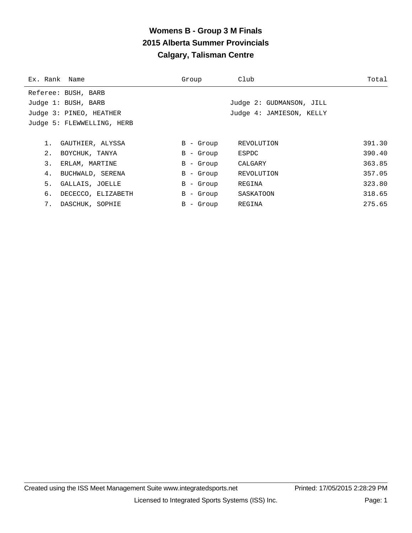# **Womens B - Group 3 M Finals 2015 Alberta Summer Provincials Calgary, Talisman Centre**

| Ex. Rank Name |                            | Group       | Club                     | Total  |
|---------------|----------------------------|-------------|--------------------------|--------|
|               | Referee: BUSH, BARB        |             |                          |        |
|               | Judge 1: BUSH, BARB        |             | Judge 2: GUDMANSON, JILL |        |
|               | Judge 3: PINEO, HEATHER    |             | Judge 4: JAMIESON, KELLY |        |
|               | Judge 5: FLEWWELLING, HERB |             |                          |        |
|               |                            |             |                          |        |
| 1.            | GAUTHIER, ALYSSA           | $B -$ Group | REVOLUTION               | 391.30 |
| 2.            | BOYCHUK, TANYA             | $B -$ Group | ESPDC                    | 390.40 |
| 3.            | ERLAM, MARTINE             | $B -$ Group | CALGARY                  | 363.85 |
| 4.            | BUCHWALD, SERENA           | $B -$ Group | REVOLUTION               | 357.05 |
| 5.            | GALLAIS, JOELLE            | $B -$ Group | REGINA                   | 323.80 |
| б.            | DECECCO, ELIZABETH         | B - Group   | SASKATOON                | 318.65 |
| 7.            | DASCHUK, SOPHIE            | B - Group   | REGINA                   | 275.65 |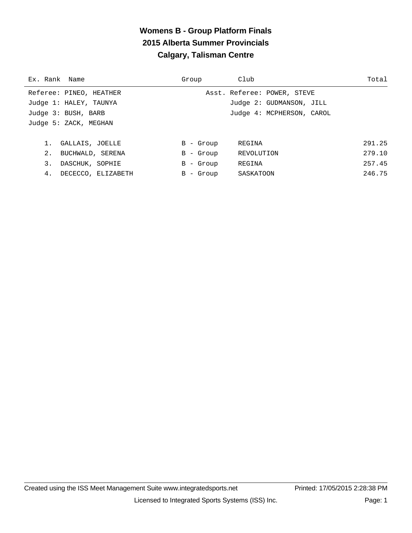# **Womens B - Group Platform Finals 2015 Alberta Summer Provincials Calgary, Talisman Centre**

| Ex. Rank Name                      | Group       | Club                        | Total  |
|------------------------------------|-------------|-----------------------------|--------|
| Referee: PINEO, HEATHER            |             | Asst. Referee: POWER, STEVE |        |
| Judge 1: HALEY, TAUNYA             |             | Judge 2: GUDMANSON, JILL    |        |
| Judge 3: BUSH, BARB                |             | Judge 4: MCPHERSON, CAROL   |        |
| Judge 5: ZACK, MEGHAN              |             |                             |        |
|                                    |             |                             |        |
| GALLAIS, JOELLE                    | $B -$ Group | REGINA                      | 291.25 |
| 2 <sub>1</sub><br>BUCHWALD, SERENA | B - Group   | REVOLUTION                  | 279.10 |
| 3.<br>DASCHUK, SOPHIE              | B - Group   | REGINA                      | 257.45 |
| 4.<br>DECECCO, ELIZABETH           | B - Group   | SASKATOON                   | 246.75 |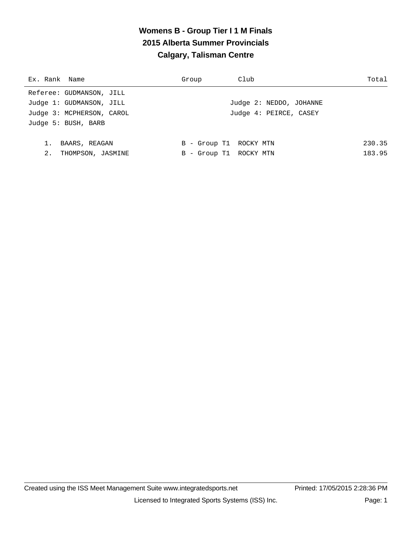# **Womens B - Group Tier I 1 M Finals 2015 Alberta Summer Provincials Calgary, Talisman Centre**

| Ex. Rank Name             | Group                  | Club                    | Total  |
|---------------------------|------------------------|-------------------------|--------|
| Referee: GUDMANSON, JILL  |                        |                         |        |
| Judge 1: GUDMANSON, JILL  |                        | Judge 2: NEDDO, JOHANNE |        |
| Judge 3: MCPHERSON, CAROL |                        | Judge 4: PEIRCE, CASEY  |        |
| Judge 5: BUSH, BARB       |                        |                         |        |
|                           |                        |                         |        |
| BAARS, REAGAN             | B - Group T1 ROCKY MTN |                         | 230.35 |
| 2.<br>THOMPSON, JASMINE   | B - Group T1 ROCKY MTN |                         | 183.95 |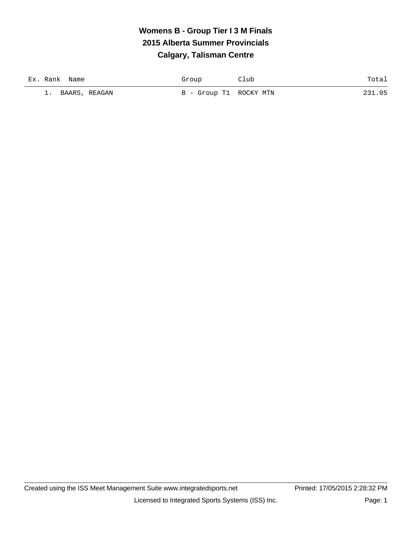# **Womens B - Group Tier I 3 M Finals 2015 Alberta Summer Provincials Calgary, Talisman Centre**

| Ex. Rank Name | Group                  | Club | Total  |
|---------------|------------------------|------|--------|
| BAARS, REAGAN | B - Group T1 ROCKY MTN |      | 231.05 |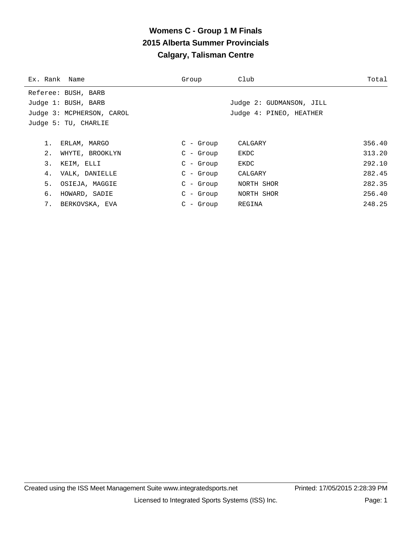# **Womens C - Group 1 M Finals 2015 Alberta Summer Provincials Calgary, Talisman Centre**

| Ex. Rank Name             | Group       | Club                     | Total  |
|---------------------------|-------------|--------------------------|--------|
| Referee: BUSH, BARB       |             |                          |        |
| Judge 1: BUSH, BARB       |             | Judge 2: GUDMANSON, JILL |        |
| Judge 3: MCPHERSON, CAROL |             | Judge 4: PINEO, HEATHER  |        |
| Judge 5: TU, CHARLIE      |             |                          |        |
|                           |             |                          |        |
| ERLAM, MARGO              | $C - Grow$  | CALGARY                  | 356.40 |
| 2.<br>WHYTE, BROOKLYN     | $C - Grow$  | EKDC                     | 313.20 |
| 3.<br>KEIM, ELLI          | $C - Grow$  | EKDC                     | 292.10 |
| VALK, DANIELLE<br>4.      | $C - Grow$  | CALGARY                  | 282.45 |
| 5.<br>OSIEJA, MAGGIE      | $C - Group$ | NORTH SHOR               | 282.35 |
| б.<br>HOWARD, SADIE       | $C$ - Group | NORTH SHOR               | 256.40 |
| 7.<br>BERKOVSKA, EVA      | $C - Grow$  | REGINA                   | 248.25 |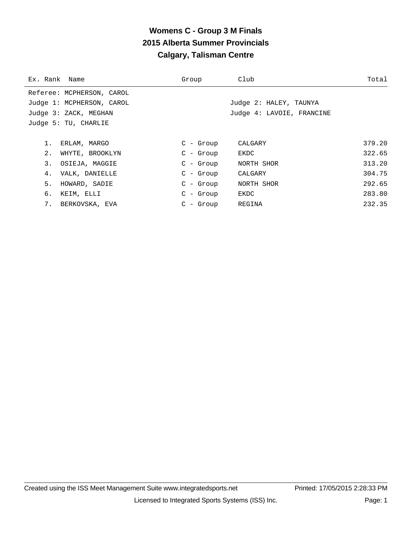# **Womens C - Group 3 M Finals 2015 Alberta Summer Provincials Calgary, Talisman Centre**

| Ex. Rank Name |                           | Group       | Club                      | Total  |
|---------------|---------------------------|-------------|---------------------------|--------|
|               | Referee: MCPHERSON, CAROL |             |                           |        |
|               | Judge 1: MCPHERSON, CAROL |             | Judge 2: HALEY, TAUNYA    |        |
|               | Judge 3: ZACK, MEGHAN     |             | Judge 4: LAVOIE, FRANCINE |        |
|               | Judge 5: TU, CHARLIE      |             |                           |        |
|               |                           |             |                           |        |
| $1$ .         | ERLAM, MARGO              | $C - Grow$  | CALGARY                   | 379.20 |
| 2.            | WHYTE, BROOKLYN           | $C - Grow$  | EKDC                      | 322.65 |
| 3.            | OSIEJA, MAGGIE            | $C - Grow$  | NORTH SHOR                | 313.20 |
| 4.            | VALK, DANIELLE            | $C - Grow$  | CALGARY                   | 304.75 |
| 5.            | HOWARD, SADIE             | $C - Grow$  | NORTH SHOR                | 292.65 |
| б.            | KEIM, ELLI                | $C$ - Group | EKDC                      | 283.80 |
| 7.            | BERKOVSKA, EVA            | $C - Grow$  | REGINA                    | 232.35 |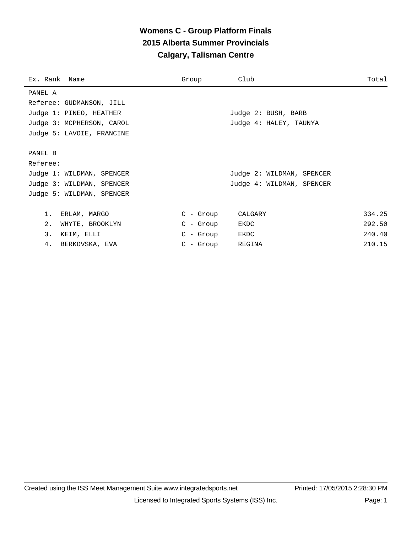# **Womens C - Group Platform Finals 2015 Alberta Summer Provincials Calgary, Talisman Centre**

| Ex. Rank Name             | Group      | Club                      | Total  |
|---------------------------|------------|---------------------------|--------|
| PANEL A                   |            |                           |        |
| Referee: GUDMANSON, JILL  |            |                           |        |
| Judge 1: PINEO, HEATHER   |            | Judge 2: BUSH, BARB       |        |
| Judge 3: MCPHERSON, CAROL |            | Judge 4: HALEY, TAUNYA    |        |
| Judge 5: LAVOIE, FRANCINE |            |                           |        |
|                           |            |                           |        |
| PANEL B                   |            |                           |        |
| Referee:                  |            |                           |        |
| Judge 1: WILDMAN, SPENCER |            | Judge 2: WILDMAN, SPENCER |        |
| Judge 3: WILDMAN, SPENCER |            | Judge 4: WILDMAN, SPENCER |        |
| Judge 5: WILDMAN, SPENCER |            |                           |        |
|                           |            |                           |        |
| $1$ .<br>ERLAM, MARGO     | C - Group  | CALGARY                   | 334.25 |
| 2.<br>WHYTE, BROOKLYN     | C - Group  | EKDC                      | 292.50 |
| 3.<br>KEIM, ELLI          | C - Group  | EKDC                      | 240.40 |
| 4.<br>BERKOVSKA, EVA      | $C - Grow$ | REGINA                    | 210.15 |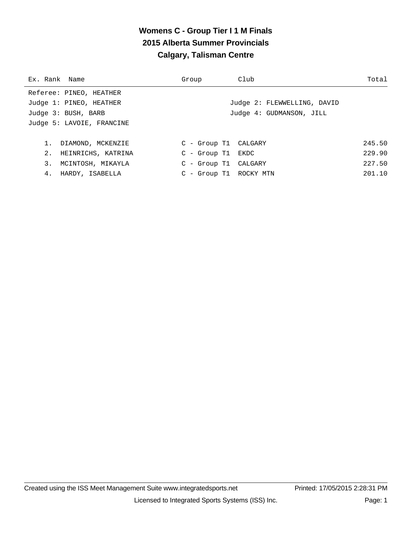# **Womens C - Group Tier I 1 M Finals 2015 Alberta Summer Provincials Calgary, Talisman Centre**

| Ex. Rank Name             | Group               | Club                        | Total  |
|---------------------------|---------------------|-----------------------------|--------|
| Referee: PINEO, HEATHER   |                     |                             |        |
| Judge 1: PINEO, HEATHER   |                     | Judge 2: FLEWWELLING, DAVID |        |
| Judge 3: BUSH, BARB       |                     | Judge 4: GUDMANSON, JILL    |        |
| Judge 5: LAVOIE, FRANCINE |                     |                             |        |
|                           |                     |                             |        |
| 1. DIAMOND, MCKENZIE      |                     | C - Group T1 CALGARY        | 245.50 |
| 2. HEINRICHS, KATRINA     | $C - Group T1$ EKDC |                             | 229.90 |
| 3. MCINTOSH, MIKAYLA      |                     | C - Group T1 CALGARY        | 227.50 |
| 4. HARDY, ISABELLA        |                     | C - Group T1 ROCKY MTN      | 201.10 |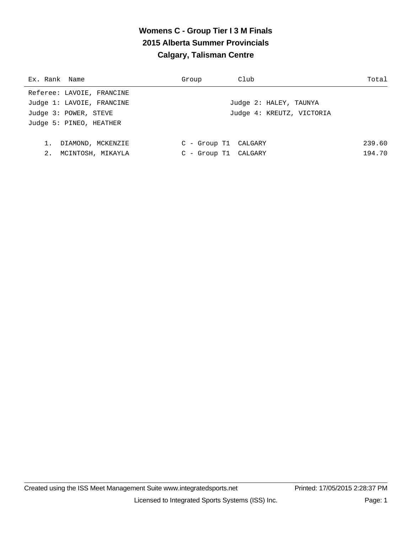# **Womens C - Group Tier I 3 M Finals 2015 Alberta Summer Provincials Calgary, Talisman Centre**

| Group | Club | Total                                                                                               |
|-------|------|-----------------------------------------------------------------------------------------------------|
|       |      |                                                                                                     |
|       |      |                                                                                                     |
|       |      |                                                                                                     |
|       |      |                                                                                                     |
|       |      |                                                                                                     |
|       |      | 239.60                                                                                              |
|       |      | 194.70                                                                                              |
|       |      | Judge 2: HALEY, TAUNYA<br>Judge 4: KREUTZ, VICTORIA<br>C - Group T1 CALGARY<br>C - Group T1 CALGARY |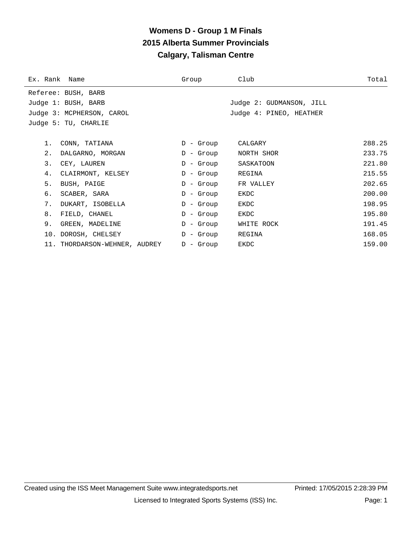# **Womens D - Group 1 M Finals 2015 Alberta Summer Provincials Calgary, Talisman Centre**

| Ex. Rank Name |                               | Group       | Club                     | Total  |
|---------------|-------------------------------|-------------|--------------------------|--------|
|               | Referee: BUSH, BARB           |             |                          |        |
|               | Judge 1: BUSH, BARB           |             | Judge 2: GUDMANSON, JILL |        |
|               | Judge 3: MCPHERSON, CAROL     |             | Judge 4: PINEO, HEATHER  |        |
|               | Judge 5: TU, CHARLIE          |             |                          |        |
|               |                               |             |                          |        |
| $1$ .         | CONN, TATIANA                 | D - Group   | CALGARY                  | 288.25 |
| 2.            | DALGARNO, MORGAN              | D - Group   | NORTH SHOR               | 233.75 |
| 3.            | CEY, LAUREN                   | D - Group   | SASKATOON                | 221.80 |
| 4.            | CLAIRMONT, KELSEY             | $D -$ Group | REGINA                   | 215.55 |
| 5.            | BUSH, PAIGE                   | $D -$ Group | FR VALLEY                | 202.65 |
| б.            | SCABER, SARA                  | D - Group   | EKDC                     | 200.00 |
| 7.            | DUKART, ISOBELLA              | $D -$ Group | EKDC                     | 198.95 |
| 8.            | FIELD, CHANEL                 | D - Group   | EKDC                     | 195.80 |
| 9.            | GREEN, MADELINE               | D - Group   | WHITE ROCK               | 191.45 |
|               | 10. DOROSH, CHELSEY           | D - Group   | REGINA                   | 168.05 |
|               | 11. THORDARSON-WEHNER, AUDREY | $D -$ Group | EKDC                     | 159.00 |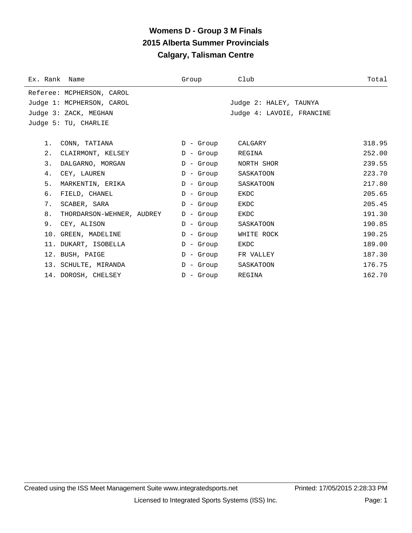# **Womens D - Group 3 M Finals 2015 Alberta Summer Provincials Calgary, Talisman Centre**

| Ex. Rank Name |                           | Group       | Club                      | Total  |
|---------------|---------------------------|-------------|---------------------------|--------|
|               | Referee: MCPHERSON, CAROL |             |                           |        |
|               | Judge 1: MCPHERSON, CAROL |             | Judge 2: HALEY, TAUNYA    |        |
|               | Judge 3: ZACK, MEGHAN     |             | Judge 4: LAVOIE, FRANCINE |        |
|               | Judge 5: TU, CHARLIE      |             |                           |        |
|               |                           |             |                           |        |
| 1.            | CONN, TATIANA             | D - Group   | CALGARY                   | 318.95 |
| $2$ .         | CLAIRMONT, KELSEY         | $D -$ Group | REGINA                    | 252.00 |
| 3.            | DALGARNO, MORGAN          | D - Group   | NORTH SHOR                | 239.55 |
| 4.            | CEY, LAUREN               | $D -$ Group | SASKATOON                 | 223.70 |
| 5.            | MARKENTIN, ERIKA          | $D -$ Group | SASKATOON                 | 217.80 |
| б.            | FIELD, CHANEL             | $D -$ Group | <b>EKDC</b>               | 205.65 |
| 7.            | SCABER, SARA              | $D -$ Group | EKDC                      | 205.45 |
| 8.            | THORDARSON-WEHNER, AUDREY | $D -$ Group | EKDC                      | 191.30 |
| 9.            | CEY, ALISON               | $D -$ Group | SASKATOON                 | 190.85 |
|               | 10. GREEN, MADELINE       | $D -$ Group | WHITE ROCK                | 190.25 |
|               | 11. DUKART, ISOBELLA      | $D -$ Group | EKDC                      | 189.00 |
|               | 12. BUSH, PAIGE           | D - Group   | FR VALLEY                 | 187.30 |
|               | 13. SCHULTE, MIRANDA      | $D -$ Group | SASKATOON                 | 176.75 |
|               | 14. DOROSH, CHELSEY       | $D -$ Group | REGINA                    | 162.70 |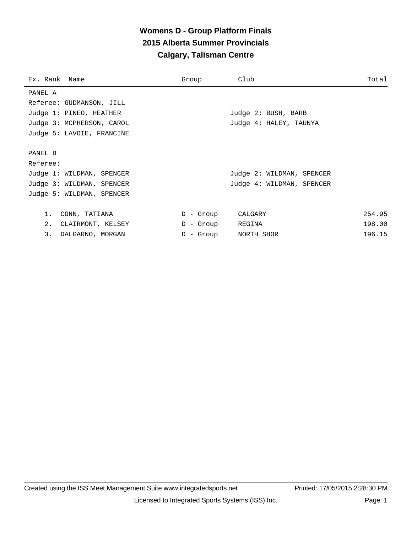# **Womens D - Group Platform Finals 2015 Alberta Summer Provincials Calgary, Talisman Centre**

| Ex. Rank Name             | Group            | Club                      | Total  |
|---------------------------|------------------|---------------------------|--------|
| PANEL A                   |                  |                           |        |
| Referee: GUDMANSON, JILL  |                  |                           |        |
| Judge 1: PINEO, HEATHER   |                  | Judge 2: BUSH, BARB       |        |
| Judge 3: MCPHERSON, CAROL |                  | Judge 4: HALEY, TAUNYA    |        |
| Judge 5: LAVOIE, FRANCINE |                  |                           |        |
|                           |                  |                           |        |
| PANEL B                   |                  |                           |        |
| Referee:                  |                  |                           |        |
| Judge 1: WILDMAN, SPENCER |                  | Judge 2: WILDMAN, SPENCER |        |
| Judge 3: WILDMAN, SPENCER |                  | Judge 4: WILDMAN, SPENCER |        |
| Judge 5: WILDMAN, SPENCER |                  |                           |        |
|                           |                  |                           |        |
| 1.<br>CONN, TATIANA       | D - Group        | CALGARY                   | 254.95 |
| 2.<br>CLAIRMONT, KELSEY   | D - Group REGINA |                           | 198.00 |
| 3.<br>DALGARNO, MORGAN    | - Group<br>D     | NORTH SHOR                | 196.15 |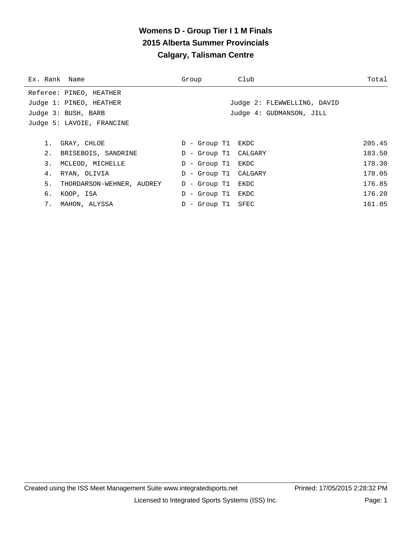# **Womens D - Group Tier I 1 M Finals 2015 Alberta Summer Provincials Calgary, Talisman Centre**

| Ex. Rank Name |                           | Group                | Club                        | Total  |
|---------------|---------------------------|----------------------|-----------------------------|--------|
|               | Referee: PINEO, HEATHER   |                      |                             |        |
|               | Judge 1: PINEO, HEATHER   |                      | Judge 2: FLEWWELLING, DAVID |        |
|               | Judge 3: BUSH, BARB       |                      | Judge 4: GUDMANSON, JILL    |        |
|               | Judge 5: LAVOIE, FRANCINE |                      |                             |        |
|               |                           |                      |                             |        |
|               | GRAY, CHLOE               | D - Group T1 EKDC    |                             | 205.45 |
| 2.            | BRISEBOIS, SANDRINE       | D - Group T1 CALGARY |                             | 183.50 |
| 3.            | MCLEOD, MICHELLE          | D - Group T1 EKDC    |                             | 178.30 |
| 4.            | RYAN, OLIVIA              | D - Group T1 CALGARY |                             | 178.05 |
| 5.            | THORDARSON-WEHNER, AUDREY | D - Group T1         | EKDC                        | 176.85 |
| б.            | KOOP, ISA                 | D - Group T1 EKDC    |                             | 176.20 |
|               | 7. MAHON, ALYSSA          | D - Group T1 SFEC    |                             | 161.05 |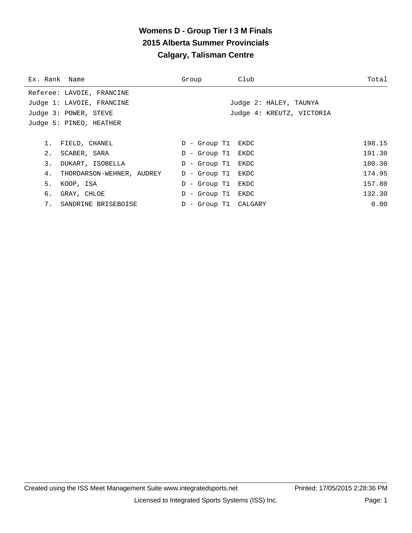# **Womens D - Group Tier I 3 M Finals 2015 Alberta Summer Provincials Calgary, Talisman Centre**

| Ex. Rank Name |                           | Group                | Club | Total                     |  |
|---------------|---------------------------|----------------------|------|---------------------------|--|
|               | Referee: LAVOIE, FRANCINE |                      |      |                           |  |
|               | Judge 1: LAVOIE, FRANCINE |                      |      | Judge 2: HALEY, TAUNYA    |  |
|               | Judge 3: POWER, STEVE     |                      |      | Judge 4: KREUTZ, VICTORIA |  |
|               | Judge 5: PINEO, HEATHER   |                      |      |                           |  |
|               |                           |                      |      |                           |  |
|               | FIELD, CHANEL             | D - Group T1 EKDC    |      | 198.15                    |  |
| 2.            | SCABER, SARA              | - Group T1 EKDC<br>D |      | 191.30                    |  |
| 3.            | DUKART, ISOBELLA          | - Group Tl<br>D      | EKDC | 180.30                    |  |
| 4.            | THORDARSON-WEHNER, AUDREY | D - Group T1         | EKDC | 174.95                    |  |
| 5.            | KOOP, ISA                 | - Group Tl<br>D      | EKDC | 157.80                    |  |
| б.            | GRAY, CHLOE               | - Group T1 EKDC<br>D |      | 132.30                    |  |
| 7.            | SANDRINE BRISEBOISE       | D - Group T1 CALGARY |      | 0.00                      |  |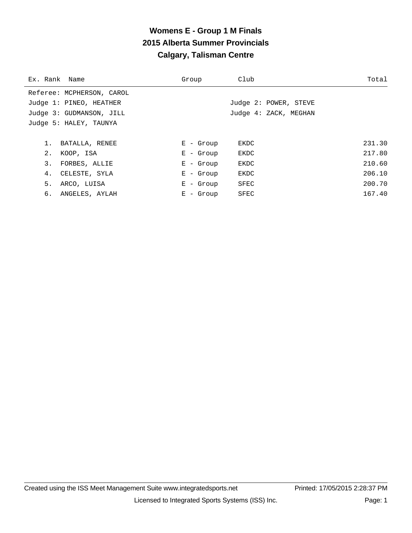# **Womens E - Group 1 M Finals 2015 Alberta Summer Provincials Calgary, Talisman Centre**

| Ex. Rank Name |                           | Group       | Club                  | Total  |
|---------------|---------------------------|-------------|-----------------------|--------|
|               | Referee: MCPHERSON, CAROL |             |                       |        |
|               | Judge 1: PINEO, HEATHER   |             | Judge 2: POWER, STEVE |        |
|               | Judge 3: GUDMANSON, JILL  |             | Judge 4: ZACK, MEGHAN |        |
|               | Judge 5: HALEY, TAUNYA    |             |                       |        |
|               |                           |             |                       |        |
| 1.            | BATALLA, RENEE            | $E -$ Group | EKDC                  | 231.30 |
| 2.            | KOOP, ISA                 | $E - Grow$  | EKDC                  | 217.80 |
| 3.            | FORBES, ALLIE             | $E -$ Group | EKDC                  | 210.60 |
| 4.            | CELESTE, SYLA             | $E -$ Group | EKDC                  | 206.10 |
| 5.            | ARCO, LUISA               | $E -$ Group | SFEC                  | 200.70 |
| 6.            | ANGELES, AYLAH            | $E -$ Group | SFEC                  | 167.40 |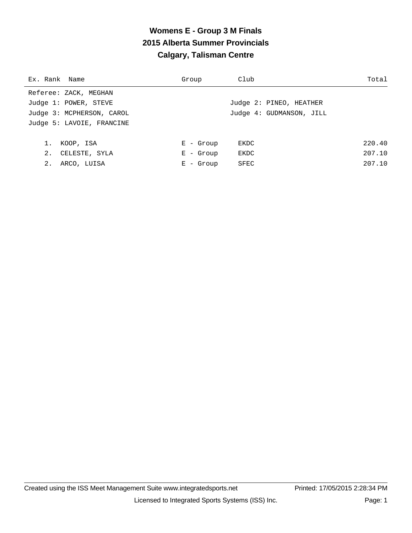# **Womens E - Group 3 M Finals 2015 Alberta Summer Provincials Calgary, Talisman Centre**

| Ex. Rank Name             | Group         | Club                     | Total  |
|---------------------------|---------------|--------------------------|--------|
| Referee: ZACK, MEGHAN     |               |                          |        |
| Judge 1: POWER, STEVE     |               | Judge 2: PINEO, HEATHER  |        |
| Judge 3: MCPHERSON, CAROL |               | Judge 4: GUDMANSON, JILL |        |
| Judge 5: LAVOIE, FRANCINE |               |                          |        |
|                           |               |                          |        |
| 1.<br>KOOP, ISA           | $E -$ Group   | EKDC                     | 220.40 |
| 2.<br>CELESTE, SYLA       | $E -$ Group   | EKDC                     | 207.10 |
| 2.<br>ARCO, LUISA         | - Group<br>Е. | SFEC                     | 207.10 |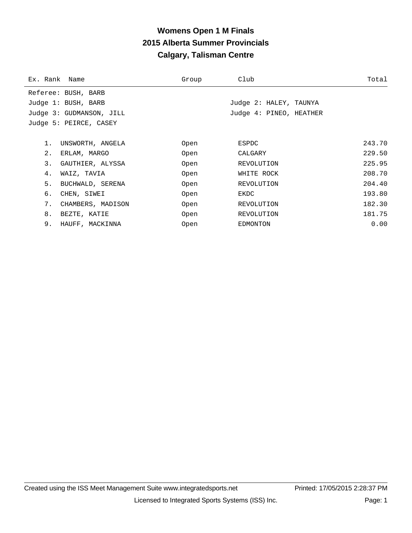# **Womens Open 1 M Finals 2015 Alberta Summer Provincials Calgary, Talisman Centre**

| Ex. Rank Name |                          | Group | Club                    | Total  |
|---------------|--------------------------|-------|-------------------------|--------|
|               | Referee: BUSH, BARB      |       |                         |        |
|               | Judge 1: BUSH, BARB      |       | Judge 2: HALEY, TAUNYA  |        |
|               | Judge 3: GUDMANSON, JILL |       | Judge 4: PINEO, HEATHER |        |
|               | Judge 5: PEIRCE, CASEY   |       |                         |        |
|               |                          |       |                         |        |
| $1$ .         | UNSWORTH, ANGELA         | Open  | ESPDC                   | 243.70 |
| 2.            | ERLAM, MARGO             | Open  | CALGARY                 | 229.50 |
| 3.            | GAUTHIER, ALYSSA         | Open  | REVOLUTION              | 225.95 |
| 4.            | WAIZ, TAVIA              | Open  | WHITE ROCK              | 208.70 |
| 5.            | BUCHWALD, SERENA         | Open  | REVOLUTION              | 204.40 |
| б.            | CHEN, SIWEI              | Open  | EKDC                    | 193.80 |
| 7.            | CHAMBERS, MADISON        | Open  | REVOLUTION              | 182.30 |
| 8.            | BEZTE, KATIE             | Open  | REVOLUTION              | 181.75 |
| 9.            | HAUFF, MACKINNA          | Open  | EDMONTON                | 0.00   |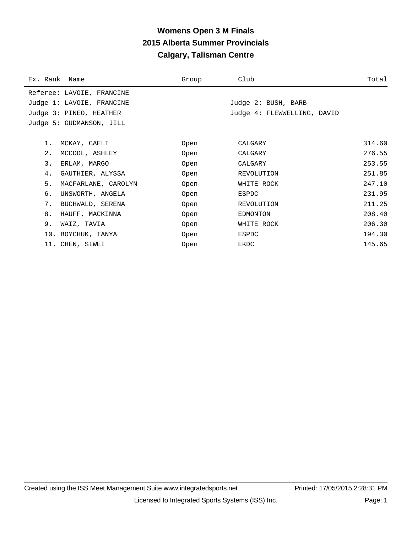# **Womens Open 3 M Finals 2015 Alberta Summer Provincials Calgary, Talisman Centre**

| Ex. Rank Name |                           | Group | Club                        | Total  |
|---------------|---------------------------|-------|-----------------------------|--------|
|               | Referee: LAVOIE, FRANCINE |       |                             |        |
|               | Judge 1: LAVOIE, FRANCINE |       | Judge 2: BUSH, BARB         |        |
|               | Judge 3: PINEO, HEATHER   |       | Judge 4: FLEWWELLING, DAVID |        |
|               | Judge 5: GUDMANSON, JILL  |       |                             |        |
|               |                           |       |                             |        |
| 1.            | MCKAY, CAELI              | Open  | CALGARY                     | 314.60 |
| $2$ .         | MCCOOL, ASHLEY            | Open  | CALGARY                     | 276.55 |
| 3.            | ERLAM, MARGO              | Open  | CALGARY                     | 253.55 |
| 4.            | GAUTHIER, ALYSSA          | Open  | REVOLUTION                  | 251.85 |
| 5.            | MACFARLANE, CAROLYN       | Open  | WHITE ROCK                  | 247.10 |
| б.            | UNSWORTH, ANGELA          | Open  | ESPDC                       | 231.95 |
| 7.            | BUCHWALD, SERENA          | Open  | REVOLUTION                  | 211.25 |
| 8.            | HAUFF, MACKINNA           | Open  | EDMONTON                    | 208.40 |
| 9.            | WAIZ, TAVIA               | Open  | WHITE ROCK                  | 206.30 |
|               | 10. BOYCHUK, TANYA        | Open  | ESPDC                       | 194.30 |
|               | 11. CHEN, SIWEI           | Open  | EKDC                        | 145.65 |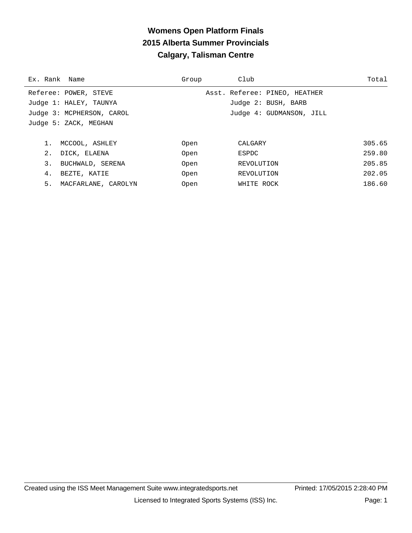# **Womens Open Platform Finals 2015 Alberta Summer Provincials Calgary, Talisman Centre**

| Ex. Rank Name             | Group | Club                          | Total  |
|---------------------------|-------|-------------------------------|--------|
| Referee: POWER, STEVE     |       | Asst. Referee: PINEO, HEATHER |        |
| Judge 1: HALEY, TAUNYA    |       | Judge 2: BUSH, BARB           |        |
| Judge 3: MCPHERSON, CAROL |       | Judge 4: GUDMANSON, JILL      |        |
| Judge 5: ZACK, MEGHAN     |       |                               |        |
|                           |       |                               |        |
| MCCOOL, ASHLEY            | Open  | CALGARY                       | 305.65 |
| 2.<br>DICK, ELAENA        | Open  | ESPDC                         | 259.80 |
| 3.<br>BUCHWALD, SERENA    | Open  | REVOLUTION                    | 205.85 |
| 4.<br>BEZTE, KATIE        | Open  | REVOLUTION                    | 202.05 |
| 5.<br>MACFARLANE, CAROLYN | Open  | WHITE ROCK                    | 186.60 |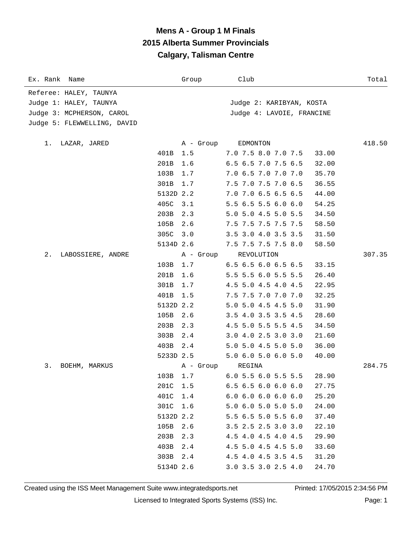# **Mens A - Group 1 M Finals 2015 Alberta Summer Provincials Calgary, Talisman Centre**

| Ex. Rank Name               |           | Group     | Club                      | Total  |
|-----------------------------|-----------|-----------|---------------------------|--------|
| Referee: HALEY, TAUNYA      |           |           |                           |        |
| Judge 1: HALEY, TAUNYA      |           |           | Judge 2: KARIBYAN, KOSTA  |        |
| Judge 3: MCPHERSON, CAROL   |           |           | Judge 4: LAVOIE, FRANCINE |        |
| Judge 5: FLEWWELLING, DAVID |           |           |                           |        |
|                             |           |           |                           |        |
| LAZAR, JARED<br>1.          |           | A - Group | EDMONTON                  | 418.50 |
|                             | 401B      | 1.5       | 7.0 7.5 8.0 7.0 7.5       | 33.00  |
|                             | 201B      | 1.6       | 6.5 6.5 7.0 7.5 6.5       | 32.00  |
|                             | 103B      | 1.7       | 7.0 6.5 7.0 7.0 7.0       | 35.70  |
|                             | 301B      | 1.7       | 7.5 7.0 7.5 7.0 6.5       | 36.55  |
|                             | 5132D 2.2 |           | 7.0 7.0 6.5 6.5 6.5       | 44.00  |
|                             | 405C      | 3.1       | 5.5 6.5 5.5 6.0 6.0       | 54.25  |
|                             | 203B      | 2.3       | 5.0 5.0 4.5 5.0 5.5       | 34.50  |
|                             | 105B      | 2.6       | 7.5 7.5 7.5 7.5 7.5       | 58.50  |
|                             | 305C 3.0  |           | 3.5 3.0 4.0 3.5 3.5       | 31.50  |
|                             | 5134D 2.6 |           | 7.5 7.5 7.5 7.5 8.0       | 58.50  |
| 2.<br>LABOSSIERE, ANDRE     |           | A - Group | REVOLUTION                | 307.35 |
|                             | 103B      | 1.7       | 6.5 6.5 6.0 6.5 6.5       | 33.15  |
|                             | 201B      | 1.6       | 5.5 5.5 6.0 5.5 5.5       | 26.40  |
|                             | 301B      | 1.7       | 4.5 5.0 4.5 4.0 4.5       | 22.95  |
|                             | 401B      | 1.5       | 7.5 7.5 7.0 7.0 7.0       | 32.25  |
|                             | 5132D 2.2 |           | 5.0 5.0 4.5 4.5 5.0       | 31.90  |
|                             | 105B      | 2.6       | 3.5 4.0 3.5 3.5 4.5       | 28.60  |
|                             | 203B      | 2.3       | 4.5 5.0 5.5 5.5 4.5       | 34.50  |
|                             | 303B      | 2.4       | 3.0 4.0 2.5 3.0 3.0       | 21.60  |
|                             | 403B      | 2.4       | 5.0 5.0 4.5 5.0 5.0       | 36.00  |
|                             | 5233D 2.5 |           | 5.06.05.06.05.0           | 40.00  |
| 3.<br>BOEHM, MARKUS         |           | A - Group | REGINA                    | 284.75 |
|                             | 103B      | 1.7       | 6.0 5.5 6.0 5.5 5.5       | 28.90  |
|                             | 201C      | 1.5       | 6.56.56.06.06.0           | 27.75  |
|                             | 401C      | 1.4       | 6.06.06.06.06.0           | 25.20  |
|                             | 301C      | 1.6       | 5.0 6.0 5.0 5.0 5.0       | 24.00  |
|                             | 5132D 2.2 |           | 5.5 6.5 5.0 5.5 6.0       | 37.40  |
|                             | 105B      | 2.6       | 3.5 2.5 2.5 3.0 3.0       | 22.10  |
|                             | 203B      | 2.3       | 4.5 4.0 4.5 4.0 4.5       | 29.90  |
|                             | 403B      | 2.4       | 4.5 5.0 4.5 4.5 5.0       | 33.60  |
|                             | 303B      | 2.4       | 4.5 4.0 4.5 3.5 4.5       | 31.20  |
|                             | 5134D 2.6 |           | 3.0 3.5 3.0 2.5 4.0       | 24.70  |
|                             |           |           |                           |        |

Created using the ISS Meet Management Suite www.integratedsports.net Printed: 17/05/2015 2:34:56 PM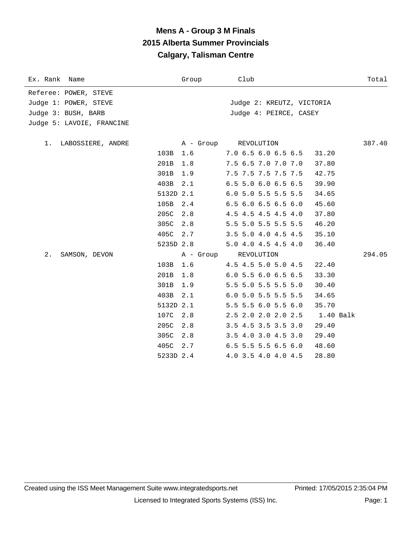# **Mens A - Group 3 M Finals 2015 Alberta Summer Provincials Calgary, Talisman Centre**

| Ex. Rank Name                                                                                      |                   | Group      | Club                                                 |                | Total  |
|----------------------------------------------------------------------------------------------------|-------------------|------------|------------------------------------------------------|----------------|--------|
| Referee: POWER, STEVE<br>Judge 1: POWER, STEVE<br>Judge 3: BUSH, BARB<br>Judge 5: LAVOIE, FRANCINE |                   |            | Judge 2: KREUTZ, VICTORIA<br>Judge 4: PEIRCE, CASEY  |                |        |
| LABOSSIERE, ANDRE<br>1.                                                                            | 103B              | 1.6        | A - Group REVOLUTION<br>$7.0$ 6.5 6.0 6.5 6.5        | 31.20          | 387.40 |
|                                                                                                    | 201B<br>301B      | 1.8<br>1.9 | 7.5 6.5 7.0 7.0 7.0<br>7.5 7.5 7.5 7.5 7.5           | 37.80<br>42.75 |        |
|                                                                                                    | 403B<br>5132D 2.1 | 2.1        | 6.5 5.0 6.0 6.5 6.5<br>$6.0$ 5.0 5.5 5.5 5.5         | 39.90<br>34.65 |        |
|                                                                                                    | 105B<br>205C      | 2.4<br>2.8 | $6.5$ $6.0$ $6.5$ $6.5$ $6.0$<br>4.5 4.5 4.5 4.5 4.0 | 45.60<br>37.80 |        |
|                                                                                                    | 305C<br>405C 2.7  | 2.8        | 5.5 5.0 5.5 5.5 5.5<br>3.5 5.0 4.0 4.5 4.5           | 46.20<br>35.10 |        |
| $2$ .<br>SAMSON, DEVON                                                                             | 5235D 2.8         | A - Group  | 5.0 4.0 4.5 4.5 4.0<br>REVOLUTION                    | 36.40          | 294.05 |
|                                                                                                    | 103B<br>201B      | 1.6<br>1.8 | 4.5 4.5 5.0 5.0 4.5<br>6.0 5.5 6.0 6.5 6.5           | 22.40<br>33.30 |        |
|                                                                                                    | 301B<br>403B      | 1.9<br>2.1 | 5.5 5.0 5.5 5.5 5.0<br>6.0 5.0 5.5 5.5 5.5           | 30.40<br>34.65 |        |
|                                                                                                    | 5132D 2.1         |            | 5.5 5.5 6.0 5.5 6.0                                  | 35.70          |        |
|                                                                                                    | 107C<br>205C      | 2.8<br>2.8 | 2.5 2.0 2.0 2.0 2.5 1.40 Balk<br>3.5 4.5 3.5 3.5 3.0 | 29.40          |        |
|                                                                                                    | 305C<br>405C      | 2.8<br>2.7 | 3.5 4.0 3.0 4.5 3.0<br>$6.5$ 5.5 5.5 6.5 6.0         | 29.40<br>48.60 |        |
|                                                                                                    | 5233D 2.4         |            | 4.0 3.5 4.0 4.0 4.5                                  | 28.80          |        |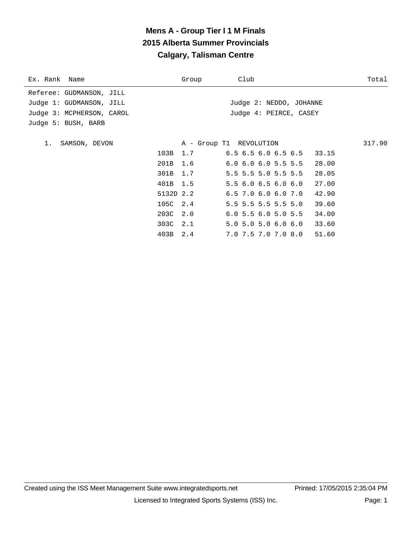# **Mens A - Group Tier I 1 M Finals 2015 Alberta Summer Provincials Calgary, Talisman Centre**

|      | Group | Club                                                                                |                                                                                                                                                                                                                                           | Total                                                                                      |
|------|-------|-------------------------------------------------------------------------------------|-------------------------------------------------------------------------------------------------------------------------------------------------------------------------------------------------------------------------------------------|--------------------------------------------------------------------------------------------|
|      |       |                                                                                     |                                                                                                                                                                                                                                           |                                                                                            |
|      |       |                                                                                     |                                                                                                                                                                                                                                           |                                                                                            |
|      |       |                                                                                     |                                                                                                                                                                                                                                           |                                                                                            |
|      |       |                                                                                     |                                                                                                                                                                                                                                           |                                                                                            |
|      |       |                                                                                     |                                                                                                                                                                                                                                           |                                                                                            |
|      |       |                                                                                     |                                                                                                                                                                                                                                           | 317.90                                                                                     |
| 103B |       |                                                                                     |                                                                                                                                                                                                                                           |                                                                                            |
|      |       |                                                                                     | 28.00                                                                                                                                                                                                                                     |                                                                                            |
| 301B |       |                                                                                     | 28.05                                                                                                                                                                                                                                     |                                                                                            |
|      |       |                                                                                     | 27.00                                                                                                                                                                                                                                     |                                                                                            |
|      |       |                                                                                     | 42.90                                                                                                                                                                                                                                     |                                                                                            |
|      |       |                                                                                     | 39.60                                                                                                                                                                                                                                     |                                                                                            |
|      |       |                                                                                     | 34.00                                                                                                                                                                                                                                     |                                                                                            |
|      |       |                                                                                     | 33.60                                                                                                                                                                                                                                     |                                                                                            |
| 403B | 2.4   |                                                                                     | 51.60                                                                                                                                                                                                                                     |                                                                                            |
|      |       | 1.7<br>201B 1.6<br>1.7<br>401B 1.5<br>5132D 2.2<br>105C 2.4<br>203C 2.0<br>303C 2.1 | A - Group T1 REVOLUTION<br>$6.0$ $6.0$ $6.0$ $5.5$ $5.5$<br>5.5 5.5 5.0 5.5 5.5<br>5.56.06.56.06.0<br>$6.5$ 7.0 $6.0$ $6.0$ 7.0<br>5.5 5.5 5.5 5.5 5.0<br>$6.0$ 5.5 $6.0$ 5.0 5.5<br>$5.0$ $5.0$ $5.0$ $6.0$ $6.0$<br>7.0 7.5 7.0 7.0 8.0 | Judge 2: NEDDO, JOHANNE<br>Judge 4: PEIRCE, CASEY<br>$6.5$ $6.5$ $6.0$ $6.5$ $6.5$ $33.15$ |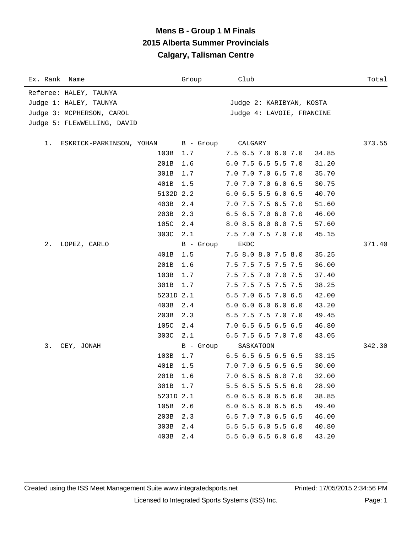### **Mens B - Group 1 M Finals 2015 Alberta Summer Provincials Calgary, Talisman Centre**

| Ex. Rank Name                  |           | Group     | Club                      | Total  |
|--------------------------------|-----------|-----------|---------------------------|--------|
| Referee: HALEY, TAUNYA         |           |           |                           |        |
| Judge 1: HALEY, TAUNYA         |           |           | Judge 2: KARIBYAN, KOSTA  |        |
| Judge 3: MCPHERSON, CAROL      |           |           | Judge 4: LAVOIE, FRANCINE |        |
| Judge 5: FLEWWELLING, DAVID    |           |           |                           |        |
|                                |           |           |                           |        |
| ESKRICK-PARKINSON, YOHAN<br>1. |           | B - Group | CALGARY                   | 373.55 |
|                                | 103B 1.7  |           | 7.5 6.5 7.0 6.0 7.0       | 34.85  |
|                                | 201B      | 1.6       | 6.0 7.5 6.5 5.5 7.0       | 31.20  |
|                                | 301B      | 1.7       | 7.0 7.0 7.0 6.5 7.0       | 35.70  |
|                                | 401B      | 1.5       | 7.0 7.0 7.0 6.0 6.5       | 30.75  |
|                                | 5132D 2.2 |           | $6.0$ 6.5 5.5 6.0 6.5     | 40.70  |
|                                | 403B      | 2.4       | 7.0 7.5 7.5 6.5 7.0       | 51.60  |
|                                | 203B      | 2.3       | 6.5 6.5 7.0 6.0 7.0       | 46.00  |
|                                | 105C      | 2.4       | 8.0 8.5 8.0 8.0 7.5       | 57.60  |
|                                | 303C      | 2.1       | 7.5 7.0 7.5 7.0 7.0       | 45.15  |
| 2.<br>LOPEZ, CARLO             |           | B - Group | EKDC                      | 371.40 |
|                                | 401B      | 1.5       | 7.5 8.0 8.0 7.5 8.0       | 35.25  |
|                                | 201B      | 1.6       | 7.5 7.5 7.5 7.5 7.5       | 36.00  |
|                                | 103B      | 1.7       | 7.5 7.5 7.0 7.0 7.5       | 37.40  |
|                                | 301B      | 1.7       | 7.5 7.5 7.5 7.5 7.5       | 38.25  |
|                                | 5231D 2.1 |           | 6.5 7.0 6.5 7.0 6.5       | 42.00  |
|                                | 403B      | 2.4       | 6.06.06.06.06.0           | 43.20  |
|                                | 203B      | 2.3       | 6.5 7.5 7.5 7.0 7.0       | 49.45  |
|                                | 105C      | 2.4       | 7.0 6.5 6.5 6.5 6.5       | 46.80  |
|                                | 303C      | 2.1       | 6.5 7.5 6.5 7.0 7.0       | 43.05  |
| 3.<br>CEY, JONAH               |           | B - Group | SASKATOON                 | 342.30 |
|                                | 103B      | 1.7       | $6.5$ 6.5 6.5 6.5 6.5     | 33.15  |
|                                | 401B      | 1.5       | 7.0 7.0 6.5 6.5 6.5       | 30.00  |
|                                | 201B      | 1.6       | 7.0 6.5 6.5 6.0 7.0       | 32.00  |
|                                | 301B      | 1.7       | 5.5 6.5 5.5 5.5 6.0       | 28.90  |
|                                | 5231D 2.1 |           | $6.0$ 6.5 6.0 6.5 6.0     | 38.85  |
|                                | 105B      | 2.6       | $6.0$ 6.5 6.0 6.5 6.5     | 49.40  |
|                                | 203B      | 2.3       | $6.5$ 7.0 7.0 6.5 6.5     | 46.00  |
|                                | 303B      | 2.4       | 5.5 5.5 6.0 5.5 6.0       | 40.80  |
|                                | 403B      | 2.4       | 5.5 6.0 6.5 6.0 6.0       | 43.20  |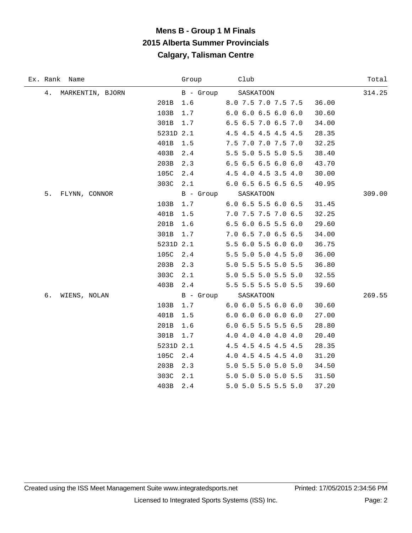## **Mens B - Group 1 M Finals 2015 Alberta Summer Provincials Calgary, Talisman Centre**

| Ex. Rank Name          |           | Group     | Club                          | Total  |
|------------------------|-----------|-----------|-------------------------------|--------|
| 4.<br>MARKENTIN, BJORN |           | B - Group | SASKATOON                     | 314.25 |
|                        | 201B      | 1.6       | 8.0 7.5 7.0 7.5 7.5           | 36.00  |
|                        | 103B      | 1.7       | 6.06.06.56.06.0               | 30.60  |
|                        | 301B      | 1.7       | 6.5 6.5 7.0 6.5 7.0           | 34.00  |
|                        | 5231D 2.1 |           | 4.5 4.5 4.5 4.5 4.5           | 28.35  |
|                        | 401B      | 1.5       | 7.5 7.0 7.0 7.5 7.0           | 32.25  |
|                        | 403B      | 2.4       | 5.5 5.0 5.5 5.0 5.5           | 38.40  |
|                        | 203B      | 2.3       | 6.5 6.5 6.5 6.0 6.0           | 43.70  |
|                        | 105C      | 2.4       | 4.5 4.0 4.5 3.5 4.0           | 30.00  |
|                        | 303C      | 2.1       | 6.0 6.5 6.5 6.5 6.5           | 40.95  |
| 5.<br>FLYNN, CONNOR    |           | B - Group | SASKATOON                     | 309.00 |
|                        | 103B      | 1.7       | 6.0 6.5 5.5 6.0 6.5           | 31.45  |
|                        | 401B      | 1.5       | 7.0 7.5 7.5 7.0 6.5           | 32.25  |
|                        | 201B      | 1.6       | 6.5 6.0 6.5 5.5 6.0           | 29.60  |
|                        | 301B      | 1.7       | 7.0 6.5 7.0 6.5 6.5           | 34.00  |
|                        | 5231D 2.1 |           | 5.5 6.0 5.5 6.0 6.0           | 36.75  |
|                        | 105C      | $2.4$     | 5.5 5.0 5.0 4.5 5.0           | 36.00  |
|                        | 203B      | 2.3       | 5.0 5.5 5.5 5.0 5.5           | 36.80  |
|                        | 303C      | 2.1       | 5.0 5.5 5.0 5.5 5.0           | 32.55  |
|                        | 403B      | 2.4       | 5.5 5.5 5.5 5.0 5.5           | 39.60  |
| б.<br>WIENS, NOLAN     |           | B - Group | SASKATOON                     | 269.55 |
|                        | 103B      | 1.7       | $6.0$ $6.0$ $5.5$ $6.0$ $6.0$ | 30.60  |
|                        | 401B      | 1.5       | 6.06.06.06.06.0               | 27.00  |
|                        | 201B      | 1.6       | 6.0 6.5 5.5 5.5 6.5           | 28.80  |
|                        | 301B      | 1.7       | 4.0 4.0 4.0 4.0 4.0           | 20.40  |
|                        | 5231D 2.1 |           | 4.5 4.5 4.5 4.5 4.5           | 28.35  |
|                        | 105C      | 2.4       | 4.0 4.5 4.5 4.5 4.0           | 31.20  |
|                        | 203B      | 2.3       | 5.0 5.5 5.0 5.0 5.0           | 34.50  |
|                        | 303C      | 2.1       | 5.0 5.0 5.0 5.0 5.5           | 31.50  |
|                        | 403B      | 2.4       | 5.0 5.0 5.5 5.5 5.0           | 37.20  |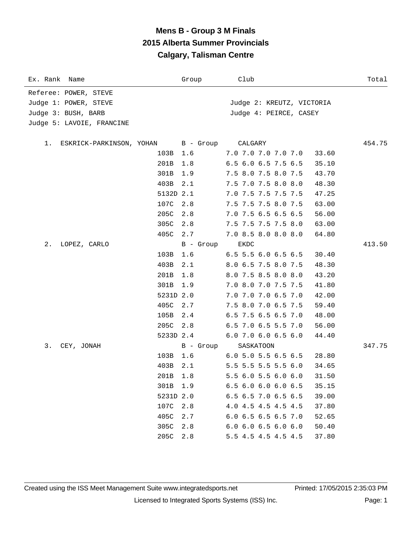### **Mens B - Group 3 M Finals 2015 Alberta Summer Provincials Calgary, Talisman Centre**

| Ex. Rank Name                  |           | Group     | Club                          | Total  |
|--------------------------------|-----------|-----------|-------------------------------|--------|
| Referee: POWER, STEVE          |           |           |                               |        |
| Judge 1: POWER, STEVE          |           |           | Judge 2: KREUTZ, VICTORIA     |        |
| Judge 3: BUSH, BARB            |           |           | Judge 4: PEIRCE, CASEY        |        |
| Judge 5: LAVOIE, FRANCINE      |           |           |                               |        |
|                                |           |           |                               |        |
| ESKRICK-PARKINSON, YOHAN<br>1. |           | B - Group | CALGARY                       | 454.75 |
|                                | 103B 1.6  |           | 7.0 7.0 7.0 7.0 7.0           | 33.60  |
|                                | 201B      | 1.8       | 6.5 6.0 6.5 7.5 6.5           | 35.10  |
|                                | 301B      | 1.9       | 7.5 8.0 7.5 8.0 7.5           | 43.70  |
|                                | 403B      | 2.1       | 7.5 7.0 7.5 8.0 8.0           | 48.30  |
|                                | 5132D 2.1 |           | 7.0 7.5 7.5 7.5 7.5           | 47.25  |
|                                | 107C      | 2.8       | 7.5 7.5 7.5 8.0 7.5           | 63.00  |
|                                | 205C      | 2.8       | 7.0 7.5 6.5 6.5 6.5           | 56.00  |
|                                | 305C      | 2.8       | 7.5 7.5 7.5 7.5 8.0           | 63.00  |
|                                | 405C      | 2.7       | 7.0 8.5 8.0 8.0 8.0           | 64.80  |
| 2.<br>LOPEZ, CARLO             |           | B - Group | <b>EKDC</b>                   | 413.50 |
|                                | 103B      | 1.6       | 6.5 5.5 6.0 6.5 6.5           | 30.40  |
|                                | 403B      | 2.1       | 8.0 6.5 7.5 8.0 7.5           | 48.30  |
|                                | 201B      | 1.8       | 8.0 7.5 8.5 8.0 8.0           | 43.20  |
|                                | 301B      | 1.9       | 7.0 8.0 7.0 7.5 7.5           | 41.80  |
|                                | 5231D 2.0 |           | 7.0 7.0 7.0 6.5 7.0           | 42.00  |
|                                | 405C      | 2.7       | 7.5 8.0 7.0 6.5 7.5           | 59.40  |
|                                | 105B      | 2.4       | 6.5 7.5 6.5 6.5 7.0           | 48.00  |
|                                | 205C      | 2.8       | 6.5 7.0 6.5 5.5 7.0           | 56.00  |
|                                | 5233D 2.4 |           | 6.0 7.0 6.0 6.5 6.0           | 44.40  |
| 3.<br>CEY, JONAH               |           | B - Group | SASKATOON                     | 347.75 |
|                                | 103B      | 1.6       | $6.0$ 5.0 5.5 6.5 6.5         | 28.80  |
|                                | 403B      | 2.1       | 5.5 5.5 5.5 5.5 6.0           | 34.65  |
|                                | 201B 1.8  |           | 5.5 6.0 5.5 6.0 6.0           | 31.50  |
|                                | 301B      | 1.9       | $6.5$ $6.0$ $6.0$ $6.0$ $6.5$ | 35.15  |
|                                | 5231D 2.0 |           | 6.5 6.5 7.0 6.5 6.5           | 39.00  |
|                                | 107C      | 2.8       | 4.0 4.5 4.5 4.5 4.5           | 37.80  |
|                                | 405C      | 2.7       | $6.0$ 6.5 6.5 6.5 7.0         | 52.65  |
|                                | 305C      | 2.8       | $6.0$ $6.0$ $6.5$ $6.0$ $6.0$ | 50.40  |
|                                | 205C      | 2.8       | 5.5 4.5 4.5 4.5 4.5           | 37.80  |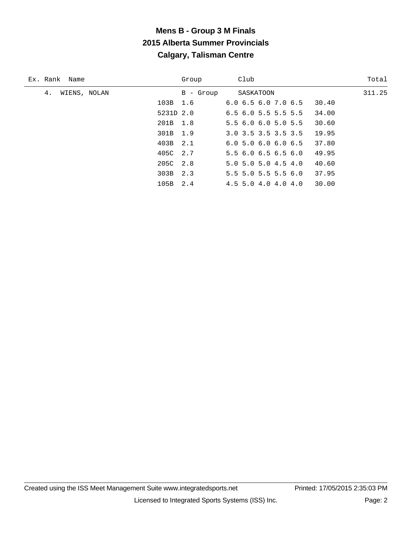# **Mens B - Group 3 M Finals 2015 Alberta Summer Provincials Calgary, Talisman Centre**

| Ex. Rank Name      | Group     | Club                          | Total  |
|--------------------|-----------|-------------------------------|--------|
| WIENS, NOLAN<br>4. | B - Group | SASKATOON                     | 311.25 |
|                    | 103B 1.6  | 6.06.56.07.06.5               | 30.40  |
|                    | 5231D 2.0 | $6.5$ $6.0$ $5.5$ $5.5$ $5.5$ | 34.00  |
|                    | 201B 1.8  | 5.56.06.05.05.5               | 30.60  |
|                    | 301B 1.9  | $3.0$ $3.5$ $3.5$ $3.5$ $3.5$ | 19.95  |
|                    | 403B 2.1  | 6.05.06.06.06.5               | 37.80  |
|                    | 405C 2.7  | 5.56.06.56.56.0               | 49.95  |
|                    | 205C 2.8  | $5.0$ $5.0$ $5.0$ $4.5$ $4.0$ | 40.60  |
|                    | 303B 2.3  | $5.5$ 5.0 5.5 5.5 6.0         | 37.95  |
|                    | 105B 2.4  | $4.5$ 5.0 4.0 4.0 4.0         | 30.00  |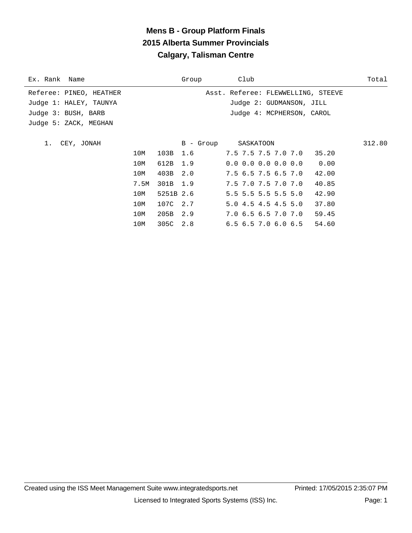## **Mens B - Group Platform Finals 2015 Alberta Summer Provincials Calgary, Talisman Centre**

| Referee: PINEO, HEATHER<br>Asst. Referee: FLEWWELLING, STEEVE |        |
|---------------------------------------------------------------|--------|
|                                                               |        |
| Judge 1: HALEY, TAUNYA<br>Judge 2: GUDMANSON, JILL            |        |
| Judge 4: MCPHERSON, CAROL<br>Judge 3: BUSH, BARB              |        |
| Judge 5: ZACK, MEGHAN                                         |        |
|                                                               |        |
| CEY, JONAH<br>B - Group<br>SASKATOON                          | 312.80 |
| 103B<br>1.6<br>7.5 7.5 7.5 7.0 7.0 35.20<br>10M               |        |
| 612B 1.9<br>$0.0$ 0.0 0.0 0.0 0.0 0.00<br>10M                 |        |
| 403B<br>2.0<br>7.5 6.5 7.5 6.5 7.0<br>10M<br>42.00            |        |
| 301B 1.9<br>7.5 7.0 7.5 7.0 7.0<br>40.85<br>7.5M              |        |
| $5.5$ 5.5 5.5 5.5 5.0<br>5251B 2.6<br>10M<br>42.90            |        |
| 107C 2.7<br>5.04.54.54.55.0<br>10M<br>37.80                   |        |
| 205B 2.9<br>7.06.56.57.07.0<br>10M<br>59.45                   |        |
| 305C 2.8<br>$6.5$ $6.5$ $7.0$ $6.0$ $6.5$<br>54.60<br>10M     |        |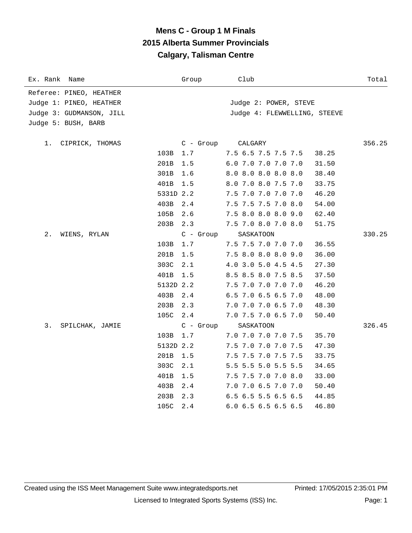# **Mens C - Group 1 M Finals 2015 Alberta Summer Provincials Calgary, Talisman Centre**

| Ex. Rank<br>Name         |           | Group       | Club                           | Total  |
|--------------------------|-----------|-------------|--------------------------------|--------|
| Referee: PINEO, HEATHER  |           |             |                                |        |
| Judge 1: PINEO, HEATHER  |           |             | Judge 2: POWER, STEVE          |        |
| Judge 3: GUDMANSON, JILL |           |             | Judge 4: FLEWWELLING, STEEVE   |        |
| Judge 5: BUSH, BARB      |           |             |                                |        |
|                          |           |             |                                |        |
| 1.<br>CIPRICK, THOMAS    |           | $C -$ Group | CALGARY                        | 356.25 |
|                          | 103B      | 1.7         | 7.5 6.5 7.5 7.5 7.5<br>38.25   |        |
|                          | 201B      | 1.5         | 6.0 7.0 7.0 7.0 7.0<br>31.50   |        |
|                          | 301B      | 1.6         | 8.0 8.0 8.0 8.0 8.0<br>38.40   |        |
|                          | 401B      | 1.5         | 8.0 7.0 8.0 7.5 7.0<br>33.75   |        |
|                          | 5331D 2.2 |             | 7.5 7.0 7.0 7.0 7.0<br>46.20   |        |
|                          | 403B      | 2.4         | 7.5 7.5 7.5 7.0 8.0<br>54.00   |        |
|                          | 105B      | 2.6         | 7.5 8.0 8.0 8.0 9.0<br>62.40   |        |
|                          | 203B      | 2.3         | 7.5 7.0 8.0 7.0 8.0<br>51.75   |        |
| 2.<br>WIENS, RYLAN       |           | $C - Grow$  | SASKATOON                      | 330.25 |
|                          | 103B      | 1.7         | 7.5 7.5 7.0 7.0 7.0<br>36.55   |        |
|                          | 201B      | 1.5         | 7.5 8.0 8.0 8.0 9.0<br>36.00   |        |
|                          | 303C      | 2.1         | 4.0 3.0 5.0 4.5 4.5<br>27.30   |        |
|                          | 401B      | 1.5         | 8.5 8.5 8.0 7.5 8.5<br>37.50   |        |
|                          | 5132D 2.2 |             | 7.5 7.0 7.0 7.0 7.0<br>46.20   |        |
|                          | 403B      | 2.4         | 6.5 7.0 6.5 6.5 7.0<br>48.00   |        |
|                          | 203B      | 2.3         | 7.0 7.0 7.0 6.5 7.0<br>48.30   |        |
|                          | 105C      | 2.4         | 7.0 7.5 7.0 6.5 7.0<br>50.40   |        |
| 3.<br>SPILCHAK, JAMIE    |           | $C - Group$ | SASKATOON                      | 326.45 |
|                          | 103B      | 1.7         | 7.0 7.0 7.0 7.0 7.5<br>35.70   |        |
|                          | 5132D 2.2 |             | 7.5 7.0 7.0 7.0 7.5<br>47.30   |        |
|                          | 201B      | 1.5         | 7.5 7.5 7.0 7.5 7.5<br>33.75   |        |
|                          | 303C      | 2.1         | 5.5 5.5 5.0 5.5 5.5<br>34.65   |        |
|                          | 401B      | 1.5         | 7.5 7.5 7.0 7.0 8.0<br>33.00   |        |
|                          | 403B      | 2.4         | 7.0 7.0 6.5 7.0 7.0<br>50.40   |        |
|                          | 203B      | 2.3         | 6.5 6.5 5.5 6.5 6.5<br>44.85   |        |
|                          | 105C      | 2.4         | $6.0$ 6.5 6.5 6.5 6.5<br>46.80 |        |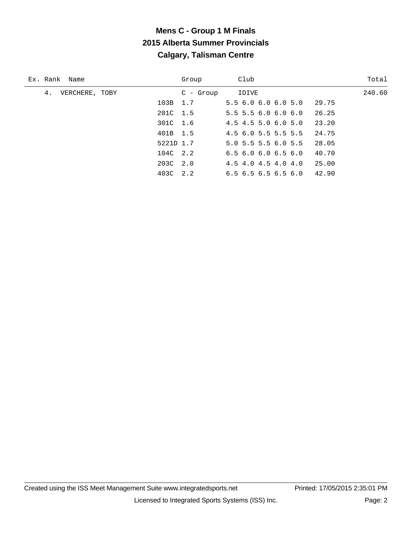# **Mens C - Group 1 M Finals 2015 Alberta Summer Provincials Calgary, Talisman Centre**

| Ex. Rank Name        |           | Group       | Club                                   | Total  |
|----------------------|-----------|-------------|----------------------------------------|--------|
| 4.<br>VERCHERE, TOBY |           | $C$ - Group | IDIVE                                  | 240.60 |
|                      | 103B 1.7  |             | 5.56.06.06.05.0<br>29.75               |        |
|                      | 201C 1.5  |             | 26.25<br>$5.5$ 5.5 6.0 6.0 6.0         |        |
|                      | 301C 1.6  |             | 23.20<br>$4.5$ 4.5 5.0 6.0 5.0         |        |
|                      | 401B 1.5  |             | $4.5$ 6.0 5.5 5.5 5.5<br>24.75         |        |
|                      | 5221D 1.7 |             | $5.0$ 5.5 5.5 6.0 5.5<br>28.05         |        |
|                      | 104C 2.2  |             | 40.70<br>6.56.06.06.56.0               |        |
|                      | 203C 2.0  |             | $4.5$ 4.0 4.5 4.0 4.0<br>25.00         |        |
|                      | 403C 2.2  |             | 42.90<br>$6.5$ $6.5$ $6.5$ $6.5$ $6.0$ |        |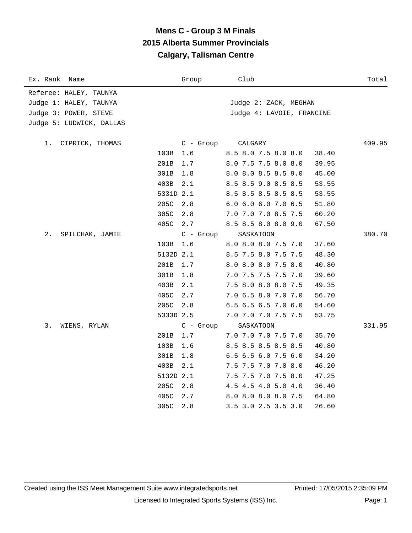# **Mens C - Group 3 M Finals 2015 Alberta Summer Provincials Calgary, Talisman Centre**

| Ex. Rank<br>Name         |           | Group       | Club                         | Total  |
|--------------------------|-----------|-------------|------------------------------|--------|
| Referee: HALEY, TAUNYA   |           |             |                              |        |
| Judge 1: HALEY, TAUNYA   |           |             | Judge 2: ZACK, MEGHAN        |        |
| Judge 3: POWER, STEVE    |           |             | Judge 4: LAVOIE, FRANCINE    |        |
| Judge 5: LUDWICK, DALLAS |           |             |                              |        |
| CIPRICK, THOMAS<br>1.    |           | $C$ - Group | CALGARY                      | 409.95 |
|                          | 103B      | 1.6         | 8.5 8.0 7.5 8.0 8.0<br>38.40 |        |
|                          | 201B      | 1.7         | 8.0 7.5 7.5 8.0 8.0<br>39.95 |        |
|                          | 301B      | 1.8         | 8.0 8.0 8.5 8.5 9.0<br>45.00 |        |
|                          | 403B      | 2.1         | 8.5 8.5 9.0 8.5 8.5<br>53.55 |        |
|                          | 5331D 2.1 |             | 8.5 8.5 8.5 8.5 8.5<br>53.55 |        |
|                          | 205C      | 2.8         | 6.0 6.0 6.0 7.0 6.5<br>51.80 |        |
|                          | 305C      | 2.8         | 7.0 7.0 7.0 8.5 7.5<br>60.20 |        |
|                          | 405C      | 2.7         | 8.5 8.5 8.0 8.0 9.0<br>67.50 |        |
| $2$ .<br>SPILCHAK, JAMIE |           | $C - Group$ | SASKATOON                    | 380.70 |
|                          | 103B      | 1.6         | 8.0 8.0 8.0 7.5 7.0<br>37.60 |        |
|                          | 5132D 2.1 |             | 8.5 7.5 8.0 7.5 7.5<br>48.30 |        |
|                          | 201B      | 1.7         | 8.0 8.0 8.0 7.5 8.0<br>40.80 |        |
|                          | 301B      | 1.8         | 7.0 7.5 7.5 7.5 7.0<br>39.60 |        |
|                          | 403B      | 2.1         | 7.5 8.0 8.0 8.0 7.5<br>49.35 |        |
|                          | 405C      | 2.7         | 7.0 6.5 8.0 7.0 7.0<br>56.70 |        |
|                          | 205C      | 2.8         | 6.5 6.5 6.5 7.0 6.0<br>54.60 |        |
|                          | 5333D 2.5 |             | 7.0 7.0 7.0 7.5 7.5<br>53.75 |        |
| 3.<br>WIENS, RYLAN       |           | $C - Group$ | SASKATOON                    | 331.95 |
|                          | 201B      | 1.7         | 7.0 7.0 7.0 7.5 7.0<br>35.70 |        |
|                          | 103B      | 1.6         | 8.5 8.5 8.5 8.5 8.5<br>40.80 |        |
|                          | 301B      | 1.8         | 6.5 6.5 6.0 7.5 6.0<br>34.20 |        |
|                          | 403B      | 2.1         | 7.5 7.5 7.0 7.0 8.0<br>46.20 |        |
|                          | 5132D 2.1 |             | 7.5 7.5 7.0 7.5 8.0<br>47.25 |        |
|                          | 205C      | 2.8         | 4.5 4.5 4.0 5.0 4.0<br>36.40 |        |
|                          | 405C      | 2.7         | 8.0 8.0 8.0 8.0 7.5<br>64.80 |        |
|                          | 305C      | 2.8         | 3.5 3.0 2.5 3.5 3.0<br>26.60 |        |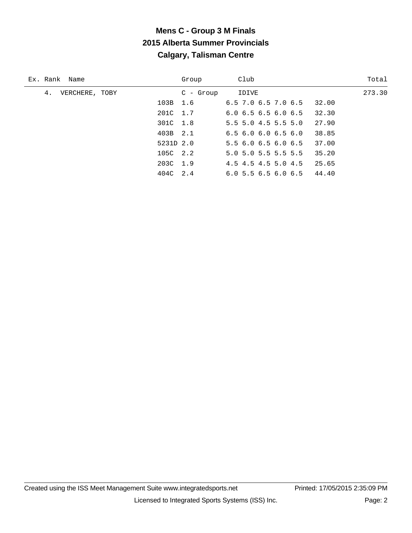# **Mens C - Group 3 M Finals 2015 Alberta Summer Provincials Calgary, Talisman Centre**

| Ex. Rank Name        |           | Group       | Club                                   | Total  |
|----------------------|-----------|-------------|----------------------------------------|--------|
| 4.<br>VERCHERE, TOBY |           | $C$ - Group | IDIVE                                  | 273.30 |
|                      | 103B 1.6  |             | $6.5$ 7.0 $6.5$ 7.0 $6.5$<br>32.00     |        |
|                      | 201C 1.7  |             | 32.30<br>$6.0$ $6.5$ $6.5$ $6.0$ $6.5$ |        |
|                      | 301C 1.8  |             | $5.5$ 5.0 4.5 5.5 5.0<br>27.90         |        |
|                      | 403B 2.1  |             | 38.85<br>6.56.06.06.56.0               |        |
|                      | 5231D 2.0 |             | 37.00<br>5.56.06.56.06.5               |        |
|                      | 105C 2.2  |             | $5.0$ 5.0 5.5 5.5 5.5<br>35.20         |        |
|                      | 203C 1.9  |             | $4.5$ 4.5 4.5 5.0 4.5<br>25.65         |        |
|                      | 404C 2.4  |             | 44.40<br>6.05.56.56.06.5               |        |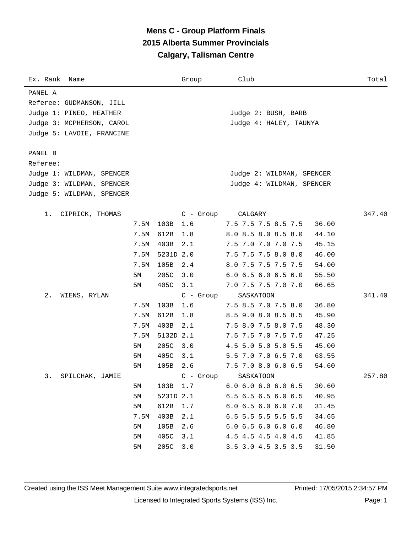# **Mens C - Group Platform Finals 2015 Alberta Summer Provincials Calgary, Talisman Centre**

| Ex. Rank Name             |      |           | Group       | Club                          | Total  |
|---------------------------|------|-----------|-------------|-------------------------------|--------|
| PANEL A                   |      |           |             |                               |        |
| Referee: GUDMANSON, JILL  |      |           |             |                               |        |
| Judge 1: PINEO, HEATHER   |      |           |             | Judge 2: BUSH, BARB           |        |
| Judge 3: MCPHERSON, CAROL |      |           |             | Judge 4: HALEY, TAUNYA        |        |
| Judge 5: LAVOIE, FRANCINE |      |           |             |                               |        |
|                           |      |           |             |                               |        |
| PANEL B                   |      |           |             |                               |        |
| Referee:                  |      |           |             |                               |        |
| Judge 1: WILDMAN, SPENCER |      |           |             | Judge 2: WILDMAN, SPENCER     |        |
| Judge 3: WILDMAN, SPENCER |      |           |             | Judge 4: WILDMAN, SPENCER     |        |
| Judge 5: WILDMAN, SPENCER |      |           |             |                               |        |
|                           |      |           |             |                               |        |
| 1.<br>CIPRICK, THOMAS     |      |           | $C -$ Group | CALGARY                       | 347.40 |
|                           | 7.5M | 103B      | 1.6         | 7.5 7.5 7.5 8.5 7.5           | 36.00  |
|                           | 7.5M | 612B      | 1.8         | 8.0 8.5 8.0 8.5 8.0           | 44.10  |
|                           | 7.5M | 403B      | 2.1         | 7.5 7.0 7.0 7.0 7.5           | 45.15  |
|                           | 7.5M | 5231D 2.0 |             | 7.5 7.5 7.5 8.0 8.0           | 46.00  |
|                           | 7.5M | 105B      | 2.4         | 8.0 7.5 7.5 7.5 7.5           | 54.00  |
|                           | 5М   | 205C      | 3.0         | 6.06.56.06.56.0               | 55.50  |
|                           | 5М   | 405C      | 3.1         | 7.0 7.5 7.5 7.0 7.0           | 66.65  |
| 2.<br>WIENS, RYLAN        |      |           | $C - Group$ | SASKATOON                     | 341.40 |
|                           | 7.5M | 103B      | 1.6         | 7.5 8.5 7.0 7.5 8.0           | 36.80  |
|                           | 7.5M | 612B      | 1.8         | 8.5 9.0 8.0 8.5 8.5           | 45.90  |
|                           | 7.5M | 403B      | 2.1         | 7.5 8.0 7.5 8.0 7.5           | 48.30  |
|                           | 7.5M | 5132D 2.1 |             | 7.5 7.5 7.0 7.5 7.5           | 47.25  |
|                           | 5M   | 205C      | 3.0         | 4.5 5.0 5.0 5.0 5.5           | 45.00  |
|                           | 5М   | 405C      | 3.1         | 5.5 7.0 7.0 6.5 7.0           | 63.55  |
|                           | 5М   | 105B      | 2.6         | 7.5 7.0 8.0 6.0 6.5           | 54.60  |
| 3.<br>SPILCHAK, JAMIE     |      |           | $C -$ Group | SASKATOON                     | 257.80 |
|                           | 5M   | 103B      | 1.7         | $6.0$ $6.0$ $6.0$ $6.0$ $6.5$ | 30.60  |
|                           | 5M   | 5231D 2.1 |             | $6.5$ $6.5$ $6.5$ $6.0$ $6.5$ | 40.95  |
|                           | 5M   | 612B      | 1.7         | 6.0 6.5 6.0 6.0 7.0           | 31.45  |
|                           | 7.5M | 403B      | 2.1         | 6.5 5.5 5.5 5.5 5.5           | 34.65  |
|                           | 5M   | 105B      | 2.6         | 6.06.56.06.06.0               | 46.80  |
|                           | 5M   | 405C      | 3.1         | 4.5 4.5 4.5 4.0 4.5           | 41.85  |
|                           | 5M   | 205C      | 3.0         | 3.5 3.0 4.5 3.5 3.5           | 31.50  |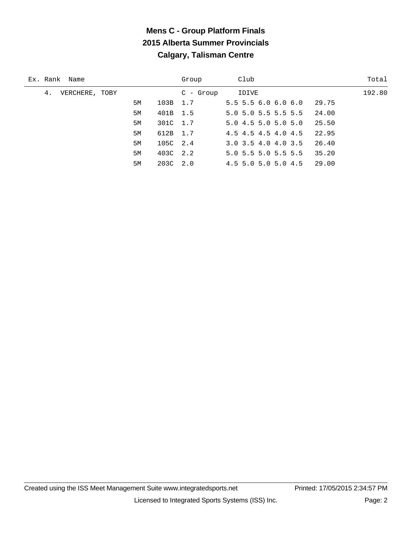# **Mens C - Group Platform Finals 2015 Alberta Summer Provincials Calgary, Talisman Centre**

| Ex. Rank Name        |    |          | Group      | Club                  | Total  |
|----------------------|----|----------|------------|-----------------------|--------|
| VERCHERE, TOBY<br>4. |    |          | $C - Grow$ | IDIVE                 | 192.80 |
|                      | 5M | 103B 1.7 |            | $5.5$ 5.5 6.0 6.0 6.0 | 29.75  |
|                      | 5M | 401B 1.5 |            | 5.0 5.0 5.5 5.5 5.5   | 24.00  |
|                      | 5M | 301C 1.7 |            | 5.04.55.05.05.0       | 25.50  |
|                      | 5M | 612B 1.7 |            | 4.5 4.5 4.5 4.0 4.5   | 22.95  |
|                      | 5M | 105C 2.4 |            | 3.0 3.5 4.0 4.0 3.5   | 26.40  |
|                      | 5M | 403C 2.2 |            | 5.0 5.5 5.0 5.5 5.5   | 35.20  |
|                      | 5M | 203C 2.0 |            | 4.5 5.0 5.0 5.0 4.5   | 29.00  |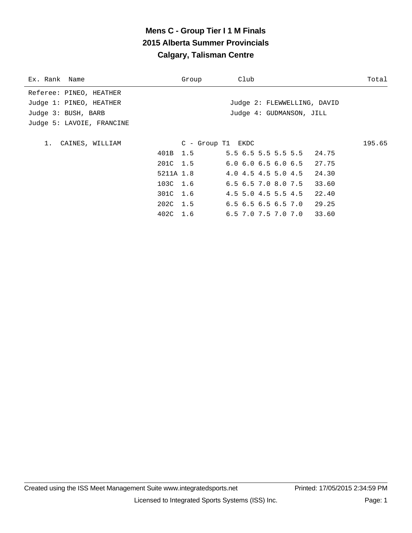# **Mens C - Group Tier I 1 M Finals 2015 Alberta Summer Provincials Calgary, Talisman Centre**

| Ex. Rank Name             |           | Group               | Club                                   | Total  |
|---------------------------|-----------|---------------------|----------------------------------------|--------|
| Referee: PINEO, HEATHER   |           |                     |                                        |        |
| Judge 1: PINEO, HEATHER   |           |                     | Judge 2: FLEWWELLING, DAVID            |        |
| Judge 3: BUSH, BARB       |           |                     | Judge 4: GUDMANSON, JILL               |        |
| Judge 5: LAVOIE, FRANCINE |           |                     |                                        |        |
|                           |           |                     |                                        |        |
| 1. CAINES, WILLIAM        |           | $C - Group T1$ EKDC |                                        | 195.65 |
|                           |           |                     | 401B 1.5 5.5 6.5 5.5 5.5 5.5 5.5 24.75 |        |
|                           | 201C 1.5  |                     | $6.0$ $6.0$ $6.5$ $6.0$ $6.5$ $27.75$  |        |
|                           | 5211A 1.8 |                     | 4.0 4.5 4.5 5.0 4.5 24.30              |        |
|                           |           | 103C 1.6            | $6.5$ $6.5$ $7.0$ $8.0$ $7.5$ $33.60$  |        |
|                           | 301C 1.6  |                     | 4.5 5.0 4.5 5.5 4.5<br>22.40           |        |
|                           | 202C 1.5  |                     | $6.5$ 6.5 6.5 6.5 7.0 29.25            |        |
|                           | 402C 1.6  |                     | $6.5$ 7.0 7.5 7.0 7.0 33.60            |        |
|                           |           |                     |                                        |        |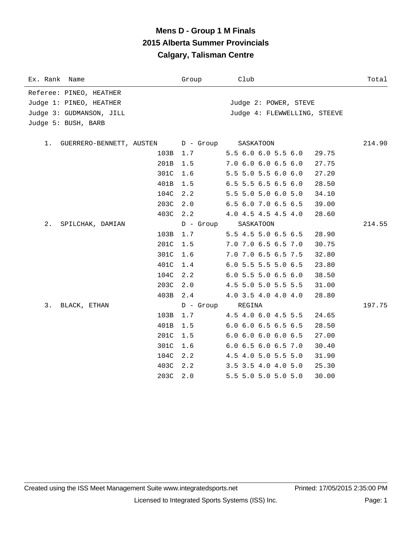### **Mens D - Group 1 M Finals 2015 Alberta Summer Provincials Calgary, Talisman Centre**

| Ex. Rank<br>Name            | Group     | Club                                   | Total  |
|-----------------------------|-----------|----------------------------------------|--------|
| Referee: PINEO, HEATHER     |           |                                        |        |
| Judge 1: PINEO, HEATHER     |           | Judge 2: POWER, STEVE                  |        |
| Judge 3: GUDMANSON, JILL    |           | Judge 4: FLEWWELLING, STEEVE           |        |
| Judge 5: BUSH, BARB         |           |                                        |        |
|                             |           |                                        |        |
| 1. GUERRERO-BENNETT, AUSTEN | D - Group | SASKATOON                              | 214.90 |
| 103B                        | 1.7       | 5.5 6.0 6.0 5.5 6.0<br>29.75           |        |
| 201B                        | 1.5       | 7.0 6.0 6.0 6.5 6.0<br>27.75           |        |
| 301C                        | 1.6       | 5.5 5.0 5.5 6.0 6.0<br>27.20           |        |
| 401B                        | 1.5       | $6.5$ 5.5 6.5 6.5 6.0<br>28.50         |        |
| 104C                        | 2.2       | 5.5 5.0 5.0 6.0 5.0<br>34.10           |        |
| 203C                        | 2.0       | 6.5 6.0 7.0 6.5 6.5<br>39.00           |        |
| 403C                        | 2.2       | 4.0 4.5 4.5 4.5 4.0<br>28.60           |        |
| 2.<br>SPILCHAK, DAMIAN      | D - Group | SASKATOON                              | 214.55 |
| 103B                        | 1.7       | 5.5 4.5 5.0 6.5 6.5<br>28.90           |        |
| 201C                        | 1.5       | 7.0 7.0 6.5 6.5 7.0<br>30.75           |        |
| 301C                        | 1.6       | 7.0 7.0 6.5 6.5 7.5<br>32.80           |        |
| 401C                        | 1.4       | 6.0 5.5 5.5 5.0 6.5<br>23.80           |        |
| 104C                        | 2.2       | $6.0$ 5.5 5.0 6.5 6.0<br>38.50         |        |
| 203C                        | 2.0       | 4.5 5.0 5.0 5.5 5.5<br>31.00           |        |
| 403B                        | 2.4       | 4.0 3.5 4.0 4.0 4.0<br>28.80           |        |
| 3.<br>BLACK, ETHAN          | D - Group | REGINA                                 | 197.75 |
| 103B                        | 1.7       | 4.5 4.0 6.0 4.5 5.5<br>24.65           |        |
| 401B                        | 1.5       | $6.0$ $6.0$ $6.5$ $6.5$ $6.5$<br>28.50 |        |
| 201C                        | 1.5       | $6.0$ $6.0$ $6.0$ $6.0$ $6.5$<br>27.00 |        |
| 301C                        | 1.6       | 6.0 6.5 6.0 6.5 7.0<br>30.40           |        |
| 104C                        | 2.2       | 4.5 4.0 5.0 5.5 5.0<br>31.90           |        |
| 403C                        | 2.2       | $3.5$ $3.5$ $4.0$ $4.0$ $5.0$<br>25.30 |        |
| 203C                        | 2.0       | 5.5 5.0 5.0 5.0 5.0<br>30.00           |        |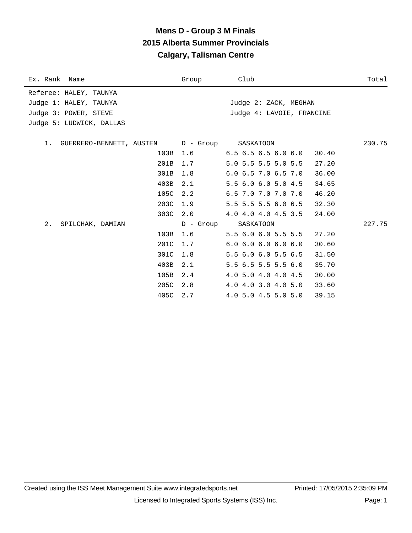### **Mens D - Group 3 M Finals 2015 Alberta Summer Provincials Calgary, Talisman Centre**

| Ex. Rank Name                                   | Group     | Club                                   | Total  |
|-------------------------------------------------|-----------|----------------------------------------|--------|
| Referee: HALEY, TAUNYA                          |           |                                        |        |
| Judge 1: HALEY, TAUNYA                          |           | Judge 2: ZACK, MEGHAN                  |        |
| Judge 3: POWER, STEVE                           |           | Judge 4: LAVOIE, FRANCINE              |        |
| Judge 5: LUDWICK, DALLAS                        |           |                                        |        |
|                                                 |           |                                        |        |
| 1. GUERRERO-BENNETT, AUSTEN D - Group SASKATOON |           |                                        | 230.75 |
| 103B                                            | 1.6       | $6.5$ $6.5$ $6.5$ $6.0$ $6.0$<br>30.40 |        |
| 201B                                            | 1.7       | 5.0 5.5 5.5 5.0 5.5<br>27.20           |        |
| 301B                                            | 1.8       | $6.0$ $6.5$ $7.0$ $6.5$ $7.0$<br>36.00 |        |
| 403B                                            | 2.1       | 5.5 6.0 6.0 5.0 4.5<br>34.65           |        |
| 105C                                            | 2.2       | 6.5 7.0 7.0 7.0 7.0<br>46.20           |        |
| 203C                                            | 1.9       | 5.5 5.5 5.5 6.0 6.5<br>32.30           |        |
| 303C                                            | 2.0       | 4.0 4.0 4.0 4.5 3.5<br>24.00           |        |
| 2.<br>SPILCHAK, DAMIAN                          | D - Group | SASKATOON                              | 227.75 |
| 103B                                            | 1.6       | 5.5 6.0 6.0 5.5 5.5<br>27.20           |        |
| 201C                                            | 1.7       | 6.06.06.06.06.0<br>30.60               |        |
| 301C                                            | 1.8       | 5.5 6.0 6.0 5.5 6.5<br>31.50           |        |
| 403B                                            | 2.1       | 5.5 6.5 5.5 5.5 6.0<br>35.70           |        |
| 105B                                            | 2.4       | 30.00<br>4.0 5.0 4.0 4.0 4.5           |        |
| 205C                                            | 2.8       | 4.0 4.0 3.0 4.0 5.0<br>33.60           |        |
| 405C                                            | 2.7       | 4.0 5.0 4.5 5.0 5.0<br>39.15           |        |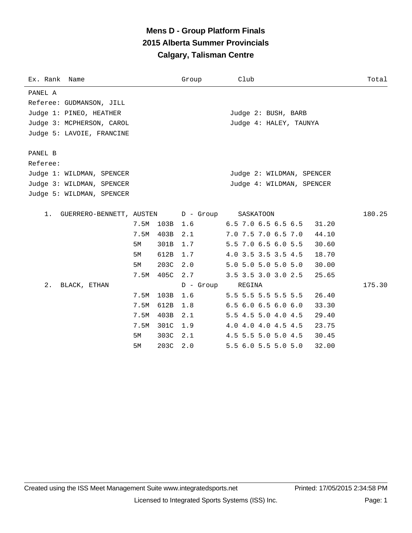# **Mens D - Group Platform Finals 2015 Alberta Summer Provincials Calgary, Talisman Centre**

| Ex. Rank Name                  |      |      | Group       | Club                         | Total  |
|--------------------------------|------|------|-------------|------------------------------|--------|
| PANEL A                        |      |      |             |                              |        |
| Referee: GUDMANSON, JILL       |      |      |             |                              |        |
| Judge 1: PINEO, HEATHER        |      |      |             | Judge 2: BUSH, BARB          |        |
| Judge 3: MCPHERSON, CAROL      |      |      |             | Judge 4: HALEY, TAUNYA       |        |
| Judge 5: LAVOIE, FRANCINE      |      |      |             |                              |        |
|                                |      |      |             |                              |        |
| PANEL B                        |      |      |             |                              |        |
| Referee:                       |      |      |             |                              |        |
| Judge 1: WILDMAN, SPENCER      |      |      |             | Judge 2: WILDMAN, SPENCER    |        |
| Judge 3: WILDMAN, SPENCER      |      |      |             | Judge 4: WILDMAN, SPENCER    |        |
| Judge 5: WILDMAN, SPENCER      |      |      |             |                              |        |
|                                |      |      |             |                              |        |
| GUERRERO-BENNETT, AUSTEN<br>1. |      |      | D - Group   | SASKATOON                    | 180.25 |
|                                | 7.5M | 103B | 1.6         | 6.5 7.0 6.5 6.5 6.5<br>31.20 |        |
|                                | 7.5M | 403B | 2.1         | 7.0 7.5 7.0 6.5 7.0<br>44.10 |        |
|                                | 5M   | 301B | 1.7         | 5.5 7.0 6.5 6.0 5.5<br>30.60 |        |
|                                | 5M   | 612B | 1.7         | 4.0 3.5 3.5 3.5 4.5<br>18.70 |        |
|                                | 5M   | 203C | 2.0         | 5.0 5.0 5.0 5.0 5.0<br>30.00 |        |
|                                | 7.5M | 405C | 2.7         | 3.5 3.5 3.0 3.0 2.5<br>25.65 |        |
| $2$ .<br>BLACK, ETHAN          |      |      | $D -$ Group | REGINA                       | 175.30 |
|                                | 7.5M | 103B | 1.6         | 5.5 5.5 5.5 5.5 5.5<br>26.40 |        |
|                                | 7.5M | 612B | 1.8         | 6.56.06.56.06.0<br>33.30     |        |
|                                | 7.5M | 403B | 2.1         | 5.5 4.5 5.0 4.0 4.5<br>29.40 |        |
|                                | 7.5M | 301C | 1.9         | 4.0 4.0 4.0 4.5 4.5<br>23.75 |        |
|                                | 5M   | 303C | 2.1         | 4.5 5.5 5.0 5.0 4.5<br>30.45 |        |
|                                | 5M   | 203C | 2.0         | 5.5 6.0 5.5 5.0 5.0<br>32.00 |        |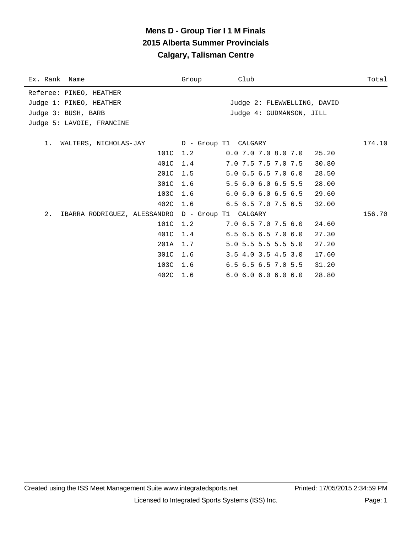# **Mens D - Group Tier I 1 M Finals 2015 Alberta Summer Provincials Calgary, Talisman Centre**

| Ex. Rank Name                                             | Group | Club                                   | Total  |
|-----------------------------------------------------------|-------|----------------------------------------|--------|
| Referee: PINEO, HEATHER                                   |       |                                        |        |
| Judge 1: PINEO, HEATHER                                   |       | Judge 2: FLEWWELLING, DAVID            |        |
| Judge 3: BUSH, BARB                                       |       | Judge 4: GUDMANSON, JILL               |        |
| Judge 5: LAVOIE, FRANCINE                                 |       |                                        |        |
|                                                           |       |                                        |        |
| WALTERS, NICHOLAS-JAY    D - Group T1    CALGARY<br>$1$ . |       |                                        | 174.10 |
| 101C 1.2                                                  |       | $0.0$ 7.0 7.0 8.0 7.0 25.20            |        |
| 401C                                                      | 1.4   | 7.0 7.5 7.5 7.0 7.5<br>30.80           |        |
| 201C                                                      | 1.5   | 5.0 6.5 6.5 7.0 6.0<br>28.50           |        |
| 301C                                                      | 1.6   | 5.5 6.0 6.0 6.5 5.5<br>28.00           |        |
| 103C 1.6                                                  |       | $6.0$ $6.0$ $6.0$ $6.5$ $6.5$<br>29.60 |        |
| 402C 1.6                                                  |       | 6.5 6.5 7.0 7.5 6.5<br>32.00           |        |
| 2.<br>IBARRA RODRIGUEZ, ALESSANDRO D - Group T1 CALGARY   |       |                                        | 156.70 |
| 101C                                                      | 1.2   | 7.06.57.07.56.0<br>24.60               |        |
| 401C 1.4                                                  |       | $6.5$ $6.5$ $6.5$ $7.0$ $6.0$<br>27.30 |        |
| 201A                                                      | 1.7   | 5.0 5.5 5.5 5.5 5.0<br>27.20           |        |
| 301C                                                      | 1.6   | 3.5 4.0 3.5 4.5 3.0<br>17.60           |        |
| 103C                                                      | 1.6   | $6.5$ $6.5$ $6.5$ $7.0$ $5.5$<br>31.20 |        |
| 402C 1.6                                                  |       | 6.06.06.06.06.0<br>28.80               |        |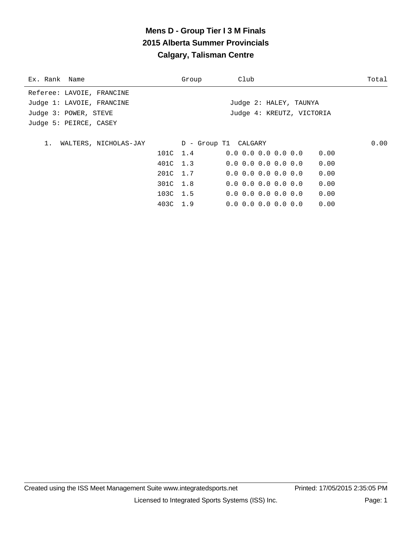# **Mens D - Group Tier I 3 M Finals 2015 Alberta Summer Provincials Calgary, Talisman Centre**

| Ex. Rank Name               | Group    | Club                          | Total |
|-----------------------------|----------|-------------------------------|-------|
| Referee: LAVOIE, FRANCINE   |          |                               |       |
| Judge 1: LAVOIE, FRANCINE   |          | Judge 2: HALEY, TAUNYA        |       |
| Judge 3: POWER, STEVE       |          | Judge 4: KREUTZ, VICTORIA     |       |
| Judge 5: PEIRCE, CASEY      |          |                               |       |
|                             |          |                               |       |
| WALTERS, NICHOLAS-JAY<br>1. |          | D - Group T1 CALGARY          | 0.00  |
|                             | 101C 1.4 | $0.0 \t0.0 \t0.0 \t0.0 \t0.0$ | 0.00  |
|                             | 401C 1.3 | $0.0 \t0.0 \t0.0 \t0.0 \t0.0$ | 0.00  |
|                             | 201C 1.7 | $0.0 \t0.0 \t0.0 \t0.0 \t0.0$ | 0.00  |
|                             | 301C 1.8 | $0.0 \t0.0 \t0.0 \t0.0 \t0.0$ | 0.00  |
|                             | 103C 1.5 | $0.0 \t0.0 \t0.0 \t0.0 \t0.0$ | 0.00  |
|                             | 403C 1.9 | $0.0$ $0.0$ $0.0$ $0.0$ $0.0$ | 0.00  |
|                             |          |                               |       |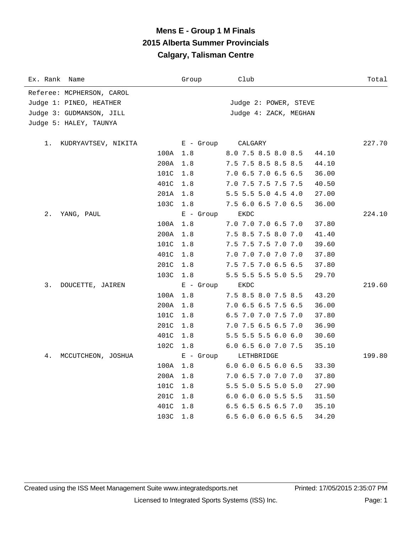## **Mens E - Group 1 M Finals 2015 Alberta Summer Provincials Calgary, Talisman Centre**

| Ex. Rank Name                |      | Group       | Club                  | Total  |
|------------------------------|------|-------------|-----------------------|--------|
| Referee: MCPHERSON, CAROL    |      |             |                       |        |
| Judge 1: PINEO, HEATHER      |      |             | Judge 2: POWER, STEVE |        |
| Judge 3: GUDMANSON, JILL     |      |             | Judge 4: ZACK, MEGHAN |        |
| Judge 5: HALEY, TAUNYA       |      |             |                       |        |
| $1$ .<br>KUDRYAVTSEV, NIKITA |      | $E -$ Group | CALGARY               | 227.70 |
|                              | 100A | 1.8         | 8.0 7.5 8.5 8.0 8.5   | 44.10  |
|                              | 200A | 1.8         | 7.5 7.5 8.5 8.5 8.5   | 44.10  |
|                              | 101C | 1.8         | 7.0 6.5 7.0 6.5 6.5   | 36.00  |
|                              | 401C | 1.8         | 7.0 7.5 7.5 7.5 7.5   | 40.50  |
|                              | 201A | 1.8         | 5.5 5.5 5.0 4.5 4.0   | 27.00  |
|                              | 103C | 1.8         | 7.5 6.0 6.5 7.0 6.5   | 36.00  |
| $2$ .<br>YANG, PAUL          |      | $E -$ Group | EKDC                  | 224.10 |
|                              | 100A | 1.8         | 7.0 7.0 7.0 6.5 7.0   | 37.80  |
|                              | 200A | 1.8         | 7.5 8.5 7.5 8.0 7.0   | 41.40  |
|                              | 101C | 1.8         | 7.5 7.5 7.5 7.0 7.0   | 39.60  |
|                              | 401C | 1.8         | 7.0 7.0 7.0 7.0 7.0   | 37.80  |
|                              | 201C | 1.8         | 7.5 7.5 7.0 6.5 6.5   | 37.80  |
|                              | 103C | 1.8         | 5.5 5.5 5.5 5.0 5.5   | 29.70  |
| 3.<br>DOUCETTE, JAIREN       |      | $E -$ Group | EKDC                  | 219.60 |
|                              | 100A | 1.8         | 7.5 8.5 8.0 7.5 8.5   | 43.20  |
|                              | 200A | 1.8         | 7.0 6.5 6.5 7.5 6.5   | 36.00  |
|                              | 101C | 1.8         | 6.5 7.0 7.0 7.5 7.0   | 37.80  |
|                              | 201C | 1.8         | 7.0 7.5 6.5 6.5 7.0   | 36.90  |
|                              | 401C | 1.8         | 5.5 5.5 5.5 6.0 6.0   | 30.60  |
|                              | 102C | 1.8         | 6.0 6.5 6.0 7.0 7.5   | 35.10  |
| 4.<br>MCCUTCHEON, JOSHUA     |      | $E -$ Group | LETHBRIDGE            | 199.80 |
|                              | 100A | 1.8         | 6.0 6.0 6.5 6.0 6.5   | 33.30  |
|                              | 200A | 1.8         | 7.0 6.5 7.0 7.0 7.0   | 37.80  |
|                              | 101C | 1.8         | 5.5 5.0 5.5 5.0 5.0   | 27.90  |
|                              | 201C | 1.8         | 6.0 6.0 6.0 5.5 5.5   | 31.50  |
|                              | 401C | 1.8         | 6.5 6.5 6.5 6.5 7.0   | 35.10  |
|                              | 103C | 1.8         | 6.5 6.0 6.0 6.5 6.5   | 34.20  |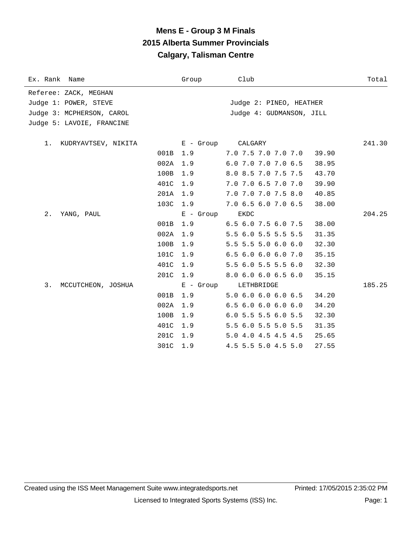# **Mens E - Group 3 M Finals 2015 Alberta Summer Provincials Calgary, Talisman Centre**

| Ex. Rank Name                                                               | Group       | Club                                                | Total  |
|-----------------------------------------------------------------------------|-------------|-----------------------------------------------------|--------|
| Referee: ZACK, MEGHAN<br>Judge 1: POWER, STEVE<br>Judge 3: MCPHERSON, CAROL |             | Judge 2: PINEO, HEATHER<br>Judge 4: GUDMANSON, JILL |        |
| Judge 5: LAVOIE, FRANCINE                                                   |             |                                                     |        |
| 1.<br>KUDRYAVTSEV, NIKITA                                                   | E - Group   | CALGARY                                             | 241.30 |
|                                                                             | 001B 1.9    | 7.0 7.5 7.0 7.0 7.0                                 | 39.90  |
| 002A                                                                        | 1.9         | 6.0 7.0 7.0 7.0 6.5                                 | 38.95  |
| 100B                                                                        | 1.9         | 8.0 8.5 7.0 7.5 7.5                                 | 43.70  |
| 401C                                                                        | 1.9         | 7.0 7.0 6.5 7.0 7.0                                 | 39.90  |
| 201A                                                                        | 1.9         | 7.0 7.0 7.0 7.5 8.0                                 | 40.85  |
| 103C                                                                        | 1.9         | 7.0 6.5 6.0 7.0 6.5                                 | 38.00  |
| $2$ .<br>YANG, PAUL                                                         | $E - Group$ | <b>EKDC</b>                                         | 204.25 |
| 001B                                                                        | 1.9         | 6.5 6.0 7.5 6.0 7.5                                 | 38.00  |
| 002A                                                                        | 1.9         | 5.5 6.0 5.5 5.5 5.5                                 | 31.35  |
| 100B                                                                        | 1.9         | 5.5 5.5 5.0 6.0 6.0                                 | 32.30  |
| 101C                                                                        | 1.9         | 6.5 6.0 6.0 6.0 7.0                                 | 35.15  |
| 401C                                                                        | 1.9         | 5.5 6.0 5.5 5.5 6.0                                 | 32.30  |
| 201C                                                                        | 1.9         | 8.0 6.0 6.0 6.5 6.0                                 | 35.15  |
| 3.<br>MCCUTCHEON, JOSHUA                                                    | E - Group   | LETHBRIDGE                                          | 185.25 |
| 001B                                                                        | 1.9         | 5.0 6.0 6.0 6.0 6.5                                 | 34.20  |
| 002A                                                                        | 1.9         | 6.56.06.06.06.0                                     | 34.20  |
| 100B                                                                        | 1.9         | 6.0 5.5 5.5 6.0 5.5                                 | 32.30  |
| 401C                                                                        | 1.9         | 5.5 6.0 5.5 5.0 5.5                                 | 31.35  |
| 201C                                                                        | 1.9         | 5.0 4.0 4.5 4.5 4.5                                 | 25.65  |
| 301C                                                                        | 1.9         | 4.5 5.5 5.0 4.5 5.0                                 | 27.55  |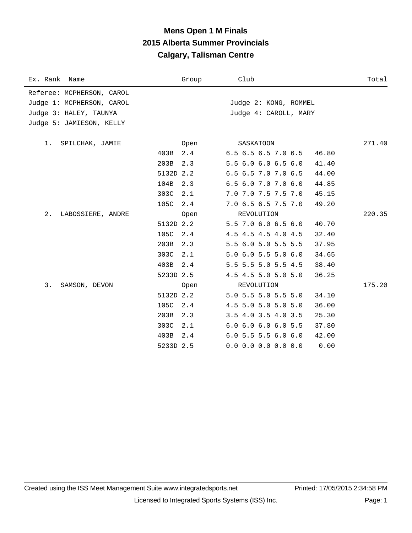### **Mens Open 1 M Finals 2015 Alberta Summer Provincials Calgary, Talisman Centre**

| Ex. Rank Name             |           | Group | Club                  | Total  |
|---------------------------|-----------|-------|-----------------------|--------|
| Referee: MCPHERSON, CAROL |           |       |                       |        |
| Judge 1: MCPHERSON, CAROL |           |       | Judge 2: KONG, ROMMEL |        |
| Judge 3: HALEY, TAUNYA    |           |       | Judge 4: CAROLL, MARY |        |
| Judge 5: JAMIESON, KELLY  |           |       |                       |        |
|                           |           |       |                       |        |
| 1. SPILCHAK, JAMIE        |           | Open  | SASKATOON             | 271.40 |
|                           | 403B      | 2.4   | 6.5 6.5 6.5 7.0 6.5   | 46.80  |
|                           | 203B      | 2.3   | 5.5 6.0 6.0 6.5 6.0   | 41.40  |
|                           | 5132D 2.2 |       | 6.5 6.5 7.0 7.0 6.5   | 44.00  |
|                           | 104B      | 2.3   | 6.5 6.0 7.0 7.0 6.0   | 44.85  |
|                           | 303C      | 2.1   | 7.0 7.0 7.5 7.5 7.0   | 45.15  |
|                           | 105C      | 2.4   | 7.0 6.5 6.5 7.5 7.0   | 49.20  |
| 2.<br>LABOSSIERE, ANDRE   |           | Open  | REVOLUTION            | 220.35 |
|                           | 5132D 2.2 |       | 5.5 7.0 6.0 6.5 6.0   | 40.70  |
|                           | 105C 2.4  |       | 4.5 4.5 4.5 4.0 4.5   | 32.40  |
|                           | 203B      | 2.3   | 5.5 6.0 5.0 5.5 5.5   | 37.95  |
|                           | 303C      | 2.1   | 5.0 6.0 5.5 5.0 6.0   | 34.65  |
|                           | 403B      | 2.4   | 5.5 5.5 5.0 5.5 4.5   | 38.40  |
|                           | 5233D 2.5 |       | 4.5 4.5 5.0 5.0 5.0   | 36.25  |
| 3.<br>SAMSON, DEVON       |           | Open  | REVOLUTION            | 175.20 |
|                           | 5132D 2.2 |       | 5.0 5.5 5.0 5.5 5.0   | 34.10  |
|                           | 105C      | 2.4   | 4.5 5.0 5.0 5.0 5.0   | 36.00  |
|                           | 203B      | 2.3   | $3.5$ 4.0 3.5 4.0 3.5 | 25.30  |
|                           | 303C      | 2.1   | 6.0 6.0 6.0 6.0 5.5   | 37.80  |
|                           | 403B      | 2.4   | $6.0$ 5.5 5.5 6.0 6.0 | 42.00  |
|                           | 5233D 2.5 |       | $0.0$ 0.0 0.0 0.0 0.0 | 0.00   |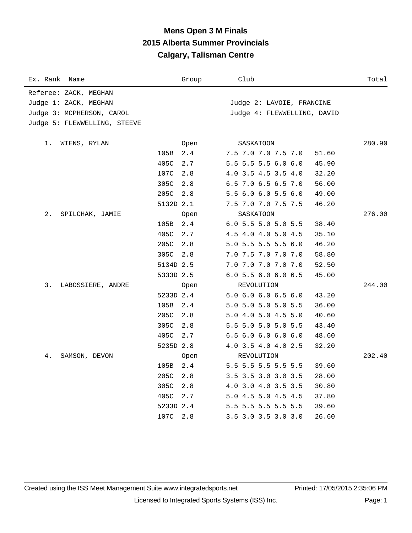### **Mens Open 3 M Finals 2015 Alberta Summer Provincials Calgary, Talisman Centre**

| Ex. Rank<br>Name             |           | Group | Club                        | Total  |
|------------------------------|-----------|-------|-----------------------------|--------|
| Referee: ZACK, MEGHAN        |           |       |                             |        |
| Judge 1: ZACK, MEGHAN        |           |       | Judge 2: LAVOIE, FRANCINE   |        |
| Judge 3: MCPHERSON, CAROL    |           |       | Judge 4: FLEWWELLING, DAVID |        |
| Judge 5: FLEWWELLING, STEEVE |           |       |                             |        |
| 1.<br>WIENS, RYLAN           |           | Open  | SASKATOON                   | 280.90 |
|                              | 105B      | 2.4   | 7.5 7.0 7.0 7.5 7.0         | 51.60  |
|                              | 405C      | 2.7   | 5.5 5.5 5.5 6.0 6.0         | 45.90  |
|                              | 107C      | 2.8   | 4.0 3.5 4.5 3.5 4.0         | 32.20  |
|                              | 305C      | 2.8   | 6.5 7.0 6.5 6.5 7.0         | 56.00  |
|                              | 205C      | 2.8   | 5.5 6.0 6.0 5.5 6.0         | 49.00  |
|                              | 5132D 2.1 |       | 7.5 7.0 7.0 7.5 7.5         | 46.20  |
| 2.<br>SPILCHAK, JAMIE        |           | 0pen  | SASKATOON                   | 276.00 |
|                              | 105B      | $2.4$ | 6.0 5.5 5.0 5.0 5.5         | 38.40  |
|                              | 405C      | 2.7   | 4.5 4.0 4.0 5.0 4.5         | 35.10  |
|                              | 205C      | 2.8   | 5.0 5.5 5.5 5.5 6.0         | 46.20  |
|                              | 305C      | 2.8   | 7.0 7.5 7.0 7.0 7.0         | 58.80  |
|                              | 5134D 2.5 |       | 7.0 7.0 7.0 7.0 7.0         | 52.50  |
|                              | 5333D 2.5 |       | 6.0 5.5 6.0 6.0 6.5         | 45.00  |
| 3.<br>LABOSSIERE, ANDRE      |           | Open  | REVOLUTION                  | 244.00 |
|                              | 5233D 2.4 |       | 6.06.06.06.56.0             | 43.20  |
|                              | 105B      | 2.4   | 5.0 5.0 5.0 5.0 5.5         | 36.00  |
|                              | 205C      | 2.8   | 5.0 4.0 5.0 4.5 5.0         | 40.60  |
|                              | 305C      | 2.8   | 5.5 5.0 5.0 5.0 5.5         | 43.40  |
|                              | 405C      | 2.7   | 6.5 6.0 6.0 6.0 6.0         | 48.60  |
|                              | 5235D 2.8 |       | 4.0 3.5 4.0 4.0 2.5         | 32.20  |
| 4.<br>SAMSON, DEVON          |           | 0pen  | REVOLUTION                  | 202.40 |
|                              | 105B      | 2.4   | 5.5 5.5 5.5 5.5 5.5         | 39.60  |
|                              | 205C      | 2.8   | 3.5 3.5 3.0 3.0 3.5         | 28.00  |
|                              | 305C      | 2.8   | 4.0 3.0 4.0 3.5 3.5         | 30.80  |
|                              | 405C      | 2.7   | 5.0 4.5 5.0 4.5 4.5         | 37.80  |
|                              | 5233D 2.4 |       | 5.5 5.5 5.5 5.5 5.5         | 39.60  |
|                              | 107C      | 2.8   | 3.5 3.0 3.5 3.0 3.0         | 26.60  |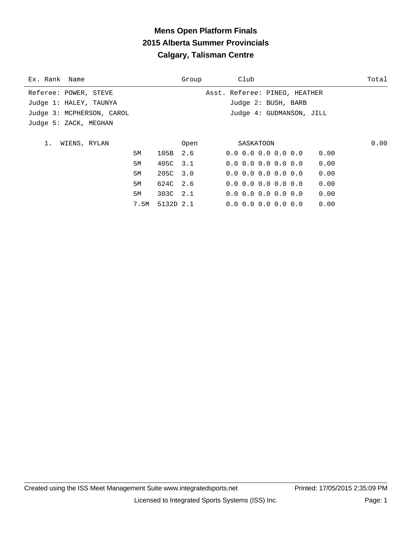# **Mens Open Platform Finals 2015 Alberta Summer Provincials Calgary, Talisman Centre**

| Ex. Rank Name             |           | Group | Club                                | Total |
|---------------------------|-----------|-------|-------------------------------------|-------|
| Referee: POWER, STEVE     |           |       | Asst. Referee: PINEO, HEATHER       |       |
| Judge 1: HALEY, TAUNYA    |           |       | Judge 2: BUSH, BARB                 |       |
| Judge 3: MCPHERSON, CAROL |           |       | Judge 4: GUDMANSON, JILL            |       |
| Judge 5: ZACK, MEGHAN     |           |       |                                     |       |
|                           |           |       |                                     |       |
| WIENS, RYLAN<br>1.        |           | Open  | SASKATOON                           | 0.00  |
| 5M                        | 105B      | 2.6   | $0.0 \t0.0 \t0.0 \t0.0 \t0.0$       | 0.00  |
| 5M                        | 405C 3.1  |       | $0.0 \t0.0 \t0.0 \t0.0 \t0.0$       | 0.00  |
| 5M                        | 205C 3.0  |       | $0.0$ $0.0$ $0.0$ $0.0$ $0.0$ $0.0$ | 0.00  |
| 5M                        | 624C 2.6  |       | $0.0 \t0.0 \t0.0 \t0.0 \t0.0$       | 0.00  |
| 5M                        | 303C 2.1  |       | $0.0$ $0.0$ $0.0$ $0.0$ $0.0$       | 0.00  |
| 7.5M                      | 5132D 2.1 |       | $0.0 \t0.0 \t0.0 \t0.0 \t0.0$       | 0.00  |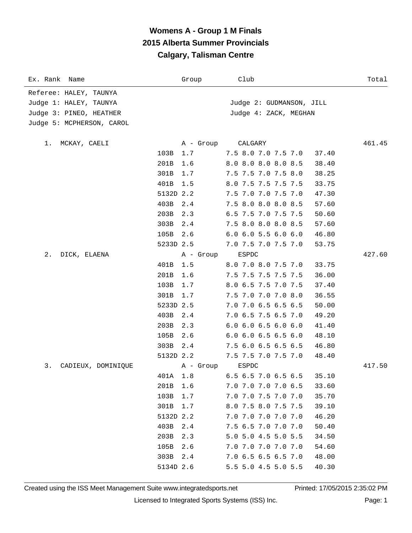# **Womens A - Group 1 M Finals 2015 Alberta Summer Provincials Calgary, Talisman Centre**

| Ex. Rank Name             |           | Group            | Club                          | Total           |
|---------------------------|-----------|------------------|-------------------------------|-----------------|
| Referee: HALEY, TAUNYA    |           |                  |                               |                 |
| Judge 1: HALEY, TAUNYA    |           |                  | Judge 2: GUDMANSON, JILL      |                 |
| Judge 3: PINEO, HEATHER   |           |                  | Judge 4: ZACK, MEGHAN         |                 |
| Judge 5: MCPHERSON, CAROL |           |                  |                               |                 |
|                           |           |                  | CALGARY                       |                 |
| MCKAY, CAELI<br>1.        | 103B      | A - Group<br>1.7 | 7.5 8.0 7.0 7.5 7.0           | 461.45<br>37.40 |
|                           | 201B      | 1.6              | 8.0 8.0 8.0 8.0 8.5           | 38.40           |
|                           | 301B      | 1.7              | 7.5 7.5 7.0 7.5 8.0           | 38.25           |
|                           | 401B      |                  |                               |                 |
|                           | 5132D 2.2 | 1.5              | 8.0 7.5 7.5 7.5 7.5           | 33.75           |
|                           |           |                  | 7.5 7.0 7.0 7.5 7.0           | 47.30           |
|                           | 403B      | 2.4              | 7.5 8.0 8.0 8.0 8.5           | 57.60           |
|                           | 203B      | 2.3              | 6.5 7.5 7.0 7.5 7.5           | 50.60           |
|                           | 303B      | 2.4              | 7.5 8.0 8.0 8.0 8.5           | 57.60           |
|                           | 105B      | 2.6              | $6.0$ $6.0$ $5.5$ $6.0$ $6.0$ | 46.80           |
|                           | 5233D 2.5 |                  | 7.0 7.5 7.0 7.5 7.0           | 53.75           |
| 2.<br>DICK, ELAENA        |           | A - Group        | ESPDC                         | 427.60          |
|                           | 401B      | 1.5              | 8.0 7.0 8.0 7.5 7.0           | 33.75           |
|                           | 201B      | 1.6              | 7.5 7.5 7.5 7.5 7.5           | 36.00           |
|                           | 103B      | 1.7              | 8.0 6.5 7.5 7.0 7.5           | 37.40           |
|                           | 301B      | 1.7              | 7.5 7.0 7.0 7.0 8.0           | 36.55           |
|                           | 5233D 2.5 |                  | 7.0 7.0 6.5 6.5 6.5           | 50.00           |
|                           | 403B      | 2.4              | 7.0 6.5 7.5 6.5 7.0           | 49.20           |
|                           | 203B      | 2.3              | $6.0$ $6.0$ $6.5$ $6.0$ $6.0$ | 41.40           |
|                           | 105B      | 2.6              | $6.0$ $6.0$ $6.5$ $6.5$ $6.0$ | 48.10           |
|                           | 303B      | 2.4              | 7.5 6.0 6.5 6.5 6.5           | 46.80           |
|                           | 5132D 2.2 |                  | 7.5 7.5 7.0 7.5 7.0           | 48.40           |
| 3.<br>CADIEUX, DOMINIQUE  |           | A - Group        | ESPDC                         | 417.50          |
|                           | 401A      | 1.8              | 6.5 6.5 7.0 6.5 6.5           | 35.10           |
|                           | 201B      | 1.6              | 7.0 7.0 7.0 7.0 6.5           | 33.60           |
|                           | 103B      | 1.7              | 7.0 7.0 7.5 7.0 7.0           | 35.70           |
|                           | 301B      | 1.7              | 8.0 7.5 8.0 7.5 7.5           | 39.10           |
|                           | 5132D 2.2 |                  | 7.0 7.0 7.0 7.0 7.0           | 46.20           |
|                           | 403B      | 2.4              | 7.5 6.5 7.0 7.0 7.0           | 50.40           |
|                           | 203B      | 2.3              | 5.0 5.0 4.5 5.0 5.5           | 34.50           |
|                           | 105B      | 2.6              | 7.0 7.0 7.0 7.0 7.0           | 54.60           |
|                           | 303B      | 2.4              | 7.0 6.5 6.5 6.5 7.0           | 48.00           |
|                           | 5134D 2.6 |                  | 5.5 5.0 4.5 5.0 5.5           | 40.30           |
|                           |           |                  |                               |                 |

Created using the ISS Meet Management Suite www.integratedsports.net Printed: 17/05/2015 2:35:02 PM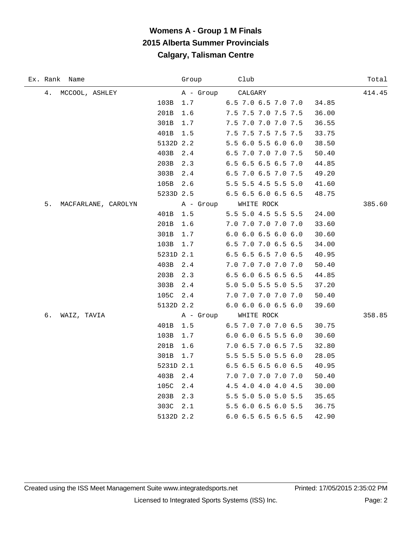# **Womens A - Group 1 M Finals 2015 Alberta Summer Provincials Calgary, Talisman Centre**

| Ex. Rank Name             | Group     | Club                          | Total  |
|---------------------------|-----------|-------------------------------|--------|
| 4.<br>MCCOOL, ASHLEY      | A - Group | CALGARY                       | 414.45 |
| 103B                      | 1.7       | 6.5 7.0 6.5 7.0 7.0           | 34.85  |
| 201B                      | 1.6       | 7.5 7.5 7.0 7.5 7.5           | 36.00  |
| 301B                      | 1.7       | 7.5 7.0 7.0 7.0 7.5           | 36.55  |
| 401B                      | 1.5       | 7.5 7.5 7.5 7.5 7.5           | 33.75  |
|                           | 5132D 2.2 | 5.5 6.0 5.5 6.0 6.0           | 38.50  |
| 403B                      | 2.4       | 6.5 7.0 7.0 7.0 7.5           | 50.40  |
| 203B                      | 2.3       | 6.5 6.5 6.5 6.5 7.0           | 44.85  |
| 303B                      | 2.4       | 6.5 7.0 6.5 7.0 7.5           | 49.20  |
| 105B                      | 2.6       | 5.5 5.5 4.5 5.5 5.0           | 41.60  |
|                           | 5233D 2.5 | 6.5 6.5 6.0 6.5 6.5           | 48.75  |
| 5.<br>MACFARLANE, CAROLYN | A - Group | WHITE ROCK                    | 385.60 |
| 401B                      | 1.5       | 5.5 5.0 4.5 5.5 5.5           | 24.00  |
| 201B                      | 1.6       | 7.0 7.0 7.0 7.0 7.0           | 33.60  |
| 301B                      | 1.7       | $6.0$ $6.0$ $6.5$ $6.0$ $6.0$ | 30.60  |
| 103B                      | 1.7       | 6.5 7.0 7.0 6.5 6.5           | 34.00  |
|                           | 5231D 2.1 | 6.5 6.5 6.5 7.0 6.5           | 40.95  |
| 403B                      | 2.4       | 7.0 7.0 7.0 7.0 7.0           | 50.40  |
| 203B                      | 2.3       | 6.5 6.0 6.5 6.5 6.5           | 44.85  |
| 303B                      | 2.4       | 5.0 5.0 5.5 5.0 5.5           | 37.20  |
| 105C                      | 2.4       | 7.0 7.0 7.0 7.0 7.0           | 50.40  |
|                           | 5132D 2.2 | 6.0 6.0 6.0 6.5 6.0           | 39.60  |
| б.<br>WAIZ, TAVIA         | A - Group | WHITE ROCK                    | 358.85 |
| 401B                      | 1.5       | 6.5 7.0 7.0 7.0 6.5           | 30.75  |
| 103B                      | 1.7       | 6.0 6.0 6.5 5.5 6.0           | 30.60  |
| 201B                      | 1.6       | 7.0 6.5 7.0 6.5 7.5           | 32.80  |
| 301B                      | 1.7       | 5.5 5.5 5.0 5.5 6.0           | 28.05  |
|                           | 5231D 2.1 | 6.5 6.5 6.5 6.0 6.5           | 40.95  |
| 403B                      | 2.4       | 7.0 7.0 7.0 7.0 7.0           | 50.40  |
| 105C                      | 2.4       | 4.5 4.0 4.0 4.0 4.5           | 30.00  |
| 203B                      | 2.3       | 5.5 5.0 5.0 5.0 5.5           | 35.65  |
| 303C                      | 2.1       | 5.5 6.0 6.5 6.0 5.5           | 36.75  |
|                           | 5132D 2.2 | 6.0 6.5 6.5 6.5 6.5           | 42.90  |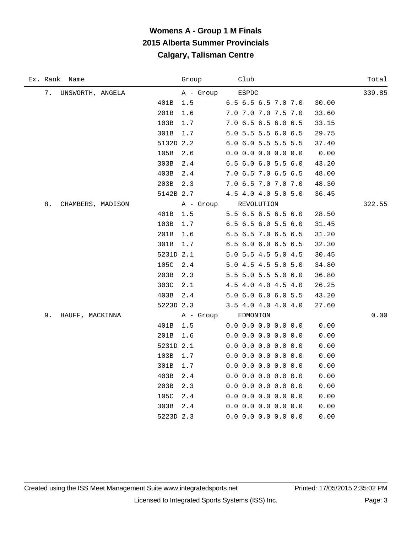# **Womens A - Group 1 M Finals 2015 Alberta Summer Provincials Calgary, Talisman Centre**

| Ex. Rank Name           | Group     | Club                  | Total  |
|-------------------------|-----------|-----------------------|--------|
| 7.<br>UNSWORTH, ANGELA  | A - Group | ESPDC                 | 339.85 |
| 401B                    | 1.5       | 6.5 6.5 6.5 7.0 7.0   | 30.00  |
| 201B                    | 1.6       | 7.0 7.0 7.0 7.5 7.0   | 33.60  |
| 103B                    | 1.7       | 7.0 6.5 6.5 6.0 6.5   | 33.15  |
| 301B                    | 1.7       | 6.0 5.5 5.5 6.0 6.5   | 29.75  |
|                         | 5132D 2.2 | 6.0 6.0 5.5 5.5 5.5   | 37.40  |
| 105B                    | 2.6       | $0.0$ 0.0 0.0 0.0 0.0 | 0.00   |
| 303B                    | 2.4       | 6.5 6.0 6.0 5.5 6.0   | 43.20  |
| 403B                    | 2.4       | 7.0 6.5 7.0 6.5 6.5   | 48.00  |
| 203B                    | 2.3       | 7.0 6.5 7.0 7.0 7.0   | 48.30  |
|                         | 5142B 2.7 | 4.5 4.0 4.0 5.0 5.0   | 36.45  |
| 8.<br>CHAMBERS, MADISON | A - Group | REVOLUTION            | 322.55 |
| 401B                    | 1.5       | 5.5 6.5 6.5 6.5 6.0   | 28.50  |
| 103B                    | 1.7       | 6.5 6.5 6.0 5.5 6.0   | 31.45  |
| 201B                    | 1.6       | 6.5 6.5 7.0 6.5 6.5   | 31.20  |
| 301B                    | 1.7       | 6.5 6.0 6.0 6.5 6.5   | 32.30  |
|                         | 5231D 2.1 | 5.0 5.5 4.5 5.0 4.5   | 30.45  |
| 105C                    | 2.4       | 5.0 4.5 4.5 5.0 5.0   | 34.80  |
| 203B                    | 2.3       | 5.5 5.0 5.5 5.0 6.0   | 36.80  |
| 303C                    | 2.1       | 4.5 4.0 4.0 4.5 4.0   | 26.25  |
| 403B                    | 2.4       | 6.0 6.0 6.0 6.0 5.5   | 43.20  |
|                         | 5223D 2.3 | 3.5 4.0 4.0 4.0 4.0   | 27.60  |
| 9.<br>HAUFF, MACKINNA   | A - Group | EDMONTON              | 0.00   |
| 401B                    | $1.5\,$   | $0.0$ 0.0 0.0 0.0 0.0 | 0.00   |
| 201B                    | $1.6\,$   | $0.0$ 0.0 0.0 0.0 0.0 | 0.00   |
|                         | 5231D 2.1 | $0.0$ 0.0 0.0 0.0 0.0 | 0.00   |
| 103B                    | 1.7       | $0.0$ 0.0 0.0 0.0 0.0 | 0.00   |
| 301B                    | 1.7       | $0.0$ 0.0 0.0 0.0 0.0 | 0.00   |
| 403B                    | 2.4       | $0.0$ 0.0 0.0 0.0 0.0 | 0.00   |
| 203B                    | 2.3       | $0.0$ 0.0 0.0 0.0 0.0 | 0.00   |
| 105C                    | 2.4       | $0.0$ 0.0 0.0 0.0 0.0 | 0.00   |
| 303B                    | 2.4       | $0.0$ 0.0 0.0 0.0 0.0 | 0.00   |
|                         | 5223D 2.3 | $0.0$ 0.0 0.0 0.0 0.0 | 0.00   |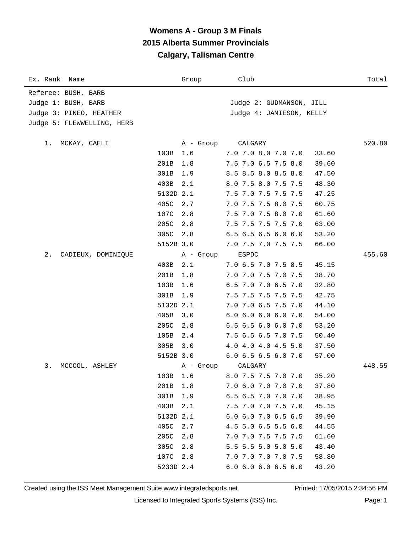# **Womens A - Group 3 M Finals 2015 Alberta Summer Provincials Calgary, Talisman Centre**

| Ex. Rank Name              |           | Group     | Club                          | Total  |
|----------------------------|-----------|-----------|-------------------------------|--------|
| Referee: BUSH, BARB        |           |           |                               |        |
| Judge 1: BUSH, BARB        |           |           | Judge 2: GUDMANSON, JILL      |        |
| Judge 3: PINEO, HEATHER    |           |           | Judge 4: JAMIESON, KELLY      |        |
| Judge 5: FLEWWELLING, HERB |           |           |                               |        |
| MCKAY, CAELI<br>1.         |           | A - Group | CALGARY                       | 520.80 |
|                            | 103B      | 1.6       | 7.0 7.0 8.0 7.0 7.0           | 33.60  |
|                            | 201B      | 1.8       | 7.5 7.0 6.5 7.5 8.0           | 39.60  |
|                            | 301B      | 1.9       | 8.5 8.5 8.0 8.5 8.0           | 47.50  |
|                            | 403B      | 2.1       | 8.0 7.5 8.0 7.5 7.5           | 48.30  |
|                            | 5132D 2.1 |           | 7.5 7.0 7.5 7.5 7.5           | 47.25  |
|                            | 405C      | 2.7       | 7.0 7.5 7.5 8.0 7.5           | 60.75  |
|                            | 107C      | 2.8       | 7.5 7.0 7.5 8.0 7.0           | 61.60  |
|                            | 205C      | 2.8       | 7.5 7.5 7.5 7.5 7.0           | 63.00  |
|                            | 305C      | 2.8       | 6.5 6.5 6.5 6.0 6.0           | 53.20  |
|                            | 5152B 3.0 |           | 7.0 7.5 7.0 7.5 7.5           | 66.00  |
| 2.<br>CADIEUX, DOMINIQUE   |           | A - Group | ESPDC                         | 455.60 |
|                            | 403B      | 2.1       | 7.0 6.5 7.0 7.5 8.5           | 45.15  |
|                            | 201B      | 1.8       | 7.0 7.0 7.5 7.0 7.5           | 38.70  |
|                            | 103B      | 1.6       | 6.5 7.0 7.0 6.5 7.0           | 32.80  |
|                            | 301B      | 1.9       | 7.5 7.5 7.5 7.5 7.5           | 42.75  |
|                            | 5132D 2.1 |           | 7.0 7.0 6.5 7.5 7.0           | 44.10  |
|                            | 405B      | 3.0       | 6.0 6.0 6.0 6.0 7.0           | 54.00  |
|                            | 205C      | 2.8       | 6.5 6.5 6.0 6.0 7.0           | 53.20  |
|                            | 105B      | 2.4       | 7.5 6.5 6.5 7.0 7.5           | 50.40  |
|                            | 305B      | 3.0       | 4.0 4.0 4.0 4.5 5.0           | 37.50  |
|                            | 5152B 3.0 |           | 6.0 6.5 6.5 6.0 7.0           | 57.00  |
| 3.<br>MCCOOL, ASHLEY       |           | A - Group | CALGARY                       | 448.55 |
|                            | 103B      | 1.6       | 8.0 7.5 7.5 7.0 7.0           | 35.20  |
|                            | 201B      | 1.8       | 7.0 6.0 7.0 7.0 7.0           | 37.80  |
|                            | 301B      | 1.9       | 6.5 6.5 7.0 7.0 7.0           | 38.95  |
|                            | 403B      | 2.1       | 7.5 7.0 7.0 7.5 7.0           | 45.15  |
|                            | 5132D 2.1 |           | 6.0 6.0 7.0 6.5 6.5           | 39.90  |
|                            | 405C      | 2.7       | 4.5 5.0 6.5 5.5 6.0           | 44.55  |
|                            | 205C      | 2.8       | 7.0 7.0 7.5 7.5 7.5           | 61.60  |
|                            | 305C      | 2.8       | 5.5 5.5 5.0 5.0 5.0           | 43.40  |
|                            | 107C      | 2.8       | 7.0 7.0 7.0 7.0 7.5           | 58.80  |
|                            | 5233D 2.4 |           | $6.0$ $6.0$ $6.0$ $6.5$ $6.0$ | 43.20  |

Created using the ISS Meet Management Suite www.integratedsports.net Printed: 17/05/2015 2:34:56 PM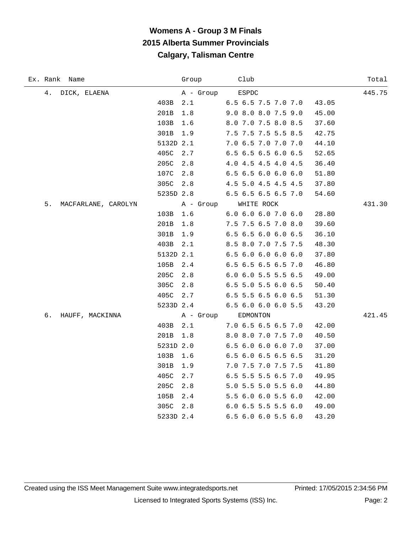# **Womens A - Group 3 M Finals 2015 Alberta Summer Provincials Calgary, Talisman Centre**

| Ex. Rank Name             | Group       | Club                | Total  |
|---------------------------|-------------|---------------------|--------|
| 4.<br>DICK, ELAENA        | A - Group   | ESPDC               | 445.75 |
|                           | 403B<br>2.1 | 6.5 6.5 7.5 7.0 7.0 | 43.05  |
| 201B                      | 1.8         | 9.0 8.0 8.0 7.5 9.0 | 45.00  |
| 103B                      | 1.6         | 8.0 7.0 7.5 8.0 8.5 | 37.60  |
| 301B                      | 1.9         | 7.5 7.5 7.5 5.5 8.5 | 42.75  |
|                           | 5132D 2.1   | 7.0 6.5 7.0 7.0 7.0 | 44.10  |
| 405C                      | 2.7         | 6.5 6.5 6.5 6.0 6.5 | 52.65  |
| 205C                      | 2.8         | 4.0 4.5 4.5 4.0 4.5 | 36.40  |
|                           | 107C<br>2.8 | 6.5 6.5 6.0 6.0 6.0 | 51.80  |
|                           | 305C 2.8    | 4.5 5.0 4.5 4.5 4.5 | 37.80  |
|                           | 5235D 2.8   | 6.5 6.5 6.5 6.5 7.0 | 54.60  |
| 5.<br>MACFARLANE, CAROLYN | A - Group   | WHITE ROCK          | 431.30 |
|                           | 103B<br>1.6 | 6.0 6.0 6.0 7.0 6.0 | 28.80  |
| 201B                      | 1.8         | 7.5 7.5 6.5 7.0 8.0 | 39.60  |
|                           | 301B<br>1.9 | 6.5 6.5 6.0 6.0 6.5 | 36.10  |
|                           | 403B<br>2.1 | 8.5 8.0 7.0 7.5 7.5 | 48.30  |
|                           | 5132D 2.1   | 6.56.06.06.06.0     | 37.80  |
| 105B                      | 2.4         | 6.5 6.5 6.5 6.5 7.0 | 46.80  |
| 205C                      | 2.8         | 6.0 6.0 5.5 5.5 6.5 | 49.00  |
|                           | 305C<br>2.8 | 6.5 5.0 5.5 6.0 6.5 | 50.40  |
|                           | 405C<br>2.7 | 6.5 5.5 6.5 6.0 6.5 | 51.30  |
|                           | 5233D 2.4   | 6.5 6.0 6.0 6.0 5.5 | 43.20  |
| б.<br>HAUFF, MACKINNA     | A - Group   | EDMONTON            | 421.45 |
|                           | 403B<br>2.1 | 7.0 6.5 6.5 6.5 7.0 | 42.00  |
| 201B                      | 1.8         | 8.0 8.0 7.0 7.5 7.0 | 40.50  |
|                           | 5231D 2.0   | 6.5 6.0 6.0 6.0 7.0 | 37.00  |
| 103B                      | 1.6         | 6.5 6.0 6.5 6.5 6.5 | 31.20  |
| 301B                      | 1.9         | 7.0 7.5 7.0 7.5 7.5 | 41.80  |
| 405C                      | 2.7         | 6.5 5.5 5.5 6.5 7.0 | 49.95  |
| 205C                      | 2.8         | 5.0 5.5 5.0 5.5 6.0 | 44.80  |
| 105B                      | 2.4         | 5.5 6.0 6.0 5.5 6.0 | 42.00  |
|                           | 305C<br>2.8 | 6.0 6.5 5.5 5.5 6.0 | 49.00  |
|                           | 5233D 2.4   | 6.5 6.0 6.0 5.5 6.0 | 43.20  |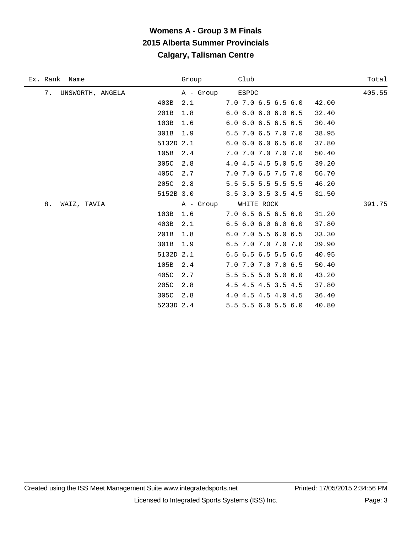| Ex. Rank Name          | Group           | Club                          | Total  |
|------------------------|-----------------|-------------------------------|--------|
| 7.<br>UNSWORTH, ANGELA | A - Group ESPDC |                               | 405.55 |
|                        | 403B<br>2.1     | 7.0 7.0 6.5 6.5 6.0           | 42.00  |
|                        | 201B<br>1.8     | 6.0 6.0 6.0 6.0 6.5           | 32.40  |
|                        | 103B<br>1.6     | $6.0$ $6.0$ $6.5$ $6.5$ $6.5$ | 30.40  |
|                        | 301B<br>1.9     | 6.5 7.0 6.5 7.0 7.0           | 38.95  |
|                        | 5132D 2.1       | $6.0$ $6.0$ $6.0$ $6.5$ $6.0$ | 37.80  |
|                        | 105B<br>2.4     | 7.0 7.0 7.0 7.0 7.0           | 50.40  |
|                        | 305C<br>2.8     | 4.0 4.5 4.5 5.0 5.5           | 39.20  |
|                        | 405C<br>2.7     | 7.0 7.0 6.5 7.5 7.0           | 56.70  |
|                        | 205C<br>2.8     | 5.5 5.5 5.5 5.5 5.5           | 46.20  |
|                        | 5152B 3.0       | 3.5 3.0 3.5 3.5 4.5           | 31.50  |
| 8.<br>WAIZ, TAVIA      | A - Group       | WHITE ROCK                    | 391.75 |
|                        | 1.6<br>103B     | 7.06.56.56.56.0               | 31.20  |
|                        | 403B<br>2.1     | 6.56.06.06.06.0               | 37.80  |
|                        | 201B<br>1.8     | 6.0 7.0 5.5 6.0 6.5           | 33.30  |
|                        | 301B<br>1.9     | 6.5 7.0 7.0 7.0 7.0           | 39.90  |
|                        | 5132D 2.1       | 6.5 6.5 6.5 5.5 6.5           | 40.95  |
|                        | 105B<br>2.4     | 7.0 7.0 7.0 7.0 6.5           | 50.40  |
|                        | 405C<br>2.7     | 5.5 5.5 5.0 5.0 6.0           | 43.20  |
|                        | 205C<br>2.8     | 4.5 4.5 4.5 3.5 4.5           | 37.80  |
|                        | 305C<br>2.8     | 4.0 4.5 4.5 4.0 4.5           | 36.40  |
|                        | 5233D 2.4       | 5.5 5.5 6.0 5.5 6.0           | 40.80  |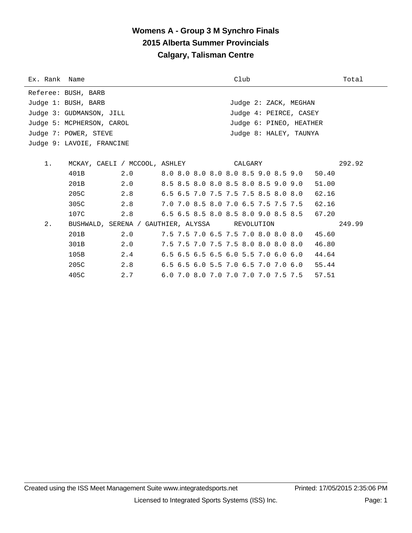| Ex. Rank Name |                                                |     |  | Club |                                     | Total  |
|---------------|------------------------------------------------|-----|--|------|-------------------------------------|--------|
|               | Referee: BUSH, BARB                            |     |  |      |                                     |        |
|               | Judge 1: BUSH, BARB                            |     |  |      | Judge 2: ZACK, MEGHAN               |        |
|               | Judge 3: GUDMANSON, JILL                       |     |  |      | Judge 4: PEIRCE, CASEY              |        |
|               | Judge 5: MCPHERSON, CAROL                      |     |  |      | Judge 6: PINEO, HEATHER             |        |
|               | Judge 7: POWER, STEVE                          |     |  |      | Judge 8: HALEY, TAUNYA              |        |
|               | Judge 9: LAVOIE, FRANCINE                      |     |  |      |                                     |        |
|               |                                                |     |  |      |                                     |        |
| 1.            |                                                |     |  |      |                                     | 292.92 |
|               | 401B                                           | 2.0 |  |      | 8.0 8.0 8.0 8.0 8.0 8.5 9.0 8.5 9.0 | 50.40  |
|               | 201B                                           | 2.0 |  |      | 8.5 8.5 8.0 8.0 8.5 8.0 8.5 9.0 9.0 | 51.00  |
|               | 205C                                           | 2.8 |  |      | 6.5 6.5 7.0 7.5 7.5 7.5 8.5 8.0 8.0 | 62.16  |
|               | 305C                                           | 2.8 |  |      | 7.0 7.0 8.5 8.0 7.0 6.5 7.5 7.5 7.5 | 62.16  |
|               | 107C                                           | 2.8 |  |      | 6.5 6.5 8.5 8.0 8.5 8.0 9.0 8.5 8.5 | 67.20  |
| 2.            | BUSHWALD, SERENA / GAUTHIER, ALYSSA REVOLUTION |     |  |      |                                     | 249.99 |
|               | 201B                                           | 2.0 |  |      | 7.5 7.5 7.0 6.5 7.5 7.0 8.0 8.0 8.0 | 45.60  |
|               | 301B                                           | 2.0 |  |      | 7.5 7.5 7.0 7.5 7.5 8.0 8.0 8.0 8.0 | 46.80  |
|               | 105B                                           | 2.4 |  |      | 6.5 6.5 6.5 6.5 6.0 5.5 7.0 6.0 6.0 | 44.64  |
|               | 205C                                           | 2.8 |  |      | 6.5 6.5 6.0 5.5 7.0 6.5 7.0 7.0 6.0 | 55.44  |
|               | 405C                                           | 2.7 |  |      | 6.0 7.0 8.0 7.0 7.0 7.0 7.0 7.5 7.5 | 57.51  |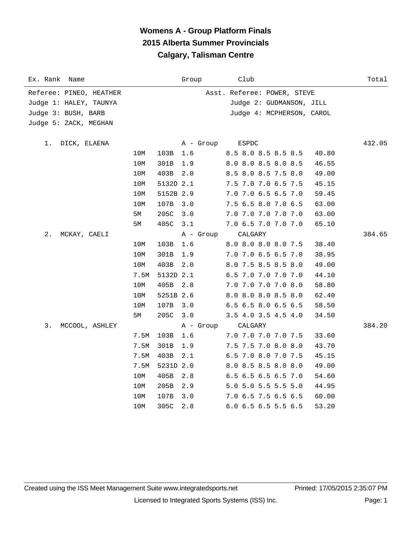| Ex. Rank Name           |      |           | Group     | Club                         | Total  |
|-------------------------|------|-----------|-----------|------------------------------|--------|
| Referee: PINEO, HEATHER |      |           |           | Asst. Referee: POWER, STEVE  |        |
| Judge 1: HALEY, TAUNYA  |      |           |           | Judge 2: GUDMANSON, JILL     |        |
| Judge 3: BUSH, BARB     |      |           |           | Judge 4: MCPHERSON, CAROL    |        |
| Judge 5: ZACK, MEGHAN   |      |           |           |                              |        |
|                         |      |           |           |                              |        |
| 1.<br>DICK, ELAENA      |      |           | A - Group | ESPDC                        | 432.05 |
|                         | 10M  | 103B      | 1.6       | 8.5 8.0 8.5 8.5 8.5<br>40.80 |        |
|                         | 10M  | 301B      | 1.9       | 8.0 8.0 8.5 8.0 8.5<br>46.55 |        |
|                         | 10M  | 403B      | 2.0       | 8.5 8.0 8.5 7.5 8.0<br>49.00 |        |
|                         | 10M  | 5132D 2.1 |           | 7.5 7.0 7.0 6.5 7.5<br>45.15 |        |
|                         | 10M  | 5152B 2.9 |           | 7.0 7.0 6.5 6.5 7.0<br>59.45 |        |
|                         | 10M  | 107B      | 3.0       | 7.5 6.5 8.0 7.0 6.5<br>63.00 |        |
|                         | 5M   | 205C      | 3.0       | 7.0 7.0 7.0 7.0 7.0<br>63.00 |        |
|                         | 5M   | 405C      | 3.1       | 7.0 6.5 7.0 7.0 7.0<br>65.10 |        |
| 2.<br>MCKAY, CAELI      |      |           | A - Group | CALGARY                      | 384.65 |
|                         | 10M  | 103B      | 1.6       | 8.0 8.0 8.0 8.0 7.5<br>38.40 |        |
|                         | 10M  | 301B      | 1.9       | 7.0 7.0 6.5 6.5 7.0<br>38.95 |        |
|                         | 10M  | 403B      | 2.0       | 8.0 7.5 8.5 8.5 8.0<br>49.00 |        |
|                         | 7.5M | 5132D 2.1 |           | 6.5 7.0 7.0 7.0 7.0<br>44.10 |        |
|                         | 10M  | 405B      | 2.8       | 7.0 7.0 7.0 7.0 8.0<br>58.80 |        |
|                         | 10M  | 5251B 2.6 |           | 8.0 8.0 8.0 8.5 8.0<br>62.40 |        |
|                         | 10M  | 107B      | 3.0       | 6.5 6.5 8.0 6.5 6.5<br>58.50 |        |
|                         | 5M   | 205C 3.0  |           | 3.5 4.0 3.5 4.5 4.0<br>34.50 |        |
| MCCOOL, ASHLEY<br>3.    |      |           | A - Group | ${\tt CALGARY}$              | 384.20 |
|                         | 7.5M | 103B      | 1.6       | 7.0 7.0 7.0 7.0 7.5<br>33.60 |        |
|                         | 7.5M | 301B      | 1.9       | 7.5 7.5 7.0 8.0 8.0<br>43.70 |        |
|                         | 7.5M | 403B      | 2.1       | 6.5 7.0 8.0 7.0 7.5<br>45.15 |        |
|                         | 7.5M | 5231D 2.0 |           | 8.0 8.5 8.5 8.0 8.0<br>49.00 |        |
|                         | 10M  | 405B      | 2.8       | 6.5 6.5 6.5 6.5 7.0<br>54.60 |        |
|                         | 10M  | 205B      | 2.9       | 5.0 5.0 5.5 5.5 5.0<br>44.95 |        |
|                         | 10M  | 107B      | 3.0       | 7.0 6.5 7.5 6.5 6.5<br>60.00 |        |
|                         | 10M  | 305C      | 2.8       | 6.0 6.5 6.5 5.5 6.5<br>53.20 |        |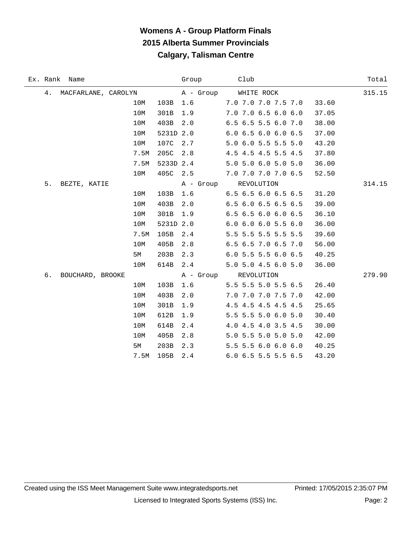|    | Ex. Rank Name       |      |           | Group     | Club                          | Total  |
|----|---------------------|------|-----------|-----------|-------------------------------|--------|
| 4. | MACFARLANE, CAROLYN |      |           | A - Group | WHITE ROCK                    | 315.15 |
|    |                     | 10M  | 103B      | 1.6       | 7.0 7.0 7.0 7.5 7.0           | 33.60  |
|    |                     | 10M  | 301B      | 1.9       | 7.0 7.0 6.5 6.0 6.0           | 37.05  |
|    |                     | 10M  | 403B      | 2.0       | 6.5 6.5 5.5 6.0 7.0           | 38.00  |
|    |                     | 10M  | 5231D 2.0 |           | 6.06.56.06.06.5               | 37.00  |
|    |                     | 10M  | 107C      | 2.7       | 5.0 6.0 5.5 5.5 5.0           | 43.20  |
|    |                     | 7.5M | 205C      | 2.8       | 4.5 4.5 4.5 5.5 4.5           | 37.80  |
|    |                     | 7.5M | 5233D 2.4 |           | 5.0 5.0 6.0 5.0 5.0           | 36.00  |
|    |                     | 10M  | 405C      | 2.5       | 7.0 7.0 7.0 7.0 6.5           | 52.50  |
| 5. | BEZTE, KATIE        |      |           |           | A - Group REVOLUTION          | 314.15 |
|    |                     | 10M  | 103B      | 1.6       | 6.5 6.5 6.0 6.5 6.5           | 31.20  |
|    |                     | 10M  | 403B      | 2.0       | 6.5 6.0 6.5 6.5 6.5           | 39.00  |
|    |                     | 10M  | 301B      | 1.9       | $6.5$ $6.5$ $6.0$ $6.0$ $6.5$ | 36.10  |
|    |                     | 10M  | 5231D 2.0 |           | $6.0$ $6.0$ $6.0$ $5.5$ $6.0$ | 36.00  |
|    |                     | 7.5M | 105B      | 2.4       | 5.5 5.5 5.5 5.5 5.5           | 39.60  |
|    |                     | 10M  | 405B      | 2.8       | 6.5 6.5 7.0 6.5 7.0           | 56.00  |
|    |                     | 5M   | 203B      | 2.3       | 6.0 5.5 5.5 6.0 6.5           | 40.25  |
|    |                     | 10M  | 614B      | 2.4       | 5.0 5.0 4.5 6.0 5.0           | 36.00  |
| б. | BOUCHARD, BROOKE    |      |           |           | A - Group REVOLUTION          | 279.90 |
|    |                     | 10M  | 103B      | 1.6       | 5.5 5.5 5.0 5.5 6.5           | 26.40  |
|    |                     | 10M  | 403B      | 2.0       | 7.0 7.0 7.0 7.5 7.0           | 42.00  |
|    |                     | 10M  | 301B      | 1.9       | 4.5 4.5 4.5 4.5 4.5           | 25.65  |
|    |                     | 10M  | 612B      | 1.9       | 5.5 5.5 5.0 6.0 5.0           | 30.40  |
|    |                     | 10M  | 614B      | 2.4       | 4.0 4.5 4.0 3.5 4.5           | 30.00  |
|    |                     | 10M  | 405B      | 2.8       | 5.0 5.5 5.0 5.0 5.0           | 42.00  |
|    |                     | 5M   | 203B      | 2.3       | 5.5 5.5 6.0 6.0 6.0           | 40.25  |
|    |                     | 7.5M | 105B      | 2.4       | 6.0 6.5 5.5 5.5 6.5           | 43.20  |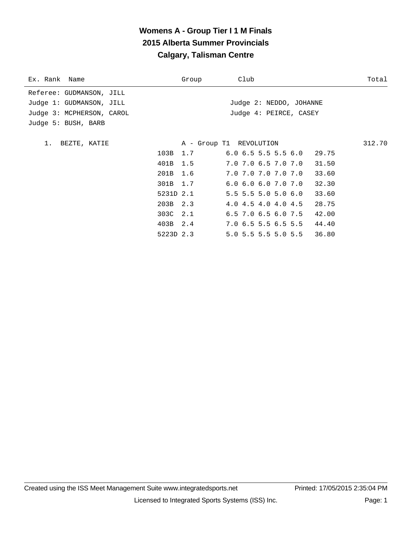| Ex. Rank Name             | Group | Club                                   | Total  |
|---------------------------|-------|----------------------------------------|--------|
| Referee: GUDMANSON, JILL  |       |                                        |        |
| Judge 1: GUDMANSON, JILL  |       | Judge 2: NEDDO, JOHANNE                |        |
| Judge 3: MCPHERSON, CAROL |       | Judge 4: PEIRCE, CASEY                 |        |
| Judge 5: BUSH, BARB       |       |                                        |        |
|                           |       |                                        |        |
| 1. BEZTE, KATIE           |       | A - Group T1 REVOLUTION                | 312.70 |
| 103B 1.7                  |       | $6.0$ $6.5$ $5.5$ $5.5$ $6.0$ 29.75    |        |
| 401B 1.5                  |       | $7.0$ $7.0$ $6.5$ $7.0$ $7.0$<br>31.50 |        |
| 201B                      | 1.6   | 7.0 7.0 7.0 7.0 7.0<br>33.60           |        |
| 301B 1.7                  |       | $6.0 \t6.0 \t6.0 \t7.0 \t7.0$<br>32.30 |        |
| 5231D 2.1                 |       | $5.5$ 5.5 5.0 5.0 6.0<br>33.60         |        |
| 203B 2.3                  |       | 4.0 4.5 4.0 4.0 4.5<br>28.75           |        |
| 303C 2.1                  |       | $6.5$ 7.0 $6.5$ 6.0 7.5<br>42.00       |        |
| 403B 2.4                  |       | 7.0 6.5 5.5 6.5 5.5 44.40              |        |
| 5223D 2.3                 |       | 5.0 5.5 5.5 5.0 5.5 36.80              |        |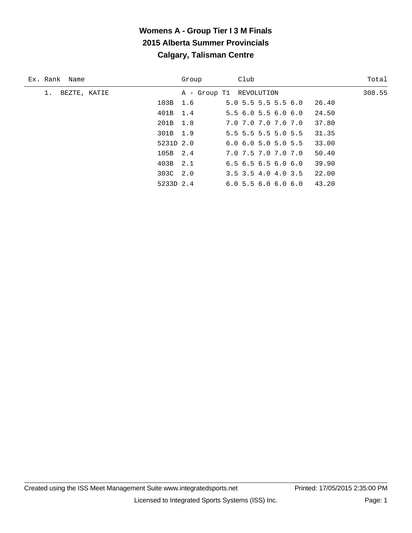| Ex. Rank Name | Group     | Club                          | Total  |
|---------------|-----------|-------------------------------|--------|
| BEZTE, KATIE  |           | A - Group T1 REVOLUTION       | 308.55 |
|               | 103B 1.6  | $5.0$ 5.5 5.5 5.5 6.0         | 26.40  |
|               | 401B 1.4  | $5.5$ 6.0 5.5 6.0 6.0         | 24.50  |
|               | 201B 1.8  | 7.0 7.0 7.0 7.0 7.0           | 37.80  |
|               | 301B 1.9  | 5.5 5.5 5.5 5.0 5.5           | 31.35  |
|               | 5231D 2.0 | $6.0$ $6.0$ $5.0$ $5.0$ $5.5$ | 33.00  |
|               | 105B 2.4  | 7.0 7.5 7.0 7.0 7.0           | 50.40  |
|               | 403B 2.1  | $6.5$ $6.5$ $6.5$ $6.0$ $6.0$ | 39.90  |
|               | 303C 2.0  | 3.5 3.5 4.0 4.0 3.5           | 22.00  |
|               | 5233D 2.4 | 6.05.56.06.06.0               | 43.20  |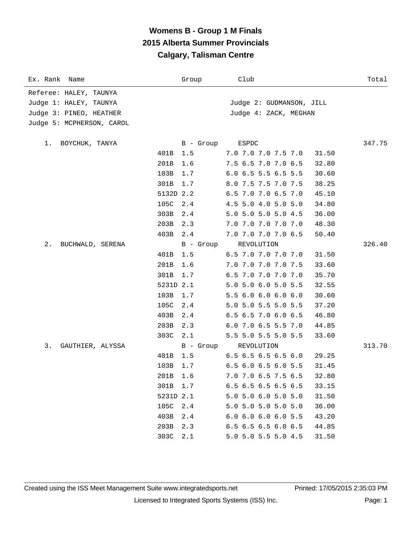| Ex. Rank Name             | Group       | Club                                   | Total  |
|---------------------------|-------------|----------------------------------------|--------|
| Referee: HALEY, TAUNYA    |             |                                        |        |
| Judge 1: HALEY, TAUNYA    |             | Judge 2: GUDMANSON, JILL               |        |
| Judge 3: PINEO, HEATHER   |             | Judge 4: ZACK, MEGHAN                  |        |
| Judge 5: MCPHERSON, CAROL |             |                                        |        |
|                           |             |                                        |        |
| BOYCHUK, TANYA<br>1.      | B - Group   | ESPDC                                  | 347.75 |
|                           | 401B<br>1.5 | 7.0 7.0 7.0 7.5 7.0<br>31.50           |        |
|                           | 201B<br>1.6 | 7.5 6.5 7.0 7.0 6.5<br>32.80           |        |
|                           | 103B<br>1.7 | 6.0 6.5 5.5 6.5 5.5<br>30.60           |        |
|                           | 301B<br>1.7 | 8.0 7.5 7.5 7.0 7.5<br>38.25           |        |
|                           | 5132D 2.2   | 6.5 7.0 7.0 6.5 7.0<br>45.10           |        |
|                           | 105C<br>2.4 | 4.5 5.0 4.0 5.0 5.0<br>34.80           |        |
|                           | 303B<br>2.4 | 5.0 5.0 5.0 5.0 4.5<br>36.00           |        |
|                           | 203B<br>2.3 | 7.0 7.0 7.0 7.0 7.0<br>48.30           |        |
|                           | 2.4<br>403B | 7.0 7.0 7.0 7.0 6.5<br>50.40           |        |
| $2$ .<br>BUCHWALD, SERENA | B - Group   | REVOLUTION                             | 326.40 |
|                           | 401B<br>1.5 | 6.5 7.0 7.0 7.0 7.0<br>31.50           |        |
|                           | 201B<br>1.6 | 7.0 7.0 7.0 7.0 7.5<br>33.60           |        |
|                           | 301B<br>1.7 | 6.5 7.0 7.0 7.0 7.0<br>35.70           |        |
|                           | 5231D 2.1   | 5.0 5.0 6.0 5.0 5.5<br>32.55           |        |
|                           | 103B<br>1.7 | 5.5 6.0 6.0 6.0 6.0<br>30.60           |        |
|                           | 105C<br>2.4 | 5.0 5.0 5.5 5.0 5.5<br>37.20           |        |
|                           | 2.4<br>403B | $6.5$ $6.5$ $7.0$ $6.0$ $6.5$<br>46.80 |        |
|                           | 203B<br>2.3 | 6.0 7.0 6.5 5.5 7.0<br>44.85           |        |
|                           | 2.1<br>303C | 5.5 5.0 5.5 5.0 5.5<br>33.60           |        |
| 3.<br>GAUTHIER, ALYSSA    | B - Group   | REVOLUTION                             | 313.70 |
|                           | 401B<br>1.5 | $6.5$ $6.5$ $6.5$ $6.5$ $6.0$<br>29.25 |        |
|                           | 103B<br>1.7 | $6.5$ $6.0$ $6.5$ $6.0$ $5.5$<br>31.45 |        |
|                           | 201B<br>1.6 | 7.0 7.0 6.5 7.5 6.5<br>32.80           |        |
|                           | 301B<br>1.7 | $6.5$ $6.5$ $6.5$ $6.5$ $6.5$<br>33.15 |        |
|                           | 5231D 2.1   | 5.0 5.0 6.0 5.0 5.0<br>31.50           |        |
|                           | 105C<br>2.4 | 5.0 5.0 5.0 5.0 5.0<br>36.00           |        |
|                           | 403B<br>2.4 | $6.0$ $6.0$ $6.0$ $6.0$ $5.5$<br>43.20 |        |
|                           | 203B<br>2.3 | 6.5 6.5 6.5 6.0 6.5<br>44.85           |        |
|                           | 303C<br>2.1 | 5.0 5.0 5.5 5.0 4.5<br>31.50           |        |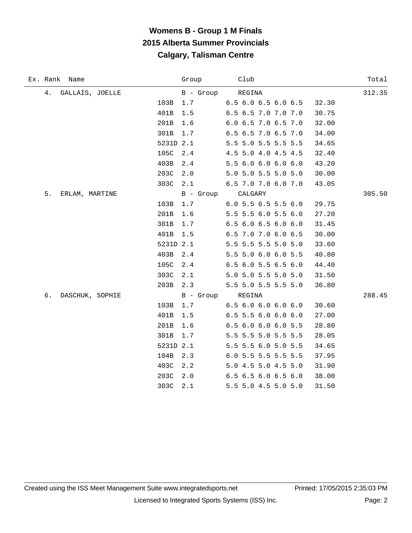| Ex. Rank Name         |           | Group            | Club                | Total  |
|-----------------------|-----------|------------------|---------------------|--------|
| 4.<br>GALLAIS, JOELLE |           | B - Group REGINA |                     | 312.35 |
|                       | 103B      | 1.7              | 6.5 6.0 6.5 6.0 6.5 | 32.30  |
|                       | 401B      | 1.5              | 6.5 6.5 7.0 7.0 7.0 | 30.75  |
|                       | 201B      | 1.6              | 6.0 6.5 7.0 6.5 7.0 | 32.00  |
|                       | 301B      | 1.7              | 6.5 6.5 7.0 6.5 7.0 | 34.00  |
|                       | 5231D 2.1 |                  | 5.5 5.0 5.5 5.5 5.5 | 34.65  |
|                       | 105C      | 2.4              | 4.5 5.0 4.0 4.5 4.5 | 32.40  |
|                       | 403B      | 2.4              | 5.5 6.0 6.0 6.0 6.0 | 43.20  |
|                       | 203C      | 2.0              | 5.0 5.0 5.5 5.0 5.0 | 30.00  |
|                       | 303C      | 2.1              | 6.5 7.0 7.0 6.0 7.0 | 43.05  |
| 5.<br>ERLAM, MARTINE  |           |                  | B - Group CALGARY   | 305.50 |
|                       | 103B      | 1.7              | 6.0 5.5 6.5 5.5 6.0 | 29.75  |
|                       | 201B      | 1.6              | 5.5 5.5 6.0 5.5 6.0 | 27.20  |
|                       | 301B      | 1.7              | 6.5 6.0 6.5 6.0 6.0 | 31.45  |
|                       | 401B      | 1.5              | 6.5 7.0 7.0 6.0 6.5 | 30.00  |
|                       | 5231D 2.1 |                  | 5.5 5.5 5.5 5.0 5.0 | 33.60  |
|                       | 403B      | 2.4              | 5.5 5.0 6.0 6.0 5.5 | 40.80  |
|                       | 105C      | 2.4              | 6.5 6.0 5.5 6.5 6.0 | 44.40  |
|                       | 303C      | 2.1              | 5.0 5.0 5.5 5.0 5.0 | 31.50  |
|                       | 203B      | 2.3              | 5.5 5.0 5.5 5.5 5.0 | 36.80  |
| б.<br>DASCHUK, SOPHIE |           | B - Group REGINA |                     | 288.45 |
|                       | 103B      | 1.7              | 6.56.06.06.06.0     | 30.60  |
|                       | 401B      | 1.5              | 6.5 5.5 6.0 6.0 6.0 | 27.00  |
|                       | 201B      | 1.6              | 6.5 6.0 6.0 6.0 5.5 | 28.80  |
|                       | 301B      | 1.7              | 5.5 5.5 5.0 5.5 5.5 | 28.05  |
|                       | 5231D 2.1 |                  | 5.5 5.5 6.0 5.0 5.5 | 34.65  |
|                       | 104B      | 2.3              | 6.0 5.5 5.5 5.5 5.5 | 37.95  |
|                       | 403C      | 2.2              | 5.0 4.5 5.0 4.5 5.0 | 31.90  |
|                       | 203C      | 2.0              | 6.5 6.5 6.0 6.5 6.0 | 38.00  |
|                       | 303C      | 2.1              | 5.5 5.0 4.5 5.0 5.0 | 31.50  |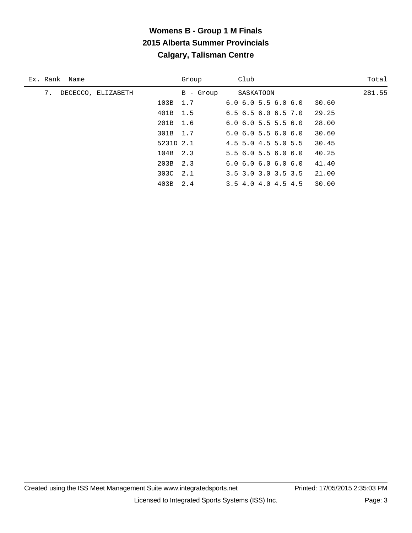| Ex. Rank Name            |           | Group     | Club                          | Total  |
|--------------------------|-----------|-----------|-------------------------------|--------|
| 7.<br>DECECCO, ELIZABETH |           | B - Group | SASKATOON                     | 281.55 |
|                          | 103B 1.7  |           | $6.0$ $6.0$ $5.5$ $6.0$ $6.0$ | 30.60  |
|                          | 401B 1.5  |           | $6.5$ $6.5$ $6.0$ $6.5$ $7.0$ | 29.25  |
|                          | 201B 1.6  |           | $6.0$ $6.0$ $5.5$ $5.5$ $6.0$ | 28.00  |
|                          | 301B 1.7  |           | $6.0$ $6.0$ $5.5$ $6.0$ $6.0$ | 30.60  |
|                          | 5231D 2.1 |           | $4.5$ 5.0 $4.5$ 5.0 5.5       | 30.45  |
|                          | 104B 2.3  |           | 5.56.05.56.06.0               | 40.25  |
|                          | 203B 2.3  |           | 6.06.06.06.06.0               | 41.40  |
|                          | 303C 2.1  |           | $3.5$ $3.0$ $3.0$ $3.5$ $3.5$ | 21.00  |
|                          | 403B 2.4  |           | 3.5 4.0 4.0 4.5 4.5           | 30.00  |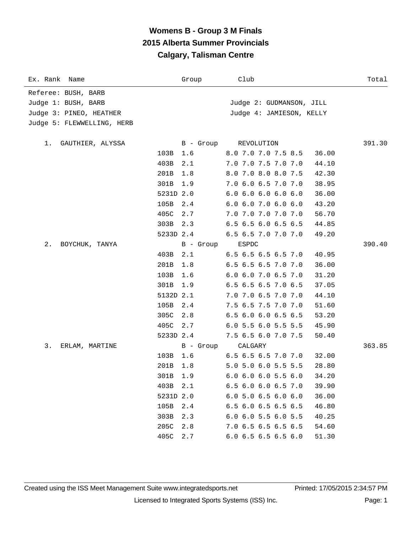| Ex. Rank Name              |           | Group     | Club                          | Total  |
|----------------------------|-----------|-----------|-------------------------------|--------|
| Referee: BUSH, BARB        |           |           |                               |        |
| Judge 1: BUSH, BARB        |           |           | Judge 2: GUDMANSON, JILL      |        |
| Judge 3: PINEO, HEATHER    |           |           | Judge 4: JAMIESON, KELLY      |        |
| Judge 5: FLEWWELLING, HERB |           |           |                               |        |
|                            |           |           |                               |        |
| GAUTHIER, ALYSSA<br>1.     |           | B - Group | REVOLUTION                    | 391.30 |
|                            | 103B      | 1.6       | 8.0 7.0 7.0 7.5 8.5           | 36.00  |
|                            | 403B      | 2.1       | 7.0 7.0 7.5 7.0 7.0           | 44.10  |
|                            | 201B      | 1.8       | 8.0 7.0 8.0 8.0 7.5           | 42.30  |
|                            | 301B      | 1.9       | 7.0 6.0 6.5 7.0 7.0           | 38.95  |
|                            | 5231D 2.0 |           | 6.06.06.06.06.0               | 36.00  |
|                            | 105B      | 2.4       | $6.0$ $6.0$ $7.0$ $6.0$ $6.0$ | 43.20  |
|                            | 405C      | 2.7       | 7.0 7.0 7.0 7.0 7.0           | 56.70  |
|                            | 303B      | 2.3       | 6.5 6.5 6.0 6.5 6.5           | 44.85  |
|                            | 5233D 2.4 |           | 6.5 6.5 7.0 7.0 7.0           | 49.20  |
| 2.<br>BOYCHUK, TANYA       |           | B - Group | ESPDC                         | 390.40 |
|                            | 403B      | 2.1       | 6.5 6.5 6.5 6.5 7.0           | 40.95  |
|                            | 201B      | 1.8       | 6.5 6.5 6.5 7.0 7.0           | 36.00  |
|                            | 103B      | 1.6       | 6.0 6.0 7.0 6.5 7.0           | 31.20  |
|                            | 301B      | 1.9       | 6.5 6.5 6.5 7.0 6.5           | 37.05  |
|                            | 5132D 2.1 |           | 7.0 7.0 6.5 7.0 7.0           | 44.10  |
|                            | 105B      | 2.4       | 7.5 6.5 7.5 7.0 7.0           | 51.60  |
|                            | 305C      | 2.8       | 6.5 6.0 6.0 6.5 6.5           | 53.20  |
|                            | 405C      | 2.7       | 6.0 5.5 6.0 5.5 5.5           | 45.90  |
|                            | 5233D 2.4 |           | 7.5 6.5 6.0 7.0 7.5           | 50.40  |
| 3.<br>ERLAM, MARTINE       |           | B - Group | CALGARY                       | 363.85 |
|                            | 103B      | 1.6       | 6.5 6.5 6.5 7.0 7.0           | 32.00  |
|                            | 201B      | 1.8       | 5.0 5.0 6.0 5.5 5.5           | 28.80  |
|                            | 301B      | 1.9       | 6.0 6.0 6.0 5.5 6.0           | 34.20  |
|                            | 403B      | 2.1       | 6.5 6.0 6.0 6.5 7.0           | 39.90  |
|                            | 5231D 2.0 |           | $6.0$ 5.0 6.5 6.0 6.0         | 36.00  |
|                            | 105B      | 2.4       | 6.5 6.0 6.5 6.5 6.5           | 46.80  |
|                            | 303B      | 2.3       | $6.0$ $6.0$ $5.5$ $6.0$ $5.5$ | 40.25  |
|                            | 205C      | 2.8       | 7.0 6.5 6.5 6.5 6.5           | 54.60  |
|                            | 405C      | 2.7       | 6.0 6.5 6.5 6.5 6.0           | 51.30  |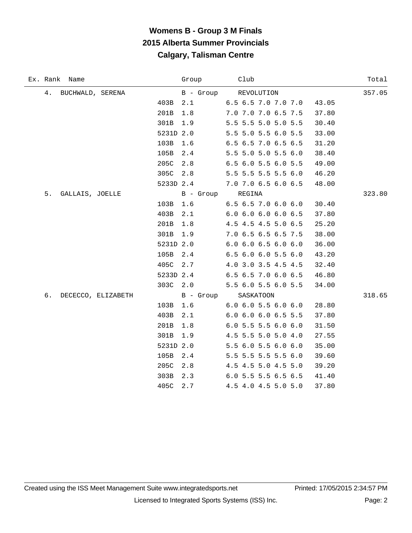| Ex. Rank Name            | Group Club |                               | Total  |
|--------------------------|------------|-------------------------------|--------|
| 4. BUCHWALD, SERENA      |            | B - Group REVOLUTION          | 357.05 |
| 403B                     | 2.1        | 6.5 6.5 7.0 7.0 7.0           | 43.05  |
| 201B                     | 1.8        | 7.0 7.0 7.0 6.5 7.5           | 37.80  |
| 301B                     | 1.9        | 5.5 5.5 5.0 5.0 5.5           | 30.40  |
|                          | 5231D 2.0  | 5.5 5.0 5.5 6.0 5.5           | 33.00  |
| 103B                     | 1.6        | 6.5 6.5 7.0 6.5 6.5           | 31.20  |
| 105B                     | 2.4        | 5.5 5.0 5.0 5.5 6.0           | 38.40  |
| 205C                     | 2.8        | 6.5 6.0 5.5 6.0 5.5           | 49.00  |
|                          | 305C 2.8   | 5.5 5.5 5.5 5.5 6.0           | 46.20  |
|                          |            | 5233D 2.4 7.0 7.0 6.5 6.0 6.5 | 48.00  |
| 5.<br>GALLAIS, JOELLE    |            | B - Group REGINA              | 323.80 |
| 103B                     | 1.6        | $6.5$ $6.5$ $7.0$ $6.0$ $6.0$ | 30.40  |
| 403B                     | 2.1        | 6.06.06.06.06.5               | 37.80  |
| 201B                     | 1.8        | 4.5 4.5 4.5 5.0 6.5           | 25.20  |
| 301B                     | 1.9        | 7.0 6.5 6.5 6.5 7.5           | 38.00  |
|                          | 5231D 2.0  | $6.0$ $6.0$ $6.5$ $6.0$ $6.0$ | 36.00  |
| 105B                     | 2.4        | $6.5$ $6.0$ $6.0$ $5.5$ $6.0$ | 43.20  |
| 405C                     | 2.7        | 4.0 3.0 3.5 4.5 4.5           | 32.40  |
|                          | 5233D 2.4  | $6.5$ $6.5$ $7.0$ $6.0$ $6.5$ | 46.80  |
|                          | 303C 2.0   | 5.5 6.0 5.5 6.0 5.5           | 34.00  |
| б.<br>DECECCO, ELIZABETH |            | B - Group SASKATOON           | 318.65 |
| 103B                     | 1.6        | $6.0$ $6.0$ $5.5$ $6.0$ $6.0$ | 28.80  |
| 403B                     | 2.1        | 6.0 6.0 6.0 6.5 5.5           | 37.80  |
| 201B                     | 1.8        | $6.0$ 5.5 5.5 6.0 6.0         | 31.50  |
| 301B                     | 1.9        | 4.5 5.5 5.0 5.0 4.0           | 27.55  |
|                          | 5231D 2.0  | 5.5 6.0 5.5 6.0 6.0           | 35.00  |
| 105B                     | 2.4        | 5.5 5.5 5.5 5.5 6.0           | 39.60  |
| 205C                     | 2.8        | 4.5 4.5 5.0 4.5 5.0           | 39.20  |
| 303B                     | 2.3        | 6.0 5.5 5.5 6.5 6.5           | 41.40  |
| 405C                     | 2.7        | 4.5 4.0 4.5 5.0 5.0           | 37.80  |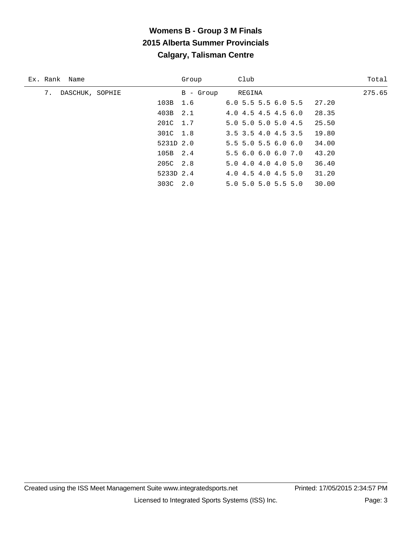| Ex. Rank Name         |           | Group     | Club                          | Total  |
|-----------------------|-----------|-----------|-------------------------------|--------|
| 7.<br>DASCHUK, SOPHIE |           | B - Group | REGINA                        | 275.65 |
|                       | 103B 1.6  |           | $6.0$ 5.5 5.5 6.0 5.5         | 27.20  |
|                       | 403B 2.1  |           | $4.0$ $4.5$ $4.5$ $4.5$ $6.0$ | 28.35  |
|                       | 201C 1.7  |           | $5.0$ $5.0$ $5.0$ $5.0$ $4.5$ | 25.50  |
|                       | 301C 1.8  |           | 3.5 3.5 4.0 4.5 3.5           | 19.80  |
|                       | 5231D 2.0 |           | $5.5$ 5.0 5.5 6.0 6.0         | 34.00  |
|                       | 105B 2.4  |           | 5.5 6.0 6.0 6.0 7.0           | 43.20  |
|                       | 205C 2.8  |           | 5.04.04.04.05.0               | 36.40  |
|                       | 5233D 2.4 |           | 4.0 4.5 4.0 4.5 5.0           | 31.20  |
|                       | 303C 2.0  |           | 5.0 5.0 5.0 5.5 5.0           | 30.00  |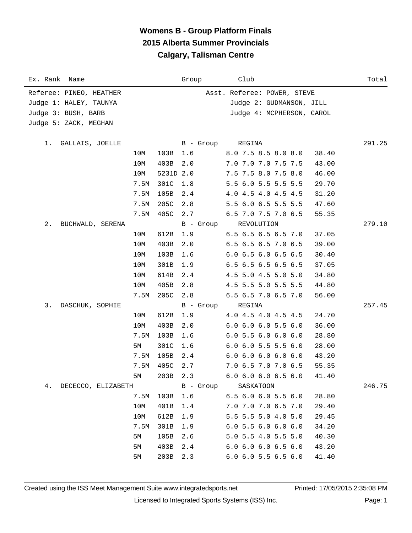| Ex. Rank Name            |                  | Group     | Club                          | Total  |
|--------------------------|------------------|-----------|-------------------------------|--------|
| Referee: PINEO, HEATHER  |                  |           | Asst. Referee: POWER, STEVE   |        |
| Judge 1: HALEY, TAUNYA   |                  |           | Judge 2: GUDMANSON, JILL      |        |
| Judge 3: BUSH, BARB      |                  |           | Judge 4: MCPHERSON, CAROL     |        |
| Judge 5: ZACK, MEGHAN    |                  |           |                               |        |
|                          |                  |           |                               |        |
| GALLAIS, JOELLE<br>1.    |                  | B - Group | REGINA                        | 291.25 |
|                          | 10M<br>103B      | 1.6       | 8.0 7.5 8.5 8.0 8.0           | 38.40  |
|                          | 10M<br>403B      | 2.0       | 7.0 7.0 7.0 7.5 7.5           | 43.00  |
|                          | 10M<br>5231D 2.0 |           | 7.5 7.5 8.0 7.5 8.0           | 46.00  |
|                          | 7.5M<br>301C     | 1.8       | 5.5 6.0 5.5 5.5 5.5           | 29.70  |
|                          | 7.5M<br>105B     | 2.4       | 4.0 4.5 4.0 4.5 4.5           | 31.20  |
|                          | 7.5M<br>205C     | 2.8       | 5.5 6.0 6.5 5.5 5.5           | 47.60  |
|                          | 7.5M<br>405C     | 2.7       | 6.5 7.0 7.5 7.0 6.5           | 55.35  |
| 2.<br>BUCHWALD, SERENA   |                  | B - Group | REVOLUTION                    | 279.10 |
|                          | 10M<br>612B      | 1.9       | 6.5 6.5 6.5 6.5 7.0           | 37.05  |
|                          | 10M<br>403B      | 2.0       | 6.5 6.5 6.5 7.0 6.5           | 39.00  |
|                          | 10M<br>103B      | 1.6       | $6.0$ $6.5$ $6.0$ $6.5$ $6.5$ | 30.40  |
|                          | 10M<br>301B      | 1.9       | 6.5 6.5 6.5 6.5 6.5           | 37.05  |
|                          | 10M<br>614B      | 2.4       | 4.5 5.0 4.5 5.0 5.0           | 34.80  |
|                          | 10M<br>405B      | 2.8       | 4.5 5.5 5.0 5.5 5.5           | 44.80  |
|                          | 7.5M<br>205C     | 2.8       | 6.5 6.5 7.0 6.5 7.0           | 56.00  |
| 3.<br>DASCHUK, SOPHIE    |                  | B - Group | REGINA                        | 257.45 |
|                          | 10M<br>612B      | 1.9       | 4.0 4.5 4.0 4.5 4.5           | 24.70  |
|                          | 10M<br>403B      | 2.0       | $6.0$ $6.0$ $6.0$ $5.5$ $6.0$ | 36.00  |
|                          | 7.5M<br>103B     | 1.6       | $6.0$ 5.5 6.0 6.0 6.0         | 28.80  |
|                          | 301C<br>5M       | 1.6       | $6.0$ $6.0$ $5.5$ $5.5$ $6.0$ | 28.00  |
|                          | 7.5M<br>105B     | 2.4       | 6.06.06.06.06.0               | 43.20  |
|                          | 7.5M<br>405C     | 2.7       | 7.0 6.5 7.0 7.0 6.5           | 55.35  |
|                          | 5M<br>203B 2.3   |           | $6.0$ $6.0$ $6.0$ $6.5$ $6.0$ | 41.40  |
| 4.<br>DECECCO, ELIZABETH |                  | B - Group | SASKATOON                     | 246.75 |
|                          | 7.5M<br>103B     | 1.6       | 6.5 6.0 6.0 5.5 6.0           | 28.80  |
|                          | 401B<br>10M      | 1.4       | 7.0 7.0 7.0 6.5 7.0           | 29.40  |
|                          | 10M<br>612B      | 1.9       | 5.5 5.5 5.0 4.0 5.0           | 29.45  |
|                          | 7.5M<br>301B     | 1.9       | 6.05.56.06.06.0               | 34.20  |
|                          | 105B<br>5M       | 2.6       | 5.0 5.5 4.0 5.5 5.0           | 40.30  |
|                          | 403B<br>5M       | 2.4       | $6.0$ $6.0$ $6.0$ $6.5$ $6.0$ | 43.20  |
|                          | 203B<br>5M       | 2.3       | 6.0 6.0 5.5 6.5 6.0           | 41.40  |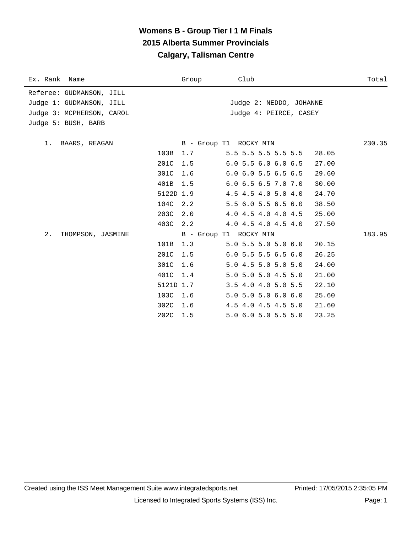| Ex. Rank Name             |           | Group | Club                                   | Total  |
|---------------------------|-----------|-------|----------------------------------------|--------|
| Referee: GUDMANSON, JILL  |           |       |                                        |        |
| Judge 1: GUDMANSON, JILL  |           |       | Judge 2: NEDDO, JOHANNE                |        |
| Judge 3: MCPHERSON, CAROL |           |       | Judge 4: PEIRCE, CASEY                 |        |
| Judge 5: BUSH, BARB       |           |       |                                        |        |
| 1. BAARS, REAGAN          |           |       | B - Group T1 ROCKY MTN                 | 230.35 |
|                           | 103B      | 1.7   | 5.5 5.5 5.5 5.5 5.5<br>28.05           |        |
|                           | 201C      | 1.5   | 6.05.56.06.06.5<br>27.00               |        |
|                           | 301C      | 1.6   | $6.0$ $6.0$ $5.5$ $6.5$ $6.5$<br>29.60 |        |
|                           | 401B      | 1.5   | 6.0 6.5 6.5 7.0 7.0<br>30.00           |        |
|                           | 5122D 1.9 |       | 4.5 4.5 4.0 5.0 4.0<br>24.70           |        |
|                           | 104C      | 2.2   | 5.5 6.0 5.5 6.5 6.0<br>38.50           |        |
|                           | 203C      | 2.0   | 4.0 4.5 4.0 4.0 4.5<br>25.00           |        |
|                           | 403C      | 2.2   | 4.0 4.5 4.0 4.5 4.0<br>27.50           |        |
| 2.<br>THOMPSON, JASMINE   |           |       | B - Group T1 ROCKY MTN                 | 183.95 |
|                           | 101B      | 1.3   | $5.0$ 5.5 5.0 5.0 6.0<br>20.15         |        |
|                           | 201C      | 1.5   | $6.0$ 5.5 5.5 6.5 6.0<br>26.25         |        |
|                           | 301C      | 1.6   | 5.0 4.5 5.0 5.0 5.0<br>24.00           |        |
|                           | 401C      | 1.4   | 5.0 5.0 5.0 4.5 5.0<br>21.00           |        |
|                           | 5121D 1.7 |       | 3.5 4.0 4.0 5.0 5.5<br>22.10           |        |
|                           | 103C      | 1.6   | $5.0$ $5.0$ $5.0$ $6.0$ $6.0$<br>25.60 |        |
|                           | 302C      | 1.6   | 4.5 4.0 4.5 4.5 5.0<br>21.60           |        |
|                           | 202C 1.5  |       | 5.0 6.0 5.0 5.5 5.0<br>23.25           |        |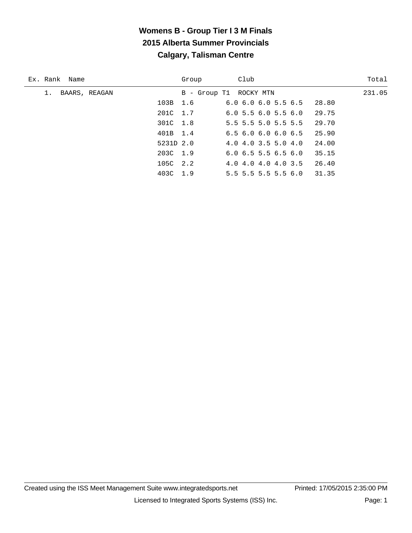| Ex. Rank Name | Club<br>Group                                       | Total  |
|---------------|-----------------------------------------------------|--------|
| BAARS, REAGAN | B - Group T1 ROCKY MTN                              | 231.05 |
|               | 6.06.06.05.56.5<br>103B 1.6<br>28.80                |        |
|               | 201C 1.7<br>29.75<br>6.05.56.05.56.0                |        |
|               | 301C 1.8<br>29.70<br>5.5 5.5 5.0 5.5 5.5            |        |
|               | 401B 1.4<br>6.56.06.06.06.5<br>25.90                |        |
|               | 5231D 2.0<br>24.00<br>$4.0$ $4.0$ $3.5$ $5.0$ $4.0$ |        |
|               | $203C$ 1.9<br>35.15<br>$6.0$ 6.5 5.5 6.5 6.0        |        |
|               | 105C 2.2<br>4.0 4.0 4.0 4.0 3.5                     | 26.40  |
|               | 403C 1.9<br>31.35<br>$5.5$ 5.5 5.5 5.5 6.0          |        |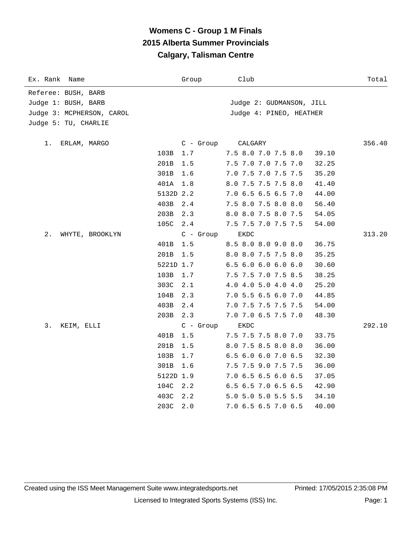| Ex. Rank<br>Name          |           | Group       | Club                         | Total  |
|---------------------------|-----------|-------------|------------------------------|--------|
| Referee: BUSH, BARB       |           |             |                              |        |
| Judge 1: BUSH, BARB       |           |             | Judge 2: GUDMANSON, JILL     |        |
| Judge 3: MCPHERSON, CAROL |           |             | Judge 4: PINEO, HEATHER      |        |
| Judge 5: TU, CHARLIE      |           |             |                              |        |
|                           |           |             |                              |        |
| 1.<br>ERLAM, MARGO        |           | $C - Group$ | CALGARY                      | 356.40 |
|                           | 103B      | 1.7         | 7.5 8.0 7.0 7.5 8.0<br>39.10 |        |
|                           | 201B      | 1.5         | 7.5 7.0 7.0 7.5 7.0<br>32.25 |        |
|                           | 301B      | 1.6         | 7.0 7.5 7.0 7.5 7.5<br>35.20 |        |
|                           | 401A      | 1.8         | 8.0 7.5 7.5 7.5 8.0<br>41.40 |        |
|                           | 5132D 2.2 |             | 7.0 6.5 6.5 6.5 7.0<br>44.00 |        |
|                           | 403B      | 2.4         | 7.5 8.0 7.5 8.0 8.0<br>56.40 |        |
|                           | 203B      | 2.3         | 8.0 8.0 7.5 8.0 7.5<br>54.05 |        |
|                           | 105C      | 2.4         | 7.5 7.5 7.0 7.5 7.5<br>54.00 |        |
| 2.<br>WHYTE, BROOKLYN     |           | $C - Growp$ | EKDC                         | 313.20 |
|                           | 401B      | 1.5         | 8.5 8.0 8.0 9.0 8.0<br>36.75 |        |
|                           | 201B      | 1.5         | 8.0 8.0 7.5 7.5 8.0<br>35.25 |        |
|                           | 5221D 1.7 |             | 6.56.06.06.06.0<br>30.60     |        |
|                           | 103B      | 1.7         | 7.5 7.5 7.0 7.5 8.5<br>38.25 |        |
|                           | 303C      | 2.1         | 4.0 4.0 5.0 4.0 4.0<br>25.20 |        |
|                           | 104B      | 2.3         | 7.0 5.5 6.5 6.0 7.0<br>44.85 |        |
|                           | 403B      | 2.4         | 7.0 7.5 7.5 7.5 7.5<br>54.00 |        |
|                           | 203B      | 2.3         | 7.0 7.0 6.5 7.5 7.0<br>48.30 |        |
| 3.<br>KEIM, ELLI          |           | $C -$ Group | EKDC                         | 292.10 |
|                           | 401B      | 1.5         | 7.5 7.5 7.5 8.0 7.0<br>33.75 |        |
|                           | 201B      | 1.5         | 8.0 7.5 8.5 8.0 8.0<br>36.00 |        |
|                           | 103B      | 1.7         | 6.5 6.0 6.0 7.0 6.5<br>32.30 |        |
|                           | 301B      | 1.6         | 7.5 7.5 9.0 7.5 7.5<br>36.00 |        |
|                           | 5122D 1.9 |             | 7.0 6.5 6.5 6.0 6.5<br>37.05 |        |
|                           | 104C      | 2.2         | 6.5 6.5 7.0 6.5 6.5<br>42.90 |        |
|                           | 403C      | 2.2         | 5.0 5.0 5.0 5.5 5.5<br>34.10 |        |
|                           | 203C      | 2.0         | 7.0 6.5 6.5 7.0 6.5<br>40.00 |        |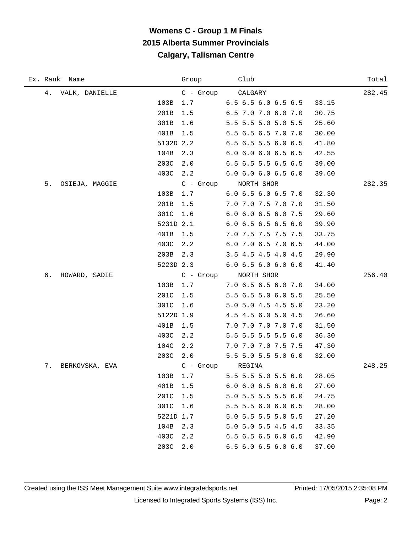÷

| Ex. Rank Name        |           | Group       | Club                          | Total  |
|----------------------|-----------|-------------|-------------------------------|--------|
| 4.<br>VALK, DANIELLE |           |             | C - Group CALGARY             | 282.45 |
|                      | 103B      | 1.7         | 6.5 6.5 6.0 6.5 6.5           | 33.15  |
|                      | 201B      | 1.5         | 6.5 7.0 7.0 6.0 7.0           | 30.75  |
|                      | 301B      | 1.6         | 5.5 5.5 5.0 5.0 5.5           | 25.60  |
|                      | 401B      | 1.5         | 6.5 6.5 6.5 7.0 7.0           | 30.00  |
|                      | 5132D 2.2 |             | 6.5 6.5 5.5 6.0 6.5           | 41.80  |
|                      | 104B      | 2.3         | $6.0$ $6.0$ $6.0$ $6.5$ $6.5$ | 42.55  |
|                      | 203C      | 2.0         | 6.5 6.5 5.5 6.5 6.5           | 39.00  |
|                      | 403C      | 2.2         | 6.0 6.0 6.0 6.5 6.0           | 39.60  |
| 5.<br>OSIEJA, MAGGIE |           |             | C - Group NORTH SHOR          | 282.35 |
|                      | 103B      | 1.7         | 6.0 6.5 6.0 6.5 7.0           | 32.30  |
|                      | 201B      | 1.5         | 7.0 7.0 7.5 7.0 7.0           | 31.50  |
|                      | 301C      | 1.6         | 6.0 6.0 6.5 6.0 7.5           | 29.60  |
|                      | 5231D 2.1 |             | $6.0$ 6.5 6.5 6.5 6.0         | 39.90  |
|                      | 401B      | 1.5         | 7.0 7.5 7.5 7.5 7.5           | 33.75  |
|                      | 403C      | 2.2         | 6.0 7.0 6.5 7.0 6.5           | 44.00  |
|                      | 203B      | 2.3         | 3.5 4.5 4.5 4.0 4.5           | 29.90  |
|                      | 5223D 2.3 |             | 6.06.56.06.06.0               | 41.40  |
| б.<br>HOWARD, SADIE  |           |             | C - Group NORTH SHOR          | 256.40 |
|                      | 103B      | 1.7         | 7.06.56.56.07.0               | 34.00  |
|                      | 201C      | 1.5         | 5.5 6.5 5.0 6.0 5.5           | 25.50  |
|                      | 301C      | 1.6         | 5.0 5.0 4.5 4.5 5.0           | 23.20  |
|                      | 5122D 1.9 |             | 4.5 4.5 6.0 5.0 4.5           | 26.60  |
|                      | 401B      | 1.5         | 7.0 7.0 7.0 7.0 7.0           | 31.50  |
|                      | 403C      | 2.2         | 5.5 5.5 5.5 5.5 6.0           | 36.30  |
|                      | 104C      | 2.2         | 7.0 7.0 7.0 7.5 7.5 47.30     |        |
|                      |           | 203C 2.0    | 5.5 5.0 5.5 5.0 6.0           | 32.00  |
| 7.<br>BERKOVSKA, EVA |           | $C - Group$ | REGINA                        | 248.25 |
|                      | 103B      | 1.7         | 5.5 5.5 5.0 5.5 6.0           | 28.05  |
|                      | 401B      | 1.5         | $6.0$ $6.0$ $6.5$ $6.0$ $6.0$ | 27.00  |
|                      | 201C      | 1.5         | 5.0 5.5 5.5 5.5 6.0           | 24.75  |
|                      | 301C      | 1.6         | 5.5 5.5 6.0 6.0 6.5           | 28.00  |
|                      | 5221D 1.7 |             | 5.0 5.5 5.5 5.0 5.5           | 27.20  |
|                      | 104B      | 2.3         | 5.0 5.0 5.5 4.5 4.5           | 33.35  |
|                      | 403C      | 2.2         | 6.5 6.5 6.5 6.0 6.5           | 42.90  |
|                      | 203C      | 2.0         | 6.5 6.0 6.5 6.0 6.0           | 37.00  |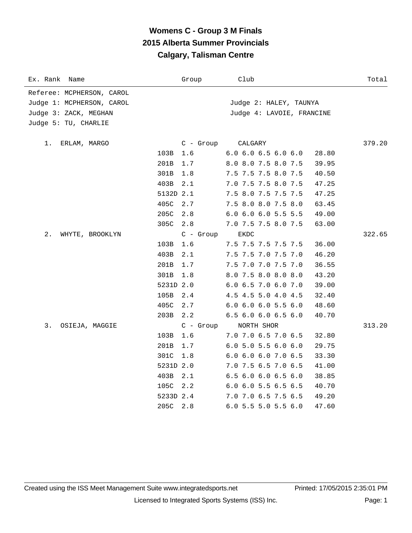| Ex. Rank<br>Name          |           | Group       | Club                                   | Total  |
|---------------------------|-----------|-------------|----------------------------------------|--------|
| Referee: MCPHERSON, CAROL |           |             |                                        |        |
| Judge 1: MCPHERSON, CAROL |           |             | Judge 2: HALEY, TAUNYA                 |        |
| Judge 3: ZACK, MEGHAN     |           |             | Judge 4: LAVOIE, FRANCINE              |        |
| Judge 5: TU, CHARLIE      |           |             |                                        |        |
|                           |           |             |                                        |        |
| 1.<br>ERLAM, MARGO        |           | $C$ - Group | CALGARY                                | 379.20 |
|                           | 103B      | 1.6         | $6.0$ $6.0$ $6.5$ $6.0$ $6.0$<br>28.80 |        |
|                           | 201B      | 1.7         | 8.0 8.0 7.5 8.0 7.5<br>39.95           |        |
|                           | 301B      | 1.8         | 7.5 7.5 7.5 8.0 7.5<br>40.50           |        |
|                           | 403B      | 2.1         | 7.0 7.5 7.5 8.0 7.5<br>47.25           |        |
|                           | 5132D 2.1 |             | 7.5 8.0 7.5 7.5 7.5<br>47.25           |        |
|                           | 405C      | 2.7         | 7.5 8.0 8.0 7.5 8.0<br>63.45           |        |
|                           | 205C      | 2.8         | 6.0 6.0 6.0 5.5 5.5<br>49.00           |        |
|                           | 305C      | 2.8         | 7.0 7.5 7.5 8.0 7.5<br>63.00           |        |
| 2.<br>WHYTE, BROOKLYN     |           | $C -$ Group | EKDC                                   | 322.65 |
|                           | 103B      | 1.6         | 7.5 7.5 7.5 7.5 7.5<br>36.00           |        |
|                           | 403B      | 2.1         | 7.5 7.5 7.0 7.5 7.0<br>46.20           |        |
|                           | 201B      | 1.7         | 7.5 7.0 7.0 7.5 7.0<br>36.55           |        |
|                           | 301B      | 1.8         | 8.0 7.5 8.0 8.0 8.0<br>43.20           |        |
|                           | 5231D 2.0 |             | 6.0 6.5 7.0 6.0 7.0<br>39.00           |        |
|                           | 105B      | 2.4         | 4.5 4.5 5.0 4.0 4.5<br>32.40           |        |
|                           | 405C      | 2.7         | $6.0$ $6.0$ $6.0$ $5.5$ $6.0$<br>48.60 |        |
|                           | 203B      | 2.2         | 6.5 6.0 6.0 6.5 6.0<br>40.70           |        |
| 3.<br>OSIEJA, MAGGIE      |           | $C - Group$ | NORTH SHOR                             | 313.20 |
|                           | 103B      | 1.6         | 7.0 7.0 6.5 7.0 6.5<br>32.80           |        |
|                           | 201B      | 1.7         | $6.0$ 5.0 5.5 6.0 6.0<br>29.75         |        |
|                           | 301C      | 1.8         | 6.0 6.0 6.0 7.0 6.5<br>33.30           |        |
|                           | 5231D 2.0 |             | 7.0 7.5 6.5 7.0 6.5<br>41.00           |        |
|                           | 403B      | 2.1         | 6.5 6.0 6.0 6.5 6.0<br>38.85           |        |
|                           | 105C      | 2.2         | 6.0 6.0 5.5 6.5 6.5<br>40.70           |        |
|                           | 5233D 2.4 |             | 7.0 7.0 6.5 7.5 6.5<br>49.20           |        |
|                           | 205C      | 2.8         | $6.0$ 5.5 5.0 5.5 6.0<br>47.60         |        |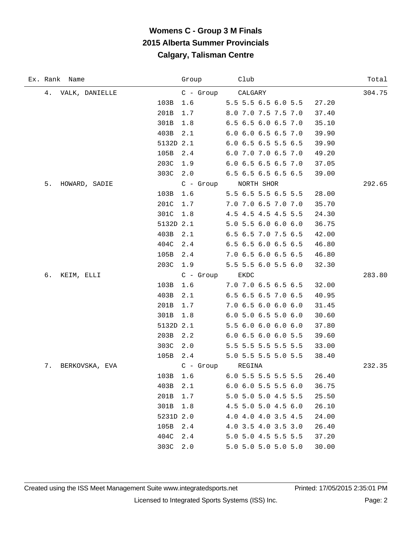|    | Ex. Rank Name  |           | Group          | Club                          |       | Total  |
|----|----------------|-----------|----------------|-------------------------------|-------|--------|
| 4. | VALK, DANIELLE |           |                | C - Group CALGARY             |       | 304.75 |
|    |                | 103B      | 1.6            | 5.5 5.5 6.5 6.0 5.5           | 27.20 |        |
|    |                | 201B      | 1.7            | 8.0 7.0 7.5 7.5 7.0           | 37.40 |        |
|    |                | 301B      | 1.8            | 6.5 6.5 6.0 6.5 7.0           | 35.10 |        |
|    |                | 403B      | 2.1            | 6.0 6.0 6.5 6.5 7.0           | 39.90 |        |
|    |                | 5132D 2.1 |                | 6.0 6.5 6.5 5.5 6.5           | 39.90 |        |
|    |                | 105B      | 2.4            | 6.0 7.0 7.0 6.5 7.0           | 49.20 |        |
|    |                | 203C      | 1.9            | 6.0 6.5 6.5 6.5 7.0           | 37.05 |        |
|    |                | 303C      | 2.0            | 6.5 6.5 6.5 6.5 6.5           | 39.00 |        |
| 5. | HOWARD, SADIE  |           | C - Group      | NORTH SHOR                    |       | 292.65 |
|    |                | 103B      | 1.6            | 5.5 6.5 5.5 6.5 5.5           | 28.00 |        |
|    |                | 201C      | 1.7            | 7.0 7.0 6.5 7.0 7.0           | 35.70 |        |
|    |                | 301C      | 1.8            | 4.5 4.5 4.5 4.5 5.5           | 24.30 |        |
|    |                | 5132D 2.1 |                | 5.0 5.5 6.0 6.0 6.0           | 36.75 |        |
|    |                | 403B      | 2.1            | 6.5 6.5 7.0 7.5 6.5           | 42.00 |        |
|    |                | 404C      | 2.4            | 6.5 6.5 6.0 6.5 6.5           | 46.80 |        |
|    |                | 105B      | 2.4            | 7.0 6.5 6.0 6.5 6.5           | 46.80 |        |
|    |                | 203C      | 1.9            | 5.5 5.5 6.0 5.5 6.0           | 32.30 |        |
| б. | KEIM, ELLI     |           | C - Group EKDC |                               |       | 283.80 |
|    |                | 103B      | 1.6            | 7.0 7.0 6.5 6.5 6.5           | 32.00 |        |
|    |                | 403B      | 2.1            | 6.5 6.5 6.5 7.0 6.5           | 40.95 |        |
|    |                | 201B      | 1.7            | 7.0 6.5 6.0 6.0 6.0           | 31.45 |        |
|    |                | 301B      | 1.8            | $6.0$ 5.0 6.5 5.0 6.0         | 30.60 |        |
|    |                | 5132D 2.1 |                | 5.5 6.0 6.0 6.0 6.0           | 37.80 |        |
|    |                | 203B      | 2.2            | 6.0 6.5 6.0 6.0 5.5           | 39.60 |        |
|    |                | 303C      | 2.0            | 5.5 5.5 5.5 5.5 5.5           | 33.00 |        |
|    |                | 105B      | 2.4            | 5.0 5.5 5.5 5.0 5.5           | 38.40 |        |
| 7. | BERKOVSKA, EVA |           | C - Group      | REGINA                        |       | 232.35 |
|    |                | 103B      | 1.6            | 6.0 5.5 5.5 5.5 5.5           | 26.40 |        |
|    |                | 403B      | 2.1            | $6.0$ $6.0$ $5.5$ $5.5$ $6.0$ | 36.75 |        |
|    |                | 201B      | 1.7            | 5.0 5.0 5.0 4.5 5.5           | 25.50 |        |
|    |                | 301B      | 1.8            | 4.5 5.0 5.0 4.5 6.0           | 26.10 |        |
|    |                | 5231D 2.0 |                | 4.0 4.0 4.0 3.5 4.5           | 24.00 |        |
|    |                | 105B      | 2.4            | 4.0 3.5 4.0 3.5 3.0           | 26.40 |        |
|    |                | 404C      | 2.4            | 5.0 5.0 4.5 5.5 5.5           | 37.20 |        |
|    |                | 303C      | 2.0            | 5.0 5.0 5.0 5.0 5.0           | 30.00 |        |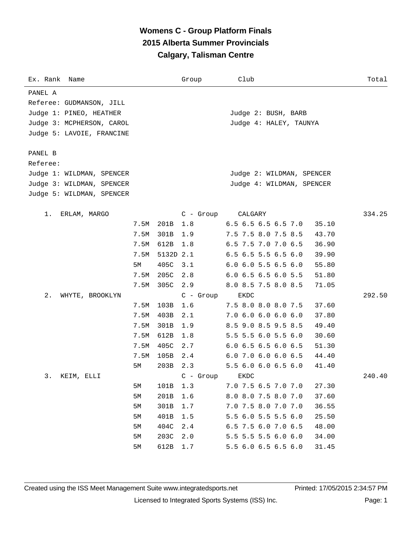| Ex. Rank Name             |      |           | Group       | Club                                   | Total  |
|---------------------------|------|-----------|-------------|----------------------------------------|--------|
| PANEL A                   |      |           |             |                                        |        |
| Referee: GUDMANSON, JILL  |      |           |             |                                        |        |
| Judge 1: PINEO, HEATHER   |      |           |             | Judge 2: BUSH, BARB                    |        |
| Judge 3: MCPHERSON, CAROL |      |           |             | Judge 4: HALEY, TAUNYA                 |        |
| Judge 5: LAVOIE, FRANCINE |      |           |             |                                        |        |
|                           |      |           |             |                                        |        |
| PANEL B                   |      |           |             |                                        |        |
| Referee:                  |      |           |             |                                        |        |
| Judge 1: WILDMAN, SPENCER |      |           |             | Judge 2: WILDMAN, SPENCER              |        |
| Judge 3: WILDMAN, SPENCER |      |           |             | Judge 4: WILDMAN, SPENCER              |        |
| Judge 5: WILDMAN, SPENCER |      |           |             |                                        |        |
| 1.<br>ERLAM, MARGO        |      |           | $C - Group$ | CALGARY                                | 334.25 |
|                           | 7.5M | 201B      | 1.8         | 6.5 6.5 6.5 6.5 7.0<br>35.10           |        |
|                           | 7.5M | 301B      | 1.9         | 7.5 7.5 8.0 7.5 8.5<br>43.70           |        |
|                           | 7.5M | 612B      | 1.8         | 6.5 7.5 7.0 7.0 6.5<br>36.90           |        |
|                           | 7.5M | 5132D 2.1 |             | 6.5 6.5 5.5 6.5 6.0<br>39.90           |        |
|                           | 5M   | 405C      | 3.1         | $6.0$ $6.0$ $5.5$ $6.5$ $6.0$<br>55.80 |        |
|                           | 7.5M | 205C      | 2.8         | 6.0 6.5 6.5 6.0 5.5<br>51.80           |        |
|                           | 7.5M | 305C      | 2.9         | 8.0 8.5 7.5 8.0 8.5<br>71.05           |        |
| $2$ .<br>WHYTE, BROOKLYN  |      |           | $C - Group$ | EKDC                                   | 292.50 |
|                           | 7.5M | 103B      | 1.6         | 7.5 8.0 8.0 8.0 7.5<br>37.60           |        |
|                           | 7.5M | 403B      | 2.1         | 7.06.06.06.06.0<br>37.80               |        |
|                           | 7.5M | 301B      | 1.9         | 8.5 9.0 8.5 9.5 8.5<br>49.40           |        |
|                           | 7.5M | 612B      | 1.8         | 5.5 5.5 6.0 5.5 6.0<br>30.60           |        |
|                           | 7.5M | 405C      | 2.7         | $6.0$ 6.5 6.5 6.0 6.5<br>51.30         |        |
|                           | 7.5M | 105B      | 2.4         | $6.0$ 7.0 $6.0$ $6.0$ $6.5$<br>44.40   |        |
|                           | 5М   | 203B      | 2.3         | 5.5 6.0 6.0 6.5 6.0<br>41.40           |        |
| 3.<br>KEIM, ELLI          |      |           | $C -$ Group | ${\rm EKDC}$                           | 240.40 |
|                           | 5M   | 101B      | 1.3         | 7.0 7.5 6.5 7.0 7.0<br>27.30           |        |
|                           | 5M   | 201B      | 1.6         | 8.0 8.0 7.5 8.0 7.0<br>37.60           |        |
|                           | 5M   | 301B      | 1.7         | 7.0 7.5 8.0 7.0 7.0<br>36.55           |        |
|                           | 5M   | 401B      | 1.5         | 5.5 6.0 5.5 5.5 6.0<br>25.50           |        |
|                           | 5M   | 404C      | 2.4         | 6.5 7.5 6.0 7.0 6.5<br>48.00           |        |
|                           | 5M   | 203C      | 2.0         | 5.5 5.5 5.5 6.0 6.0<br>34.00           |        |
|                           | 5M   | 612B      | 1.7         | 5.5 6.0 6.5 6.5 6.0<br>31.45           |        |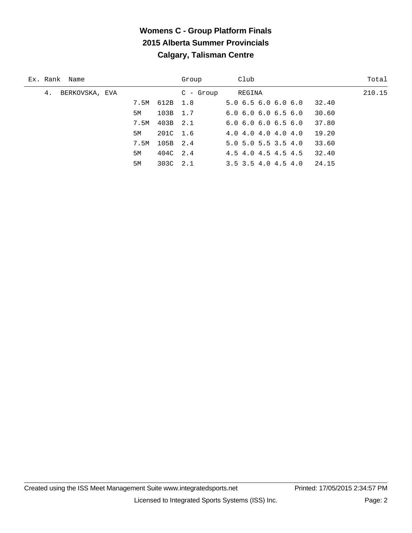| Ex. Rank Name        |      |          | Group      | Club                                   | Total  |
|----------------------|------|----------|------------|----------------------------------------|--------|
| BERKOVSKA, EVA<br>4. |      |          | $C - Grow$ | REGINA                                 | 210.15 |
|                      | 7.5M | 612B 1.8 |            | 5.06.56.06.06.0<br>32.40               |        |
|                      | 5M   | 103B 1.7 |            | 30.60<br>6.06.06.06.56.0               |        |
|                      | 7.5M | 403B 2.1 |            | 37.80<br>6.06.06.06.56.0               |        |
|                      | 5M   | 201C 1.6 |            | 19.20<br>4.0 4.0 4.0 4.0 4.0           |        |
|                      | 7.5M | 105B 2.4 |            | 33.60<br>$5.0$ $5.0$ $5.5$ $3.5$ $4.0$ |        |
|                      | 5M   | 404C 2.4 |            | 32.40<br>4.5 4.0 4.5 4.5 4.5           |        |
|                      | 5M   | 303C 2.1 |            | 24.15<br>$3.5$ $3.5$ $4.0$ $4.5$ $4.0$ |        |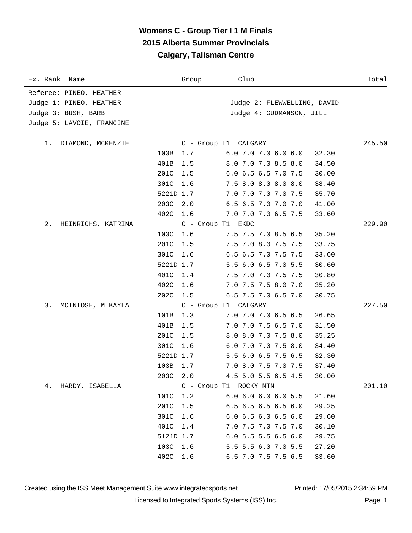| Ex. Rank Name                                                                                          | Group                                                                              | Club                                                                                                                                                                                                                                                 | Total  |
|--------------------------------------------------------------------------------------------------------|------------------------------------------------------------------------------------|------------------------------------------------------------------------------------------------------------------------------------------------------------------------------------------------------------------------------------------------------|--------|
| Referee: PINEO, HEATHER<br>Judge 1: PINEO, HEATHER<br>Judge 3: BUSH, BARB<br>Judge 5: LAVOIE, FRANCINE |                                                                                    | Judge 2: FLEWWELLING, DAVID<br>Judge 4: GUDMANSON, JILL                                                                                                                                                                                              |        |
| DIAMOND, MCKENZIE<br>1.<br>103B<br>401B<br>201C<br>301C<br>203C                                        | 1.7<br>1.5<br>1.5<br>1.6<br>5221D 1.7<br>2.0<br>402C 1.6                           | C - Group T1 CALGARY<br>6.0 7.0 7.0 6.0 6.0<br>32.30<br>8.0 7.0 7.0 8.5 8.0<br>34.50<br>6.0 6.5 6.5 7.0 7.5<br>30.00<br>7.5 8.0 8.0 8.0 8.0<br>38.40<br>7.0 7.0 7.0 7.0 7.5<br>35.70<br>6.5 6.5 7.0 7.0 7.0<br>41.00<br>7.0 7.0 7.0 6.5 7.5<br>33.60 | 245.50 |
| 2.<br>HEINRICHS, KATRINA<br>201C<br>401C<br>402C<br>202C                                               | C - Group T1 EKDC<br>103C 1.6<br>1.5<br>301C 1.6<br>5221D 1.7<br>1.4<br>1.6<br>1.5 | 7.5 7.5 7.0 8.5 6.5<br>35.20<br>7.5 7.0 8.0 7.5 7.5<br>33.75<br>6.5 6.5 7.0 7.5 7.5<br>33.60<br>5.5 6.0 6.5 7.0 5.5<br>30.60<br>7.5 7.0 7.0 7.5 7.5<br>30.80<br>7.0 7.5 7.5 8.0 7.0<br>35.20<br>6.5 7.5 7.0 6.5 7.0<br>30.75                         | 229.90 |
| 3.<br>MCINTOSH, MIKAYLA<br>101B<br>401B<br>201C<br>301C<br>203C                                        | 1.3<br>1.5<br>1.5<br>1.6<br>5221D 1.7<br>103B 1.7<br>2.0                           | C - Group T1 CALGARY<br>7.0 7.0 7.0 6.5 6.5<br>26.65<br>7.0 7.0 7.5 6.5 7.0<br>31.50<br>8.0 8.0 7.0 7.5 8.0<br>35.25<br>6.0 7.0 7.0 7.5 8.0<br>34.40<br>5.5 6.0 6.5 7.5 6.5<br>32.30<br>7.0 8.0 7.5 7.0 7.5<br>37.40<br>4.5 5.0 5.5 6.5 4.5<br>30.00 | 227.50 |
| HARDY, ISABELLA<br>4.<br>101C<br>201C<br>301C<br>401C<br>103C<br>402C                                  | 1.2<br>$1.5\,$<br>1.6<br>1.4<br>5121D 1.7<br>1.6<br>1.6                            | C - Group T1 ROCKY MTN<br>6.0 6.0 6.0 6.0 5.5<br>21.60<br>6.5 6.5 6.5 6.5 6.0<br>29.25<br>6.06.56.06.56.0<br>29.60<br>7.0 7.5 7.0 7.5 7.0<br>30.10<br>6.0 5.5 5.5 6.5 6.0<br>29.75<br>5.5 5.5 6.0 7.0 5.5<br>27.20<br>6.5 7.0 7.5 7.5 6.5<br>33.60   | 201.10 |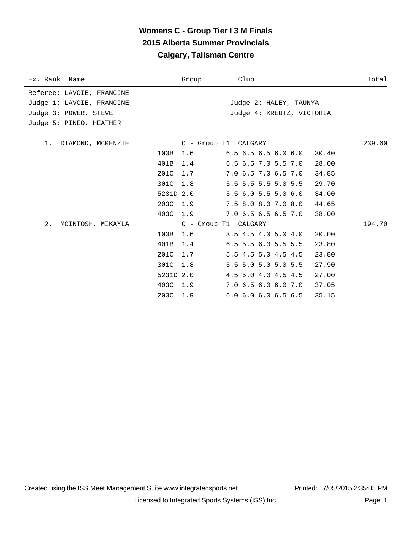| Ex. Rank Name             |           | Group    | Club                          | Total  |
|---------------------------|-----------|----------|-------------------------------|--------|
| Referee: LAVOIE, FRANCINE |           |          |                               |        |
| Judge 1: LAVOIE, FRANCINE |           |          | Judge 2: HALEY, TAUNYA        |        |
| Judge 3: POWER, STEVE     |           |          | Judge 4: KREUTZ, VICTORIA     |        |
| Judge 5: PINEO, HEATHER   |           |          |                               |        |
| 1. DIAMOND, MCKENZIE      |           |          | C - Group T1 CALGARY          | 239.60 |
|                           | 103B      |          | 1.6 6.5 6.5 6.5 6.0 6.0 30.40 |        |
|                           | 401B 1.4  |          | $6.5$ $6.5$ $7.0$ $5.5$ $7.0$ | 28.00  |
|                           | 201C 1.7  |          | 7.0 6.5 7.0 6.5 7.0           | 34.85  |
|                           | 301C      | 1.8      | 5.5 5.5 5.5 5.0 5.5           | 29.70  |
|                           | 5231D 2.0 |          | $5.5$ 6.0 5.5 5.0 6.0         | 34.00  |
|                           |           | 203C 1.9 | 7.5 8.0 8.0 7.0 8.0           | 44.65  |
|                           | 403C 1.9  |          | 7.0 6.5 6.5 6.5 7.0           | 38.00  |
| 2.<br>MCINTOSH, MIKAYLA   |           |          | C - Group T1 CALGARY          | 194.70 |
|                           | 103B      | 1.6      | $3.5$ 4.5 4.0 5.0 4.0         | 20.00  |
|                           | 401B      | 1.4      | $6.5$ 5.5 6.0 5.5 5.5         | 23.80  |
|                           | 201C 1.7  |          | 5.5 4.5 5.0 4.5 4.5           | 23.80  |
|                           | 301C      | 1.8      | 5.5 5.0 5.0 5.0 5.5           | 27.90  |
|                           | 5231D 2.0 |          | 4.5 5.0 4.0 4.5 4.5           | 27.00  |
|                           | 403C 1.9  |          | 7.0 6.5 6.0 6.0 7.0           | 37.05  |
|                           | 203C 1.9  |          | $6.0$ $6.0$ $6.0$ $6.5$ $6.5$ | 35.15  |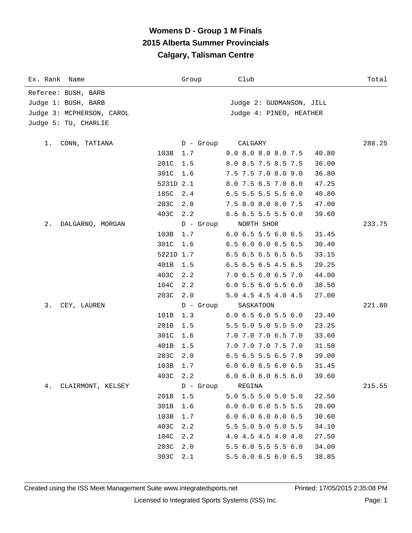| Ex. Rank Name             |           | Group            | Club                          | Total  |
|---------------------------|-----------|------------------|-------------------------------|--------|
| Referee: BUSH, BARB       |           |                  |                               |        |
| Judge 1: BUSH, BARB       |           |                  | Judge 2: GUDMANSON, JILL      |        |
| Judge 3: MCPHERSON, CAROL |           |                  | Judge 4: PINEO, HEATHER       |        |
| Judge 5: TU, CHARLIE      |           |                  |                               |        |
|                           |           |                  |                               |        |
| CONN, TATIANA<br>1.       |           | D - Group        | CALGARY                       | 288.25 |
|                           | 103B      | 1.7              | 9.0 8.0 8.0 8.0 7.5           | 40.80  |
|                           | 201C      | 1.5              | 8.0 8.5 7.5 8.5 7.5           | 36.00  |
|                           | 301C      | 1.6              | 7.5 7.5 7.0 8.0 9.0           | 36.80  |
|                           | 5231D 2.1 |                  | 8.0 7.5 6.5 7.0 8.0           | 47.25  |
|                           | 105C      | 2.4              | 6.5 5.5 5.5 5.5 6.0           | 40.80  |
|                           | 203C      | 2.0              | 7.5 8.0 8.0 8.0 7.5           | 47.00  |
|                           | 403C 2.2  |                  | 6.5 6.5 5.5 5.5 6.0           | 39.60  |
| DALGARNO, MORGAN<br>2.    |           | D - Group        | NORTH SHOR                    | 233.75 |
|                           | 103B      | 1.7              | $6.0$ 6.5 5.5 6.0 6.5         | 31.45  |
|                           | 301C      | 1.6              | 6.5 6.0 6.0 6.5 6.5           | 30.40  |
|                           | 5221D 1.7 |                  | 6.5 6.5 6.5 6.5 6.5           | 33.15  |
|                           | 401B      | 1.5              | 6.5 6.5 6.5 4.5 6.5           | 29.25  |
|                           | 403C      | 2.2              | 7.0 6.5 6.0 6.5 7.0           | 44.00  |
|                           | 104C      | 2.2              | $6.0$ 5.5 6.0 5.5 6.0         | 38.50  |
|                           | 203C      | 2.0              | 5.0 4.5 4.5 4.0 4.5           | 27.00  |
| 3.<br>CEY, LAUREN         |           | D - Group        | SASKATOON                     | 221.80 |
|                           | 101B      | 1.3              | 6.0 6.5 6.0 5.5 6.0           | 23.40  |
|                           | 201B      | 1.5              | 5.5 5.0 5.0 5.5 5.0           | 23.25  |
|                           | 301C      | 1.6              | 7.0 7.0 7.0 6.5 7.0           | 33.60  |
|                           | 401B      | 1.5              | 7.0 7.0 7.0 7.5 7.0           | 31.50  |
|                           | 203C      | 2.0              | 6.5 6.5 5.5 6.5 7.0           | 39.00  |
|                           | 103B      | 1.7              | 6.0 6.0 6.5 6.0 6.5           | 31.45  |
|                           | 403C      | 2.2              | 6.0 6.0 6.0 6.5 6.0           | 39.60  |
| 4.<br>CLAIRMONT, KELSEY   |           | D - Group REGINA |                               | 215.55 |
|                           | 201B      | 1.5              | 5.0 5.5 5.0 5.0 5.0           | 22.50  |
|                           | 301B      | 1.6              | $6.0$ $6.0$ $6.0$ $5.5$ $5.5$ | 28.00  |
|                           | 103B      | 1.7              | $6.0$ $6.0$ $6.0$ $6.0$ $6.5$ | 30.60  |
|                           | 403C      | 2.2              | 5.5 5.0 5.0 5.0 5.5           | 34.10  |
|                           | 104C      | 2.2              | 4.0 4.5 4.5 4.0 4.0           | 27.50  |
|                           | 203C      | 2.0              | 5.5 6.0 5.5 5.5 6.0           | 34.00  |
|                           | 303C      | 2.1              | 5.5 6.0 6.5 6.0 6.5           | 38.85  |
|                           |           |                  |                               |        |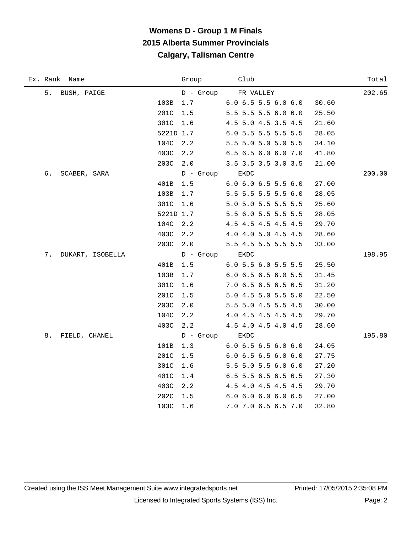| Ex. Rank Name          |           | Group       | Club                          | Total  |
|------------------------|-----------|-------------|-------------------------------|--------|
| 5.<br>BUSH, PAIGE      |           | $D -$ Group | FR VALLEY                     | 202.65 |
|                        | 103B      | 1.7         | $6.0$ $6.5$ $5.5$ $6.0$ $6.0$ | 30.60  |
|                        | 201C      | 1.5         | 5.5 5.5 5.5 6.0 6.0           | 25.50  |
|                        | 301C      | 1.6         | 4.5 5.0 4.5 3.5 4.5           | 21.60  |
|                        | 5221D 1.7 |             | 6.0 5.5 5.5 5.5 5.5           | 28.05  |
|                        | 104C      | 2.2         | 5.5 5.0 5.0 5.0 5.5           | 34.10  |
|                        | 403C      | 2.2         | 6.5 6.5 6.0 6.0 7.0           | 41.80  |
|                        | 203C      | 2.0         | 3.5 3.5 3.5 3.0 3.5           | 21.00  |
| б.<br>SCABER, SARA     |           | D - Group   | EKDC                          | 200.00 |
|                        | 401B      | 1.5         | $6.0$ $6.0$ $6.5$ $5.5$ $6.0$ | 27.00  |
|                        | 103B      | 1.7         | 5.5 5.5 5.5 5.5 6.0           | 28.05  |
|                        | 301C      | 1.6         | 5.0 5.0 5.5 5.5 5.5           | 25.60  |
|                        | 5221D 1.7 |             | 5.5 6.0 5.5 5.5 5.5           | 28.05  |
|                        | 104C      | 2.2         | 4.5 4.5 4.5 4.5 4.5           | 29.70  |
|                        | 403C      | 2.2         | 4.0 4.0 5.0 4.5 4.5           | 28.60  |
|                        | 203C      | 2.0         | 5.5 4.5 5.5 5.5 5.5           | 33.00  |
| 7.<br>DUKART, ISOBELLA |           | D - Group   | EKDC                          | 198.95 |
|                        | 401B      | 1.5         | 6.0 5.5 6.0 5.5 5.5           | 25.50  |
|                        | 103B      | 1.7         | 6.0 6.5 6.5 6.0 5.5           | 31.45  |
|                        | 301C      | 1.6         | 7.0 6.5 6.5 6.5 6.5           | 31.20  |
|                        | 201C      | 1.5         | 5.0 4.5 5.0 5.5 5.0           | 22.50  |
|                        | 203C      | 2.0         | 5.5 5.0 4.5 5.5 4.5           | 30.00  |
|                        | 104C      | 2.2         | 4.0 4.5 4.5 4.5 4.5           | 29.70  |
|                        | 403C      | 2.2         | 4.5 4.0 4.5 4.0 4.5           | 28.60  |
| 8.<br>FIELD, CHANEL    |           | D - Group   | EKDC                          | 195.80 |
|                        | 101B      | 1.3         | 6.0 6.5 6.5 6.0 6.0           | 24.05  |
|                        | 201C      | 1.5         | 6.06.56.56.06.0               | 27.75  |
|                        | 301C      | 1.6         | 5.5 5.0 5.5 6.0 6.0           | 27.20  |
|                        | 401C      | 1.4         | 6.5 5.5 6.5 6.5 6.5           | 27.30  |
|                        | 403C      | 2.2         | 4.5 4.0 4.5 4.5 4.5           | 29.70  |
|                        | 202C      | 1.5         | 6.0 6.0 6.0 6.0 6.5           | 27.00  |
|                        | 103C      | 1.6         | 7.0 7.0 6.5 6.5 7.0           | 32.80  |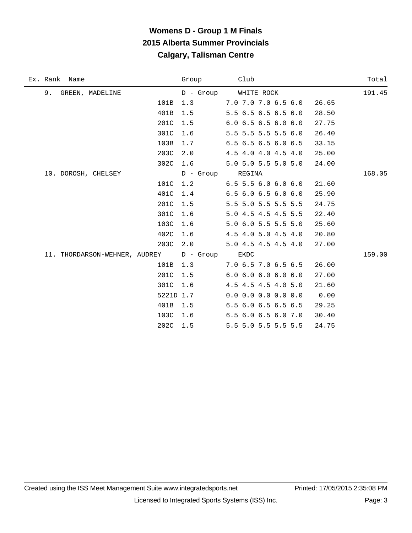÷

| Ex. Rank Name                 |           | Group            | Club                          | Total  |
|-------------------------------|-----------|------------------|-------------------------------|--------|
| 9.<br>GREEN, MADELINE         |           |                  | D - Group WHITE ROCK          | 191.45 |
|                               | 101B      | 1.3              | 7.0 7.0 7.0 6.5 6.0           | 26.65  |
|                               | 401B      | 1.5              | 5.5 6.5 6.5 6.5 6.0           | 28.50  |
|                               | 201C      | 1.5              | 6.06.56.56.06.0               | 27.75  |
|                               | 301C      | 1.6              | 5.5 5.5 5.5 5.5 6.0           | 26.40  |
|                               | 103B      | 1.7              | $6.5$ $6.5$ $6.5$ $6.0$ $6.5$ | 33.15  |
|                               | 203C      | 2.0              | 4.5 4.0 4.0 4.5 4.0           | 25.00  |
|                               | 302C      | 1.6              | 5.0 5.0 5.5 5.0 5.0           | 24.00  |
| 10. DOROSH, CHELSEY           |           | D - Group REGINA |                               | 168.05 |
|                               | 101C      | 1.2              | $6.5$ 5.5 6.0 6.0 6.0         | 21.60  |
|                               | 401C      | 1.4              | $6.5$ $6.0$ $6.5$ $6.0$ $6.0$ | 25.90  |
|                               | 201C      | 1.5              | 5.5 5.0 5.5 5.5 5.5           | 24.75  |
|                               | 301C      | 1.6              | 5.0 4.5 4.5 4.5 5.5           | 22.40  |
|                               | 103C      | 1.6              | 5.0 6.0 5.5 5.5 5.0           | 25.60  |
|                               | 402C      | 1.6              | 4.5 4.0 5.0 4.5 4.0           | 20.80  |
|                               | 203C      | 2.0              | 5.0 4.5 4.5 4.5 4.0           | 27.00  |
| 11. THORDARSON-WEHNER, AUDREY |           | D - Group        | EKDC                          | 159.00 |
|                               | 101B      | 1.3              | 7.0 6.5 7.0 6.5 6.5           | 26.00  |
|                               | 201C      | 1.5              | 6.06.06.06.06.0               | 27.00  |
|                               | 301C      | 1.6              | 4.5 4.5 4.5 4.0 5.0           | 21.60  |
|                               | 5221D 1.7 |                  | $0.0$ 0.0 0.0 0.0 0.0         | 0.00   |
|                               | 401B      | 1.5              | 6.5 6.0 6.5 6.5 6.5           | 29.25  |
|                               | 103C      | 1.6              | 6.5 6.0 6.5 6.0 7.0           | 30.40  |
|                               | 202C      | 1.5              | 5.5 5.0 5.5 5.5 5.5           | 24.75  |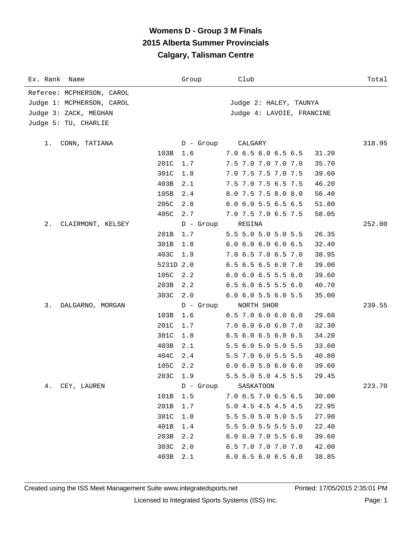| Ex. Rank Name             |              | Group       | Club                                                         | Total  |
|---------------------------|--------------|-------------|--------------------------------------------------------------|--------|
| Referee: MCPHERSON, CAROL |              |             |                                                              |        |
| Judge 1: MCPHERSON, CAROL |              |             | Judge 2: HALEY, TAUNYA                                       |        |
| Judge 3: ZACK, MEGHAN     |              |             | Judge 4: LAVOIE, FRANCINE                                    |        |
| Judge 5: TU, CHARLIE      |              |             |                                                              |        |
|                           |              |             |                                                              |        |
| CONN, TATIANA<br>1.       |              | D - Group   | CALGARY                                                      | 318.95 |
|                           | 103B<br>201C | 1.6<br>1.7  | 7.0 6.5 6.0 6.5 6.5<br>31.20<br>7.5 7.0 7.0 7.0 7.0<br>35.70 |        |
|                           | 301C         | 1.8         | 7.0 7.5 7.5 7.0 7.5<br>39.60                                 |        |
|                           | 403B         | 2.1         | 7.5 7.0 7.5 6.5 7.5<br>46.20                                 |        |
|                           | 105B         | 2.4         | 8.0 7.5 7.5 8.0 8.0<br>56.40                                 |        |
|                           | 205C         | 2.8         | 6.0 6.0 5.5 6.5 6.5<br>51.80                                 |        |
|                           | 405C         | 2.7         | 7.0 7.5 7.0 6.5 7.5<br>58.05                                 |        |
| 2.<br>CLAIRMONT, KELSEY   |              | D - Group   | REGINA                                                       | 252.00 |
|                           | 201B         | 1.7         | 5.5 5.0 5.0 5.0 5.5<br>26.35                                 |        |
|                           | 301B         | 1.8         | 6.0 6.0 6.0 6.0 6.5<br>32.40                                 |        |
|                           | 403C         | 1.9         | 7.0 6.5 7.0 6.5 7.0<br>38.95                                 |        |
|                           | 5231D 2.0    |             | 6.5 6.5 6.5 6.0 7.0<br>39.00                                 |        |
|                           | 105C         | 2.2         | $6.0$ $6.0$ $6.5$ $5.5$ $6.0$<br>39.60                       |        |
|                           | 203B         | 2.2         | $6.5$ $6.0$ $6.5$ $5.5$ $6.0$<br>40.70                       |        |
|                           | 303C         | 2.0         | 6.0 6.0 5.5 6.0 5.5<br>35.00                                 |        |
| 3.<br>DALGARNO, MORGAN    |              | $D -$ Group | NORTH SHOR                                                   | 239.55 |
|                           | 103B         | 1.6         | $6.5$ 7.0 6.0 6.0 6.0<br>29.60                               |        |
|                           | 201C         | 1.7         | 7.0 6.0 6.0 6.0 7.0<br>32.30                                 |        |
|                           | 301C         | 1.8         | 6.5 6.0 6.5 6.0 6.5<br>34.20                                 |        |
|                           | 403B         | 2.1         | 5.5 6.0 5.0 5.0 5.5<br>33.60                                 |        |
|                           | 404C         | 2.4         | 5.5 7.0 6.0 5.5 5.5<br>40.80                                 |        |
|                           | 105C         | 2.2         | 6.06.05.06.06.0<br>39.60                                     |        |
|                           | 203C         | 1.9         | 5.5 5.0 5.0 4.5 5.5<br>29.45                                 |        |
| CEY, LAUREN<br>4.         |              | $D -$ Group | SASKATOON                                                    | 223.70 |
|                           | 101B         | 1.5         | 7.0 6.5 7.0 6.5 6.5<br>30.00                                 |        |
|                           | 201B         | 1.7         | 5.0 4.5 4.5 4.5 4.5<br>22.95                                 |        |
|                           | 301C         | 1.8         | 5.5 5.0 5.0 5.0 5.5<br>27.90                                 |        |
|                           | 401B         | 1.4         | 5.5 5.0 5.5 5.5 5.0<br>22.40                                 |        |
|                           | 203B         | 2.2         | $6.0$ $6.0$ $7.0$ $5.5$ $6.0$<br>39.60                       |        |
|                           | 303C         | 2.0         | 6.5 7.0 7.0 7.0 7.0<br>42.00                                 |        |
|                           | 403B         | 2.1         | 6.0 6.5 6.0 6.5 6.0<br>38.85                                 |        |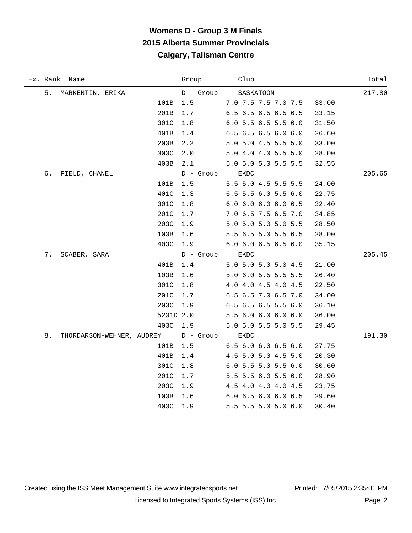|    | Ex. Rank Name                            |           | Group          | Club                                   | Total  |
|----|------------------------------------------|-----------|----------------|----------------------------------------|--------|
| 5. | MARKENTIN, ERIKA                         |           | D - Group      | SASKATOON                              | 217.80 |
|    |                                          | 101B      | 1.5            | 7.0 7.5 7.5 7.0 7.5<br>33.00           |        |
|    |                                          | 201B      | 1.7            | 6.5 6.5 6.5 6.5 6.5<br>33.15           |        |
|    |                                          | 301C      | 1.8            | 6.0 5.5 6.5 5.5 6.0<br>31.50           |        |
|    |                                          | 401B      | 1.4            | 6.5 6.5 6.5 6.0 6.0<br>26.60           |        |
|    |                                          | 203B      | 2.2            | 5.0 5.0 4.5 5.5 5.0<br>33.00           |        |
|    |                                          | 303C      | 2.0            | 5.0 4.0 4.0 5.5 5.0<br>28.00           |        |
|    |                                          | 403B      | 2.1            | 5.0 5.0 5.0 5.5 5.5<br>32.55           |        |
| б. | FIELD, CHANEL                            |           | D - Group      | EKDC                                   | 205.65 |
|    |                                          | 101B      | $1.5$          | 5.5 5.0 4.5 5.5 5.5<br>24.00           |        |
|    |                                          | 401C      | 1.3            | 6.5 5.5 6.0 5.5 6.0<br>22.75           |        |
|    |                                          | 301C      | 1.8            | 6.0 6.0 6.0 6.0 6.5<br>32.40           |        |
|    |                                          | 201C      | $1.7$          | 7.0 6.5 7.5 6.5 7.0<br>34.85           |        |
|    |                                          | 203C      | 1.9            | 5.0 5.0 5.0 5.0 5.5<br>28.50           |        |
|    |                                          | 103B      | 1.6            | 5.5 6.5 5.0 5.5 6.5<br>28.00           |        |
|    |                                          | 403C      | 1.9            | $6.0$ $6.0$ $6.5$ $6.5$ $6.0$<br>35.15 |        |
| 7. | SCABER, SARA                             |           | D - Group EKDC |                                        | 205.45 |
|    |                                          | 401B      | $1.4$          | 5.0 5.0 5.0 5.0 4.5<br>21.00           |        |
|    |                                          | 103B      | 1.6            | 5.0 6.0 5.5 5.5 5.5<br>26.40           |        |
|    |                                          | 301C      | $1.8$          | 4.0 4.0 4.5 4.0 4.5<br>22.50           |        |
|    |                                          | 201C      | $1.7$          | 6.5 6.5 7.0 6.5 7.0<br>34.00           |        |
|    |                                          | 203C      | 1.9            | 6.5 6.5 6.5 5.5 6.0<br>36.10           |        |
|    |                                          | 5231D 2.0 |                | 5.5 6.0 6.0 6.0 6.0<br>36.00           |        |
|    |                                          | 403C 1.9  |                | 5.0 5.0 5.5 5.0 5.5<br>29.45           |        |
| 8. | THORDARSON-WEHNER, AUDREY D - Group EKDC |           |                |                                        | 191.30 |
|    |                                          | 101B      | 1.5            | 6.5 6.0 6.0 6.5 6.0<br>27.75           |        |
|    |                                          | 401B      | 1.4            | 4.5 5.0 5.0 4.5 5.0<br>20.30           |        |
|    |                                          | 301C      | $1.8\,$        | 6.0 5.5 5.0 5.5 6.0<br>30.60           |        |
|    |                                          | 201C      | 1.7            | 5.5 5.5 6.0 5.5 6.0<br>28.90           |        |
|    |                                          | 203C      | 1.9            | 4.5 4.0 4.0 4.0 4.5<br>23.75           |        |
|    |                                          | 103B      | 1.6            | 6.0 6.5 6.0 6.0 6.5<br>29.60           |        |
|    |                                          | 403C      | 1.9            | 5.5 5.5 5.0 5.0 6.0<br>30.40           |        |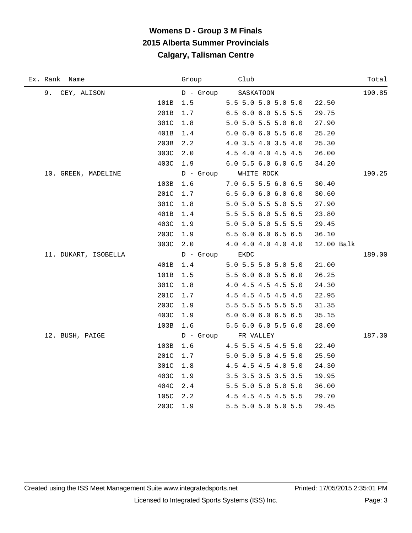| Ex. Rank Name        |      | Group          | Club                          |            | Total  |
|----------------------|------|----------------|-------------------------------|------------|--------|
| 9.<br>CEY, ALISON    |      | D - Group      | SASKATOON                     |            | 190.85 |
|                      | 101B | $1.5$          | 5.5 5.0 5.0 5.0 5.0           | 22.50      |        |
|                      | 201B | 1.7            | 6.5 6.0 6.0 5.5 5.5           | 29.75      |        |
|                      | 301C | 1.8            | 5.0 5.0 5.5 5.0 6.0           | 27.90      |        |
|                      | 401B | 1.4            | $6.0$ $6.0$ $6.0$ $5.5$ $6.0$ | 25.20      |        |
|                      | 203B | 2.2            | 4.0 3.5 4.0 3.5 4.0           | 25.30      |        |
|                      | 303C | 2.0            | 4.5 4.0 4.0 4.5 4.5           | 26.00      |        |
|                      | 403C | 1.9            | 6.0 5.5 6.0 6.0 6.5           | 34.20      |        |
| 10. GREEN, MADELINE  |      |                | D - Group WHITE ROCK          |            | 190.25 |
|                      | 103B | 1.6            | 7.0 6.5 5.5 6.0 6.5           | 30.40      |        |
|                      | 201C | 1.7            | 6.56.06.06.06.0               | 30.60      |        |
|                      | 301C | 1.8            | 5.0 5.0 5.5 5.0 5.5           | 27.90      |        |
|                      | 401B | 1.4            | 5.5 5.5 6.0 5.5 6.5           | 23.80      |        |
|                      | 403C | 1.9            | 5.0 5.0 5.0 5.5 5.5           | 29.45      |        |
|                      | 203C | 1.9            | 6.5 6.0 6.0 6.5 6.5           | 36.10      |        |
|                      | 303C | 2.0            | 4.0 4.0 4.0 4.0 4.0           | 12.00 Balk |        |
| 11. DUKART, ISOBELLA |      | D - Group EKDC |                               |            | 189.00 |
|                      | 401B | $1.4$          | 5.0 5.5 5.0 5.0 5.0           | 21.00      |        |
|                      | 101B | $1.5$          | 5.5 6.0 6.0 5.5 6.0           | 26.25      |        |
|                      | 301C | 1.8            | 4.0 4.5 4.5 4.5 5.0           | 24.30      |        |
|                      | 201C | $1.7$          | 4.5 4.5 4.5 4.5 4.5           | 22.95      |        |
|                      | 203C | 1.9            | 5.5 5.5 5.5 5.5 5.5           | 31.35      |        |
|                      | 403C | 1.9            | 6.0 6.0 6.0 6.5 6.5           | 35.15      |        |
|                      | 103B | 1.6            | 5.5 6.0 6.0 5.5 6.0           | 28.00      |        |
| 12. BUSH, PAIGE      |      |                | D - Group FR VALLEY           |            | 187.30 |
|                      | 103B | 1.6            | 4.5 5.5 4.5 4.5 5.0           | 22.40      |        |
|                      | 201C | 1.7            | 5.0 5.0 5.0 4.5 5.0           | 25.50      |        |
|                      | 301C | 1.8            | 4.5 4.5 4.5 4.0 5.0           | 24.30      |        |
|                      | 403C | 1.9            | 3.5 3.5 3.5 3.5 3.5           | 19.95      |        |
|                      | 404C | 2.4            | 5.5 5.0 5.0 5.0 5.0           | 36.00      |        |
|                      | 105C | 2.2            | 4.5 4.5 4.5 4.5 5.5           | 29.70      |        |
|                      | 203C | 1.9            | 5.5 5.0 5.0 5.0 5.5           | 29.45      |        |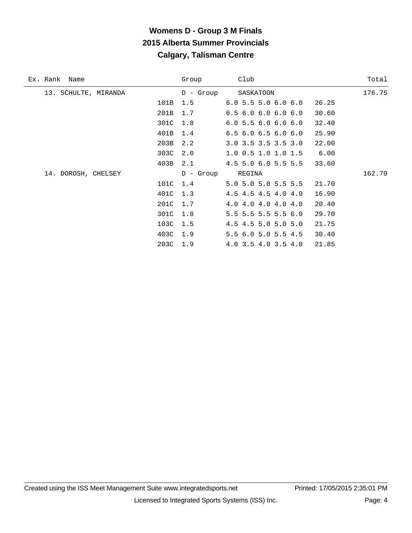| Ex. Rank Name        | Group       | Club                          | Total  |
|----------------------|-------------|-------------------------------|--------|
| 13. SCHULTE, MIRANDA | $D -$ Group | SASKATOON                     | 176.75 |
| 101B                 | 1.5         | 6.05.55.06.06.0               | 26.25  |
| 201B                 | 1.7         | $6.5$ $6.0$ $6.0$ $6.0$ $6.0$ | 30.60  |
| 301C                 | 1.8         | 6.05.56.06.06.0               | 32.40  |
| 401B                 | 1.4         | $6.5$ $6.0$ $6.5$ $6.0$ $6.0$ | 25.90  |
| 203B                 | 2.2         | $3.0$ $3.5$ $3.5$ $3.5$ $3.0$ | 22.00  |
| 303C                 | 2.0         | $1.0$ 0.5 1.0 1.0 1.5         | 6.00   |
|                      | 403B 2.1    | 4.5 5.0 6.0 5.5 5.5           | 33.60  |
| 14. DOROSH, CHELSEY  | $D -$ Group | REGINA                        | 162.70 |
| 101C                 | 1.4         | 5.0 5.0 5.0 5.5 5.5           | 21.70  |
|                      | 401C 1.3    | 4.5 4.5 4.5 4.0 4.0           | 16.90  |
| 201C                 | 1.7         | 4.0 4.0 4.0 4.0 4.0           | 20.40  |
| 301C                 | 1.8         | 5.5 5.5 5.5 5.5 6.0           | 29.70  |
| 103C                 | 1.5         | 4.5 4.5 5.0 5.0 5.0           | 21.75  |
|                      | 403C 1.9    | 5.5 6.0 5.0 5.5 4.5           | 30.40  |
| 203C                 | 1.9         | 4.0 3.5 4.0 3.5 4.0           | 21.85  |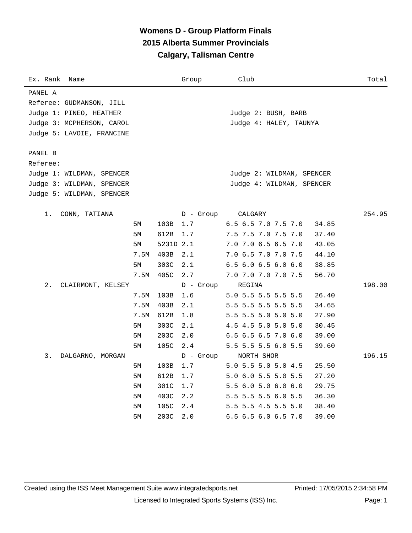| Ex. Rank<br>Name          |      |           | Group       | Club                         | Total  |
|---------------------------|------|-----------|-------------|------------------------------|--------|
| PANEL A                   |      |           |             |                              |        |
| Referee: GUDMANSON, JILL  |      |           |             |                              |        |
| Judge 1: PINEO, HEATHER   |      |           |             | Judge 2: BUSH, BARB          |        |
| Judge 3: MCPHERSON, CAROL |      |           |             | Judge 4: HALEY, TAUNYA       |        |
| Judge 5: LAVOIE, FRANCINE |      |           |             |                              |        |
|                           |      |           |             |                              |        |
| PANEL B<br>Referee:       |      |           |             |                              |        |
| Judge 1: WILDMAN, SPENCER |      |           |             | Judge 2: WILDMAN, SPENCER    |        |
| Judge 3: WILDMAN, SPENCER |      |           |             | Judge 4: WILDMAN, SPENCER    |        |
| Judge 5: WILDMAN, SPENCER |      |           |             |                              |        |
|                           |      |           |             |                              |        |
| CONN, TATIANA<br>1.       |      |           | $D -$ Group | CALGARY                      | 254.95 |
|                           | 5М   | 103B      | $1.7$       | 6.5 6.5 7.0 7.5 7.0<br>34.85 |        |
|                           | 5M   | 612B      | 1.7         | 7.5 7.5 7.0 7.5 7.0<br>37.40 |        |
|                           | 5М   | 5231D 2.1 |             | 7.0 7.0 6.5 6.5 7.0<br>43.05 |        |
|                           | 7.5M | 403B      | 2.1         | 7.0 6.5 7.0 7.0 7.5<br>44.10 |        |
|                           | 5M   | 303C      | 2.1         | 6.5 6.0 6.5 6.0 6.0<br>38.85 |        |
|                           | 7.5M | 405C      | 2.7         | 7.0 7.0 7.0 7.0 7.5<br>56.70 |        |
| 2.<br>CLAIRMONT, KELSEY   |      |           | $D -$ Group | REGINA                       | 198.00 |
|                           | 7.5M | 103B      | 1.6         | 5.0 5.5 5.5 5.5 5.5<br>26.40 |        |
|                           | 7.5M | 403B      | 2.1         | 5.5 5.5 5.5 5.5 5.5<br>34.65 |        |
|                           | 7.5M | 612B      | 1.8         | 5.5 5.5 5.0 5.0 5.0<br>27.90 |        |
|                           | 5М   | 303C      | 2.1         | 4.5 4.5 5.0 5.0 5.0<br>30.45 |        |
|                           | 5М   | 203C      | 2.0         | 6.5 6.5 6.5 7.0 6.0<br>39.00 |        |
|                           | 5М   | 105C      | 2.4         | 5.5 5.5 5.5 6.0 5.5<br>39.60 |        |
| 3.<br>DALGARNO, MORGAN    |      |           | $D -$ Group | NORTH SHOR                   | 196.15 |
|                           | 5М   | 103B      | 1.7         | 5.0 5.5 5.0 5.0 4.5<br>25.50 |        |
|                           | 5М   | 612B      | 1.7         | 5.0 6.0 5.5 5.0 5.5<br>27.20 |        |
|                           | 5M   | 301C      | 1.7         | 5.5 6.0 5.0 6.0 6.0<br>29.75 |        |
|                           | 5М   | 403C      | 2.2         | 5.5 5.5 5.5 6.0 5.5<br>36.30 |        |
|                           | 5М   | 105C      | 2.4         | 5.5 5.5 4.5 5.5 5.0<br>38.40 |        |
|                           | 5М   | 203C      | 2.0         | 6.5 6.5 6.0 6.5 7.0<br>39.00 |        |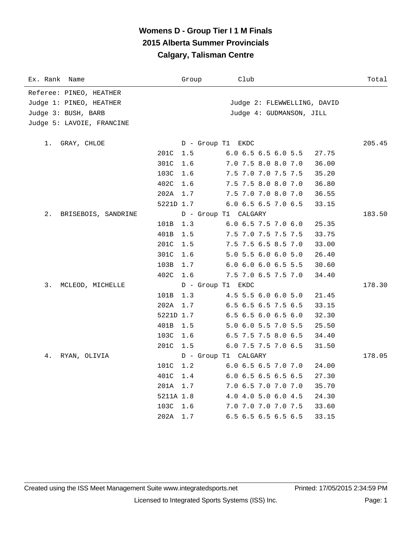| Ex. Rank Name             |           | Group                | Club                         | Total  |
|---------------------------|-----------|----------------------|------------------------------|--------|
| Referee: PINEO, HEATHER   |           |                      |                              |        |
| Judge 1: PINEO, HEATHER   |           |                      | Judge 2: FLEWWELLING, DAVID  |        |
| Judge 3: BUSH, BARB       |           |                      | Judge 4: GUDMANSON, JILL     |        |
| Judge 5: LAVOIE, FRANCINE |           |                      |                              |        |
| 1.<br>GRAY, CHLOE         |           | D - Group T1 EKDC    |                              | 205.45 |
|                           | 201C      | 1.5                  | 6.0 6.5 6.5 6.0 5.5<br>27.75 |        |
|                           | 301C      | 1.6                  | 7.0 7.5 8.0 8.0 7.0<br>36.00 |        |
|                           | 103C      | 1.6                  | 7.5 7.0 7.0 7.5 7.5<br>35.20 |        |
|                           | 402C      | 1.6                  | 7.5 7.5 8.0 8.0 7.0<br>36.80 |        |
|                           | 202A      | 1.7                  | 7.5 7.0 7.0 8.0 7.0<br>36.55 |        |
|                           | 5221D 1.7 |                      | 6.0 6.5 6.5 7.0 6.5<br>33.15 |        |
| 2.<br>BRISEBOIS, SANDRINE |           | D - Group T1 CALGARY |                              | 183.50 |
|                           | 101B      | 1.3                  | 6.0 6.5 7.5 7.0 6.0<br>25.35 |        |
|                           | 401B      | 1.5                  | 7.5 7.0 7.5 7.5 7.5<br>33.75 |        |
|                           | 201C      | 1.5                  | 7.5 7.5 6.5 8.5 7.0<br>33.00 |        |
|                           | 301C      | 1.6                  | 5.0 5.5 6.0 6.0 5.0<br>26.40 |        |
|                           | 103B      | 1.7                  | 6.0 6.0 6.0 6.5 5.5<br>30.60 |        |
|                           | 402C      | 1.6                  | 7.5 7.0 6.5 7.5 7.0<br>34.40 |        |
| 3.<br>MCLEOD, MICHELLE    |           | D - Group T1 EKDC    |                              | 178.30 |
|                           | 101B      | 1.3                  | 4.5 5.5 6.0 6.0 5.0<br>21.45 |        |
|                           | 202A      | 1.7                  | 6.5 6.5 6.5 7.5 6.5<br>33.15 |        |
|                           | 5221D 1.7 |                      | 6.5 6.5 6.0 6.5 6.0<br>32.30 |        |
|                           | 401B      | 1.5                  | 5.0 6.0 5.5 7.0 5.5<br>25.50 |        |
|                           | 103C      | 1.6                  | 6.5 7.5 7.5 8.0 6.5<br>34.40 |        |
|                           | 201C      | 1.5                  | 6.0 7.5 7.5 7.0 6.5<br>31.50 |        |
| 4.<br>RYAN, OLIVIA        |           | D - Group T1 CALGARY |                              | 178.05 |
|                           | 101C      | 1.2                  | 6.0 6.5 6.5 7.0 7.0<br>24.00 |        |
|                           | 401C      | 1.4                  | 6.0 6.5 6.5 6.5 6.5<br>27.30 |        |
|                           | 201A      | 1.7                  | 7.0 6.5 7.0 7.0 7.0<br>35.70 |        |
|                           | 5211A 1.8 |                      | 4.0 4.0 5.0 6.0 4.5<br>24.30 |        |
|                           | 103C      | 1.6                  | 7.0 7.0 7.0 7.0 7.5<br>33.60 |        |
|                           | 202A      | 1.7                  | 6.5 6.5 6.5 6.5 6.5<br>33.15 |        |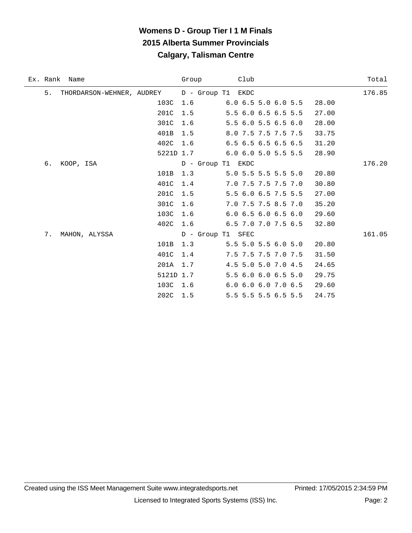|    | Ex. Rank Name             |           | Group             | Club                                   | Total  |
|----|---------------------------|-----------|-------------------|----------------------------------------|--------|
| 5. | THORDARSON-WEHNER, AUDREY |           | D - Group T1 EKDC |                                        | 176.85 |
|    |                           | 103C      | 1.6               | 28.00<br>$6.0$ $6.5$ $5.0$ $6.0$ $5.5$ |        |
|    |                           | 201C      | 1.5               | 5.5 6.0 6.5 6.5 5.5<br>27.00           |        |
|    |                           | 301C      | 1.6               | 5.5 6.0 5.5 6.5 6.0<br>28.00           |        |
|    |                           | 401B      | 1.5               | 8.0 7.5 7.5 7.5 7.5<br>33.75           |        |
|    |                           | 402C 1.6  |                   | 6.5 6.5 6.5 6.5 6.5<br>31.20           |        |
|    |                           | 5221D 1.7 |                   | $6.0$ $6.0$ $5.0$ $5.5$ $5.5$<br>28.90 |        |
| б. | KOOP, ISA                 |           | D - Group T1 EKDC |                                        | 176.20 |
|    |                           | 101B      | 1.3               | 5.0 5.5 5.5 5.5 5.0<br>20.80           |        |
|    |                           | 401C      | 1.4               | 7.0 7.5 7.5 7.5 7.0<br>30.80           |        |
|    |                           | 201C      | 1.5               | 5.5 6.0 6.5 7.5 5.5<br>27.00           |        |
|    |                           | 301C      | 1.6               | 7.0 7.5 7.5 8.5 7.0<br>35.20           |        |
|    |                           | 103C      | 1.6               | $6.0$ $6.5$ $6.0$ $6.5$ $6.0$<br>29.60 |        |
|    |                           | 402C      | 1.6               | 6.5 7.0 7.0 7.5 6.5<br>32.80           |        |
| 7. | MAHON, ALYSSA             |           | D - Group T1 SFEC |                                        | 161.05 |
|    |                           | 101B      | 1.3               | 5.5 5.0 5.5 6.0 5.0<br>20.80           |        |
|    |                           | 401C      | 1.4               | 7.5 7.5 7.5 7.0 7.5<br>31.50           |        |
|    |                           | 201A      | 1.7               | 4.5 5.0 5.0 7.0 4.5<br>24.65           |        |
|    |                           | 5121D 1.7 |                   | 5.5 6.0 6.0 6.5 5.0<br>29.75           |        |
|    |                           | 103C      | 1.6               | 6.0 6.0 6.0 7.0 6.5<br>29.60           |        |
|    |                           | 202C      | 1.5               | 5.5 5.5 5.5 6.5 5.5<br>24.75           |        |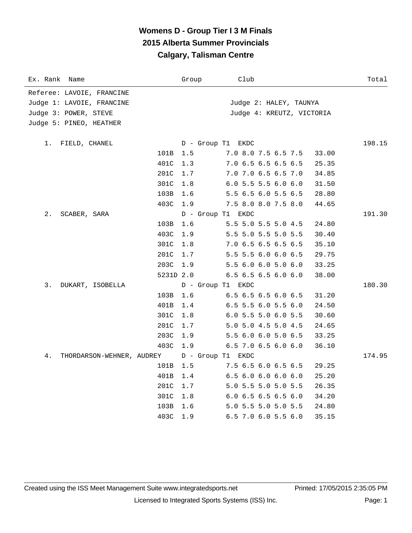| Ex. Rank Name                   | Group     | Club                          | Total  |
|---------------------------------|-----------|-------------------------------|--------|
| Referee: LAVOIE, FRANCINE       |           |                               |        |
| Judge 1: LAVOIE, FRANCINE       |           | Judge 2: HALEY, TAUNYA        |        |
| Judge 3: POWER, STEVE           |           | Judge 4: KREUTZ, VICTORIA     |        |
| Judge 5: PINEO, HEATHER         |           |                               |        |
| FIELD, CHANEL<br>1.             |           | D - Group T1 EKDC             | 198.15 |
| 101B                            | 1.5       | 7.0 8.0 7.5 6.5 7.5           | 33.00  |
| 401C                            | 1.3       | 7.0 6.5 6.5 6.5 6.5           | 25.35  |
| 201C                            | 1.7       | 7.0 7.0 6.5 6.5 7.0           | 34.85  |
| 301C                            | 1.8       | $6.0$ 5.5 5.5 6.0 6.0         | 31.50  |
| 103B                            | 1.6       | 5.5 6.5 6.0 5.5 6.5           | 28.80  |
| 403C                            | 1.9       | 7.5 8.0 8.0 7.5 8.0           | 44.65  |
| $2$ .<br>SCABER, SARA           |           | D - Group T1 EKDC             | 191.30 |
| 103B                            | 1.6       | 5.5 5.0 5.5 5.0 4.5           | 24.80  |
| 403C                            | 1.9       | 5.5 5.0 5.5 5.0 5.5           | 30.40  |
| 301C                            | 1.8       | 7.0 6.5 6.5 6.5 6.5           | 35.10  |
| 201C                            | 1.7       | 5.5 5.5 6.0 6.0 6.5           | 29.75  |
| 203C                            | 1.9       | 5.5 6.0 6.0 5.0 6.0           | 33.25  |
|                                 | 5231D 2.0 | 6.5 6.5 6.5 6.0 6.0           | 38.00  |
| 3.<br>DUKART, ISOBELLA          |           | D - Group T1 EKDC             | 180.30 |
| 103B                            | 1.6       | $6.5$ $6.5$ $6.5$ $6.0$ $6.5$ | 31.20  |
| 401B                            | 1.4       | 6.5 5.5 6.0 5.5 6.0           | 24.50  |
| 301C                            | 1.8       | 6.0 5.5 5.0 6.0 5.5           | 30.60  |
| 201C                            | 1.7       | 5.0 5.0 4.5 5.0 4.5           | 24.65  |
| 203C                            | 1.9       | 5.5 6.0 6.0 5.0 6.5           | 33.25  |
| 403C                            | 1.9       | 6.5 7.0 6.5 6.0 6.0           | 36.10  |
| 4.<br>THORDARSON-WEHNER, AUDREY |           | D - Group T1 EKDC             | 174.95 |
| 101B                            | 1.5       | 7.5 6.5 6.0 6.5 6.5           | 29.25  |
| 401B                            | 1.4       | 6.56.06.06.06.0               | 25.20  |
| 201C                            | 1.7       | 5.0 5.5 5.0 5.0 5.5           | 26.35  |
| 301C                            | 1.8       | 6.06.56.56.56.0               | 34.20  |
| 103B                            | 1.6       | 5.0 5.5 5.0 5.0 5.5           | 24.80  |
| 403C                            | 1.9       | 6.5 7.0 6.0 5.5 6.0           | 35.15  |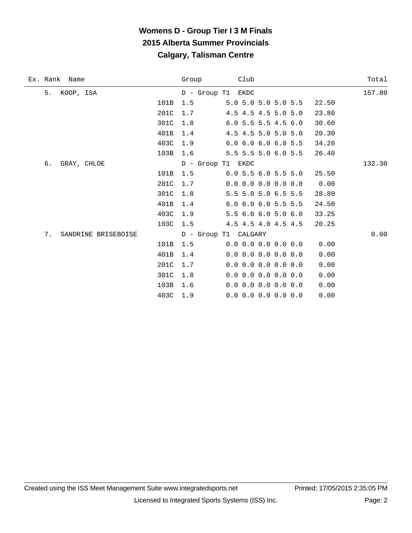| Ex. Rank<br>Name       | Group | Club                                | Total  |
|------------------------|-------|-------------------------------------|--------|
| 5. KOOP, ISA           |       | D - Group T1 EKDC                   | 157.80 |
| 101B                   | 1.5   | 5.0 5.0 5.0 5.0 5.5                 | 22.50  |
| 201C                   | 1.7   | 4.5 4.5 4.5 5.0 5.0                 | 23.80  |
| 301C                   | 1.8   | $6.0$ 5.5 5.5 4.5 6.0               | 30.60  |
| 401B                   | 1.4   | 4.5 4.5 5.0 5.0 5.0                 | 20.30  |
| 403C                   | 1.9   | $6.0$ $6.0$ $6.0$ $6.0$ $5.5$       | 34.20  |
| 103B                   | 1.6   | 5.5 5.5 5.0 6.0 5.5                 | 26.40  |
| б.<br>GRAY, CHLOE      |       | D - Group T1 EKDC                   | 132.30 |
| 101B                   | 1.5   | $6.0$ 5.5 $6.0$ 5.5 5.0             | 25.50  |
| 201C                   | 1.7   | $0.0$ 0.0 0.0 0.0 0.0               | 0.00   |
| 301C                   | 1.8   | 5.5 5.0 5.0 6.5 5.5                 | 28.80  |
| 401B                   | 1.4   | $6.0$ $6.0$ $6.0$ $5.5$ $5.5$       | 24.50  |
| 403C                   | 1.9   | 5.5 6.0 6.0 5.0 6.0                 | 33.25  |
| 103C                   | 1.5   | 4.5 4.5 4.0 4.5 4.5                 | 20.25  |
| 7. SANDRINE BRISEBOISE |       | D - Group T1 CALGARY                | 0.00   |
| 101B                   | 1.5   | $0.0$ $0.0$ $0.0$ $0.0$ $0.0$ $0.0$ | 0.00   |
| 401B                   | 1.4   | $0.0$ 0.0 0.0 0.0 0.0               | 0.00   |
| 201C                   | 1.7   | $0.0$ 0.0 0.0 0.0 0.0               | 0.00   |
| 301C                   | 1.8   | $0.0$ 0.0 0.0 0.0 0.0               | 0.00   |
| 103B                   | 1.6   | $0.0$ 0.0 0.0 0.0 0.0               | 0.00   |
| 403C                   | 1.9   | $0.0$ 0.0 0.0 0.0 0.0               | 0.00   |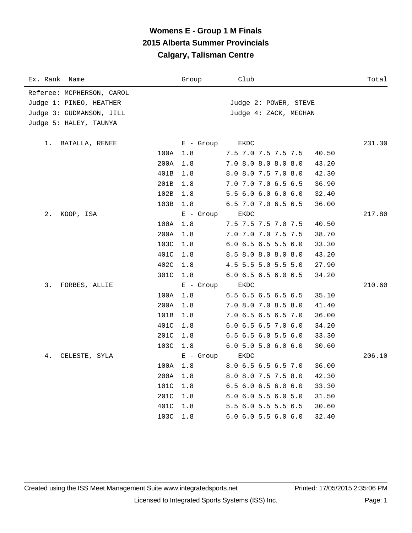| Ex. Rank<br>Name          |      | Group       | Club                  | Total  |
|---------------------------|------|-------------|-----------------------|--------|
| Referee: MCPHERSON, CAROL |      |             |                       |        |
| Judge 1: PINEO, HEATHER   |      |             | Judge 2: POWER, STEVE |        |
| Judge 3: GUDMANSON, JILL  |      |             | Judge 4: ZACK, MEGHAN |        |
| Judge 5: HALEY, TAUNYA    |      |             |                       |        |
| 1.<br>BATALLA, RENEE      |      | $E -$ Group | EKDC                  | 231.30 |
|                           | 100A | 1.8         | 7.5 7.0 7.5 7.5 7.5   | 40.50  |
|                           | 200A | 1.8         | 7.0 8.0 8.0 8.0 8.0   | 43.20  |
|                           | 401B | 1.8         | 8.0 8.0 7.5 7.0 8.0   | 42.30  |
|                           | 201B | 1.8         | 7.0 7.0 7.0 6.5 6.5   | 36.90  |
|                           | 102B | 1.8         | 5.5 6.0 6.0 6.0 6.0   | 32.40  |
|                           | 103B | 1.8         | 6.5 7.0 7.0 6.5 6.5   | 36.00  |
| 2.<br>KOOP, ISA           |      | $E -$ Group | EKDC                  | 217.80 |
|                           | 100A | 1.8         | 7.5 7.5 7.5 7.0 7.5   | 40.50  |
|                           | 200A | 1.8         | 7.0 7.0 7.0 7.5 7.5   | 38.70  |
|                           | 103C | 1.8         | 6.0 6.5 6.5 5.5 6.0   | 33.30  |
|                           | 401C | 1.8         | 8.5 8.0 8.0 8.0 8.0   | 43.20  |
|                           | 402C | 1.8         | 4.5 5.5 5.0 5.5 5.0   | 27.90  |
|                           | 301C | 1.8         | 6.0 6.5 6.5 6.0 6.5   | 34.20  |
| 3.<br>FORBES, ALLIE       |      | $E - Growp$ | EKDC                  | 210.60 |
|                           | 100A | 1.8         | 6.5 6.5 6.5 6.5 6.5   | 35.10  |
|                           | 200A | 1.8         | 7.0 8.0 7.0 8.5 8.0   | 41.40  |
|                           | 101B | 1.8         | 7.0 6.5 6.5 6.5 7.0   | 36.00  |
|                           | 401C | 1.8         | 6.0 6.5 6.5 7.0 6.0   | 34.20  |
|                           | 201C | 1.8         | 6.5 6.5 6.0 5.5 6.0   | 33.30  |
|                           | 103C | 1.8         | $6.0$ 5.0 5.0 6.0 6.0 | 30.60  |
| 4.<br>CELESTE, SYLA       |      | $E -$ Group | EKDC                  | 206.10 |
|                           | 100A | 1.8         | 8.0 6.5 6.5 6.5 7.0   | 36.00  |
|                           | 200A | 1.8         | 8.0 8.0 7.5 7.5 8.0   | 42.30  |
|                           | 101C | 1.8         | 6.5 6.0 6.5 6.0 6.0   | 33.30  |
|                           | 201C | 1.8         | 6.0 6.0 5.5 6.0 5.0   | 31.50  |
|                           | 401C | 1.8         | 5.5 6.0 5.5 5.5 6.5   | 30.60  |
|                           | 103C | 1.8         | 6.0 6.0 5.5 6.0 6.0   | 32.40  |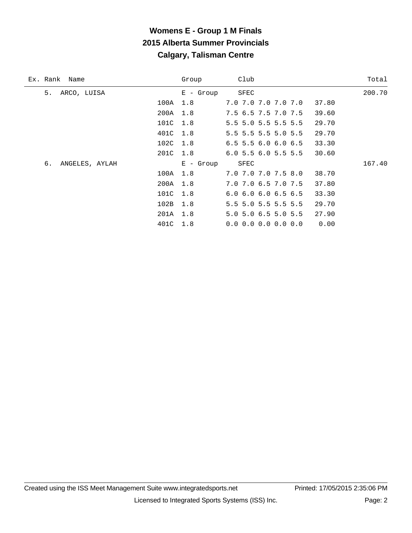# **Womens E - Group 1 M Finals 2015 Alberta Summer Provincials Calgary, Talisman Centre**

| Ex. Rank Name        |          | Group       | Club                                |       | Total  |
|----------------------|----------|-------------|-------------------------------------|-------|--------|
| 5.<br>ARCO, LUISA    |          | $E -$ Group | SFEC                                |       | 200.70 |
|                      | 100A     | 1.8         | 7.0 7.0 7.0 7.0 7.0                 | 37.80 |        |
|                      | 200A     | 1.8         | 7.5 6.5 7.5 7.0 7.5                 | 39.60 |        |
|                      | 101C     | 1.8         | 5.5 5.0 5.5 5.5 5.5                 | 29.70 |        |
|                      | 401C     | 1.8         | 5.5 5.5 5.5 5.0 5.5                 | 29.70 |        |
|                      | 102C 1.8 |             | $6.5$ 5.5 6.0 6.0 6.5               | 33.30 |        |
|                      | 201C 1.8 |             | $6.0$ 5.5 $6.0$ 5.5 5.5             | 30.60 |        |
| ANGELES, AYLAH<br>6. |          | $E -$ Group | SFEC                                |       | 167.40 |
|                      | 100A     | 1.8         | 7.0 7.0 7.0 7.5 8.0                 | 38.70 |        |
|                      | 200A 1.8 |             | 7.0 7.0 6.5 7.0 7.5                 | 37.80 |        |
|                      | 101C     | 1.8         | $6.0$ $6.0$ $6.0$ $6.5$ $6.5$       | 33.30 |        |
|                      | 102B     | 1.8         | 5.5 5.0 5.5 5.5 5.5                 | 29.70 |        |
|                      | 201A     | 1.8         | $5.0$ 5.0 6.5 5.0 5.5               | 27.90 |        |
|                      | 401C     | 1.8         | $0.0$ $0.0$ $0.0$ $0.0$ $0.0$ $0.0$ | 0.00  |        |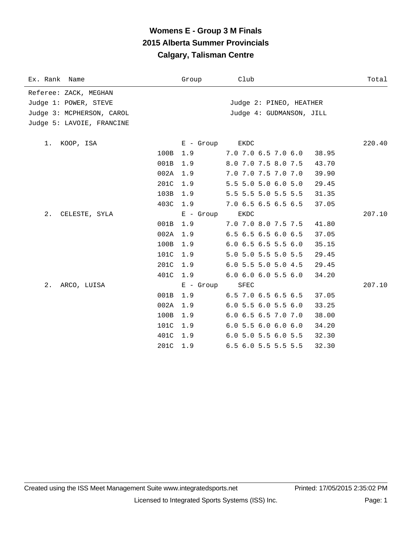# **Womens E - Group 3 M Finals 2015 Alberta Summer Provincials Calgary, Talisman Centre**

| Ex. Rank Name             |      | Group       | Club                                   | Total  |
|---------------------------|------|-------------|----------------------------------------|--------|
| Referee: ZACK, MEGHAN     |      |             |                                        |        |
| Judge 1: POWER, STEVE     |      |             | Judge 2: PINEO, HEATHER                |        |
| Judge 3: MCPHERSON, CAROL |      |             | Judge 4: GUDMANSON, JILL               |        |
| Judge 5: LAVOIE, FRANCINE |      |             |                                        |        |
|                           |      |             |                                        |        |
| 1.<br>KOOP, ISA           |      | E - Group   | EKDC                                   | 220.40 |
|                           | 100B | 1.9         | 7.0 7.0 6.5 7.0 6.0<br>38.95           |        |
|                           | 001B | 1.9         | 8.0 7.0 7.5 8.0 7.5<br>43.70           |        |
|                           | 002A | 1.9         | 7.0 7.0 7.5 7.0 7.0<br>39.90           |        |
|                           | 201C | 1.9         | 5.5 5.0 5.0 6.0 5.0<br>29.45           |        |
|                           | 103B | 1.9         | 5.5 5.5 5.0 5.5 5.5<br>31.35           |        |
|                           | 403C | 1.9         | 7.0 6.5 6.5 6.5 6.5<br>37.05           |        |
| $2$ .<br>CELESTE, SYLA    |      | $E -$ Group | EKDC                                   | 207.10 |
|                           | 001B | 1.9         | 7.0 7.0 8.0 7.5 7.5<br>41.80           |        |
|                           | 002A | 1.9         | 6.5 6.5 6.5 6.0 6.5<br>37.05           |        |
|                           | 100B | 1.9         | $6.0$ 6.5 6.5 5.5 6.0<br>35.15         |        |
|                           | 101C | 1.9         | 5.0 5.0 5.5 5.0 5.5<br>29.45           |        |
|                           | 201C | 1.9         | 6.0 5.5 5.0 5.0 4.5<br>29.45           |        |
|                           | 401C | 1.9         | $6.0$ $6.0$ $6.0$ $5.5$ $6.0$<br>34.20 |        |
| 2.<br>ARCO, LUISA         |      | $E -$ Group | SFEC                                   | 207.10 |
|                           | 001B | 1.9         | 6.5 7.0 6.5 6.5 6.5<br>37.05           |        |
|                           | 002A | 1.9         | $6.0$ 5.5 6.0 5.5 6.0<br>33.25         |        |
|                           | 100B | 1.9         | 6.0 6.5 6.5 7.0 7.0<br>38.00           |        |
|                           | 101C | 1.9         | 6.05.56.06.06.0<br>34.20               |        |
|                           | 401C | 1.9         | 6.0 5.0 5.5 6.0 5.5<br>32.30           |        |
|                           | 201C | 1.9         | 6.5 6.0 5.5 5.5 5.5<br>32.30           |        |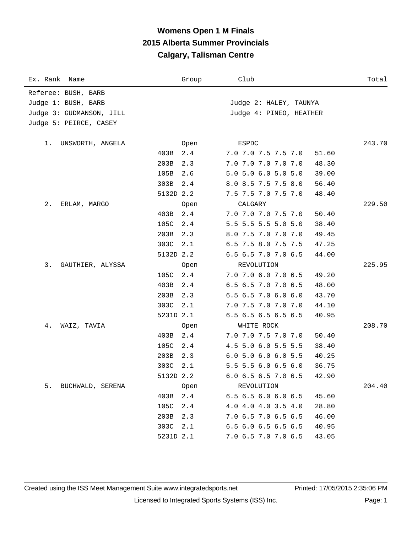## **Womens Open 1 M Finals 2015 Alberta Summer Provincials Calgary, Talisman Centre**

| Ex. Rank Name            |           | Group | Club                                   | Total  |
|--------------------------|-----------|-------|----------------------------------------|--------|
| Referee: BUSH, BARB      |           |       |                                        |        |
| Judge 1: BUSH, BARB      |           |       | Judge 2: HALEY, TAUNYA                 |        |
| Judge 3: GUDMANSON, JILL |           |       | Judge 4: PINEO, HEATHER                |        |
| Judge 5: PEIRCE, CASEY   |           |       |                                        |        |
|                          |           |       |                                        |        |
| 1.<br>UNSWORTH, ANGELA   |           | Open  | ESPDC                                  | 243.70 |
|                          | 403B      | 2.4   | 7.0 7.0 7.5 7.5 7.0<br>51.60           |        |
|                          | 203B      | 2.3   | 7.0 7.0 7.0 7.0 7.0<br>48.30           |        |
|                          | 105B      | 2.6   | 5.0 5.0 6.0 5.0 5.0<br>39.00           |        |
|                          | 303B      | 2.4   | 8.0 8.5 7.5 7.5 8.0<br>56.40           |        |
|                          | 5132D 2.2 |       | 7.5 7.5 7.0 7.5 7.0<br>48.40           |        |
| 2.<br>ERLAM, MARGO       |           | Open  | CALGARY                                | 229.50 |
|                          | 403B      | 2.4   | 7.0 7.0 7.0 7.5 7.0<br>50.40           |        |
|                          | 105C      | 2.4   | 5.5 5.5 5.5 5.0 5.0<br>38.40           |        |
|                          | 203B      | 2.3   | 8.0 7.5 7.0 7.0 7.0<br>49.45           |        |
|                          | 303C      | 2.1   | 6.5 7.5 8.0 7.5 7.5<br>47.25           |        |
|                          | 5132D 2.2 |       | 6.5 6.5 7.0 7.0 6.5<br>44.00           |        |
| 3.<br>GAUTHIER, ALYSSA   |           | Open  | REVOLUTION                             | 225.95 |
|                          | 105C      | 2.4   | 7.0 7.0 6.0 7.0 6.5<br>49.20           |        |
|                          | 403B      | 2.4   | 6.5 6.5 7.0 7.0 6.5<br>48.00           |        |
|                          | 203B      | 2.3   | 6.5 6.5 7.0 6.0 6.0<br>43.70           |        |
|                          | 303C      | 2.1   | 7.0 7.5 7.0 7.0 7.0<br>44.10           |        |
|                          | 5231D 2.1 |       | 6.5 6.5 6.5 6.5 6.5<br>40.95           |        |
| 4.<br>WAIZ, TAVIA        |           | Open  | WHITE ROCK                             | 208.70 |
|                          | 403B      | 2.4   | 7.0 7.0 7.5 7.0 7.0<br>50.40           |        |
|                          | 105C      | 2.4   | 4.5 5.0 6.0 5.5 5.5<br>38.40           |        |
|                          | 203B      | 2.3   | 6.05.06.06.05.5<br>40.25               |        |
|                          | 303C      | 2.1   | 5.5 5.5 6.0 6.5 6.0<br>36.75           |        |
|                          | 5132D 2.2 |       | 6.0 6.5 6.5 7.0 6.5<br>42.90           |        |
| 5.<br>BUCHWALD, SERENA   |           | Open  | REVOLUTION                             | 204.40 |
|                          | 403B      | 2.4   | 45.60<br>$6.5$ $6.5$ $6.0$ $6.0$ $6.5$ |        |
|                          | 105C      | 2.4   | 4.0 4.0 4.0 3.5 4.0<br>28.80           |        |
|                          | 203B      | 2.3   | 7.0 6.5 7.0 6.5 6.5<br>46.00           |        |
|                          | 303C      | 2.1   | 6.5 6.0 6.5 6.5 6.5<br>40.95           |        |
|                          | 5231D 2.1 |       | 7.0 6.5 7.0 7.0 6.5<br>43.05           |        |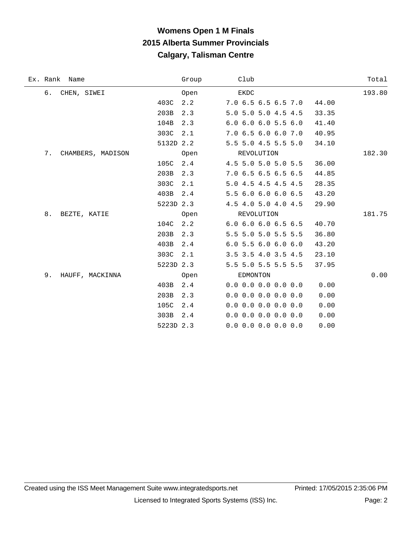# **Womens Open 1 M Finals 2015 Alberta Summer Provincials Calgary, Talisman Centre**

| Ex. Rank Name           | Group       | Club                    | Total  |
|-------------------------|-------------|-------------------------|--------|
| б.<br>CHEN, SIWEI       | Open        | EKDC                    | 193.80 |
|                         | 2.2<br>403C | 7.0 6.5 6.5 6.5 7.0     | 44.00  |
|                         | 203B<br>2.3 | 5.0 5.0 5.0 4.5 4.5     | 33.35  |
|                         | 104B<br>2.3 | 6.0 6.0 6.0 5.5 6.0     | 41.40  |
|                         | 303C<br>2.1 | 7.0 6.5 6.0 6.0 7.0     | 40.95  |
|                         | 5132D 2.2   | 5.5 5.0 4.5 5.5 5.0     | 34.10  |
| 7.<br>CHAMBERS, MADISON | Open        | REVOLUTION              | 182.30 |
|                         | 105C<br>2.4 | 4.5 5.0 5.0 5.0 5.5     | 36.00  |
|                         | 203B<br>2.3 | 7.0 6.5 6.5 6.5 6.5     | 44.85  |
|                         | 303C<br>2.1 | 5.0 4.5 4.5 4.5 4.5     | 28.35  |
|                         | 403B<br>2.4 | 5.5 6.0 6.0 6.0 6.5     | 43.20  |
|                         | 5223D 2.3   | 4.5 4.0 5.0 4.0 4.5     | 29.90  |
| 8.<br>BEZTE, KATIE      | Open        | REVOLUTION              | 181.75 |
|                         | 104C<br>2.2 | 6.0 6.0 6.0 6.5 6.5     | 40.70  |
|                         | 203B<br>2.3 | 5.5 5.0 5.0 5.5 5.5     | 36.80  |
|                         | 403B<br>2.4 | $6.0$ 5.5 $6.0$ 6.0 6.0 | 43.20  |
|                         | 303C<br>2.1 | 3.5 3.5 4.0 3.5 4.5     | 23.10  |
|                         | 5223D 2.3   | 5.5 5.0 5.5 5.5 5.5     | 37.95  |
| 9.<br>HAUFF, MACKINNA   | Open        | EDMONTON                | 0.00   |
|                         | 403B<br>2.4 | $0.0$ 0.0 0.0 0.0 0.0   | 0.00   |
|                         | 203B<br>2.3 | $0.0$ 0.0 0.0 0.0 0.0   | 0.00   |
|                         | 105C<br>2.4 | $0.0$ 0.0 0.0 0.0 0.0   | 0.00   |
|                         | 303B<br>2.4 | $0.0$ 0.0 0.0 0.0 0.0   | 0.00   |
|                         | 5223D 2.3   | $0.0$ 0.0 0.0 0.0 0.0   | 0.00   |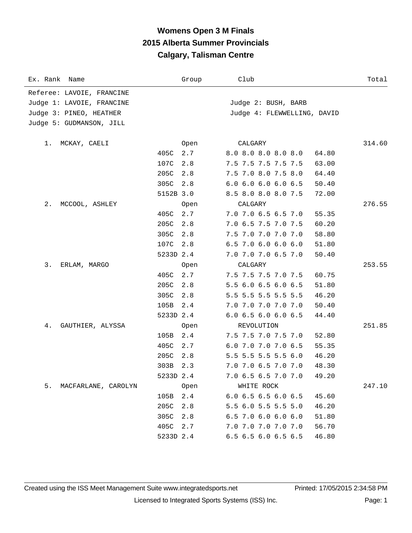## **Womens Open 3 M Finals 2015 Alberta Summer Provincials Calgary, Talisman Centre**

| Ex. Rank Name             |           | Group | Club                        | Total  |
|---------------------------|-----------|-------|-----------------------------|--------|
| Referee: LAVOIE, FRANCINE |           |       |                             |        |
| Judge 1: LAVOIE, FRANCINE |           |       | Judge 2: BUSH, BARB         |        |
| Judge 3: PINEO, HEATHER   |           |       | Judge 4: FLEWWELLING, DAVID |        |
| Judge 5: GUDMANSON, JILL  |           |       |                             |        |
|                           |           |       |                             |        |
| MCKAY, CAELI<br>1.        |           | Open  | CALGARY                     | 314.60 |
|                           | 405C      | 2.7   | 8.0 8.0 8.0 8.0 8.0         | 64.80  |
|                           | 107C      | 2.8   | 7.5 7.5 7.5 7.5 7.5         | 63.00  |
|                           | 205C      | 2.8   | 7.5 7.0 8.0 7.5 8.0         | 64.40  |
|                           | 305C      | 2.8   | 6.0 6.0 6.0 6.0 6.5         | 50.40  |
|                           | 5152B 3.0 |       | 8.5 8.0 8.0 8.0 7.5         | 72.00  |
| $2$ .<br>MCCOOL, ASHLEY   |           | Open  | CALGARY                     | 276.55 |
|                           | 405C      | 2.7   | 7.0 7.0 6.5 6.5 7.0         | 55.35  |
|                           | 205C      | 2.8   | 7.0 6.5 7.5 7.0 7.5         | 60.20  |
|                           | 305C      | 2.8   | 7.5 7.0 7.0 7.0 7.0         | 58.80  |
|                           | 107C      | 2.8   | 6.5 7.0 6.0 6.0 6.0         | 51.80  |
|                           | 5233D 2.4 |       | 7.0 7.0 7.0 6.5 7.0         | 50.40  |
| 3.<br>ERLAM, MARGO        |           | Open  | CALGARY                     | 253.55 |
|                           | 405C      | 2.7   | 7.5 7.5 7.5 7.0 7.5         | 60.75  |
|                           | 205C      | 2.8   | 5.5 6.0 6.5 6.0 6.5         | 51.80  |
|                           | 305C      | 2.8   | 5.5 5.5 5.5 5.5 5.5         | 46.20  |
|                           | 105B      | 2.4   | 7.0 7.0 7.0 7.0 7.0         | 50.40  |
|                           | 5233D 2.4 |       | 6.0 6.5 6.0 6.0 6.5         | 44.40  |
| 4.<br>GAUTHIER, ALYSSA    |           | Open  | REVOLUTION                  | 251.85 |
|                           | 105B      | 2.4   | 7.5 7.5 7.0 7.5 7.0         | 52.80  |
|                           | 405C      | 2.7   | 6.0 7.0 7.0 7.0 6.5         | 55.35  |
|                           | 205C      | 2.8   | 5.5 5.5 5.5 5.5 6.0         | 46.20  |
|                           | 303B      | 2.3   | 7.0 7.0 6.5 7.0 7.0         | 48.30  |
|                           | 5233D 2.4 |       | 7.0 6.5 6.5 7.0 7.0         | 49.20  |
| 5.<br>MACFARLANE, CAROLYN |           | Open  | WHITE ROCK                  | 247.10 |
|                           | 105B      | 2.4   | 6.0 6.5 6.5 6.0 6.5         | 45.60  |
|                           | 205C      | 2.8   | 5.5 6.0 5.5 5.5 5.0         | 46.20  |
|                           | 305C      | 2.8   | 6.5 7.0 6.0 6.0 6.0         | 51.80  |
|                           | 405C      | 2.7   | 7.0 7.0 7.0 7.0 7.0         | 56.70  |
|                           | 5233D 2.4 |       | 6.5 6.5 6.0 6.5 6.5         | 46.80  |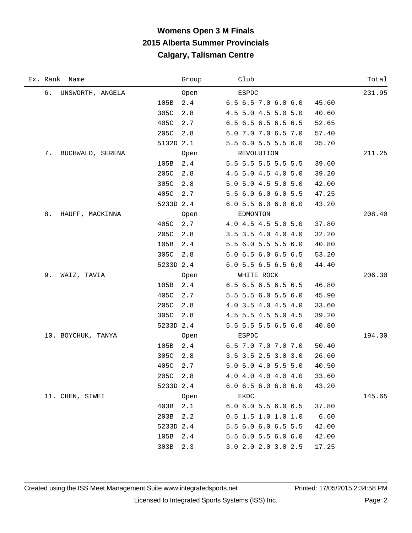# **Womens Open 3 M Finals 2015 Alberta Summer Provincials Calgary, Talisman Centre**

| Ex. Rank Name          | Group     | Club                  | Total  |
|------------------------|-----------|-----------------------|--------|
| б.<br>UNSWORTH, ANGELA | Open      | ESPDC                 | 231.95 |
| 105B                   | 2.4       | 6.5 6.5 7.0 6.0 6.0   | 45.60  |
| 305C                   | 2.8       | 4.5 5.0 4.5 5.0 5.0   | 40.60  |
| 405C                   | 2.7       | 6.5 6.5 6.5 6.5 6.5   | 52.65  |
| 205C                   | 2.8       | 6.0 7.0 7.0 6.5 7.0   | 57.40  |
|                        | 5132D 2.1 | 5.5 6.0 5.5 5.5 6.0   | 35.70  |
| 7.<br>BUCHWALD, SERENA | Open      | REVOLUTION            | 211.25 |
| 105B                   | 2.4       | 5.5 5.5 5.5 5.5 5.5   | 39.60  |
| 205C                   | 2.8       | 4.5 5.0 4.5 4.0 5.0   | 39.20  |
| 305C                   | 2.8       | 5.0 5.0 4.5 5.0 5.0   | 42.00  |
| 405C                   | 2.7       | 5.5 6.0 6.0 6.0 5.5   | 47.25  |
|                        | 5233D 2.4 | 6.05.56.06.06.0       | 43.20  |
| 8.<br>HAUFF, MACKINNA  | Open      | EDMONTON              | 208.40 |
| 405C                   | 2.7       | 4.0 4.5 4.5 5.0 5.0   | 37.80  |
| 205C                   | 2.8       | 3.5 3.5 4.0 4.0 4.0   | 32.20  |
| 105B                   | 2.4       | 5.5 6.0 5.5 5.5 6.0   | 40.80  |
| 305C                   | 2.8       | 6.0 6.5 6.0 6.5 6.5   | 53.20  |
|                        | 5233D 2.4 | 6.0 5.5 6.5 6.5 6.0   | 44.40  |
| 9.<br>WAIZ, TAVIA      | Open      | WHITE ROCK            | 206.30 |
| 105B                   | 2.4       | 6.5 6.5 6.5 6.5 6.5   | 46.80  |
| 405C                   | 2.7       | 5.5 5.5 6.0 5.5 6.0   | 45.90  |
| 205C                   | 2.8       | 4.0 3.5 4.0 4.5 4.0   | 33.60  |
| 305C                   | 2.8       | 4.5 5.5 4.5 5.0 4.5   | 39.20  |
|                        | 5233D 2.4 | 5.5 5.5 5.5 6.5 6.0   | 40.80  |
| 10. BOYCHUK, TANYA     | Open      | ESPDC                 | 194.30 |
| 105B                   | 2.4       | 6.5 7.0 7.0 7.0 7.0   | 50.40  |
| 305C                   | 2.8       | 3.5 3.5 2.5 3.0 3.0   | 26.60  |
| 405C                   | 2.7       | 5.0 5.0 4.0 5.5 5.0   | 40.50  |
|                        | 205C 2.8  | 4.0 4.0 4.0 4.0 4.0   | 33.60  |
|                        | 5233D 2.4 | 6.06.56.06.06.0       | 43.20  |
| 11. CHEN, SIWEI        | Open      | EKDC                  | 145.65 |
|                        | 403B 2.1  | 6.0 6.0 5.5 6.0 6.5   | 37.80  |
| 203B                   | 2.2       | $0.5$ 1.5 1.0 1.0 1.0 | 6.60   |
|                        | 5233D 2.4 | 5.5 6.0 6.0 6.5 5.5   | 42.00  |
|                        | 105B 2.4  | 5.5 6.0 5.5 6.0 6.0   | 42.00  |
| 303B                   | 2.3       | 3.0 2.0 2.0 3.0 2.5   | 17.25  |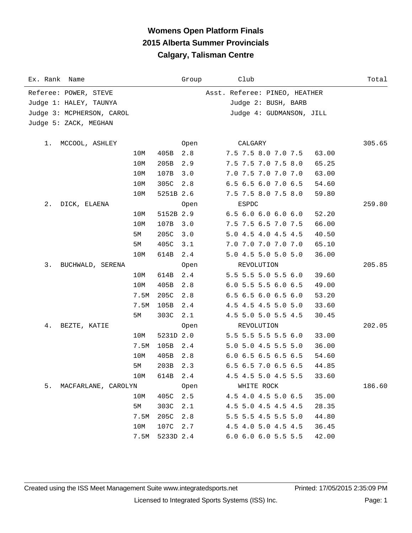## **Womens Open Platform Finals 2015 Alberta Summer Provincials Calgary, Talisman Centre**

| Ex. Rank Name             |      |           | Group | Club                           | Total  |
|---------------------------|------|-----------|-------|--------------------------------|--------|
| Referee: POWER, STEVE     |      |           |       | Asst. Referee: PINEO, HEATHER  |        |
| Judge 1: HALEY, TAUNYA    |      |           |       | Judge 2: BUSH, BARB            |        |
| Judge 3: MCPHERSON, CAROL |      |           |       | Judge 4: GUDMANSON, JILL       |        |
| Judge 5: ZACK, MEGHAN     |      |           |       |                                |        |
|                           |      |           |       |                                |        |
| MCCOOL, ASHLEY<br>1.      |      |           | Open  | CALGARY                        | 305.65 |
|                           | 10M  | 405B      | 2.8   | 7.5 7.5 8.0 7.0 7.5<br>63.00   |        |
|                           | 10M  | 205B      | 2.9   | 7.5 7.5 7.0 7.5 8.0<br>65.25   |        |
|                           | 10M  | 107B      | 3.0   | 7.0 7.5 7.0 7.0 7.0<br>63.00   |        |
|                           | 10M  | 305C 2.8  |       | 6.5 6.5 6.0 7.0 6.5<br>54.60   |        |
|                           | 10M  | 5251B 2.6 |       | 7.5 7.5 8.0 7.5 8.0<br>59.80   |        |
| 2.<br>DICK, ELAENA        |      |           | Open  | ESPDC                          | 259.80 |
|                           | 10M  | 5152B 2.9 |       | 6.56.06.06.06.0<br>52.20       |        |
|                           | 10M  | 107B      | 3.0   | 7.5 7.5 6.5 7.0 7.5<br>66.00   |        |
|                           | 5М   | 205C      | 3.0   | 5.0 4.5 4.0 4.5 4.5<br>40.50   |        |
|                           | 5М   | 405C      | 3.1   | 7.0 7.0 7.0 7.0 7.0<br>65.10   |        |
|                           | 10M  | 614B      | 2.4   | 5.0 4.5 5.0 5.0 5.0<br>36.00   |        |
| 3.<br>BUCHWALD, SERENA    |      |           | Open  | REVOLUTION                     | 205.85 |
|                           | 10M  | 614B      | 2.4   | 5.5 5.5 5.0 5.5 6.0<br>39.60   |        |
|                           | 10M  | 405B      | 2.8   | 6.0 5.5 5.5 6.0 6.5<br>49.00   |        |
|                           | 7.5M | 205C      | 2.8   | 6.5 6.5 6.0 6.5 6.0<br>53.20   |        |
|                           | 7.5M | 105B      | 2.4   | 4.5 4.5 4.5 5.0 5.0<br>33.60   |        |
|                           | 5M   | 303C      | 2.1   | 4.5 5.0 5.0 5.5 4.5<br>30.45   |        |
| 4.<br>BEZTE, KATIE        |      |           | Open  | REVOLUTION                     | 202.05 |
|                           | 10M  | 5231D 2.0 |       | 5.5 5.5 5.5 5.5 6.0<br>33.00   |        |
|                           | 7.5M | 105B      | 2.4   | 5.0 5.0 4.5 5.5 5.0<br>36.00   |        |
|                           | 10M  | 405B      | 2.8   | $6.0$ 6.5 6.5 6.5 6.5<br>54.60 |        |
|                           | 5M   | 203B 2.3  |       | 6.5 6.5 7.0 6.5 6.5<br>44.85   |        |
|                           | 10M  | 614B      | 2.4   | 4.5 4.5 5.0 4.5 5.5<br>33.60   |        |
| 5. MACFARLANE, CAROLYN    |      |           | Open  | WHITE ROCK                     | 186.60 |
|                           | 10M  | 405C      | 2.5   | 4.5 4.0 4.5 5.0 6.5<br>35.00   |        |
|                           | 5M   | 303C      | 2.1   | 4.5 5.0 4.5 4.5 4.5<br>28.35   |        |
|                           | 7.5M | 205C      | 2.8   | 5.5 5.5 4.5 5.5 5.0<br>44.80   |        |
|                           | 10M  | 107C      | 2.7   | 4.5 4.0 5.0 4.5 4.5<br>36.45   |        |
|                           | 7.5M | 5233D 2.4 |       | 6.0 6.0 6.0 5.5 5.5<br>42.00   |        |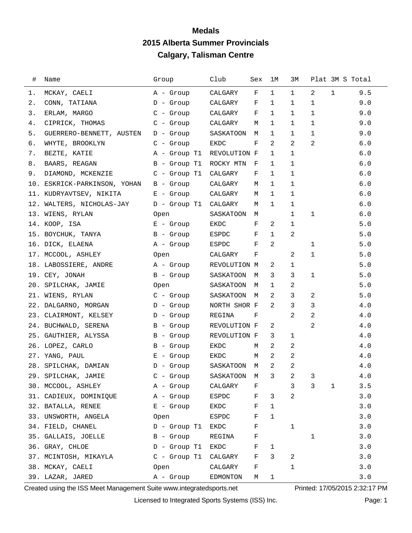| $\#$ | Name                         | Group             | Club         | Sex         | 1M           | ЗМ             |                | Plat 3M S Total |         |
|------|------------------------------|-------------------|--------------|-------------|--------------|----------------|----------------|-----------------|---------|
| 1.   | MCKAY, CAELI                 | A - Group         | CALGARY      | F           | $\mathbf{1}$ | $\mathbf{1}$   | 2              | $\mathbf{1}$    | 9.5     |
| 2.   | CONN, TATIANA                | $D -$ Group       | CALGARY      | F           | 1            | 1              | 1              |                 | 9.0     |
| 3.   | ERLAM, MARGO                 | C - Group         | CALGARY      | F           | $\mathbf{1}$ | $\mathbf{1}$   | $\mathbf{1}$   |                 | 9.0     |
| 4.   | CIPRICK, THOMAS              | C - Group         | CALGARY      | М           | 1            | 1              | 1              |                 | 9.0     |
| 5.   | GUERRERO-BENNETT, AUSTEN     | D - Group         | SASKATOON    | M           | 1            | 1              | $\mathbf{1}$   |                 | 9.0     |
| б.   | WHYTE, BROOKLYN              | $C - Group$       | EKDC         | F           | 2            | 2              | 2              |                 | 6.0     |
| 7.   | BEZTE, KATIE                 | A - Group T1      | REVOLUTION F |             | 1            | $\mathbf{1}$   |                |                 | $6.0$   |
| 8.   | BAARS, REAGAN                | B - Group T1      | ROCKY MTN    | F           | 1            | 1              |                |                 | 6.0     |
| 9.   | DIAMOND, MCKENZIE            | $C$ - Group T $1$ | CALGARY      | F           | 1            | 1              |                |                 | 6.0     |
|      | 10. ESKRICK-PARKINSON, YOHAN | B - Group         | CALGARY      | M           | 1            | 1              |                |                 | 6.0     |
|      | 11. KUDRYAVTSEV, NIKITA      | E - Group         | CALGARY      | М           | $\mathbf{1}$ | $\mathbf 1$    |                |                 | $6.0$   |
|      | 12. WALTERS, NICHOLAS-JAY    | D - Group Tl      | CALGARY      | M           | 1            | 1              |                |                 | 6.0     |
|      | 13. WIENS, RYLAN             | Open              | SASKATOON    | M           |              | 1              | $\mathbf 1$    |                 | 6.0     |
|      | 14. KOOP, ISA                | $E -$ Group       | EKDC         | F           | 2            | 1              |                |                 | 5.0     |
|      | 15. BOYCHUK, TANYA           | B - Group         | ESPDC        | F           | $\mathbf{1}$ | 2              |                |                 | 5.0     |
|      | 16. DICK, ELAENA             | A - Group         | ESPDC        | F           | 2            |                | 1              |                 | 5.0     |
|      | 17. MCCOOL, ASHLEY           | Open              | CALGARY      | F           |              | 2              | 1              |                 | 5.0     |
|      | 18. LABOSSIERE, ANDRE        | A - Group         | REVOLUTION M |             | 2            | 1              |                |                 | 5.0     |
|      | 19. CEY, JONAH               | B - Group         | SASKATOON    | M           | 3            | 3              | $\mathbf{1}$   |                 | 5.0     |
|      | 20. SPILCHAK, JAMIE          | Open              | SASKATOON    | M           | 1            | 2              |                |                 | 5.0     |
|      | 21. WIENS, RYLAN             | $C -$ Group       | SASKATOON    | M           | 2            | 3              | 2              |                 | 5.0     |
|      | 22. DALGARNO, MORGAN         | D - Group         | NORTH SHOR F |             | 2            | 3              | 3              |                 | 4.0     |
|      | 23. CLAIRMONT, KELSEY        | D - Group         | REGINA       | F           |              | 2              | 2              |                 | 4.0     |
|      | 24. BUCHWALD, SERENA         | B - Group         | REVOLUTION F |             | 2            |                | 2              |                 | 4.0     |
|      | 25. GAUTHIER, ALYSSA         | B - Group         | REVOLUTION F |             | 3            | 1              |                |                 | 4.0     |
|      | 26. LOPEZ, CARLO             | B - Group         | EKDC         | М           | 2            | 2              |                |                 | 4.0     |
|      | 27. YANG, PAUL               | $E -$ Group       | EKDC         | М           | 2            | $\overline{2}$ |                |                 | 4.0     |
|      | 28. SPILCHAK, DAMIAN         | $D -$ Group       | SASKATOON M  |             | 2            | $\overline{2}$ |                |                 | 4.0     |
|      | 29. SPILCHAK, JAMIE          | C - Group         | SASKATOON M  |             | $\mathbf{3}$ | $\overline{a}$ | $\overline{3}$ |                 | $4\,.0$ |
|      | 30. MCCOOL, ASHLEY           | A - Group         | CALGARY      | F           |              | 3              | 3              | $\mathbf{1}$    | 3.5     |
|      | 31. CADIEUX, DOMINIQUE       | A - Group         | ESPDC        | F           | 3            | $\overline{2}$ |                |                 | 3.0     |
|      | 32. BATALLA, RENEE           | $E -$ Group       | EKDC         | $\mathbf F$ | 1            |                |                |                 | 3.0     |
|      | 33. UNSWORTH, ANGELA         | Open              | ESPDC        | F           | 1            |                |                |                 | 3.0     |
|      | 34. FIELD, CHANEL            | $D -$ Group T1    | EKDC         | F           |              | 1              |                |                 | 3.0     |
|      | 35. GALLAIS, JOELLE          | B - Group         | REGINA       | F           |              |                | 1              |                 | 3.0     |
|      | 36. GRAY, CHLOE              | D - Group T1      | EKDC         | F           | 1            |                |                |                 | 3.0     |
|      | 37. MCINTOSH, MIKAYLA        | $C$ - Group T1    | CALGARY      | F           | 3            | 2              |                |                 | 3.0     |
|      | 38. MCKAY, CAELI             | Open              | CALGARY      | $\rm F$     |              | 1              |                |                 | 3.0     |
|      | 39. LAZAR, JARED             | A - Group         | EDMONTON     | М           | 1            |                |                |                 | 3.0     |

Created using the ISS Meet Management Suite www.integratedsports.net Printed: 17/05/2015 2:32:17 PM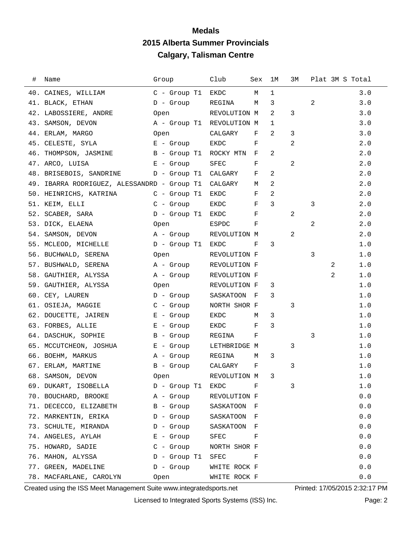| ⋕. | Name                                        | Group                     | Club         | Sex 1M |              | ЗМ             |   | Plat 3M S Total |            |
|----|---------------------------------------------|---------------------------|--------------|--------|--------------|----------------|---|-----------------|------------|
|    | 40. CAINES, WILLIAM                         | C - Group T1 EKDC         |              | М      | $\mathbf{1}$ |                |   |                 | 3.0        |
|    | 41. BLACK, ETHAN                            | $D -$ Group               | REGINA       | М      | 3            |                | 2 |                 | 3.0        |
|    | 42. LABOSSIERE, ANDRE                       | Open                      | REVOLUTION M |        | 2            | 3              |   |                 | 3.0        |
|    | 43. SAMSON, DEVON                           | A - Group T1 REVOLUTION M |              |        | 1            |                |   |                 | 3.0        |
|    | 44. ERLAM, MARGO                            | Open                      | CALGARY      | F      | 2            | 3              |   |                 | 3.0        |
|    | 45. CELESTE, SYLA                           | $E -$ Group               | EKDC         | F      |              | 2              |   |                 | 2.0        |
|    | 46. THOMPSON, JASMINE                       | B - Group T1 ROCKY MTN    |              | $-F$   | 2            |                |   |                 | 2.0        |
|    | 47. ARCO, LUISA<br>E - Group                |                           | SFEC         | F      |              | 2              |   |                 | 2.0        |
|    | 48. BRISEBOIS, SANDRINE D - Group T1        |                           | CALGARY      | F      | 2            |                |   |                 | 2.0        |
|    | 49. IBARRA RODRIGUEZ, ALESSANDRD - Group T1 |                           | CALGARY M    |        | 2            |                |   |                 | 2.0        |
|    | 50. HEINRICHS, KATRINA C - Group T1         |                           | EKDC         | F      | 2            |                |   |                 | 2.0        |
|    | 51. KEIM, ELLI                              | $C -$ Group               | EKDC         | F      | 3            |                | 3 |                 | 2.0        |
|    | 52. SCABER, SARA                            | D - Group T1              | EKDC         | F      |              | $\overline{a}$ |   |                 | 2.0        |
|    | 53. DICK, ELAENA                            | Open                      | ESPDC        | F      |              |                | 2 |                 | 2.0        |
|    | 54. SAMSON, DEVON                           | A - Group                 | REVOLUTION M |        |              | 2              |   |                 | 2.0        |
|    | 55. MCLEOD, MICHELLE                        | D - Group T1              | EKDC         | F      | 3            |                |   |                 | 1.0        |
|    | 56. BUCHWALD, SERENA                        | Open                      | REVOLUTION F |        |              |                | 3 |                 | 1.0        |
|    | 57. BUSHWALD, SERENA                        | A - Group                 | REVOLUTION F |        |              |                |   | 2               | 1.0        |
|    | 58. GAUTHIER, ALYSSA                        | A - Group                 | REVOLUTION F |        |              |                |   | 2               | $1\,.$ $0$ |
|    | 59. GAUTHIER, ALYSSA                        | Open                      | REVOLUTION F |        | 3            |                |   |                 | 1.0        |
|    | 60. CEY, LAUREN                             | D - Group                 | SASKATOON F  |        | 3            |                |   |                 | 1.0        |
|    | 61. OSIEJA, MAGGIE                          | $C -$ Group               | NORTH SHOR F |        |              | 3              |   |                 | 1.0        |
|    | 62. DOUCETTE, JAIREN                        | E - Group                 | EKDC         | M      | 3            |                |   |                 | 1.0        |
|    | 63. FORBES, ALLIE                           | E - Group                 | EKDC         | F      | 3            |                |   |                 | 1.0        |
|    | 64. DASCHUK, SOPHIE                         | B - Group                 | REGINA       | F      |              |                | 3 |                 | 1.0        |
|    | 65. MCCUTCHEON, JOSHUA                      | E - Group                 | LETHBRIDGE M |        |              | 3              |   |                 | 1.0        |
|    | 66. BOEHM, MARKUS                           | A - Group                 | REGINA       | М      | 3            |                |   |                 | 1.0        |
|    | 67. ERLAM, MARTINE                          | B - Group                 | CALGARY      | F      |              | 3              |   |                 | 1.0        |
|    | 68. SAMSON, DEVON                           | Open                      | REVOLUTION M |        | 3            |                |   |                 | $1.0$      |
|    | 69. DUKART, ISOBELLA                        | D - Group T1              | EKDC         | F      |              | 3              |   |                 | 1.0        |
|    | 70. BOUCHARD, BROOKE                        | A - Group                 | REVOLUTION F |        |              |                |   |                 | 0.0        |
|    | 71. DECECCO, ELIZABETH                      | B - Group                 | SASKATOON F  |        |              |                |   |                 | 0.0        |
|    | 72. MARKENTIN, ERIKA                        | $D -$ Group               | SASKATOON    | – F    |              |                |   |                 | 0.0        |
|    | 73. SCHULTE, MIRANDA                        | $D -$ Group               | SASKATOON F  |        |              |                |   |                 | 0.0        |
|    | 74. ANGELES, AYLAH                          | E - Group                 | SFEC         | F      |              |                |   |                 | 0.0        |
|    | 75. HOWARD, SADIE                           | $C -$ Group               | NORTH SHOR F |        |              |                |   |                 | 0.0        |
|    | 76. MAHON, ALYSSA                           | D - Group T1              | SFEC         | F      |              |                |   |                 | 0.0        |
|    | 77. GREEN, MADELINE                         | D - Group                 | WHITE ROCK F |        |              |                |   |                 | 0.0        |
|    | 78. MACFARLANE, CAROLYN                     | Open                      | WHITE ROCK F |        |              |                |   |                 | 0.0        |

Created using the ISS Meet Management Suite www.integratedsports.net Printed: 17/05/2015 2:32:17 PM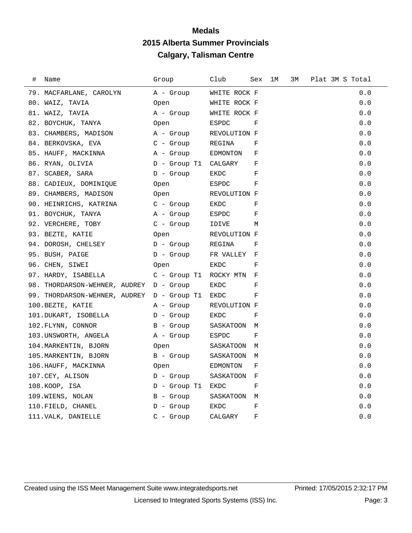| # | Name                                       | Group          | Club         | Sex        | 1M | 3М | Plat 3M S Total |  |
|---|--------------------------------------------|----------------|--------------|------------|----|----|-----------------|--|
|   | 79. MACFARLANE, CAROLYN                    | A - Group      | WHITE ROCK F |            |    |    | 0.0             |  |
|   | 80. WAIZ, TAVIA                            | Open           | WHITE ROCK F |            |    |    | 0.0             |  |
|   | 81. WAIZ, TAVIA                            | A - Group      | WHITE ROCK F |            |    |    | 0.0             |  |
|   | 82. BOYCHUK, TANYA                         | Open           | ESPDC        | F          |    |    | 0.0             |  |
|   | 83. CHAMBERS, MADISON                      | A - Group      | REVOLUTION F |            |    |    | 0.0             |  |
|   | 84. BERKOVSKA, EVA                         | $C -$ Group    | REGINA       | F          |    |    | 0.0             |  |
|   | 85. HAUFF, MACKINNA                        | A - Group      | EDMONTON     | F          |    |    | 0.0             |  |
|   | 86. RYAN, OLIVIA                           | D - Group T1   | CALGARY      | F          |    |    | 0.0             |  |
|   | 87. SCABER, SARA                           | $D -$ Group    | EKDC         | F          |    |    | 0.0             |  |
|   | 88. CADIEUX, DOMINIQUE                     | Open           | ESPDC        | F          |    |    | 0.0             |  |
|   | 89. CHAMBERS, MADISON                      | Open           | REVOLUTION F |            |    |    | 0.0             |  |
|   | 90. HEINRICHS, KATRINA                     | $C -$ Group    | EKDC         | F          |    |    | 0.0             |  |
|   | 91. BOYCHUK, TANYA                         | A - Group      | ESPDC        | F          |    |    | 0.0             |  |
|   | 92. VERCHERE, TOBY                         | $C -$ Group    | IDIVE        | M          |    |    | 0.0             |  |
|   | 93. BEZTE, KATIE                           | Open           | REVOLUTION F |            |    |    | 0.0             |  |
|   | 94. DOROSH, CHELSEY                        | $D -$ Group    | REGINA       | F          |    |    | 0.0             |  |
|   | 95. BUSH, PAIGE                            | $D -$ Group    | FR VALLEY    | F          |    |    | 0.0             |  |
|   | 96. CHEN, SIWEI                            | Open           | EKDC         | F          |    |    | 0.0             |  |
|   | 97. HARDY, ISABELLA                        | $C -$ Group T1 | ROCKY MTN    | F          |    |    | 0.0             |  |
|   | 98. THORDARSON-WEHNER, AUDREY D - Group    |                | EKDC         | $_{\rm F}$ |    |    | 0.0             |  |
|   | 99. THORDARSON-WEHNER, AUDREY D - Group T1 |                | EKDC         | F          |    |    | 0.0             |  |
|   | 100.BEZTE, KATIE                           | A - Group      | REVOLUTION F |            |    |    | 0.0             |  |
|   | 101.DUKART, ISOBELLA                       | $D -$ Group    | EKDC         | F          |    |    | 0.0             |  |
|   | 102.FLYNN, CONNOR                          | B - Group      | SASKATOON    | M          |    |    | 0.0             |  |
|   | 103.UNSWORTH, ANGELA                       | A - Group      | ESPDC        | F          |    |    | 0.0             |  |
|   | 104. MARKENTIN, BJORN                      | Open           | SASKATOON M  |            |    |    | 0.0             |  |
|   | 105. MARKENTIN, BJORN                      | $B -$ Group    | SASKATOON    | M          |    |    | 0.0             |  |
|   | 106.HAUFF, MACKINNA                        | Open           | EDMONTON     | F          |    |    | 0.0             |  |
|   | 107.CEY, ALISON                            | $D -$ Group    | SASKATOON    | F          |    |    | 0.0             |  |
|   | 108.KOOP, ISA                              | D - Group T1   | EKDC         | F          |    |    | 0.0             |  |
|   | 109.WIENS, NOLAN                           | B - Group      | SASKATOON    | M          |    |    | 0.0             |  |
|   | 110. FIELD, CHANEL                         | $D -$ Group    | EKDC         | F          |    |    | 0.0             |  |
|   | 111. VALK, DANIELLE                        | $C -$ Group    | CALGARY      | F          |    |    | 0.0             |  |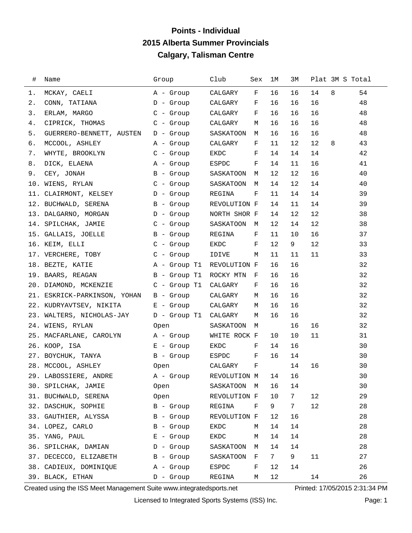## **Points - Individual 2015 Alberta Summer Provincials Calgary, Talisman Centre**

| #     | Name                            | Group          | Club         | Sex        | 1M | ЗМ |    |   | Plat 3M S Total |
|-------|---------------------------------|----------------|--------------|------------|----|----|----|---|-----------------|
| 1.    | MCKAY, CAELI                    | A - Group      | CALGARY      | $_{\rm F}$ | 16 | 16 | 14 | 8 | 54              |
| 2.    | CONN, TATIANA                   | D - Group      | CALGARY      | F          | 16 | 16 | 16 |   | 48              |
| 3.    | ERLAM, MARGO                    | $C -$ Group    | CALGARY      | F          | 16 | 16 | 16 |   | 48              |
| 4.    | CIPRICK, THOMAS                 | $C - Group$    | CALGARY      | M          | 16 | 16 | 16 |   | 48              |
| $5$ . | GUERRERO-BENNETT, AUSTEN        | D - Group      | SASKATOON    | М          | 16 | 16 | 16 |   | 48              |
| б.    | MCCOOL, ASHLEY                  | A - Group      | CALGARY      | F          | 11 | 12 | 12 | 8 | 43              |
| 7.    | WHYTE, BROOKLYN                 | $C -$ Group    | EKDC         | F          | 14 | 14 | 14 |   | 42              |
| 8.    | DICK, ELAENA                    | A - Group      | ESPDC        | F          | 14 | 11 | 16 |   | 41              |
| 9.    | CEY, JONAH                      | B - Group      | SASKATOON    | M          | 12 | 12 | 16 |   | 40              |
| 10.   | WIENS, RYLAN                    | C - Group      | SASKATOON    | М          | 14 | 12 | 14 |   | 40              |
|       | 11. CLAIRMONT, KELSEY           | D - Group      | REGINA       | F          | 11 | 14 | 14 |   | 39              |
|       | 12. BUCHWALD, SERENA            | B - Group      | REVOLUTION F |            | 14 | 11 | 14 |   | 39              |
|       | 13. DALGARNO, MORGAN            | D - Group      | NORTH SHOR F |            | 14 | 12 | 12 |   | 38              |
|       | 14. SPILCHAK, JAMIE             | $C -$ Group    | SASKATOON    | M          | 12 | 14 | 12 |   | 38              |
|       | 15. GALLAIS, JOELLE             | B - Group      | REGINA       | F          | 11 | 10 | 16 |   | 37              |
|       | 16. KEIM, ELLI                  | C - Group      | EKDC         | F          | 12 | 9  | 12 |   | 33              |
|       | 17. VERCHERE, TOBY              | $C - Group$    | IDIVE        | М          | 11 | 11 | 11 |   | 33              |
|       | 18. BEZTE, KATIE                | A - Group T1   | REVOLUTION F |            | 16 | 16 |    |   | 32              |
|       | 19. BAARS, REAGAN               | B - Group T1   | ROCKY MTN    | F          | 16 | 16 |    |   | 32              |
|       | 20. DIAMOND, MCKENZIE           | $C$ - Group T1 | CALGARY      | F          | 16 | 16 |    |   | 32              |
|       | 21. ESKRICK-PARKINSON, YOHAN    | B - Group      | CALGARY      | M          | 16 | 16 |    |   | 32              |
|       | 22. KUDRYAVTSEV, NIKITA         | $E -$ Group    | CALGARY      | М          | 16 | 16 |    |   | 32              |
|       | 23. WALTERS, NICHOLAS-JAY       | D - Group T1   | CALGARY      | М          | 16 | 16 |    |   | 32              |
|       | 24. WIENS, RYLAN                | Open           | SASKATOON    | M          |    | 16 | 16 |   | 32              |
|       | 25. MACFARLANE, CAROLYN         | A - Group      | WHITE ROCK F |            | 10 | 10 | 11 |   | 31              |
|       | 26. KOOP, ISA                   | $E -$ Group    | EKDC         | F          | 14 | 16 |    |   | 30              |
|       | 27. BOYCHUK, TANYA              | B - Group      | ESPDC        | F          | 16 | 14 |    |   | 30              |
|       | 28. MCCOOL, ASHLEY              | Open           | CALGARY      | F          |    | 14 | 16 |   | 30              |
|       | 29. LABOSSIERE, ANDRE A - Group |                | REVOLUTION M |            | 14 | 16 |    |   | 30              |
|       | 30. SPILCHAK, JAMIE             | Open           | SASKATOON    | M          | 16 | 14 |    |   | 30              |
|       | 31. BUCHWALD, SERENA            | Open           | REVOLUTION F |            | 10 | 7  | 12 |   | 29              |
|       | 32. DASCHUK, SOPHIE             | $B -$ Group    | REGINA       | F          | 9  | 7  | 12 |   | 28              |
|       | 33. GAUTHIER, ALYSSA            | B - Group      | REVOLUTION F |            | 12 | 16 |    |   | 28              |
|       | 34. LOPEZ, CARLO                | $B -$ Group    | EKDC         | М          | 14 | 14 |    |   | 28              |
|       | 35. YANG, PAUL                  | $E -$ Group    | EKDC         | М          | 14 | 14 |    |   | 28              |
|       | 36. SPILCHAK, DAMIAN            | $D -$ Group    | SASKATOON    | М          | 14 | 14 |    |   | 28              |
|       | 37. DECECCO, ELIZABETH          | B - Group      | SASKATOON    | F          | 7  | 9  | 11 |   | 27              |
|       | 38. CADIEUX, DOMINIQUE          | A - Group      | ESPDC        | F          | 12 | 14 |    |   | 26              |
|       | 39. BLACK, ETHAN                | $D -$ Group    | REGINA       | М          | 12 |    | 14 |   | 26              |

Created using the ISS Meet Management Suite www.integratedsports.net Printed: 17/05/2015 2:31:34 PM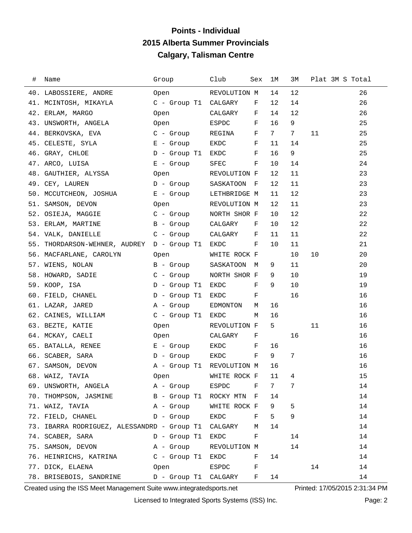## **Points - Individual 2015 Alberta Summer Provincials Calgary, Talisman Centre**

| # | Name                                                  | Group                     | Club              | Sex          | ıм | ЗМ | Plat 3M S Total |    |
|---|-------------------------------------------------------|---------------------------|-------------------|--------------|----|----|-----------------|----|
|   | 40. LABOSSIERE, ANDRE                                 | Open                      | REVOLUTION M      |              | 14 | 12 |                 | 26 |
|   | 41. MCINTOSH, MIKAYLA                                 | C - Group T1 CALGARY      |                   | F            | 12 | 14 |                 | 26 |
|   | 42. ERLAM, MARGO                                      | Open                      | CALGARY           | $\mathbf{F}$ | 14 | 12 |                 | 26 |
|   | 43. UNSWORTH, ANGELA                                  | Open                      | ESPDC             | F            | 16 | 9  |                 | 25 |
|   | 44. BERKOVSKA, EVA                                    | $C$ - Group               | REGINA            | F            | 7  | 7  | 11              | 25 |
|   | 45. CELESTE, SYLA                                     | $E -$ Group               | EKDC              | F            | 11 | 14 |                 | 25 |
|   | 46. GRAY, CHLOE                                       | D - Group T1              | EKDC              | F            | 16 | 9  |                 | 25 |
|   | 47. ARCO, LUISA                                       | $E -$ Group               | ${\tt SFEC}$      | F            | 10 | 14 |                 | 24 |
|   | 48. GAUTHIER, ALYSSA                                  | Open                      | REVOLUTION F      |              | 12 | 11 |                 | 23 |
|   | 49. CEY, LAUREN                                       | D - Group                 | SASKATOON         | - F          | 12 | 11 |                 | 23 |
|   | 50. MCCUTCHEON, JOSHUA                                | E - Group                 | LETHBRIDGE M      |              | 11 | 12 |                 | 23 |
|   | 51. SAMSON, DEVON                                     | Open                      | REVOLUTION M      |              | 12 | 11 |                 | 23 |
|   | 52. OSIEJA, MAGGIE                                    | C - Group                 | NORTH SHOR F      |              | 10 | 12 |                 | 22 |
|   | 53. ERLAM, MARTINE                                    | B - Group                 | CALGARY           | F            | 10 | 12 |                 | 22 |
|   | 54. VALK, DANIELLE                                    | $C -$ Group               | CALGARY           | F            | 11 | 11 |                 | 22 |
|   | 55. THORDARSON-WEHNER, AUDREY                         | D - Group T1              | EKDC              | F            | 10 | 11 |                 | 21 |
|   | 56. MACFARLANE, CAROLYN                               | Open                      | WHITE ROCK F      |              |    | 10 | 10              | 20 |
|   | 57. WIENS, NOLAN                                      | B - Group                 | SASKATOON         | M            | 9  | 11 |                 | 20 |
|   | 58. HOWARD, SADIE                                     | C - Group                 | NORTH SHOR F      |              | 9  | 10 |                 | 19 |
|   | 59. KOOP, ISA                                         | $D -$ Group T1            | EKDC              | F            | 9  | 10 |                 | 19 |
|   | 60. FIELD, CHANEL                                     | $D$ - Group T1            | EKDC              | F            |    | 16 |                 | 16 |
|   | 61. LAZAR, JARED                                      | A - Group                 | EDMONTON          | М            | 16 |    |                 | 16 |
|   | 62. CAINES, WILLIAM                                   | $C$ - Group T1            | EKDC              | М            | 16 |    |                 | 16 |
|   | 63. BEZTE, KATIE                                      | Open                      | REVOLUTION F      |              | 5  |    | 11              | 16 |
|   | 64. MCKAY, CAELI                                      | Open                      | CALGARY           | F            |    | 16 |                 | 16 |
|   | 65. BATALLA, RENEE                                    | E - Group                 | EKDC              | F            | 16 |    |                 | 16 |
|   | 66. SCABER, SARA                                      | D - Group                 | EKDC              | F            | 9  | 7  |                 | 16 |
|   | 67. SAMSON, DEVON                                     | A - Group T1 REVOLUTION M |                   |              | 16 |    |                 | 16 |
|   | 68. WAIZ, TAVIA                                       | Open                      | WHITE ROCK F 11 4 |              |    |    |                 | 15 |
|   | 69. UNSWORTH, ANGELA                                  | A - Group                 | ESPDC F           |              | 7  | 7  |                 | 14 |
|   | 70. THOMPSON, JASMINE B - Group T1 ROCKY MTN F        |                           |                   |              | 14 |    |                 | 14 |
|   |                                                       |                           | WHITE ROCK F      |              | 9  | 5  |                 | 14 |
|   |                                                       |                           |                   | F            | 5  | 9  |                 | 14 |
|   | 73. IBARRA RODRIGUEZ, ALESSANDRD - Group T1 CALGARY M |                           |                   |              | 14 |    |                 | 14 |
|   | 74. SCABER, SARA                                      | D - Group T1              | EKDC F            |              |    | 14 |                 | 14 |
|   | 75. SAMSON, DEVON                                     | A - Group                 | REVOLUTION M      |              |    | 14 |                 | 14 |
|   |                                                       |                           |                   | F            | 14 |    |                 | 14 |
|   | 77. DICK, ELAENA                                      | Open                      | ESPDC F           |              |    |    | 14              | 14 |
|   | 78. BRISEBOIS, SANDRINE                               | D - Group T1 CALGARY F    |                   |              | 14 |    |                 | 14 |

Created using the ISS Meet Management Suite www.integratedsports.net Printed: 17/05/2015 2:31:34 PM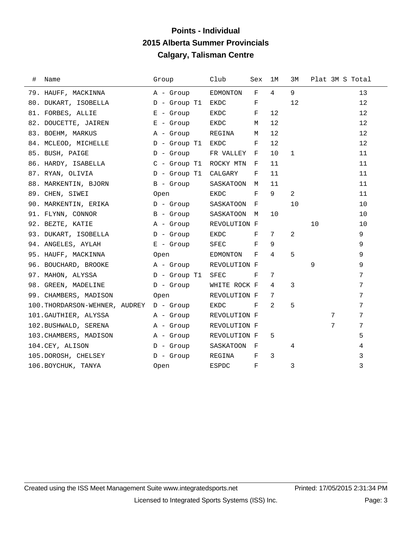## **Points - Individual 2015 Alberta Summer Provincials Calgary, Talisman Centre**

| $\#$ | Name                                     | Group             | Club         | Sex          | 1M | ЗМ |    | Plat 3M S Total |  |
|------|------------------------------------------|-------------------|--------------|--------------|----|----|----|-----------------|--|
|      | 79. HAUFF, MACKINNA                      | A - Group         | EDMONTON     | F            | 4  | 9  |    | 13              |  |
|      | 80. DUKART, ISOBELLA                     | D - Group T1      | EKDC         | F            |    | 12 |    | 12              |  |
|      | 81. FORBES, ALLIE                        | E - Group         | EKDC         | F            | 12 |    |    | 12              |  |
|      | 82. DOUCETTE, JAIREN                     | E - Group         | EKDC         | М            | 12 |    |    | 12              |  |
|      | 83. BOEHM, MARKUS                        | A - Group         | REGINA       | М            | 12 |    |    | 12              |  |
|      | 84. MCLEOD, MICHELLE                     | D - Group T1      | EKDC         | F            | 12 |    |    | 12              |  |
|      | 85. BUSH, PAIGE                          | D - Group         | FR VALLEY F  |              | 10 | 1  |    | 11              |  |
|      | 86. HARDY, ISABELLA                      | $C$ - Group T $1$ | ROCKY MTN    | F            | 11 |    |    | 11              |  |
|      | 87. RYAN, OLIVIA                         | D - Group T1      | CALGARY      | F            | 11 |    |    | 11              |  |
|      | 88. MARKENTIN, BJORN                     | B - Group         | SASKATOON    | M            | 11 |    |    | 11              |  |
|      | 89. CHEN, SIWEI                          | Open              | EKDC         | F            | 9  | 2  |    | 11              |  |
|      | 90. MARKENTIN, ERIKA                     | D - Group         | SASKATOON    | F            |    | 10 |    | 10              |  |
|      | 91. FLYNN, CONNOR                        | B - Group         | SASKATOON    | M            | 10 |    |    | 10              |  |
|      | 92. BEZTE, KATIE                         | A - Group         | REVOLUTION F |              |    |    | 10 | 10              |  |
|      | 93. DUKART, ISOBELLA                     | D - Group         | EKDC         | F            | 7  | 2  |    | 9               |  |
|      | 94. ANGELES, AYLAH                       | E - Group         | ${\tt SFEC}$ | F            | 9  |    |    | 9               |  |
|      | 95. HAUFF, MACKINNA                      | Open              | EDMONTON     | F            | 4  | 5  |    | 9               |  |
|      | 96. BOUCHARD, BROOKE                     | A - Group         | REVOLUTION F |              |    |    | 9  | 9               |  |
|      | 97. MAHON, ALYSSA                        | $D -$ Group T1    | SFEC         | F            | 7  |    |    | 7               |  |
|      | 98. GREEN, MADELINE                      | $D -$ Group       | WHITE ROCK F |              | 4  | 3  |    | 7               |  |
|      | 99. CHAMBERS, MADISON                    | Open              | REVOLUTION F |              | 7  |    |    | 7               |  |
|      | 100. THORDARSON-WEHNER, AUDREY D - Group |                   | EKDC         | F            | 2  | 5  |    | 7               |  |
|      | 101. GAUTHIER, ALYSSA                    | A - Group         | REVOLUTION F |              |    |    | 7  | 7               |  |
|      | 102.BUSHWALD, SERENA                     | A - Group         | REVOLUTION F |              |    |    | 7  | 7               |  |
|      | 103. CHAMBERS, MADISON                   | A - Group         | REVOLUTION F |              | 5  |    |    | 5               |  |
|      | 104.CEY, ALISON                          | D - Group         | SASKATOON    | $\mathbf{F}$ |    | 4  |    | 4               |  |
|      | 105.DOROSH, CHELSEY                      | D - Group         | REGINA       | F            | 3  |    |    | 3               |  |
|      | 106. BOYCHUK, TANYA                      | Open              | ESPDC        | F            |    | 3  |    | 3               |  |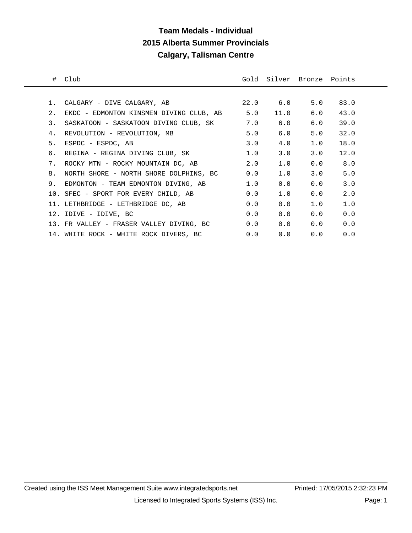## **Team Medals - Individual 2015 Alberta Summer Provincials Calgary, Talisman Centre**

|    | # Club                                      |     |      | Gold Silver Bronze Points |         |  |
|----|---------------------------------------------|-----|------|---------------------------|---------|--|
|    |                                             |     |      |                           |         |  |
|    |                                             |     |      |                           |         |  |
| 2. | EKDC - EDMONTON KINSMEN DIVING CLUB, AB 5.0 |     | 11.0 | 6.0                       | 43.0    |  |
| 3. | SASKATOON - SASKATOON DIVING CLUB, SK 3.0   |     | 6.0  | 6.0                       | 39.0    |  |
| 4. | REVOLUTION - REVOLUTION, MB                 | 5.0 | 6.0  | 5.0                       | 32.0    |  |
| 5. | ESPDC - ESPDC, AB                           | 3.0 | 4.0  | 1.0                       | 18.0    |  |
|    | 6.  REGINA – REGINA DIVING CLUB, SK         | 1.0 | 3.0  | 3.0                       | 12.0    |  |
|    | 7. ROCKY MTN - ROCKY MOUNTAIN DC, AB        | 2.0 | 1.0  |                           | 0.0 8.0 |  |
| 8. | NORTH SHORE - NORTH SHORE DOLPHINS, BC 0.0  |     | 1.0  | 3.0                       | 5.0     |  |
|    | 9. EDMONTON - TEAM EDMONTON DIVING, AB      | 1.0 | 0.0  | 0.0                       | 3.0     |  |
|    | 10. SFEC - SPORT FOR EVERY CHILD, AB        | 0.0 | 1.0  | 0.0                       | 2.0     |  |
|    | 11. LETHBRIDGE - LETHBRIDGE DC, AB          | 0.0 | 0.0  | 1.0                       | 1.0     |  |
|    | 12. IDIVE - IDIVE, BC                       | 0.0 | 0.0  | 0.0                       | 0.0     |  |
|    | 13. FR VALLEY - FRASER VALLEY DIVING, BC    | 0.0 | 0.0  | 0.0                       | 0.0     |  |
|    | 14. WHITE ROCK - WHITE ROCK DIVERS, BC      | 0.0 | 0.0  | 0.0                       | 0.0     |  |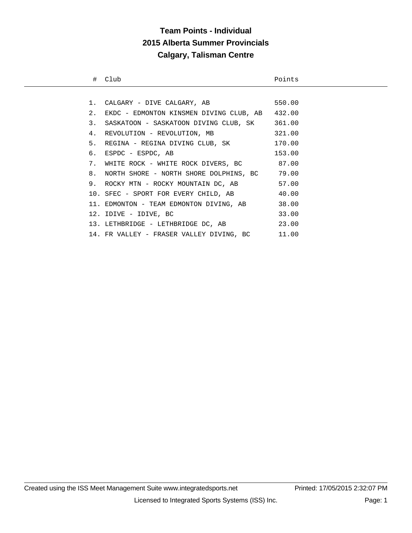# **Team Points - Individual 2015 Alberta Summer Provincials Calgary, Talisman Centre**

|    | # Club                                          | Points |
|----|-------------------------------------------------|--------|
|    |                                                 |        |
|    | 1. CALGARY - DIVE CALGARY, AB                   | 550.00 |
| 2. | EKDC - EDMONTON KINSMEN DIVING CLUB, AB 432.00  |        |
| 3. | SASKATOON - SASKATOON DIVING CLUB, SK 361.00    |        |
|    | 4. REVOLUTION - REVOLUTION, MB                  | 321.00 |
|    | 5. REGINA - REGINA DIVING CLUB, SK 170.00       |        |
|    | 6. ESPDC - ESPDC, AB                            | 153.00 |
|    | 7. WHITE ROCK - WHITE ROCK DIVERS, BC 87.00     |        |
|    | 8. NORTH SHORE - NORTH SHORE DOLPHINS, BC 79.00 |        |
|    | 9. ROCKY MTN - ROCKY MOUNTAIN DC, AB 57.00      |        |
|    | 10. SFEC - SPORT FOR EVERY CHILD, AB            | 40.00  |
|    | 11. EDMONTON - TEAM EDMONTON DIVING, AB         | 38.00  |
|    | 12. IDIVE - IDIVE, BC                           | 33.00  |
|    | 13. LETHBRIDGE - LETHBRIDGE DC, AB              | 23.00  |
|    | 14. FR VALLEY - FRASER VALLEY DIVING, BC 11.00  |        |
|    |                                                 |        |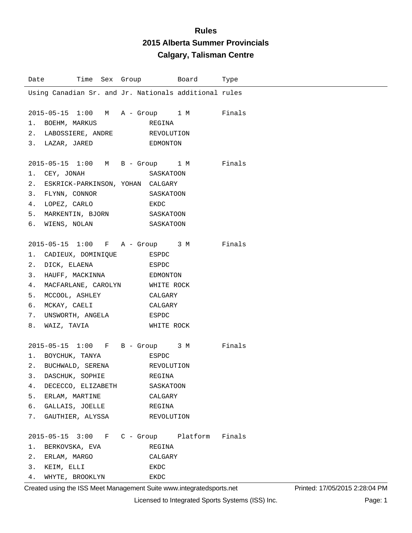| Date                                                                                                                                                                                                     | Time Sex Group     Board | Type |
|----------------------------------------------------------------------------------------------------------------------------------------------------------------------------------------------------------|--------------------------|------|
| Using Canadian Sr. and Jr. Nationals additional rules                                                                                                                                                    |                          |      |
| 2015-05-15 1:00 M A - Group 1 M Finals<br>1. BOEHM, MARKUS<br>2. LABOSSIERE, ANDRE REVOLUTION<br>3. LAZAR, JARED EDMONTON                                                                                | REGINA                   |      |
| 2015-05-15 1:00 M B - Group 1 M Finals<br>1. CEY, JONAH<br>2. ESKRICK-PARKINSON, YOHAN CALGARY<br>3. FLYNN, CONNOR SASKATOON<br>4. LOPEZ, CARLO EKDC<br>5. MARKENTIN, BJORN SASKATOON<br>6. WIENS, NOLAN | SASKATOON<br>SASKATOON   |      |
| 2015-05-15 1:00 F A - Group 3 M Finals                                                                                                                                                                   |                          |      |
| 1. CADIEUX, DOMINIQUE ESPDC                                                                                                                                                                              |                          |      |
| 2. DICK, ELAENA<br><b>ESPDC</b>                                                                                                                                                                          |                          |      |
| 3. HAUFF, MACKINNA BDMONTON                                                                                                                                                                              |                          |      |
| 4. MACFARLANE, CAROLYN WHITE ROCK                                                                                                                                                                        |                          |      |
| 5. MCCOOL, ASHLEY CALGARY                                                                                                                                                                                |                          |      |
| 6. MCKAY, CAELI CALGARY                                                                                                                                                                                  |                          |      |
| 7. UNSWORTH, ANGELA BSPDC                                                                                                                                                                                |                          |      |
| 8. WAIZ, TAVIA                                                                                                                                                                                           | WHITE ROCK               |      |
| 2015-05-15 1:00 F B - Group 3 M Finals                                                                                                                                                                   |                          |      |
|                                                                                                                                                                                                          |                          |      |
| 2. BUCHWALD, SERENA REVOLUTION                                                                                                                                                                           |                          |      |
| 3. DASCHUK, SOPHIE REGINA                                                                                                                                                                                |                          |      |
| 4.<br>DECECCO, ELIZABETH                                                                                                                                                                                 | SASKATOON                |      |
| 5. ERLAM, MARTINE                                                                                                                                                                                        | CALGARY                  |      |
| 6. GALLAIS, JOELLE                                                                                                                                                                                       | REGINA                   |      |
| 7. GAUTHIER, ALYSSA                                                                                                                                                                                      | REVOLUTION               |      |
| 2015-05-15 3:00 F C - Group Platform Finals                                                                                                                                                              |                          |      |
| 1. BERKOVSKA, EVA                                                                                                                                                                                        | REGINA                   |      |
| 2. ERLAM, MARGO                                                                                                                                                                                          | CALGARY                  |      |
| 3. KEIM, ELLI                                                                                                                                                                                            | EKDC                     |      |
| 4. WHYTE, BROOKLYN                                                                                                                                                                                       | EKDC                     |      |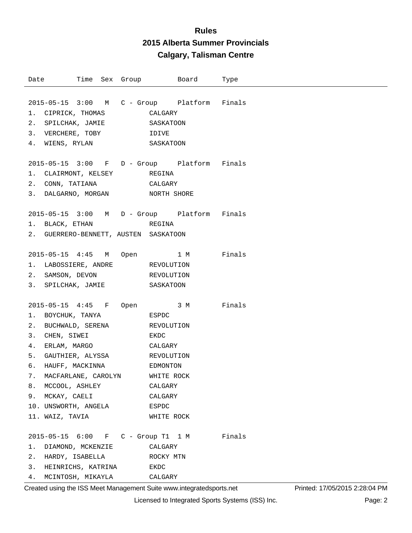| Date                                        |  |                                                                                                            |            | Time Sex Group Board | Туре   |
|---------------------------------------------|--|------------------------------------------------------------------------------------------------------------|------------|----------------------|--------|
|                                             |  |                                                                                                            |            |                      |        |
| 2015-05-15 3:00 M C - Group Platform Finals |  |                                                                                                            |            |                      |        |
| 1. CIPRICK, THOMAS CALGARY                  |  |                                                                                                            |            |                      |        |
| 2. SPILCHAK, JAMIE SASKATOON                |  |                                                                                                            |            |                      |        |
| 3. VERCHERE, TOBY IDIVE                     |  |                                                                                                            |            |                      |        |
| 4. WIENS, RYLAN SASKATOON                   |  |                                                                                                            |            |                      |        |
|                                             |  |                                                                                                            |            |                      |        |
| 2015-05-15 3:00 F D - Group Platform Finals |  |                                                                                                            |            |                      |        |
| 1. CLAIRMONT, KELSEY REGINA                 |  |                                                                                                            |            |                      |        |
| 2. CONN, TATIANA CALGARY                    |  |                                                                                                            |            |                      |        |
| 3. DALGARNO, MORGAN NORTH SHORE             |  |                                                                                                            |            |                      |        |
|                                             |  |                                                                                                            |            |                      |        |
| 2015-05-15 3:00 M D - Group Platform Finals |  |                                                                                                            |            |                      |        |
| 1. BLACK, ETHAN REGINA                      |  |                                                                                                            |            |                      |        |
| 2. GUERRERO-BENNETT, AUSTEN SASKATOON       |  |                                                                                                            |            |                      |        |
|                                             |  |                                                                                                            |            |                      |        |
| 2015-05-15 4:45 M Open 1 M Finals           |  |                                                                                                            |            |                      |        |
| 1. LABOSSIERE, ANDRE REVOLUTION             |  |                                                                                                            |            |                      |        |
| 2. SAMSON, DEVON                            |  |                                                                                                            | REVOLUTION |                      |        |
| 3. SPILCHAK, JAMIE SASKATOON                |  |                                                                                                            |            |                      |        |
|                                             |  |                                                                                                            |            |                      |        |
| 2015-05-15 4:45 F Open 3 M Finals           |  |                                                                                                            |            |                      |        |
|                                             |  |                                                                                                            |            |                      |        |
| 2. BUCHWALD, SERENA REVOLUTION              |  |                                                                                                            |            |                      |        |
| 3. CHEN, SIWEI                              |  | <b>EXPLORE EXPLORE EXPLORE EXPLORE EXPLORE EXPLORE EXPLORE EXPLORE EXPLORE EXPLORE EXPLORE EXPLORE EXP</b> |            |                      |        |
| 4. ERLAM, MARGO                             |  |                                                                                                            | CALGARY    |                      |        |
| 5. GAUTHIER, ALYSSA REVOLUTION              |  |                                                                                                            |            |                      |        |
|                                             |  |                                                                                                            |            |                      |        |
| 7. MACFARLANE, CAROLYN WHITE ROCK           |  |                                                                                                            |            |                      |        |
| 8. MCCOOL, ASHLEY                           |  |                                                                                                            | CALGARY    |                      |        |
| 9. MCKAY, CAELI                             |  |                                                                                                            | CALGARY    |                      |        |
| 10. UNSWORTH, ANGELA                        |  |                                                                                                            | ESPDC      |                      |        |
| 11. WAIZ, TAVIA                             |  |                                                                                                            | WHITE ROCK |                      |        |
|                                             |  |                                                                                                            |            |                      |        |
| 2015-05-15 6:00 F C - Group T1 1 M          |  |                                                                                                            |            |                      | Finals |
| DIAMOND, MCKENZIE<br>1.                     |  |                                                                                                            | CALGARY    |                      |        |
| 2.<br>HARDY, ISABELLA                       |  |                                                                                                            | ROCKY MTN  |                      |        |
| 3.<br>HEINRICHS, KATRINA                    |  |                                                                                                            | EKDC       |                      |        |
| 4.<br>MCINTOSH, MIKAYLA                     |  |                                                                                                            | CALGARY    |                      |        |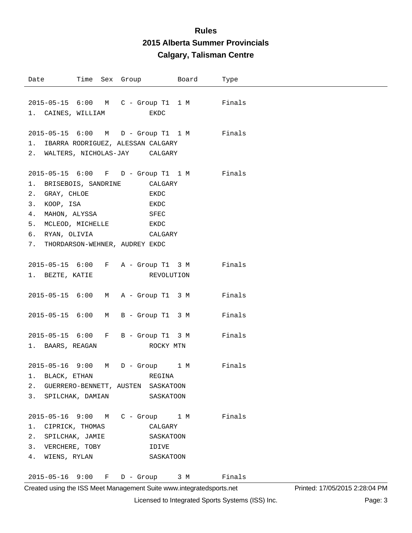| Date                                                                                                                      |  | Time Sex Group                                                                                                                      | Board | Type   |
|---------------------------------------------------------------------------------------------------------------------------|--|-------------------------------------------------------------------------------------------------------------------------------------|-------|--------|
| 1. CAINES, WILLIAM                                                                                                        |  | 2015-05-15 6:00 M C - Group T1 1 M<br>EKDC                                                                                          |       | Finals |
|                                                                                                                           |  | 2015-05-15 6:00 M D - Group T1 1 M<br>1. IBARRA RODRIGUEZ, ALESSAN CALGARY<br>2. WALTERS, NICHOLAS-JAY CALGARY                      |       | Finals |
| 1. BRISEBOIS, SANDRINE<br>2. GRAY, CHLOE<br>3.<br>KOOP, ISA<br>4. MAHON, ALYSSA<br>5. MCLEOD, MICHELLE<br>6. RYAN, OLIVIA |  | 2015-05-15 6:00 F D - Group T1 1 M<br>CALGARY<br>EKDC<br>EKDC<br>SFEC<br>EKDC<br>CALGARY<br>7. THORDARSON-WEHNER, AUDREY EKDC       |       | Finals |
| 1. BEZTE, KATIE                                                                                                           |  | 2015-05-15 6:00 F A - Group T1 3 M<br>REVOLUTION                                                                                    |       | Finals |
|                                                                                                                           |  | 2015-05-15 6:00 M A - Group T1 3 M                                                                                                  |       | Finals |
| 2015-05-15 6:00                                                                                                           |  | M B - Group T1 3 M                                                                                                                  |       | Finals |
| 1. BAARS, REAGAN                                                                                                          |  | 2015-05-15 6:00 F B - Group T1 3 M<br>ROCKY MTN                                                                                     |       | Finals |
|                                                                                                                           |  | 2015-05-16 9:00 M D - Group 1 M<br>1. BLACK, ETHAN REGINA<br>2. GUERRERO-BENNETT, AUSTEN SASKATOON<br>3. SPILCHAK, DAMIAN SASKATOON |       | Finals |
| 1. CIPRICK, THOMAS                                                                                                        |  | 2015-05-16 9:00 M C - Group 1 M<br>CALGARY<br>2. SPILCHAK, JAMIE SASKATOON<br>3. VERCHERE, TOBY IDIVE<br>4. WIENS, RYLAN SASKATOON  |       | Finals |
|                                                                                                                           |  | 2015-05-16 9:00 F D - Group 3 M                                                                                                     |       | Finals |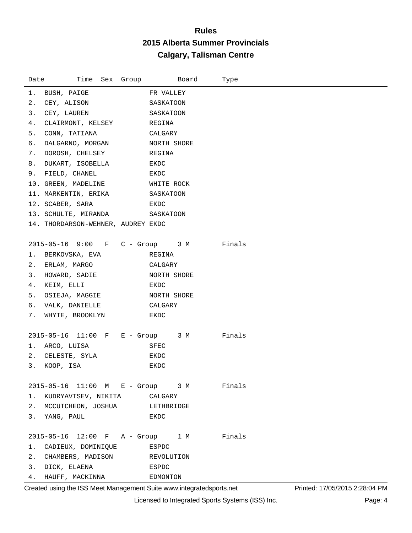| Date | Time<br>Sex Group                       | Board       | Type   |
|------|-----------------------------------------|-------------|--------|
| 1.   | BUSH, PAIGE                             | FR VALLEY   |        |
| 2.   | CEY, ALISON                             | SASKATOON   |        |
| 3.   | CEY, LAUREN                             | SASKATOON   |        |
| 4.   | CLAIRMONT, KELSEY                       | REGINA      |        |
| 5.   | CONN, TATIANA                           | CALGARY     |        |
| б.   | DALGARNO, MORGAN                        | NORTH SHORE |        |
| 7.   | DOROSH, CHELSEY                         | REGINA      |        |
| 8.   | DUKART, ISOBELLA                        | EKDC        |        |
|      | 9. FIELD, CHANEL                        | EKDC        |        |
|      | 10. GREEN, MADELINE                     | WHITE ROCK  |        |
|      | 11. MARKENTIN, ERIKA                    | SASKATOON   |        |
|      | 12. SCABER, SARA                        | EKDC        |        |
|      | 13. SCHULTE, MIRANDA                    | SASKATOON   |        |
|      | 14. THORDARSON-WEHNER, AUDREY EKDC      |             |        |
|      | 2015-05-16 9:00 F C - Group 3 M         |             | Finals |
| 1.   | BERKOVSKA, EVA                          | REGINA      |        |
| 2.   | ERLAM, MARGO                            | CALGARY     |        |
|      | 3. HOWARD, SADIE                        | NORTH SHORE |        |
| 4.   | KEIM, ELLI                              | EKDC        |        |
| 5.   | OSIEJA, MAGGIE                          | NORTH SHORE |        |
| 6.   | VALK, DANIELLE                          | CALGARY     |        |
|      | 7. WHYTE, BROOKLYN                      | EKDC        |        |
|      |                                         |             |        |
|      | 2015-05-16 11:00 F E - Group 3 M        |             | Finals |
|      | 1. ARCO, LUISA                          | SFEC        |        |
|      | 2. CELESTE, SYLA                        | EKDC        |        |
| 3.   | KOOP, ISA                               | EKDC        |        |
|      | 2015-05-16 11:00 M E - Group 3 M Finals |             |        |
|      | KUDRYAVTSEV, NIKITA CALGARY             |             |        |
|      | 2. MCCUTCHEON, JOSHUA LETHBRIDGE        |             |        |
|      | 3. YANG, PAUL                           | EKDC        |        |
|      |                                         |             |        |
|      | 2015-05-16 12:00 F A - Group 1 M        |             | Finals |
| 1.   | CADIEUX, DOMINIQUE                      | ESPDC       |        |
| 2.   | CHAMBERS, MADISON                       | REVOLUTION  |        |
|      | 3. DICK, ELAENA                         | ESPDC       |        |
|      | 4. HAUFF, MACKINNA                      | EDMONTON    |        |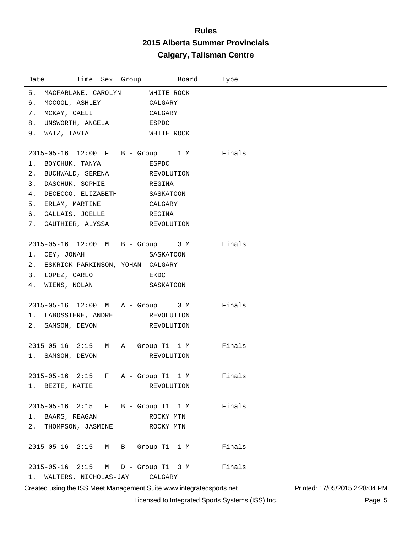| Time Sex Group Board<br>Date              |            | Type |
|-------------------------------------------|------------|------|
| 5. MACFARLANE, CAROLYN WHITE ROCK         |            |      |
| 6. MCCOOL, ASHLEY CALGARY                 |            |      |
| 7. MCKAY, CAELI CALGARY                   |            |      |
| 8. UNSWORTH, ANGELA ESPDC                 |            |      |
| 9. WAIZ, TAVIA WHITE ROCK                 |            |      |
|                                           |            |      |
| 2015-05-16 12:00 F B - Group 1 M Finals   |            |      |
| 1. BOYCHUK, TANYA                         | ESPDC      |      |
| 2. BUCHWALD, SERENA REVOLUTION            |            |      |
| 3. DASCHUK, SOPHIE REGINA                 |            |      |
| 4. DECECCO, ELIZABETH SASKATOON           |            |      |
| 5. ERLAM, MARTINE CALGARY                 |            |      |
| 6. GALLAIS, JOELLE REGINA                 |            |      |
| 7. GAUTHIER, ALYSSA REVOLUTION            |            |      |
|                                           |            |      |
| 2015-05-16 12:00 M B - Group 3 M Finals   |            |      |
| 1. CEY, JONAH                             | SASKATOON  |      |
| 2. ESKRICK-PARKINSON, YOHAN CALGARY       |            |      |
| 3. LOPEZ, CARLO EKDC                      |            |      |
| 4. WIENS, NOLAN SASKATOON                 |            |      |
|                                           |            |      |
| 2015-05-16 12:00 M A - Group 3 M Finals   |            |      |
| 1. LABOSSIERE, ANDRE REVOLUTION           |            |      |
| 2. SAMSON, DEVON REVOLUTION               |            |      |
|                                           |            |      |
| 2015-05-16 2:15 M A - Group T1 1 M Finals |            |      |
| 1. SAMSON, DEVON REVOLUTION               |            |      |
|                                           |            |      |
| 2015-05-16 2:15 F A - Group T1 1 M Finals |            |      |
| 1. BEZTE, KATIE                           | REVOLUTION |      |
|                                           |            |      |
| 2015-05-16 2:15 F B - Group T1 1 M Finals |            |      |
| 1. BAARS, REAGAN                          | ROCKY MTN  |      |
| 2. THOMPSON, JASMINE ROCKY MTN            |            |      |
| 2015-05-16 2:15 M B - Group T1 1 M Finals |            |      |
|                                           |            |      |
| 2015-05-16 2:15 M D - Group T1 3 M Finals |            |      |
| 1. WALTERS, NICHOLAS-JAY CALGARY          |            |      |

Created using the ISS Meet Management Suite www.integratedsports.net Printed: 17/05/2015 2:28:04 PM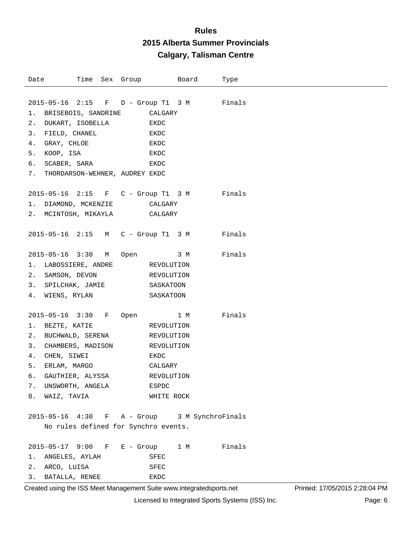| 2015-05-16 2:15 F D - Group T1 3 M Finals<br>1. BRISEBOIS, SANDRINE<br>CALGARY<br>2. DUKART, ISOBELLA<br>EKDC<br>3. FIELD, CHANEL<br>EKDC<br>GRAY, CHLOE<br>4.<br>EKDC<br>5. KOOP, ISA<br>EKDC<br>SCABER, SARA<br>6.<br>EKDC<br>7. THORDARSON-WEHNER, AUDREY EKDC<br>2015-05-16 2:15 F C - Group T1 3 M Finals<br>1. DIAMOND, MCKENZIE CALGARY<br>2. MCINTOSH, MIKAYLA CALGARY<br>2015-05-16 2:15 M C - Group T1 3 M Finals<br>Finals<br>2015-05-16 3:30 M<br>Open 3 M<br>1. LABOSSIERE, ANDRE REVOLUTION<br>2. SAMSON, DEVON<br>REVOLUTION<br>3. SPILCHAK, JAMIE SASKATOON<br>4. WIENS, RYLAN<br>SASKATOON<br>2015-05-16 3:30 F<br>Finals<br>1 M<br>Open<br>1. BEZTE, KATIE<br>REVOLUTION<br>2. BUCHWALD, SERENA<br>REVOLUTION<br>3. CHAMBERS, MADISON REVOLUTION<br>4. CHEN, SIWEI<br>EKDC<br>5. ERLAM, MARGO<br>CALGARY<br>б.<br>GAUTHIER, ALYSSA<br>REVOLUTION<br>7. UNSWORTH, ANGELA<br>ESPDC<br>8. WAIZ, TAVIA<br>WHITE ROCK<br>2015-05-16 4:30 F A - Group 3 M SynchroFinals | Time Sex Group<br>Date | Board | Type |
|-------------------------------------------------------------------------------------------------------------------------------------------------------------------------------------------------------------------------------------------------------------------------------------------------------------------------------------------------------------------------------------------------------------------------------------------------------------------------------------------------------------------------------------------------------------------------------------------------------------------------------------------------------------------------------------------------------------------------------------------------------------------------------------------------------------------------------------------------------------------------------------------------------------------------------------------------------------------------------------|------------------------|-------|------|
|                                                                                                                                                                                                                                                                                                                                                                                                                                                                                                                                                                                                                                                                                                                                                                                                                                                                                                                                                                                     |                        |       |      |
|                                                                                                                                                                                                                                                                                                                                                                                                                                                                                                                                                                                                                                                                                                                                                                                                                                                                                                                                                                                     |                        |       |      |
|                                                                                                                                                                                                                                                                                                                                                                                                                                                                                                                                                                                                                                                                                                                                                                                                                                                                                                                                                                                     |                        |       |      |
|                                                                                                                                                                                                                                                                                                                                                                                                                                                                                                                                                                                                                                                                                                                                                                                                                                                                                                                                                                                     |                        |       |      |
|                                                                                                                                                                                                                                                                                                                                                                                                                                                                                                                                                                                                                                                                                                                                                                                                                                                                                                                                                                                     |                        |       |      |
|                                                                                                                                                                                                                                                                                                                                                                                                                                                                                                                                                                                                                                                                                                                                                                                                                                                                                                                                                                                     |                        |       |      |
|                                                                                                                                                                                                                                                                                                                                                                                                                                                                                                                                                                                                                                                                                                                                                                                                                                                                                                                                                                                     |                        |       |      |
|                                                                                                                                                                                                                                                                                                                                                                                                                                                                                                                                                                                                                                                                                                                                                                                                                                                                                                                                                                                     |                        |       |      |
|                                                                                                                                                                                                                                                                                                                                                                                                                                                                                                                                                                                                                                                                                                                                                                                                                                                                                                                                                                                     |                        |       |      |
|                                                                                                                                                                                                                                                                                                                                                                                                                                                                                                                                                                                                                                                                                                                                                                                                                                                                                                                                                                                     |                        |       |      |
|                                                                                                                                                                                                                                                                                                                                                                                                                                                                                                                                                                                                                                                                                                                                                                                                                                                                                                                                                                                     |                        |       |      |
|                                                                                                                                                                                                                                                                                                                                                                                                                                                                                                                                                                                                                                                                                                                                                                                                                                                                                                                                                                                     |                        |       |      |
|                                                                                                                                                                                                                                                                                                                                                                                                                                                                                                                                                                                                                                                                                                                                                                                                                                                                                                                                                                                     |                        |       |      |
|                                                                                                                                                                                                                                                                                                                                                                                                                                                                                                                                                                                                                                                                                                                                                                                                                                                                                                                                                                                     |                        |       |      |
|                                                                                                                                                                                                                                                                                                                                                                                                                                                                                                                                                                                                                                                                                                                                                                                                                                                                                                                                                                                     |                        |       |      |
|                                                                                                                                                                                                                                                                                                                                                                                                                                                                                                                                                                                                                                                                                                                                                                                                                                                                                                                                                                                     |                        |       |      |
|                                                                                                                                                                                                                                                                                                                                                                                                                                                                                                                                                                                                                                                                                                                                                                                                                                                                                                                                                                                     |                        |       |      |
|                                                                                                                                                                                                                                                                                                                                                                                                                                                                                                                                                                                                                                                                                                                                                                                                                                                                                                                                                                                     |                        |       |      |
|                                                                                                                                                                                                                                                                                                                                                                                                                                                                                                                                                                                                                                                                                                                                                                                                                                                                                                                                                                                     |                        |       |      |
|                                                                                                                                                                                                                                                                                                                                                                                                                                                                                                                                                                                                                                                                                                                                                                                                                                                                                                                                                                                     |                        |       |      |
|                                                                                                                                                                                                                                                                                                                                                                                                                                                                                                                                                                                                                                                                                                                                                                                                                                                                                                                                                                                     |                        |       |      |
|                                                                                                                                                                                                                                                                                                                                                                                                                                                                                                                                                                                                                                                                                                                                                                                                                                                                                                                                                                                     |                        |       |      |
|                                                                                                                                                                                                                                                                                                                                                                                                                                                                                                                                                                                                                                                                                                                                                                                                                                                                                                                                                                                     |                        |       |      |
|                                                                                                                                                                                                                                                                                                                                                                                                                                                                                                                                                                                                                                                                                                                                                                                                                                                                                                                                                                                     |                        |       |      |
|                                                                                                                                                                                                                                                                                                                                                                                                                                                                                                                                                                                                                                                                                                                                                                                                                                                                                                                                                                                     |                        |       |      |
|                                                                                                                                                                                                                                                                                                                                                                                                                                                                                                                                                                                                                                                                                                                                                                                                                                                                                                                                                                                     |                        |       |      |
|                                                                                                                                                                                                                                                                                                                                                                                                                                                                                                                                                                                                                                                                                                                                                                                                                                                                                                                                                                                     |                        |       |      |
|                                                                                                                                                                                                                                                                                                                                                                                                                                                                                                                                                                                                                                                                                                                                                                                                                                                                                                                                                                                     |                        |       |      |
|                                                                                                                                                                                                                                                                                                                                                                                                                                                                                                                                                                                                                                                                                                                                                                                                                                                                                                                                                                                     |                        |       |      |
|                                                                                                                                                                                                                                                                                                                                                                                                                                                                                                                                                                                                                                                                                                                                                                                                                                                                                                                                                                                     |                        |       |      |
|                                                                                                                                                                                                                                                                                                                                                                                                                                                                                                                                                                                                                                                                                                                                                                                                                                                                                                                                                                                     |                        |       |      |
| No rules defined for Synchro events.                                                                                                                                                                                                                                                                                                                                                                                                                                                                                                                                                                                                                                                                                                                                                                                                                                                                                                                                                |                        |       |      |
| 2015-05-17 9:00 F E - Group 1 M Finals                                                                                                                                                                                                                                                                                                                                                                                                                                                                                                                                                                                                                                                                                                                                                                                                                                                                                                                                              |                        |       |      |
| ANGELES, AYLAH<br>SFEC<br>1. .                                                                                                                                                                                                                                                                                                                                                                                                                                                                                                                                                                                                                                                                                                                                                                                                                                                                                                                                                      |                        |       |      |
| 2. ARCO, LUISA<br>SFEC                                                                                                                                                                                                                                                                                                                                                                                                                                                                                                                                                                                                                                                                                                                                                                                                                                                                                                                                                              |                        |       |      |
| 3. BATALLA, RENEE<br>EKDC                                                                                                                                                                                                                                                                                                                                                                                                                                                                                                                                                                                                                                                                                                                                                                                                                                                                                                                                                           |                        |       |      |

Created using the ISS Meet Management Suite www.integratedsports.net Printed: 17/05/2015 2:28:04 PM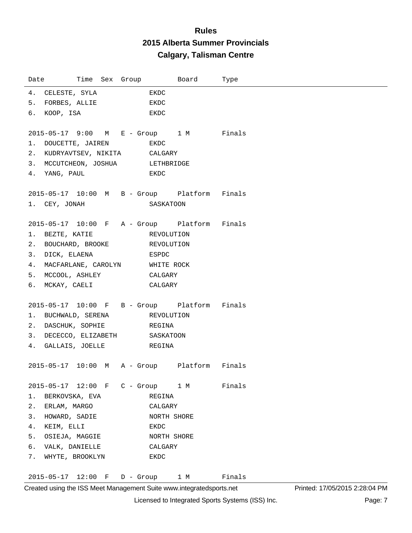| Date                                         |  | Time Sex Group                                                                                             |             | Board | Type   |
|----------------------------------------------|--|------------------------------------------------------------------------------------------------------------|-------------|-------|--------|
| 4. CELESTE, SYLA                             |  |                                                                                                            | EKDC        |       |        |
| 5. FORBES, ALLIE                             |  |                                                                                                            | EKDC        |       |        |
| 6. KOOP, ISA                                 |  |                                                                                                            | EKDC        |       |        |
|                                              |  |                                                                                                            |             |       |        |
| 2015-05-17 9:00 M E - Group 1 M Finals       |  |                                                                                                            |             |       |        |
| 1. DOUCETTE, JAIREN                          |  |                                                                                                            | EKDC        |       |        |
| 2. KUDRYAVTSEV, NIKITA CALGARY               |  |                                                                                                            |             |       |        |
| 3. MCCUTCHEON, JOSHUA LETHBRIDGE             |  |                                                                                                            |             |       |        |
| 4. YANG, PAUL                                |  | <b>EXPLORE EXPLORE EXPLORE EXPLORE EXPLORE EXPLORE EXPLORE EXPLORE EXPLORE EXPLORE EXPLORE EXPLORE EXP</b> |             |       |        |
| 2015-05-17 10:00 M B - Group Platform Finals |  |                                                                                                            |             |       |        |
| 1. CEY, JONAH                                |  |                                                                                                            | SASKATOON   |       |        |
|                                              |  |                                                                                                            |             |       |        |
| 2015-05-17 10:00 F A - Group Platform Finals |  |                                                                                                            |             |       |        |
| 1. BEZTE, KATIE REVOLUTION                   |  |                                                                                                            |             |       |        |
| 2. BOUCHARD, BROOKE REVOLUTION               |  |                                                                                                            |             |       |        |
| 3. DICK, ELAENA                              |  | <b>ESPDC</b>                                                                                               |             |       |        |
| 4. MACFARLANE, CAROLYN WHITE ROCK            |  |                                                                                                            |             |       |        |
| 5. MCCOOL, ASHLEY CALGARY                    |  |                                                                                                            |             |       |        |
| 6. MCKAY, CAELI                              |  |                                                                                                            | CALGARY     |       |        |
|                                              |  |                                                                                                            |             |       |        |
| 2015-05-17 10:00 F B - Group Platform Finals |  |                                                                                                            |             |       |        |
| 1. BUCHWALD, SERENA REVOLUTION               |  |                                                                                                            |             |       |        |
| 2. DASCHUK, SOPHIE                           |  |                                                                                                            | REGINA      |       |        |
| 3. DECECCO, ELIZABETH SASKATOON              |  |                                                                                                            |             |       |        |
| 4. GALLAIS, JOELLE REGINA                    |  |                                                                                                            |             |       |        |
| 2015-05-17 10:00 M A - Group Platform Finals |  |                                                                                                            |             |       |        |
|                                              |  |                                                                                                            |             |       |        |
| 2015-05-17 12:00 F C - Group 1 M Finals      |  |                                                                                                            |             |       |        |
| BERKOVSKA, EVA<br>1.                         |  |                                                                                                            | REGINA      |       |        |
| 2. ERLAM, MARGO                              |  |                                                                                                            | CALGARY     |       |        |
| 3. HOWARD, SADIE                             |  |                                                                                                            | NORTH SHORE |       |        |
| 4. KEIM, ELLI                                |  |                                                                                                            | EKDC        |       |        |
| 5. OSIEJA, MAGGIE                            |  |                                                                                                            | NORTH SHORE |       |        |
| 6. VALK, DANIELLE                            |  |                                                                                                            | CALGARY     |       |        |
| 7. WHYTE, BROOKLYN                           |  |                                                                                                            | EKDC        |       |        |
|                                              |  |                                                                                                            |             |       |        |
| 2015-05-17 12:00 F D - Group 1 M             |  |                                                                                                            |             |       | Finals |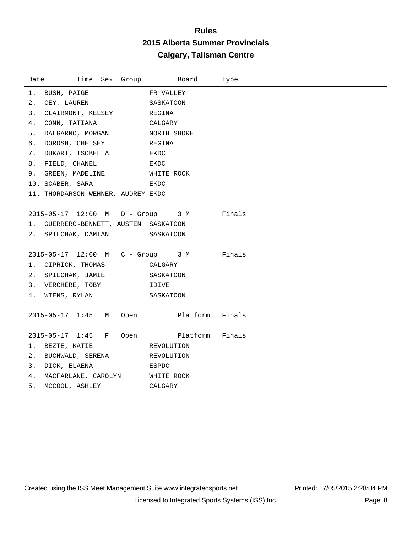| Date | Time Sex Group                          | Board                | Type   |
|------|-----------------------------------------|----------------------|--------|
| 1.   | BUSH, PAIGE                             | FR VALLEY            |        |
| 2.   | CEY, LAUREN                             | SASKATOON            |        |
| 3.   | CLAIRMONT, KELSEY REGINA                |                      |        |
| 4.   | CONN, TATIANA<br>CALGARY                |                      |        |
| 5.   | DALGARNO, MORGAN NORTH SHORE            |                      |        |
| б.   | DOROSH, CHELSEY REGINA                  |                      |        |
|      | 7. DUKART, ISOBELLA EKDC                |                      |        |
|      | 8. FIELD, CHANEL<br><b>EXDC</b>         |                      |        |
|      | 9. GREEN, MADELINE WHITE ROCK           |                      |        |
|      | 10. SCABER, SARA                        | EKDC                 |        |
|      | 11. THORDARSON-WEHNER, AUDREY EKDC      |                      |        |
|      |                                         |                      |        |
|      | 2015-05-17 12:00 M D - Group 3 M Finals |                      |        |
|      | 1. GUERRERO-BENNETT, AUSTEN SASKATOON   |                      |        |
|      | 2. SPILCHAK, DAMIAN                     | SASKATOON            |        |
|      | 2015-05-17 12:00 M C - Group 3 M Finals |                      |        |
|      | 1. CIPRICK, THOMAS                      | CALGARY              |        |
|      | 2. SPILCHAK, JAMIE SASKATOON            |                      |        |
|      | 3. VERCHERE, TOBY IDIVE                 |                      |        |
|      | 4. WIENS, RYLAN                         | SASKATOON            |        |
|      |                                         |                      |        |
|      | 2015-05-17 1:45 M                       | Open Platform Finals |        |
|      |                                         |                      |        |
|      | 2015-05-17 1:45 F                       | Open Platform        | Finals |
|      | 1. BEZTE, KATIE                         | REVOLUTION           |        |
| 2.   | BUCHWALD, SERENA REVOLUTION             |                      |        |
|      | ESPDC<br>3. DICK, ELAENA                |                      |        |
|      | 4. MACFARLANE, CAROLYN WHITE ROCK       |                      |        |
|      | 5. MCCOOL, ASHLEY                       | CALGARY              |        |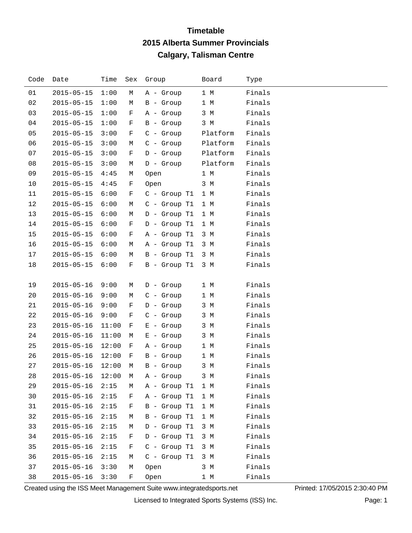| Code | Date             | Time  | Sex | Group                        | Board    | Type   |
|------|------------------|-------|-----|------------------------------|----------|--------|
| 01   | $2015 - 05 - 15$ | 1:00  | М   | A - Group                    | 1 M      | Finals |
| 02   | $2015 - 05 - 15$ | 1:00  | М   | B - Group                    | 1 M      | Finals |
| 03   | $2015 - 05 - 15$ | 1:00  | F   | A - Group                    | 3 M      | Finals |
| 04   | $2015 - 05 - 15$ | 1:00  | F   | B - Group                    | 3 M      | Finals |
| 05   | $2015 - 05 - 15$ | 3:00  | F   | $C -$ Group                  | Platform | Finals |
| 06   | $2015 - 05 - 15$ | 3:00  | М   | $C -$ Group                  | Platform | Finals |
| 07   | $2015 - 05 - 15$ | 3:00  | F   | $D -$ Group                  | Platform | Finals |
| 08   | $2015 - 05 - 15$ | 3:00  | М   | $D -$ Group                  | Platform | Finals |
| 09   | $2015 - 05 - 15$ | 4:45  | М   | Open                         | 1 M      | Finals |
| 10   | $2015 - 05 - 15$ | 4:45  | F   | Open                         | 3 M      | Finals |
| 11   | $2015 - 05 - 15$ | 6:00  | F   | $C -$ Group T1               | 1 M      | Finals |
| 12   | $2015 - 05 - 15$ | 6:00  | М   | C - Group T1                 | 1 M      | Finals |
| 13   | $2015 - 05 - 15$ | 6:00  | М   | $D -$ Group T1               | 1 M      | Finals |
| 14   | $2015 - 05 - 15$ | 6:00  | F   | D - Group T1                 | 1 M      | Finals |
| 15   | $2015 - 05 - 15$ | 6:00  | F   | A - Group T1                 | 3 M      | Finals |
| 16   | $2015 - 05 - 15$ | 6:00  | М   | A - Group T1                 | 3 M      | Finals |
| 17   | $2015 - 05 - 15$ | 6:00  | М   | B - Group T1                 | 3 M      | Finals |
| 18   | $2015 - 05 - 15$ | 6:00  | F   | $B -$ Group T1               | 3 M      | Finals |
|      |                  |       |     |                              |          |        |
| 19   | $2015 - 05 - 16$ | 9:00  | М   | $D -$ Group                  | 1 M      | Finals |
| 20   | $2015 - 05 - 16$ | 9:00  | М   | $C - Group$                  | 1 M      | Finals |
| 21   | $2015 - 05 - 16$ | 9:00  | F   | $D -$ Group                  | 3 M      | Finals |
| 22   | $2015 - 05 - 16$ | 9:00  | F   | $C -$ Group                  | 3 M      | Finals |
| 23   | $2015 - 05 - 16$ | 11:00 | F   | $E -$ Group                  | 3 M      | Finals |
| 24   | $2015 - 05 - 16$ | 11:00 | М   | $E -$ Group                  | 3 M      | Finals |
| 25   | $2015 - 05 - 16$ | 12:00 | F   | A - Group                    | 1 M      | Finals |
| 26   | $2015 - 05 - 16$ | 12:00 | F   | $B -$ Group                  | 1 M      | Finals |
| 27   | $2015 - 05 - 16$ | 12:00 | М   | B - Group                    | 3 M      | Finals |
| 28   |                  |       |     | 2015-05-16 12:00 M A - Group | 3 M      | Finals |
| 29   | $2015 - 05 - 16$ | 2:15  | М   | A - Group T1                 | 1 M      | Finals |
| 30   | $2015 - 05 - 16$ | 2:15  | F   | A - Group T1                 | 1 M      | Finals |
| 31   | $2015 - 05 - 16$ | 2:15  | F   | B - Group T1                 | 1 M      | Finals |
| 32   | $2015 - 05 - 16$ | 2:15  | М   | B - Group T1                 | 1 M      | Finals |
| 33   | $2015 - 05 - 16$ | 2:15  | М   | D - Group T1                 | 3 M      | Finals |
| 34   | $2015 - 05 - 16$ | 2:15  | F   | D - Group T1                 | 3 M      | Finals |
| 35   | $2015 - 05 - 16$ | 2:15  | F   | $C - Group T1$               | 3 M      | Finals |
| 36   | $2015 - 05 - 16$ | 2:15  | М   | $C - Group T1$               | 3 M      | Finals |
| 37   | $2015 - 05 - 16$ | 3:30  | М   | Open                         | 3 M      | Finals |
| 38   | $2015 - 05 - 16$ | 3:30  | F   | Open                         | 1 M      | Finals |

Created using the ISS Meet Management Suite www.integratedsports.net Printed: 17/05/2015 2:30:40 PM